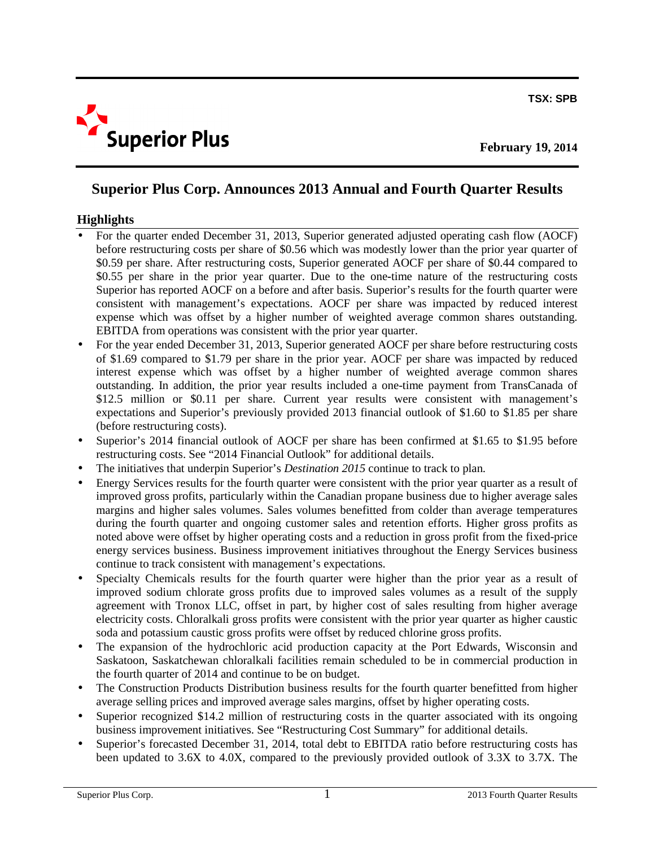

# **Superior Plus Corp. Announces 2013 Annual and Fourth Quarter Results**

## **Highlights**

- For the quarter ended December 31, 2013, Superior generated adjusted operating cash flow (AOCF) before restructuring costs per share of \$0.56 which was modestly lower than the prior year quarter of \$0.59 per share. After restructuring costs, Superior generated AOCF per share of \$0.44 compared to \$0.55 per share in the prior year quarter. Due to the one**-**time nature of the restructuring costs Superior has reported AOCF on a before and after basis. Superior's results for the fourth quarter were consistent with management's expectations. AOCF per share was impacted by reduced interest expense which was offset by a higher number of weighted average common shares outstanding. EBITDA from operations was consistent with the prior year quarter.
- For the year ended December 31, 2013, Superior generated AOCF per share before restructuring costs of \$1.69 compared to \$1.79 per share in the prior year. AOCF per share was impacted by reduced interest expense which was offset by a higher number of weighted average common shares outstanding. In addition, the prior year results included a one-time payment from TransCanada of \$12.5 million or \$0.11 per share. Current year results were consistent with management's expectations and Superior's previously provided 2013 financial outlook of \$1.60 to \$1.85 per share (before restructuring costs).
- Superior's 2014 financial outlook of AOCF per share has been confirmed at \$1.65 to \$1.95 before restructuring costs. See "2014 Financial Outlook" for additional details.
- The initiatives that underpin Superior's *Destination 2015* continue to track to plan.
- Energy Services results for the fourth quarter were consistent with the prior year quarter as a result of improved gross profits, particularly within the Canadian propane business due to higher average sales margins and higher sales volumes. Sales volumes benefitted from colder than average temperatures during the fourth quarter and ongoing customer sales and retention efforts. Higher gross profits as noted above were offset by higher operating costs and a reduction in gross profit from the fixed-price energy services business. Business improvement initiatives throughout the Energy Services business continue to track consistent with management's expectations.
- Specialty Chemicals results for the fourth quarter were higher than the prior year as a result of improved sodium chlorate gross profits due to improved sales volumes as a result of the supply agreement with Tronox LLC, offset in part, by higher cost of sales resulting from higher average electricity costs. Chloralkali gross profits were consistent with the prior year quarter as higher caustic soda and potassium caustic gross profits were offset by reduced chlorine gross profits.
- The expansion of the hydrochloric acid production capacity at the Port Edwards, Wisconsin and Saskatoon, Saskatchewan chloralkali facilities remain scheduled to be in commercial production in the fourth quarter of 2014 and continue to be on budget.
- The Construction Products Distribution business results for the fourth quarter benefitted from higher average selling prices and improved average sales margins, offset by higher operating costs.
- Superior recognized \$14.2 million of restructuring costs in the quarter associated with its ongoing business improvement initiatives. See "Restructuring Cost Summary" for additional details.
- Superior's forecasted December 31, 2014, total debt to EBITDA ratio before restructuring costs has been updated to 3.6X to 4.0X, compared to the previously provided outlook of 3.3X to 3.7X. The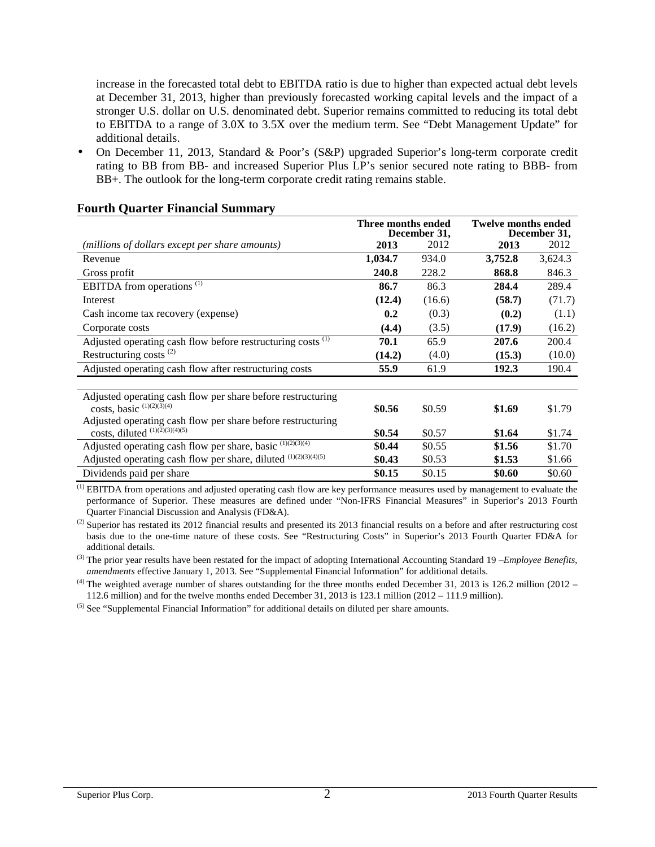increase in the forecasted total debt to EBITDA ratio is due to higher than expected actual debt levels at December 31, 2013, higher than previously forecasted working capital levels and the impact of a stronger U.S. dollar on U.S. denominated debt. Superior remains committed to reducing its total debt to EBITDA to a range of 3.0X to 3.5X over the medium term. See "Debt Management Update" for additional details.

• On December 11, 2013, Standard & Poor's (S&P) upgraded Superior's long-term corporate credit rating to BB from BB- and increased Superior Plus LP's senior secured note rating to BBB- from BB+. The outlook for the long-term corporate credit rating remains stable.

|                                                                                                          | Three months ended<br>December 31, |        | <b>Twelve months ended</b><br>December 31, |         |  |
|----------------------------------------------------------------------------------------------------------|------------------------------------|--------|--------------------------------------------|---------|--|
| (millions of dollars except per share amounts)                                                           | 2013                               | 2012   | 2013                                       | 2012    |  |
| Revenue                                                                                                  | 1,034.7                            | 934.0  | 3,752.8                                    | 3,624.3 |  |
| Gross profit                                                                                             | 240.8                              | 228.2  | 868.8                                      | 846.3   |  |
| EBITDA from operations <sup>(1)</sup>                                                                    | 86.7                               | 86.3   | 284.4                                      | 289.4   |  |
| Interest                                                                                                 | (12.4)                             | (16.6) | (58.7)                                     | (71.7)  |  |
| Cash income tax recovery (expense)                                                                       | 0.2                                | (0.3)  | (0.2)                                      | (1.1)   |  |
| Corporate costs                                                                                          | (4.4)                              | (3.5)  | (17.9)                                     | (16.2)  |  |
| Adjusted operating cash flow before restructuring costs <sup>(1)</sup>                                   | 70.1                               | 65.9   | 207.6                                      | 200.4   |  |
| Restructuring costs $^{(2)}$                                                                             | (14.2)                             | (4.0)  | (15.3)                                     | (10.0)  |  |
| Adjusted operating cash flow after restructuring costs                                                   | 55.9                               | 61.9   | 192.3                                      | 190.4   |  |
|                                                                                                          |                                    |        |                                            |         |  |
| Adjusted operating cash flow per share before restructuring<br>costs, basic $(1)(2)(3)(4)$               | \$0.56                             | \$0.59 | \$1.69                                     | \$1.79  |  |
| Adjusted operating cash flow per share before restructuring<br>costs, diluted $^{(1)(\bar{2})(3)(4)(5)}$ | \$0.54                             | \$0.57 | \$1.64                                     | \$1.74  |  |
| Adjusted operating cash flow per share, basic $(1)(2)(3)(4)$                                             | \$0.44                             | \$0.55 | \$1.56                                     | \$1.70  |  |
| Adjusted operating cash flow per share, diluted (1)(2)(3)(4)(5)                                          | \$0.43                             | \$0.53 | \$1.53                                     | \$1.66  |  |
| Dividends paid per share                                                                                 | \$0.15                             | \$0.15 | \$0.60                                     | \$0.60  |  |

### **Fourth Quarter Financial Summary**

 $<sup>(1)</sup>$  EBITDA from operations and adjusted operating cash flow are key performance measures used by management to evaluate the</sup> performance of Superior. These measures are defined under "Non-IFRS Financial Measures" in Superior's 2013 Fourth Quarter Financial Discussion and Analysis (FD&A).

 $^{(2)}$  Superior has restated its 2012 financial results and presented its 2013 financial results on a before and after restructuring cost basis due to the one-time nature of these costs. See "Restructuring Costs" in Superior's 2013 Fourth Quarter FD&A for additional details.

(3) The prior year results have been restated for the impact of adopting International Accounting Standard 19 –*Employee Benefits*, *amendments* effective January 1, 2013. See "Supplemental Financial Information" for additional details.

 $^{(4)}$  The weighted average number of shares outstanding for the three months ended December 31, 2013 is 126.2 million (2012 – 112.6 million) and for the twelve months ended December 31, 2013 is 123.1 million (2012 – 111.9 million).

 $<sup>(5)</sup>$  See "Supplemental Financial Information" for additional details on diluted per share amounts.</sup>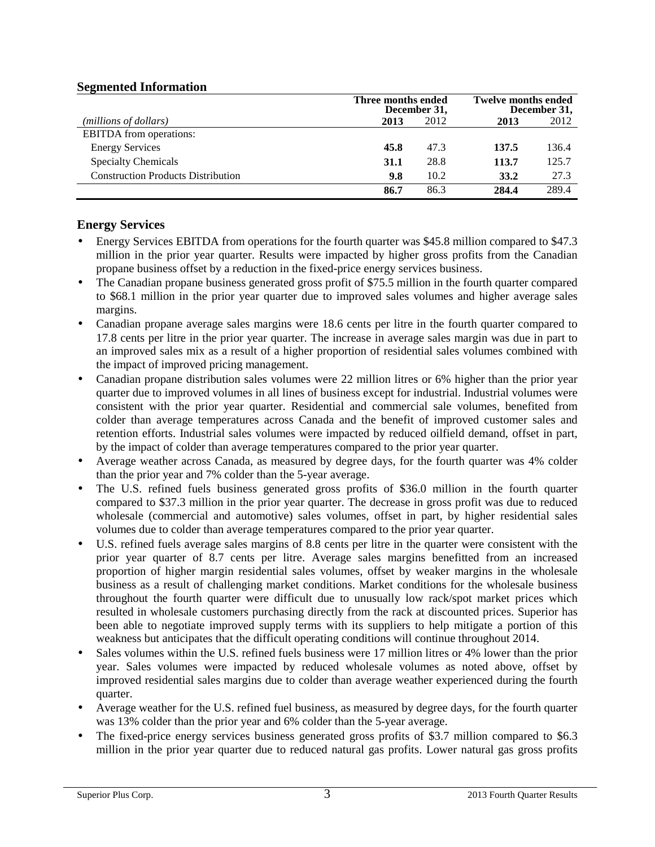## **Segmented Information**

|                                           | Three months ended | December 31, | <b>Twelve months ended</b><br>December 31, |       |  |
|-------------------------------------------|--------------------|--------------|--------------------------------------------|-------|--|
| (millions of dollars)                     | 2013               | 2012         | 2013                                       | 2012  |  |
| <b>EBITDA</b> from operations:            |                    |              |                                            |       |  |
| <b>Energy Services</b>                    | 45.8               | 47.3         | 137.5                                      | 136.4 |  |
| <b>Specialty Chemicals</b>                | 31.1               | 28.8         | 113.7                                      | 125.7 |  |
| <b>Construction Products Distribution</b> | 9.8                | 10.2         | 33.2                                       | 27.3  |  |
|                                           | 86.7               | 86.3         | 284.4                                      | 289.4 |  |

# **Energy Services**

- Energy Services EBITDA from operations for the fourth quarter was \$45.8 million compared to \$47.3 million in the prior year quarter. Results were impacted by higher gross profits from the Canadian propane business offset by a reduction in the fixed-price energy services business.
- The Canadian propane business generated gross profit of \$75.5 million in the fourth quarter compared to \$68.1 million in the prior year quarter due to improved sales volumes and higher average sales margins.
- Canadian propane average sales margins were 18.6 cents per litre in the fourth quarter compared to 17.8 cents per litre in the prior year quarter. The increase in average sales margin was due in part to an improved sales mix as a result of a higher proportion of residential sales volumes combined with the impact of improved pricing management.
- Canadian propane distribution sales volumes were 22 million litres or 6% higher than the prior year quarter due to improved volumes in all lines of business except for industrial. Industrial volumes were consistent with the prior year quarter. Residential and commercial sale volumes, benefited from colder than average temperatures across Canada and the benefit of improved customer sales and retention efforts. Industrial sales volumes were impacted by reduced oilfield demand, offset in part, by the impact of colder than average temperatures compared to the prior year quarter.
- Average weather across Canada, as measured by degree days, for the fourth quarter was 4% colder than the prior year and 7% colder than the 5-year average.
- The U.S. refined fuels business generated gross profits of \$36.0 million in the fourth quarter compared to \$37.3 million in the prior year quarter. The decrease in gross profit was due to reduced wholesale (commercial and automotive) sales volumes, offset in part, by higher residential sales volumes due to colder than average temperatures compared to the prior year quarter.
- U.S. refined fuels average sales margins of 8.8 cents per litre in the quarter were consistent with the prior year quarter of 8.7 cents per litre. Average sales margins benefitted from an increased proportion of higher margin residential sales volumes, offset by weaker margins in the wholesale business as a result of challenging market conditions. Market conditions for the wholesale business throughout the fourth quarter were difficult due to unusually low rack/spot market prices which resulted in wholesale customers purchasing directly from the rack at discounted prices. Superior has been able to negotiate improved supply terms with its suppliers to help mitigate a portion of this weakness but anticipates that the difficult operating conditions will continue throughout 2014.
- Sales volumes within the U.S. refined fuels business were 17 million litres or 4% lower than the prior year. Sales volumes were impacted by reduced wholesale volumes as noted above, offset by improved residential sales margins due to colder than average weather experienced during the fourth quarter.
- Average weather for the U.S. refined fuel business, as measured by degree days, for the fourth quarter was 13% colder than the prior year and 6% colder than the 5-year average.
- The fixed-price energy services business generated gross profits of \$3.7 million compared to \$6.3 million in the prior year quarter due to reduced natural gas profits. Lower natural gas gross profits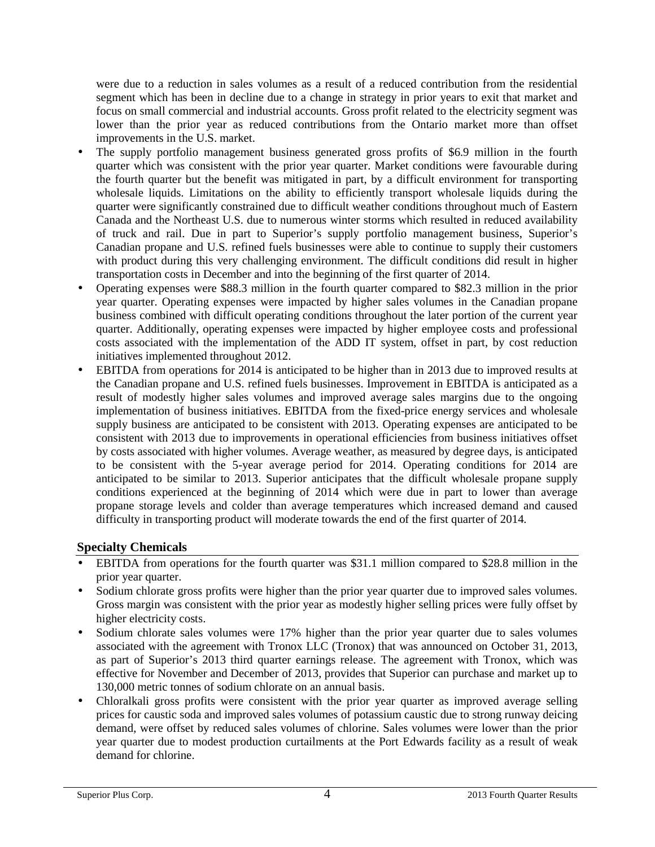were due to a reduction in sales volumes as a result of a reduced contribution from the residential segment which has been in decline due to a change in strategy in prior years to exit that market and focus on small commercial and industrial accounts. Gross profit related to the electricity segment was lower than the prior year as reduced contributions from the Ontario market more than offset improvements in the U.S. market.

- The supply portfolio management business generated gross profits of \$6.9 million in the fourth quarter which was consistent with the prior year quarter. Market conditions were favourable during the fourth quarter but the benefit was mitigated in part, by a difficult environment for transporting wholesale liquids. Limitations on the ability to efficiently transport wholesale liquids during the quarter were significantly constrained due to difficult weather conditions throughout much of Eastern Canada and the Northeast U.S. due to numerous winter storms which resulted in reduced availability of truck and rail. Due in part to Superior's supply portfolio management business, Superior's Canadian propane and U.S. refined fuels businesses were able to continue to supply their customers with product during this very challenging environment. The difficult conditions did result in higher transportation costs in December and into the beginning of the first quarter of 2014.
- Operating expenses were \$88.3 million in the fourth quarter compared to \$82.3 million in the prior year quarter. Operating expenses were impacted by higher sales volumes in the Canadian propane business combined with difficult operating conditions throughout the later portion of the current year quarter. Additionally, operating expenses were impacted by higher employee costs and professional costs associated with the implementation of the ADD IT system, offset in part, by cost reduction initiatives implemented throughout 2012.
- EBITDA from operations for 2014 is anticipated to be higher than in 2013 due to improved results at the Canadian propane and U.S. refined fuels businesses. Improvement in EBITDA is anticipated as a result of modestly higher sales volumes and improved average sales margins due to the ongoing implementation of business initiatives. EBITDA from the fixed-price energy services and wholesale supply business are anticipated to be consistent with 2013. Operating expenses are anticipated to be consistent with 2013 due to improvements in operational efficiencies from business initiatives offset by costs associated with higher volumes. Average weather, as measured by degree days, is anticipated to be consistent with the 5-year average period for 2014. Operating conditions for 2014 are anticipated to be similar to 2013. Superior anticipates that the difficult wholesale propane supply conditions experienced at the beginning of 2014 which were due in part to lower than average propane storage levels and colder than average temperatures which increased demand and caused difficulty in transporting product will moderate towards the end of the first quarter of 2014.

# **Specialty Chemicals**

- EBITDA from operations for the fourth quarter was \$31.1 million compared to \$28.8 million in the prior year quarter.
- Sodium chlorate gross profits were higher than the prior year quarter due to improved sales volumes. Gross margin was consistent with the prior year as modestly higher selling prices were fully offset by higher electricity costs.
- Sodium chlorate sales volumes were 17% higher than the prior year quarter due to sales volumes associated with the agreement with Tronox LLC (Tronox) that was announced on October 31, 2013, as part of Superior's 2013 third quarter earnings release. The agreement with Tronox, which was effective for November and December of 2013, provides that Superior can purchase and market up to 130,000 metric tonnes of sodium chlorate on an annual basis.
- Chloralkali gross profits were consistent with the prior year quarter as improved average selling prices for caustic soda and improved sales volumes of potassium caustic due to strong runway deicing demand, were offset by reduced sales volumes of chlorine. Sales volumes were lower than the prior year quarter due to modest production curtailments at the Port Edwards facility as a result of weak demand for chlorine.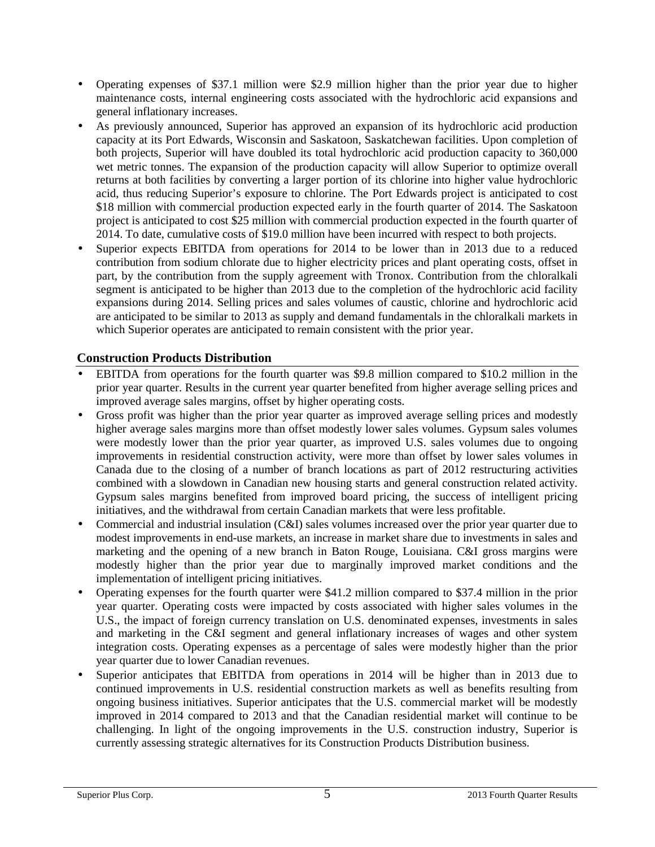- Operating expenses of \$37.1 million were \$2.9 million higher than the prior year due to higher maintenance costs, internal engineering costs associated with the hydrochloric acid expansions and general inflationary increases.
- As previously announced, Superior has approved an expansion of its hydrochloric acid production capacity at its Port Edwards, Wisconsin and Saskatoon, Saskatchewan facilities. Upon completion of both projects, Superior will have doubled its total hydrochloric acid production capacity to 360,000 wet metric tonnes. The expansion of the production capacity will allow Superior to optimize overall returns at both facilities by converting a larger portion of its chlorine into higher value hydrochloric acid, thus reducing Superior's exposure to chlorine. The Port Edwards project is anticipated to cost \$18 million with commercial production expected early in the fourth quarter of 2014. The Saskatoon project is anticipated to cost \$25 million with commercial production expected in the fourth quarter of 2014. To date, cumulative costs of \$19.0 million have been incurred with respect to both projects.
- Superior expects EBITDA from operations for 2014 to be lower than in 2013 due to a reduced contribution from sodium chlorate due to higher electricity prices and plant operating costs, offset in part, by the contribution from the supply agreement with Tronox. Contribution from the chloralkali segment is anticipated to be higher than 2013 due to the completion of the hydrochloric acid facility expansions during 2014. Selling prices and sales volumes of caustic, chlorine and hydrochloric acid are anticipated to be similar to 2013 as supply and demand fundamentals in the chloralkali markets in which Superior operates are anticipated to remain consistent with the prior year.

# **Construction Products Distribution**

- EBITDA from operations for the fourth quarter was \$9.8 million compared to \$10.2 million in the prior year quarter. Results in the current year quarter benefited from higher average selling prices and improved average sales margins, offset by higher operating costs.
- Gross profit was higher than the prior year quarter as improved average selling prices and modestly higher average sales margins more than offset modestly lower sales volumes. Gypsum sales volumes were modestly lower than the prior year quarter, as improved U.S. sales volumes due to ongoing improvements in residential construction activity, were more than offset by lower sales volumes in Canada due to the closing of a number of branch locations as part of 2012 restructuring activities combined with a slowdown in Canadian new housing starts and general construction related activity. Gypsum sales margins benefited from improved board pricing, the success of intelligent pricing initiatives, and the withdrawal from certain Canadian markets that were less profitable.
- Commercial and industrial insulation (C&I) sales volumes increased over the prior year quarter due to modest improvements in end-use markets, an increase in market share due to investments in sales and marketing and the opening of a new branch in Baton Rouge, Louisiana. C&I gross margins were modestly higher than the prior year due to marginally improved market conditions and the implementation of intelligent pricing initiatives.
- Operating expenses for the fourth quarter were \$41.2 million compared to \$37.4 million in the prior year quarter. Operating costs were impacted by costs associated with higher sales volumes in the U.S., the impact of foreign currency translation on U.S. denominated expenses, investments in sales and marketing in the C&I segment and general inflationary increases of wages and other system integration costs. Operating expenses as a percentage of sales were modestly higher than the prior year quarter due to lower Canadian revenues.
- Superior anticipates that EBITDA from operations in 2014 will be higher than in 2013 due to continued improvements in U.S. residential construction markets as well as benefits resulting from ongoing business initiatives. Superior anticipates that the U.S. commercial market will be modestly improved in 2014 compared to 2013 and that the Canadian residential market will continue to be challenging. In light of the ongoing improvements in the U.S. construction industry, Superior is currently assessing strategic alternatives for its Construction Products Distribution business.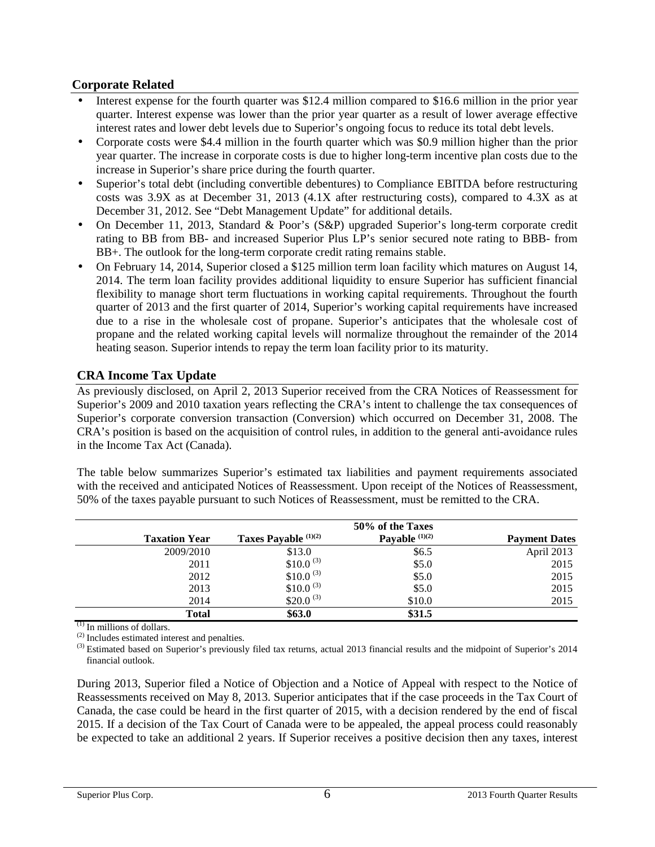# **Corporate Related**

- Interest expense for the fourth quarter was \$12.4 million compared to \$16.6 million in the prior year quarter. Interest expense was lower than the prior year quarter as a result of lower average effective interest rates and lower debt levels due to Superior's ongoing focus to reduce its total debt levels.
- Corporate costs were \$4.4 million in the fourth quarter which was \$0.9 million higher than the prior year quarter. The increase in corporate costs is due to higher long-term incentive plan costs due to the increase in Superior's share price during the fourth quarter.
- Superior's total debt (including convertible debentures) to Compliance EBITDA before restructuring costs was  $3.9X$  as at December  $31$ ,  $2013$  (4.1X after restructuring costs), compared to 4.3X as at December 31, 2012. See "Debt Management Update" for additional details.
- On December 11, 2013, Standard & Poor's (S&P) upgraded Superior's long-term corporate credit rating to BB from BB- and increased Superior Plus LP's senior secured note rating to BBB- from BB+. The outlook for the long-term corporate credit rating remains stable.
- On February 14, 2014, Superior closed a \$125 million term loan facility which matures on August 14, 2014. The term loan facility provides additional liquidity to ensure Superior has sufficient financial flexibility to manage short term fluctuations in working capital requirements. Throughout the fourth quarter of 2013 and the first quarter of 2014, Superior's working capital requirements have increased due to a rise in the wholesale cost of propane. Superior's anticipates that the wholesale cost of propane and the related working capital levels will normalize throughout the remainder of the 2014 heating season. Superior intends to repay the term loan facility prior to its maturity.

# **CRA Income Tax Update**

As previously disclosed, on April 2, 2013 Superior received from the CRA Notices of Reassessment for Superior's 2009 and 2010 taxation years reflecting the CRA's intent to challenge the tax consequences of Superior's corporate conversion transaction (Conversion) which occurred on December 31, 2008. The CRA's position is based on the acquisition of control rules, in addition to the general anti-avoidance rules in the Income Tax Act (Canada).

The table below summarizes Superior's estimated tax liabilities and payment requirements associated with the received and anticipated Notices of Reassessment. Upon receipt of the Notices of Reassessment, 50% of the taxes payable pursuant to such Notices of Reassessment, must be remitted to the CRA.

|                      |                       | 50% of the Taxes |                      |
|----------------------|-----------------------|------------------|----------------------|
| <b>Taxation Year</b> | Taxes Payable (1)(2)  | Payable $(1)(2)$ | <b>Payment Dates</b> |
| 2009/2010            | \$13.0                | \$6.5            | April 2013           |
| 2011                 | \$10.0 <sup>(3)</sup> | \$5.0            | 2015                 |
| 2012                 | \$10.0 <sup>(3)</sup> | \$5.0            | 2015                 |
| 2013                 | \$10.0 <sup>(3)</sup> | \$5.0            | 2015                 |
| 2014                 | \$20.0 <sup>(3)</sup> | \$10.0           | 2015                 |
| Total                | \$63.0                | \$31.5           |                      |

(1) In millions of dollars.

(2) Includes estimated interest and penalties.

(3) Estimated based on Superior's previously filed tax returns, actual 2013 financial results and the midpoint of Superior's 2014 financial outlook.

During 2013, Superior filed a Notice of Objection and a Notice of Appeal with respect to the Notice of Reassessments received on May 8, 2013. Superior anticipates that if the case proceeds in the Tax Court of Canada, the case could be heard in the first quarter of 2015, with a decision rendered by the end of fiscal 2015. If a decision of the Tax Court of Canada were to be appealed, the appeal process could reasonably be expected to take an additional 2 years. If Superior receives a positive decision then any taxes, interest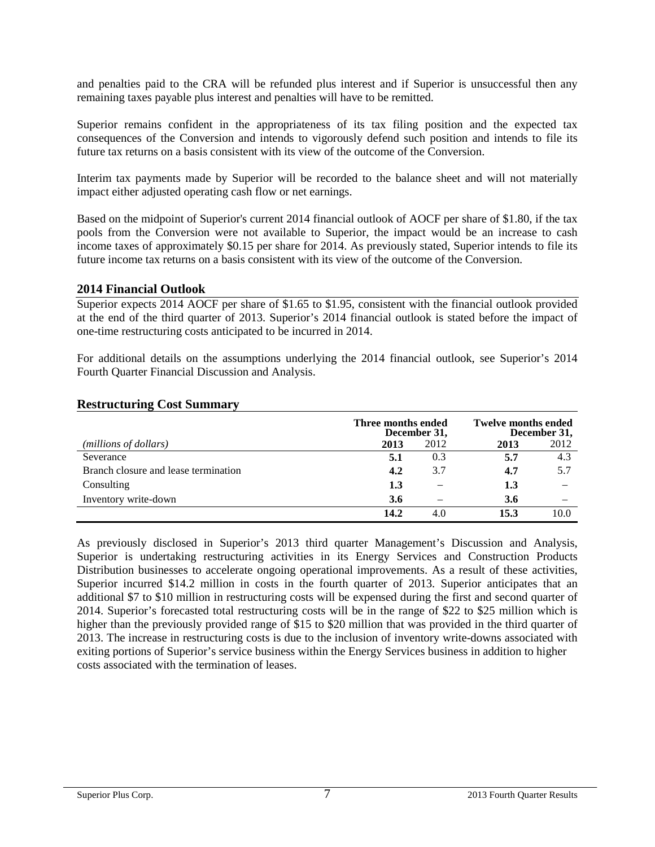and penalties paid to the CRA will be refunded plus interest and if Superior is unsuccessful then any remaining taxes payable plus interest and penalties will have to be remitted.

Superior remains confident in the appropriateness of its tax filing position and the expected tax consequences of the Conversion and intends to vigorously defend such position and intends to file its future tax returns on a basis consistent with its view of the outcome of the Conversion.

Interim tax payments made by Superior will be recorded to the balance sheet and will not materially impact either adjusted operating cash flow or net earnings.

Based on the midpoint of Superior's current 2014 financial outlook of AOCF per share of \$1.80, if the tax pools from the Conversion were not available to Superior, the impact would be an increase to cash income taxes of approximately \$0.15 per share for 2014. As previously stated, Superior intends to file its future income tax returns on a basis consistent with its view of the outcome of the Conversion.

### **2014 Financial Outlook**

Superior expects 2014 AOCF per share of \$1.65 to \$1.95, consistent with the financial outlook provided at the end of the third quarter of 2013. Superior's 2014 financial outlook is stated before the impact of one-time restructuring costs anticipated to be incurred in 2014.

For additional details on the assumptions underlying the 2014 financial outlook, see Superior's 2014 Fourth Quarter Financial Discussion and Analysis.

### **Restructuring Cost Summary**

|                                      | Three months ended<br>December 31, | <b>Twelve months ended</b><br>December 31, |      |      |
|--------------------------------------|------------------------------------|--------------------------------------------|------|------|
| ( <i>millions of dollars</i> )       | 2013                               | 2012                                       | 2013 | 2012 |
| Severance                            | 5.1                                | 0.3                                        | 5.7  | 4.3  |
| Branch closure and lease termination | 4.2                                | 3.7                                        | 4.7  | 5.7  |
| Consulting                           | 1.3                                |                                            | 1.3  |      |
| Inventory write-down                 | 3.6                                |                                            | 3.6  |      |
|                                      | 14.2                               | 4.0                                        | 15.3 | 10.0 |

As previously disclosed in Superior's 2013 third quarter Management's Discussion and Analysis, Superior is undertaking restructuring activities in its Energy Services and Construction Products Distribution businesses to accelerate ongoing operational improvements. As a result of these activities, Superior incurred \$14.2 million in costs in the fourth quarter of 2013. Superior anticipates that an additional \$7 to \$10 million in restructuring costs will be expensed during the first and second quarter of 2014. Superior's forecasted total restructuring costs will be in the range of \$22 to \$25 million which is higher than the previously provided range of \$15 to \$20 million that was provided in the third quarter of 2013. The increase in restructuring costs is due to the inclusion of inventory write-downs associated with exiting portions of Superior's service business within the Energy Services business in addition to higher costs associated with the termination of leases.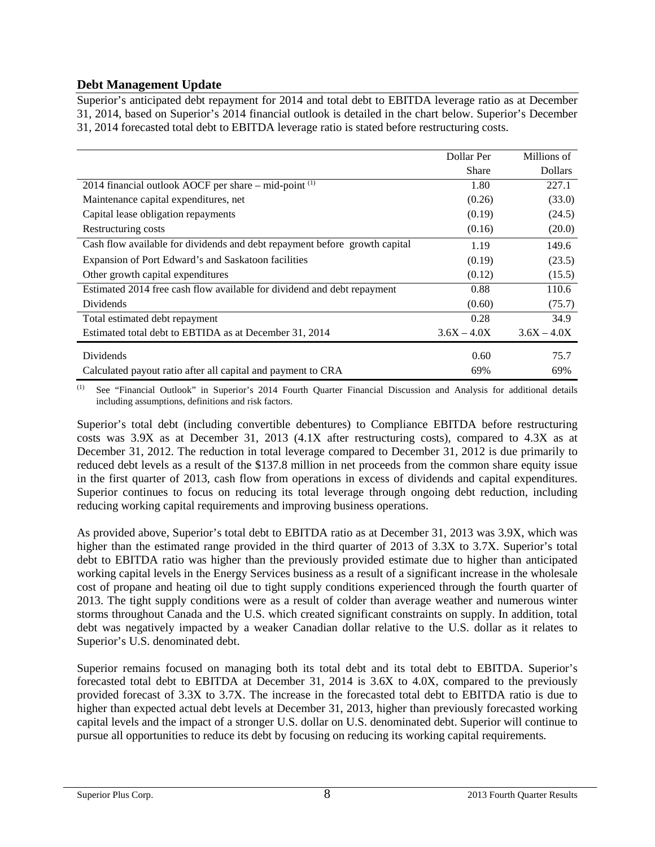# **Debt Management Update**

Superior's anticipated debt repayment for 2014 and total debt to EBITDA leverage ratio as at December 31, 2014, based on Superior's 2014 financial outlook is detailed in the chart below. Superior's December 31, 2014 forecasted total debt to EBITDA leverage ratio is stated before restructuring costs.

|                                                                            | Dollar Per    | Millions of   |
|----------------------------------------------------------------------------|---------------|---------------|
|                                                                            | <b>Share</b>  | Dollars       |
| 2014 financial outlook AOCF per share – mid-point $(1)$                    | 1.80          | 227.1         |
| Maintenance capital expenditures, net                                      | (0.26)        | (33.0)        |
| Capital lease obligation repayments                                        | (0.19)        | (24.5)        |
| Restructuring costs                                                        | (0.16)        | (20.0)        |
| Cash flow available for dividends and debt repayment before growth capital | 1.19          | 149.6         |
| Expansion of Port Edward's and Saskatoon facilities                        | (0.19)        | (23.5)        |
| Other growth capital expenditures                                          | (0.12)        | (15.5)        |
| Estimated 2014 free cash flow available for dividend and debt repayment    | 0.88          | 110.6         |
| Dividends                                                                  | (0.60)        | (75.7)        |
| Total estimated debt repayment                                             | 0.28          | 34.9          |
| Estimated total debt to EBTIDA as at December 31, 2014                     | $3.6X - 4.0X$ | $3.6X - 4.0X$ |
| Dividends                                                                  | 0.60          | 75.7          |
| Calculated payout ratio after all capital and payment to CRA               | 69%           | 69%           |

(1) See "Financial Outlook" in Superior's 2014 Fourth Quarter Financial Discussion and Analysis for additional details including assumptions, definitions and risk factors.

Superior's total debt (including convertible debentures) to Compliance EBITDA before restructuring costs was 3.9X as at December 31, 2013 (4.1X after restructuring costs), compared to 4.3X as at December 31, 2012. The reduction in total leverage compared to December 31, 2012 is due primarily to reduced debt levels as a result of the \$137.8 million in net proceeds from the common share equity issue in the first quarter of 2013, cash flow from operations in excess of dividends and capital expenditures. Superior continues to focus on reducing its total leverage through ongoing debt reduction, including reducing working capital requirements and improving business operations.

As provided above, Superior's total debt to EBITDA ratio as at December 31, 2013 was 3.9X, which was higher than the estimated range provided in the third quarter of 2013 of 3.3X to 3.7X. Superior's total debt to EBITDA ratio was higher than the previously provided estimate due to higher than anticipated working capital levels in the Energy Services business as a result of a significant increase in the wholesale cost of propane and heating oil due to tight supply conditions experienced through the fourth quarter of 2013. The tight supply conditions were as a result of colder than average weather and numerous winter storms throughout Canada and the U.S. which created significant constraints on supply. In addition, total debt was negatively impacted by a weaker Canadian dollar relative to the U.S. dollar as it relates to Superior's U.S. denominated debt.

Superior remains focused on managing both its total debt and its total debt to EBITDA. Superior's forecasted total debt to EBITDA at December 31, 2014 is 3.6X to 4.0X, compared to the previously provided forecast of 3.3X to 3.7X. The increase in the forecasted total debt to EBITDA ratio is due to higher than expected actual debt levels at December 31, 2013, higher than previously forecasted working capital levels and the impact of a stronger U.S. dollar on U.S. denominated debt. Superior will continue to pursue all opportunities to reduce its debt by focusing on reducing its working capital requirements.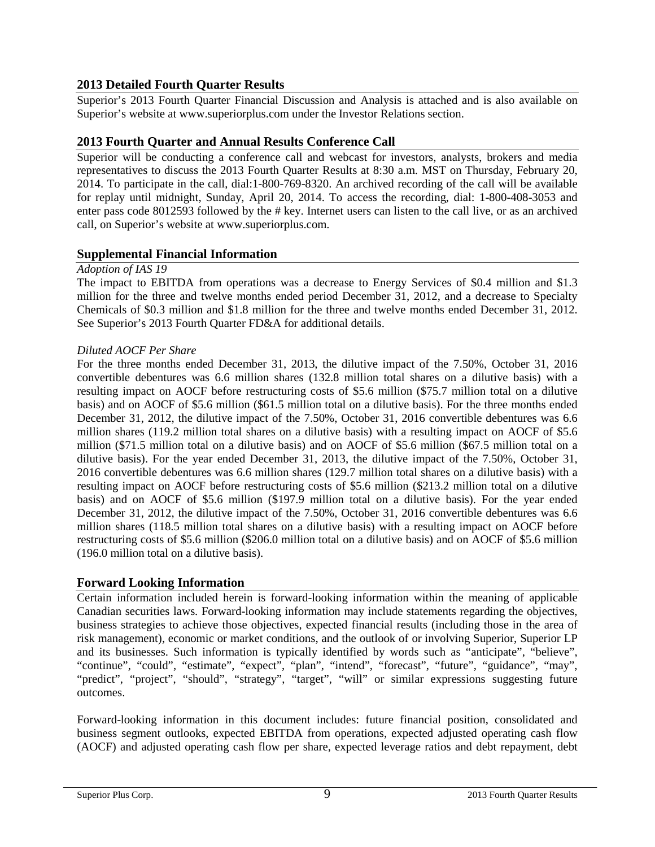# **2013 Detailed Fourth Quarter Results**

Superior's 2013 Fourth Quarter Financial Discussion and Analysis is attached and is also available on Superior's website at www.superiorplus.com under the Investor Relations section.

# **2013 Fourth Quarter and Annual Results Conference Call**

Superior will be conducting a conference call and webcast for investors, analysts, brokers and media representatives to discuss the 2013 Fourth Quarter Results at 8:30 a.m. MST on Thursday, February 20, 2014. To participate in the call, dial:1-800-769-8320. An archived recording of the call will be available for replay until midnight, Sunday, April 20, 2014. To access the recording, dial: 1-800-408-3053 and enter pass code 8012593 followed by the # key. Internet users can listen to the call live, or as an archived call, on Superior's website at www.superiorplus.com.

# **Supplemental Financial Information**

## *Adoption of IAS 19*

The impact to EBITDA from operations was a decrease to Energy Services of \$0.4 million and \$1.3 million for the three and twelve months ended period December 31, 2012, and a decrease to Specialty Chemicals of \$0.3 million and \$1.8 million for the three and twelve months ended December 31, 2012. See Superior's 2013 Fourth Quarter FD&A for additional details.

## *Diluted AOCF Per Share*

For the three months ended December 31, 2013, the dilutive impact of the 7.50%, October 31, 2016 convertible debentures was 6.6 million shares (132.8 million total shares on a dilutive basis) with a resulting impact on AOCF before restructuring costs of \$5.6 million (\$75.7 million total on a dilutive basis) and on AOCF of \$5.6 million (\$61.5 million total on a dilutive basis). For the three months ended December 31, 2012, the dilutive impact of the 7.50%, October 31, 2016 convertible debentures was 6.6 million shares (119.2 million total shares on a dilutive basis) with a resulting impact on AOCF of \$5.6 million (\$71.5 million total on a dilutive basis) and on AOCF of \$5.6 million (\$67.5 million total on a dilutive basis). For the year ended December 31, 2013, the dilutive impact of the 7.50%, October 31, 2016 convertible debentures was 6.6 million shares (129.7 million total shares on a dilutive basis) with a resulting impact on AOCF before restructuring costs of \$5.6 million (\$213.2 million total on a dilutive basis) and on AOCF of \$5.6 million (\$197.9 million total on a dilutive basis). For the year ended December 31, 2012, the dilutive impact of the 7.50%, October 31, 2016 convertible debentures was 6.6 million shares (118.5 million total shares on a dilutive basis) with a resulting impact on AOCF before restructuring costs of \$5.6 million (\$206.0 million total on a dilutive basis) and on AOCF of \$5.6 million (196.0 million total on a dilutive basis).

# **Forward Looking Information**

Certain information included herein is forward-looking information within the meaning of applicable Canadian securities laws. Forward-looking information may include statements regarding the objectives, business strategies to achieve those objectives, expected financial results (including those in the area of risk management), economic or market conditions, and the outlook of or involving Superior, Superior LP and its businesses. Such information is typically identified by words such as "anticipate", "believe", "continue", "could", "estimate", "expect", "plan", "intend", "forecast", "future", "guidance", "may", "predict", "project", "should", "strategy", "target", "will" or similar expressions suggesting future outcomes.

Forward-looking information in this document includes: future financial position, consolidated and business segment outlooks, expected EBITDA from operations, expected adjusted operating cash flow (AOCF) and adjusted operating cash flow per share, expected leverage ratios and debt repayment, debt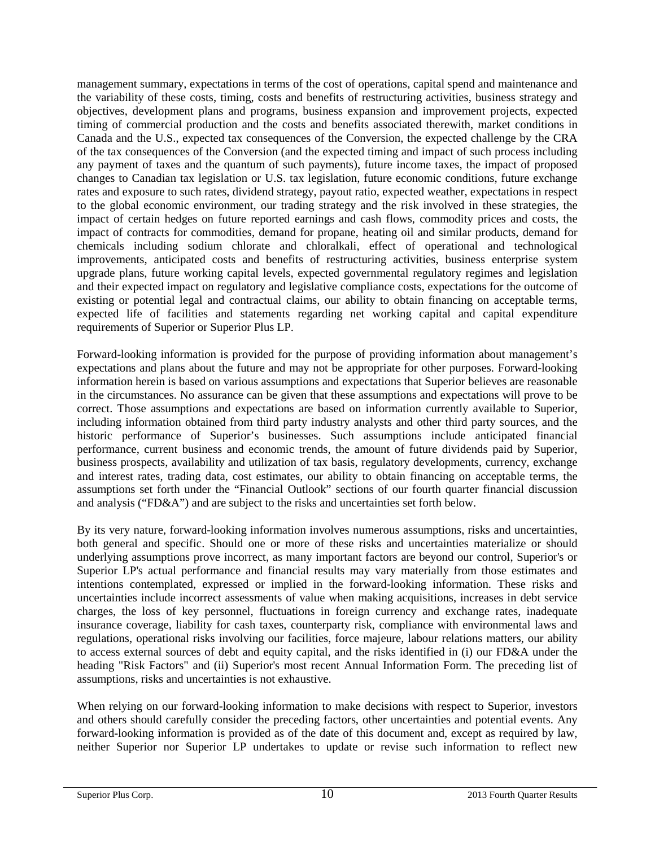management summary, expectations in terms of the cost of operations, capital spend and maintenance and the variability of these costs, timing, costs and benefits of restructuring activities, business strategy and objectives, development plans and programs, business expansion and improvement projects, expected timing of commercial production and the costs and benefits associated therewith, market conditions in Canada and the U.S., expected tax consequences of the Conversion, the expected challenge by the CRA of the tax consequences of the Conversion (and the expected timing and impact of such process including any payment of taxes and the quantum of such payments), future income taxes, the impact of proposed changes to Canadian tax legislation or U.S. tax legislation, future economic conditions, future exchange rates and exposure to such rates, dividend strategy, payout ratio, expected weather, expectations in respect to the global economic environment, our trading strategy and the risk involved in these strategies, the impact of certain hedges on future reported earnings and cash flows, commodity prices and costs, the impact of contracts for commodities, demand for propane, heating oil and similar products, demand for chemicals including sodium chlorate and chloralkali, effect of operational and technological improvements, anticipated costs and benefits of restructuring activities, business enterprise system upgrade plans, future working capital levels, expected governmental regulatory regimes and legislation and their expected impact on regulatory and legislative compliance costs, expectations for the outcome of existing or potential legal and contractual claims, our ability to obtain financing on acceptable terms, expected life of facilities and statements regarding net working capital and capital expenditure requirements of Superior or Superior Plus LP.

Forward-looking information is provided for the purpose of providing information about management's expectations and plans about the future and may not be appropriate for other purposes. Forward-looking information herein is based on various assumptions and expectations that Superior believes are reasonable in the circumstances. No assurance can be given that these assumptions and expectations will prove to be correct. Those assumptions and expectations are based on information currently available to Superior, including information obtained from third party industry analysts and other third party sources, and the historic performance of Superior's businesses. Such assumptions include anticipated financial performance, current business and economic trends, the amount of future dividends paid by Superior, business prospects, availability and utilization of tax basis, regulatory developments, currency, exchange and interest rates, trading data, cost estimates, our ability to obtain financing on acceptable terms, the assumptions set forth under the "Financial Outlook" sections of our fourth quarter financial discussion and analysis ("FD&A") and are subject to the risks and uncertainties set forth below.

By its very nature, forward-looking information involves numerous assumptions, risks and uncertainties, both general and specific. Should one or more of these risks and uncertainties materialize or should underlying assumptions prove incorrect, as many important factors are beyond our control, Superior's or Superior LP's actual performance and financial results may vary materially from those estimates and intentions contemplated, expressed or implied in the forward-looking information. These risks and uncertainties include incorrect assessments of value when making acquisitions, increases in debt service charges, the loss of key personnel, fluctuations in foreign currency and exchange rates, inadequate insurance coverage, liability for cash taxes, counterparty risk, compliance with environmental laws and regulations, operational risks involving our facilities, force majeure, labour relations matters, our ability to access external sources of debt and equity capital, and the risks identified in (i) our FD&A under the heading "Risk Factors" and (ii) Superior's most recent Annual Information Form. The preceding list of assumptions, risks and uncertainties is not exhaustive.

When relying on our forward-looking information to make decisions with respect to Superior, investors and others should carefully consider the preceding factors, other uncertainties and potential events. Any forward-looking information is provided as of the date of this document and, except as required by law, neither Superior nor Superior LP undertakes to update or revise such information to reflect new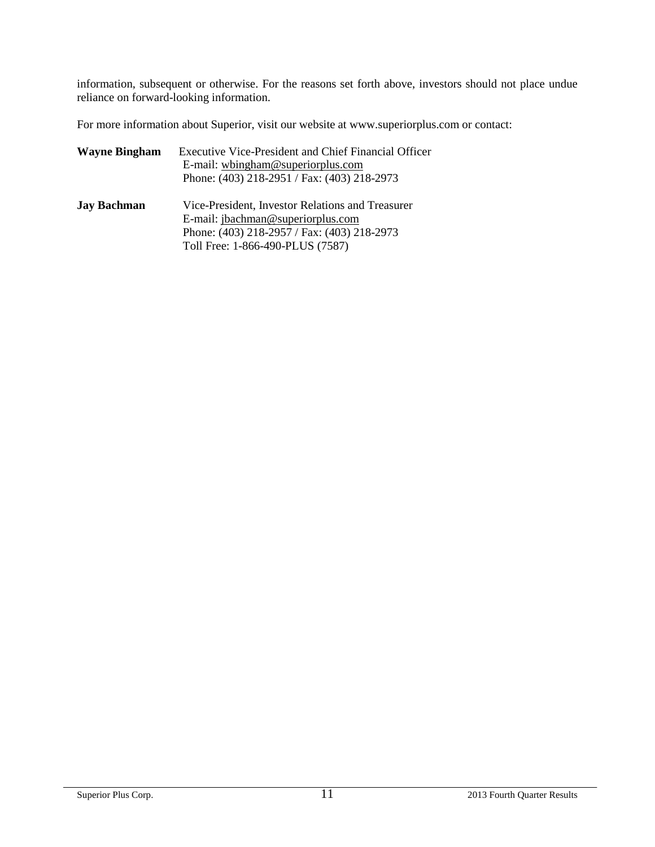information, subsequent or otherwise. For the reasons set forth above, investors should not place undue reliance on forward-looking information.

For more information about Superior, visit our website at www.superiorplus.com or contact:

| <b>Wayne Bingham</b> | <b>Executive Vice-President and Chief Financial Officer</b>                                                                                                              |
|----------------------|--------------------------------------------------------------------------------------------------------------------------------------------------------------------------|
|                      | E-mail: wbingham@superiorplus.com                                                                                                                                        |
|                      | Phone: (403) 218-2951 / Fax: (403) 218-2973                                                                                                                              |
| <b>Jay Bachman</b>   | Vice-President, Investor Relations and Treasurer<br>E-mail: jbachman@superiorplus.com<br>Phone: (403) 218-2957 / Fax: (403) 218-2973<br>Toll Free: 1-866-490-PLUS (7587) |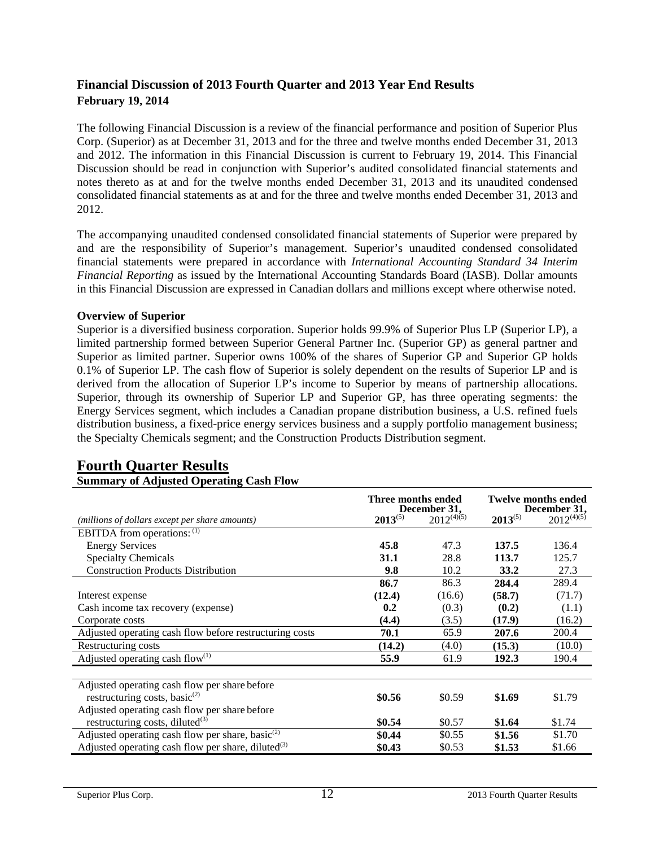# **Financial Discussion of 2013 Fourth Quarter and 2013 Year End Results February 19, 2014**

The following Financial Discussion is a review of the financial performance and position of Superior Plus Corp. (Superior) as at December 31, 2013 and for the three and twelve months ended December 31, 2013 and 2012. The information in this Financial Discussion is current to February 19, 2014. This Financial Discussion should be read in conjunction with Superior's audited consolidated financial statements and notes thereto as at and for the twelve months ended December 31, 2013 and its unaudited condensed consolidated financial statements as at and for the three and twelve months ended December 31, 2013 and 2012.

The accompanying unaudited condensed consolidated financial statements of Superior were prepared by and are the responsibility of Superior's management. Superior's unaudited condensed consolidated financial statements were prepared in accordance with *International Accounting Standard 34 Interim Financial Reporting* as issued by the International Accounting Standards Board (IASB). Dollar amounts in this Financial Discussion are expressed in Canadian dollars and millions except where otherwise noted.

### **Overview of Superior**

Superior is a diversified business corporation. Superior holds 99.9% of Superior Plus LP (Superior LP), a limited partnership formed between Superior General Partner Inc. (Superior GP) as general partner and Superior as limited partner. Superior owns 100% of the shares of Superior GP and Superior GP holds 0.1% of Superior LP. The cash flow of Superior is solely dependent on the results of Superior LP and is derived from the allocation of Superior LP's income to Superior by means of partnership allocations. Superior, through its ownership of Superior LP and Superior GP, has three operating segments: the Energy Services segment, which includes a Canadian propane distribution business, a U.S. refined fuels distribution business, a fixed-price energy services business and a supply portfolio management business; the Specialty Chemicals segment; and the Construction Products Distribution segment.

|                                                          | Three months ended | December 31,    | <b>Twelve months ended</b><br>December 31, |                 |  |
|----------------------------------------------------------|--------------------|-----------------|--------------------------------------------|-----------------|--|
| (millions of dollars except per share amounts)           | $2013^{(5)}$       | $2012^{(4)(5)}$ | $2013^{(5)}$                               | $2012^{(4)(5)}$ |  |
| EBITDA from operations: $(1)$                            |                    |                 |                                            |                 |  |
| <b>Energy Services</b>                                   | 45.8               | 47.3            | 137.5                                      | 136.4           |  |
| <b>Specialty Chemicals</b>                               | 31.1               | 28.8            | 113.7                                      | 125.7           |  |
| <b>Construction Products Distribution</b>                | 9.8                | 10.2            | 33.2                                       | 27.3            |  |
|                                                          | 86.7               | 86.3            | 284.4                                      | 289.4           |  |
| Interest expense                                         | (12.4)             | (16.6)          | (58.7)                                     | (71.7)          |  |
| Cash income tax recovery (expense)                       | 0.2                | (0.3)           | (0.2)                                      | (1.1)           |  |
| Corporate costs                                          | (4.4)              | (3.5)           | (17.9)                                     | (16.2)          |  |
| Adjusted operating cash flow before restructuring costs  | 70.1               | 65.9            | 207.6                                      | 200.4           |  |
| Restructuring costs                                      | (14.2)             | (4.0)           | (15.3)                                     | (10.0)          |  |
| Adjusted operating cash flow $^{(1)}$                    | 55.9               | 61.9            | 192.3                                      | 190.4           |  |
| Adjusted operating cash flow per share before            |                    |                 |                                            |                 |  |
| restructuring costs, basic <sup>(2)</sup>                | \$0.56             | \$0.59          | \$1.69                                     | \$1.79          |  |
| Adjusted operating cash flow per share before            |                    |                 |                                            |                 |  |
| restructuring costs, diluted $(3)$                       | \$0.54             | \$0.57          | \$1.64                                     | \$1.74          |  |
| Adjusted operating cash flow per share, basic $^{(2)}$   | \$0.44             | \$0.55          | \$1.56                                     | \$1.70          |  |
| Adjusted operating cash flow per share, diluted $^{(3)}$ | \$0.43             | \$0.53          | \$1.53                                     | \$1.66          |  |

### **Fourth Quarter Results Summary of Adjusted Operating Cash Flow**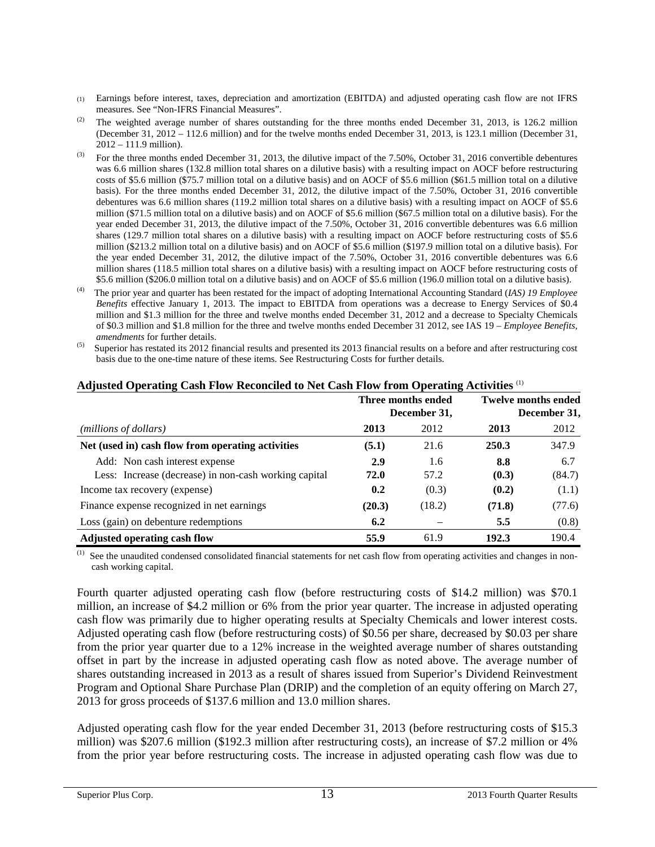- (1) Earnings before interest, taxes, depreciation and amortization (EBITDA) and adjusted operating cash flow are not IFRS measures. See "Non-IFRS Financial Measures".
- (2) The weighted average number of shares outstanding for the three months ended December 31, 2013, is 126.2 million (December 31, 2012 – 112.6 million) and for the twelve months ended December 31, 2013, is 123.1 million (December 31, 2012 – 111.9 million).
- (3) For the three months ended December 31, 2013, the dilutive impact of the 7.50%, October 31, 2016 convertible debentures was 6.6 million shares (132.8 million total shares on a dilutive basis) with a resulting impact on AOCF before restructuring costs of \$5.6 million (\$75.7 million total on a dilutive basis) and on AOCF of \$5.6 million (\$61.5 million total on a dilutive basis). For the three months ended December 31, 2012, the dilutive impact of the 7.50%, October 31, 2016 convertible debentures was 6.6 million shares (119.2 million total shares on a dilutive basis) with a resulting impact on AOCF of \$5.6 million (\$71.5 million total on a dilutive basis) and on AOCF of \$5.6 million (\$67.5 million total on a dilutive basis). For the year ended December 31, 2013, the dilutive impact of the 7.50%, October 31, 2016 convertible debentures was 6.6 million shares (129.7 million total shares on a dilutive basis) with a resulting impact on AOCF before restructuring costs of \$5.6 million (\$213.2 million total on a dilutive basis) and on AOCF of \$5.6 million (\$197.9 million total on a dilutive basis). For the year ended December 31, 2012, the dilutive impact of the 7.50%, October 31, 2016 convertible debentures was 6.6 million shares (118.5 million total shares on a dilutive basis) with a resulting impact on AOCF before restructuring costs of \$5.6 million (\$206.0 million total on a dilutive basis) and on AOCF of \$5.6 million (196.0 million total on a dilutive basis).
- (4) The prior year and quarter has been restated for the impact of adopting International Accounting Standard (*IAS) 19 Employee Benefits* effective January 1, 2013. The impact to EBITDA from operations was a decrease to Energy Services of \$0.4 million and \$1.3 million for the three and twelve months ended December 31, 2012 and a decrease to Specialty Chemicals of \$0.3 million and \$1.8 million for the three and twelve months ended December 31 2012, see IAS 19 *– Employee Benefits, amendments* for further details.
- <sup>(5)</sup> Superior has restated its 2012 financial results and presented its 2013 financial results on a before and after restructuring cost basis due to the one-time nature of these items. See Restructuring Costs for further details.

|                                                       |        | Three months ended<br>December 31, | <b>Twelve months ended</b><br>December 31, |        |
|-------------------------------------------------------|--------|------------------------------------|--------------------------------------------|--------|
| (millions of dollars)                                 | 2013   | 2012                               | 2013                                       | 2012   |
| Net (used in) cash flow from operating activities     | (5.1)  | 21.6                               | 250.3                                      | 347.9  |
| Add: Non cash interest expense                        | 2.9    | 1.6                                | 8.8                                        | 6.7    |
| Less: Increase (decrease) in non-cash working capital | 72.0   | 57.2                               | (0.3)                                      | (84.7) |
| Income tax recovery (expense)                         | 0.2    | (0.3)                              | (0.2)                                      | (1.1)  |
| Finance expense recognized in net earnings            | (20.3) | (18.2)                             | (71.8)                                     | (77.6) |
| Loss (gain) on debenture redemptions                  | 6.2    |                                    | 5.5                                        | (0.8)  |
| <b>Adjusted operating cash flow</b>                   | 55.9   | 61.9                               | 192.3                                      | 190.4  |

### **Adjusted Operating Cash Flow Reconciled to Net Cash Flow from Operating Activities** (1)

<sup>(1)</sup> See the unaudited condensed consolidated financial statements for net cash flow from operating activities and changes in noncash working capital.

Fourth quarter adjusted operating cash flow (before restructuring costs of \$14.2 million) was \$70.1 million, an increase of \$4.2 million or 6% from the prior year quarter. The increase in adjusted operating cash flow was primarily due to higher operating results at Specialty Chemicals and lower interest costs. Adjusted operating cash flow (before restructuring costs) of \$0.56 per share, decreased by \$0.03 per share from the prior year quarter due to a 12% increase in the weighted average number of shares outstanding offset in part by the increase in adjusted operating cash flow as noted above. The average number of shares outstanding increased in 2013 as a result of shares issued from Superior's Dividend Reinvestment Program and Optional Share Purchase Plan (DRIP) and the completion of an equity offering on March 27, 2013 for gross proceeds of \$137.6 million and 13.0 million shares.

Adjusted operating cash flow for the year ended December 31, 2013 (before restructuring costs of \$15.3 million) was \$207.6 million (\$192.3 million after restructuring costs), an increase of \$7.2 million or 4% from the prior year before restructuring costs. The increase in adjusted operating cash flow was due to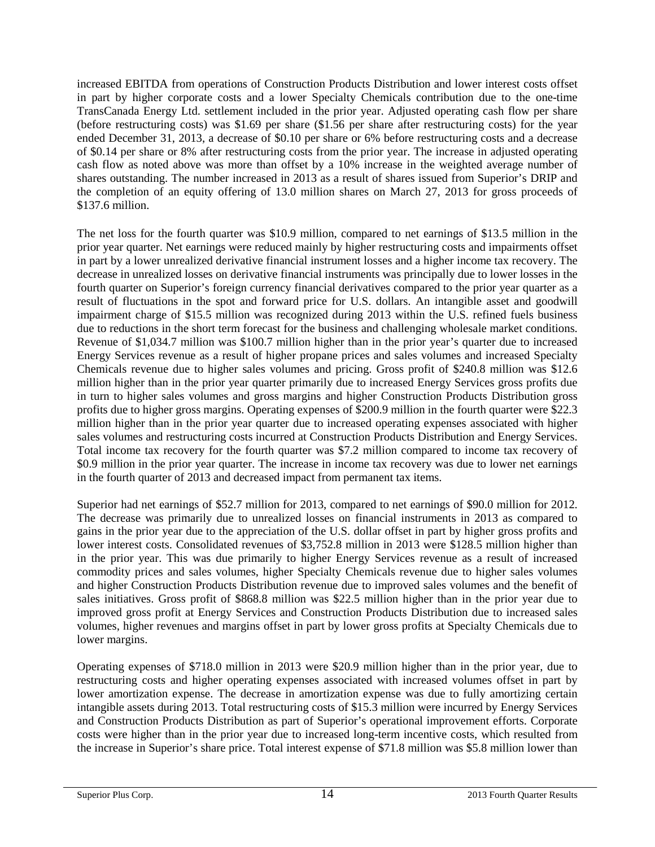increased EBITDA from operations of Construction Products Distribution and lower interest costs offset in part by higher corporate costs and a lower Specialty Chemicals contribution due to the one-time TransCanada Energy Ltd. settlement included in the prior year. Adjusted operating cash flow per share (before restructuring costs) was \$1.69 per share (\$1.56 per share after restructuring costs) for the year ended December 31, 2013, a decrease of \$0.10 per share or 6% before restructuring costs and a decrease of \$0.14 per share or 8% after restructuring costs from the prior year. The increase in adjusted operating cash flow as noted above was more than offset by a 10% increase in the weighted average number of shares outstanding. The number increased in 2013 as a result of shares issued from Superior's DRIP and the completion of an equity offering of 13.0 million shares on March 27, 2013 for gross proceeds of \$137.6 million.

The net loss for the fourth quarter was \$10.9 million, compared to net earnings of \$13.5 million in the prior year quarter. Net earnings were reduced mainly by higher restructuring costs and impairments offset in part by a lower unrealized derivative financial instrument losses and a higher income tax recovery. The decrease in unrealized losses on derivative financial instruments was principally due to lower losses in the fourth quarter on Superior's foreign currency financial derivatives compared to the prior year quarter as a result of fluctuations in the spot and forward price for U.S. dollars. An intangible asset and goodwill impairment charge of \$15.5 million was recognized during 2013 within the U.S. refined fuels business due to reductions in the short term forecast for the business and challenging wholesale market conditions. Revenue of \$1,034.7 million was \$100.7 million higher than in the prior year's quarter due to increased Energy Services revenue as a result of higher propane prices and sales volumes and increased Specialty Chemicals revenue due to higher sales volumes and pricing. Gross profit of \$240.8 million was \$12.6 million higher than in the prior year quarter primarily due to increased Energy Services gross profits due in turn to higher sales volumes and gross margins and higher Construction Products Distribution gross profits due to higher gross margins. Operating expenses of \$200.9 million in the fourth quarter were \$22.3 million higher than in the prior year quarter due to increased operating expenses associated with higher sales volumes and restructuring costs incurred at Construction Products Distribution and Energy Services. Total income tax recovery for the fourth quarter was \$7.2 million compared to income tax recovery of \$0.9 million in the prior year quarter. The increase in income tax recovery was due to lower net earnings in the fourth quarter of 2013 and decreased impact from permanent tax items.

Superior had net earnings of \$52.7 million for 2013, compared to net earnings of \$90.0 million for 2012. The decrease was primarily due to unrealized losses on financial instruments in 2013 as compared to gains in the prior year due to the appreciation of the U.S. dollar offset in part by higher gross profits and lower interest costs. Consolidated revenues of \$3,752.8 million in 2013 were \$128.5 million higher than in the prior year. This was due primarily to higher Energy Services revenue as a result of increased commodity prices and sales volumes, higher Specialty Chemicals revenue due to higher sales volumes and higher Construction Products Distribution revenue due to improved sales volumes and the benefit of sales initiatives. Gross profit of \$868.8 million was \$22.5 million higher than in the prior year due to improved gross profit at Energy Services and Construction Products Distribution due to increased sales volumes, higher revenues and margins offset in part by lower gross profits at Specialty Chemicals due to lower margins.

Operating expenses of \$718.0 million in 2013 were \$20.9 million higher than in the prior year, due to restructuring costs and higher operating expenses associated with increased volumes offset in part by lower amortization expense. The decrease in amortization expense was due to fully amortizing certain intangible assets during 2013. Total restructuring costs of \$15.3 million were incurred by Energy Services and Construction Products Distribution as part of Superior's operational improvement efforts. Corporate costs were higher than in the prior year due to increased long-term incentive costs, which resulted from the increase in Superior's share price. Total interest expense of \$71.8 million was \$5.8 million lower than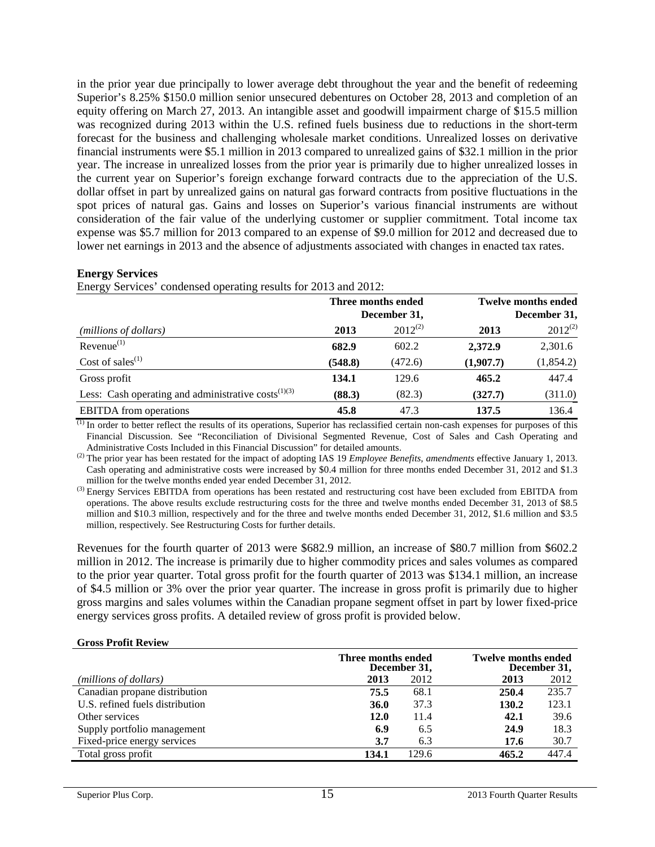in the prior year due principally to lower average debt throughout the year and the benefit of redeeming Superior's 8.25% \$150.0 million senior unsecured debentures on October 28, 2013 and completion of an equity offering on March 27, 2013. An intangible asset and goodwill impairment charge of \$15.5 million was recognized during 2013 within the U.S. refined fuels business due to reductions in the short-term forecast for the business and challenging wholesale market conditions. Unrealized losses on derivative financial instruments were \$5.1 million in 2013 compared to unrealized gains of \$32.1 million in the prior year. The increase in unrealized losses from the prior year is primarily due to higher unrealized losses in the current year on Superior's foreign exchange forward contracts due to the appreciation of the U.S. dollar offset in part by unrealized gains on natural gas forward contracts from positive fluctuations in the spot prices of natural gas. Gains and losses on Superior's various financial instruments are without consideration of the fair value of the underlying customer or supplier commitment. Total income tax expense was \$5.7 million for 2013 compared to an expense of \$9.0 million for 2012 and decreased due to lower net earnings in 2013 and the absence of adjustments associated with changes in enacted tax rates.

#### **Energy Services**

Energy Services' condensed operating results for 2013 and 2012:

|                                                          |         | Three months ended |           | <b>Twelve months ended</b> |
|----------------------------------------------------------|---------|--------------------|-----------|----------------------------|
|                                                          |         | December 31,       |           | December 31,               |
| (millions of dollars)                                    | 2013    | $2012^{(2)}$       | 2013      | $2012^{(2)}$               |
| $Revenue^{(1)}$                                          | 682.9   | 602.2              | 2,372.9   | 2,301.6                    |
| Cost of sales $^{(1)}$                                   | (548.8) | (472.6)            | (1,907.7) | (1,854.2)                  |
| Gross profit                                             | 134.1   | 129.6              | 465.2     | 447.4                      |
| Less: Cash operating and administrative $costs^{(1)(3)}$ | (88.3)  | (82.3)             | (327.7)   | (311.0)                    |
| <b>EBITDA</b> from operations                            | 45.8    | 47.3               | 137.5     | 136.4                      |

 $<sup>(1)</sup>$  In order to better reflect the results of its operations, Superior has reclassified certain non-cash expenses for purposes of this</sup> Financial Discussion. See "Reconciliation of Divisional Segmented Revenue, Cost of Sales and Cash Operating and Administrative Costs Included in this Financial Discussion" for detailed amounts.

(2) The prior year has been restated for the impact of adopting IAS 19 *Employee Benefits, amendments* effective January 1, 2013. Cash operating and administrative costs were increased by \$0.4 million for three months ended December 31, 2012 and \$1.3 million for the twelve months ended year ended December 31, 2012.

<sup>(3)</sup> Energy Services EBITDA from operations has been restated and restructuring cost have been excluded from EBITDA from operations. The above results exclude restructuring costs for the three and twelve months ended December 31, 2013 of \$8.5 million and \$10.3 million, respectively and for the three and twelve months ended December 31, 2012, \$1.6 million and \$3.5 million, respectively. See Restructuring Costs for further details.

Revenues for the fourth quarter of 2013 were \$682.9 million, an increase of \$80.7 million from \$602.2 million in 2012. The increase is primarily due to higher commodity prices and sales volumes as compared to the prior year quarter. Total gross profit for the fourth quarter of 2013 was \$134.1 million, an increase of \$4.5 million or 3% over the prior year quarter. The increase in gross profit is primarily due to higher gross margins and sales volumes within the Canadian propane segment offset in part by lower fixed-price energy services gross profits. A detailed review of gross profit is provided below.

#### **Gross Profit Review**

|                                 | Three months ended<br>December 31, |       | <b>Twelve months ended</b><br>December 31, |       |  |
|---------------------------------|------------------------------------|-------|--------------------------------------------|-------|--|
| (millions of dollars)           | 2013                               | 2012  | 2013                                       | 2012  |  |
| Canadian propane distribution   | 75.5                               | 68.1  | 250.4                                      | 235.7 |  |
| U.S. refined fuels distribution | 36.0                               | 37.3  | 130.2                                      | 123.1 |  |
| Other services                  | 12.0                               | 11.4  | 42.1                                       | 39.6  |  |
| Supply portfolio management     | 6.9                                | 6.5   | 24.9                                       | 18.3  |  |
| Fixed-price energy services     | 3.7                                | 6.3   | 17.6                                       | 30.7  |  |
| Total gross profit              | 134.1                              | 129.6 | 465.2                                      | 447.4 |  |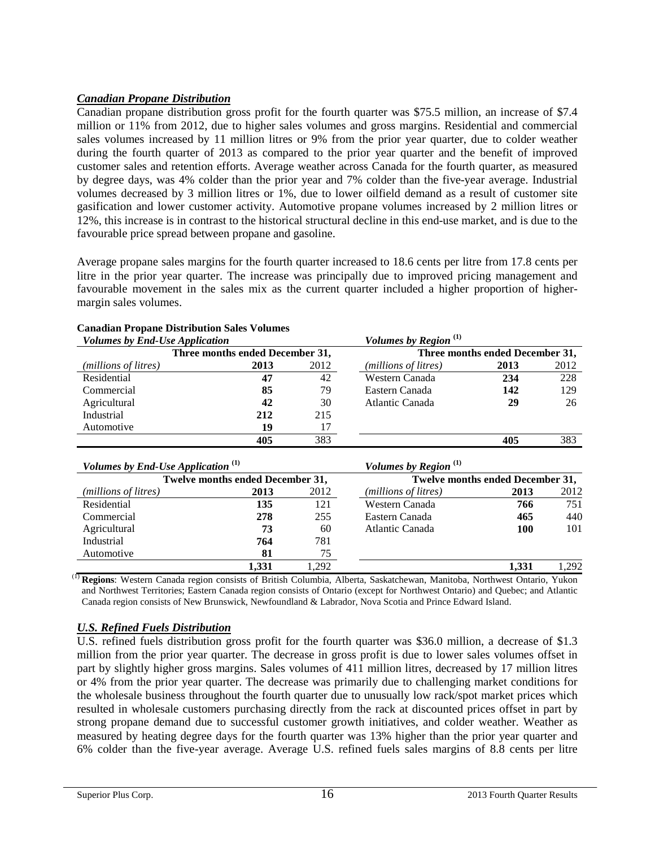## *Canadian Propane Distribution*

Canadian propane distribution gross profit for the fourth quarter was \$75.5 million, an increase of \$7.4 million or 11% from 2012, due to higher sales volumes and gross margins. Residential and commercial sales volumes increased by 11 million litres or 9% from the prior year quarter, due to colder weather during the fourth quarter of 2013 as compared to the prior year quarter and the benefit of improved customer sales and retention efforts. Average weather across Canada for the fourth quarter, as measured by degree days, was 4% colder than the prior year and 7% colder than the five-year average. Industrial volumes decreased by 3 million litres or 1%, due to lower oilfield demand as a result of customer site gasification and lower customer activity. Automotive propane volumes increased by 2 million litres or 12%, this increase is in contrast to the historical structural decline in this end-use market, and is due to the favourable price spread between propane and gasoline.

Average propane sales margins for the fourth quarter increased to 18.6 cents per litre from 17.8 cents per litre in the prior year quarter. The increase was principally due to improved pricing management and favourable movement in the sales mix as the current quarter included a higher proportion of highermargin sales volumes.

| <b>Canadian Propane Distribution Sales Volumes</b> |  |  |  |  |
|----------------------------------------------------|--|--|--|--|
|                                                    |  |  |  |  |

| <b>Volumes by End-Use Application</b> |      |      | Volumes by Region <sup>(1)</sup> |                                 |      |
|---------------------------------------|------|------|----------------------------------|---------------------------------|------|
| Three months ended December 31,       |      |      |                                  | Three months ended December 31, |      |
| (millions of litres)                  | 2013 | 2012 | (millions of litres)             | 2013                            | 2012 |
| Residential                           | 47   | 42   | Western Canada                   | 234                             | 228  |
| Commercial                            | 85   | 79   | Eastern Canada                   | 142                             | 129  |
| Agricultural                          | 42   | 30   | Atlantic Canada                  | 29                              | 26   |
| Industrial                            | 212  | 215  |                                  |                                 |      |
| Automotive                            | 19   |      |                                  |                                 |      |
|                                       | 405  | 383  |                                  | 405                             | 383  |

| Volumes by End-Use Application $(1)$    |       |      | Volumes by Region $(1)$          |       |       |  |  |
|-----------------------------------------|-------|------|----------------------------------|-------|-------|--|--|
| <b>Twelve months ended December 31,</b> |       |      | Twelve months ended December 31, |       |       |  |  |
| (millions of litres)                    | 2013  | 2012 | (millions of litres)             | 2013  | 2012  |  |  |
| Residential                             | 135   | 121  | Western Canada                   | 766   | 751   |  |  |
| Commercial                              | 278   | 255  | Eastern Canada                   | 465   | 440   |  |  |
| Agricultural                            | 73    | 60   | Atlantic Canada                  | 100   | 101   |  |  |
| Industrial                              | 764   | 781  |                                  |       |       |  |  |
| Automotive                              | 81    | 75   |                                  |       |       |  |  |
|                                         | 1.331 | .292 |                                  | 1.331 | 1.292 |  |  |

(1) **Regions**: Western Canada region consists of British Columbia, Alberta, Saskatchewan, Manitoba, Northwest Ontario, Yukon and Northwest Territories; Eastern Canada region consists of Ontario (except for Northwest Ontario) and Quebec; and Atlantic Canada region consists of New Brunswick, Newfoundland & Labrador, Nova Scotia and Prince Edward Island.

## *U.S. Refined Fuels Distribution*

U.S. refined fuels distribution gross profit for the fourth quarter was \$36.0 million, a decrease of \$1.3 million from the prior year quarter. The decrease in gross profit is due to lower sales volumes offset in part by slightly higher gross margins. Sales volumes of 411 million litres, decreased by 17 million litres or 4% from the prior year quarter. The decrease was primarily due to challenging market conditions for the wholesale business throughout the fourth quarter due to unusually low rack/spot market prices which resulted in wholesale customers purchasing directly from the rack at discounted prices offset in part by strong propane demand due to successful customer growth initiatives, and colder weather. Weather as measured by heating degree days for the fourth quarter was 13% higher than the prior year quarter and 6% colder than the five-year average. Average U.S. refined fuels sales margins of 8.8 cents per litre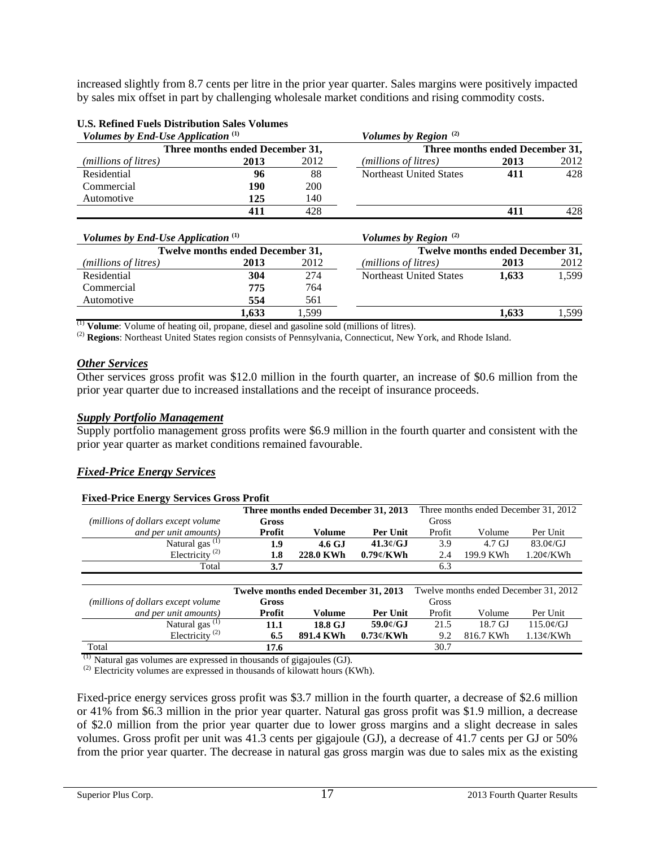increased slightly from 8.7 cents per litre in the prior year quarter. Sales margins were positively impacted by sales mix offset in part by challenging wholesale market conditions and rising commodity costs.

| Volumes by End-Use Application $(1)$ |                                 |      | Volumes by Region <sup>(2)</sup> |      |      |  |
|--------------------------------------|---------------------------------|------|----------------------------------|------|------|--|
|                                      | Three months ended December 31, |      | Three months ended December 31,  |      |      |  |
| ( <i>millions of litres</i> )        | 2013                            | 2012 | (millions of litres)             | 2013 | 2012 |  |
| Residential                          | 96                              | 88   | Northeast United States          | 411  | 428  |  |
| Commercial                           | 190                             | 200  |                                  |      |      |  |
| Automotive                           | 125                             | 140  |                                  |      |      |  |
|                                      | 411                             | 428  |                                  | 411  | 428  |  |

#### **U.S. Refined Fuels Distribution Sales Volumes**

| Volumes by End-Use Application $(1)$ |                                         |       | Volumes by Region $(2)$                 |       |       |
|--------------------------------------|-----------------------------------------|-------|-----------------------------------------|-------|-------|
|                                      | <b>Twelve months ended December 31,</b> |       | <b>Twelve months ended December 31,</b> |       |       |
| (millions of litres)                 | 2013                                    | 2012  | (millions of litres)                    | 2013  | 2012  |
| Residential                          | 304                                     | 274   | Northeast United States                 | 1.633 | 1,599 |
| Commercial                           | 775                                     | 764   |                                         |       |       |
| Automotive                           | 554                                     | 561   |                                         |       |       |
|                                      | 1,633                                   | 1.599 |                                         | 1,633 | .599  |

(1) **Volume**: Volume of heating oil, propane, diesel and gasoline sold (millions of litres).

<sup>(2)</sup> **Regions**: Northeast United States region consists of Pennsylvania, Connecticut, New York, and Rhode Island.

### *Other Services*

Other services gross profit was \$12.0 million in the fourth quarter, an increase of \$0.6 million from the prior year quarter due to increased installations and the receipt of insurance proceeds.

### *Supply Portfolio Management*

Supply portfolio management gross profits were \$6.9 million in the fourth quarter and consistent with the prior year quarter as market conditions remained favourable.

## *Fixed-Price Energy Services*

#### **Fixed-Price Energy Services Gross Profit**

| ີ                                       |        | Three months ended December 31, 2013 |              |        |           | Three months ended December 31, 2012 |
|-----------------------------------------|--------|--------------------------------------|--------------|--------|-----------|--------------------------------------|
| (millions of dollars except volume)     | Gross  |                                      |              | Gross  |           |                                      |
| and per unit amounts)                   | Profit | Volume                               | Per Unit     | Profit | Volume    | Per Unit                             |
| Natural gas <sup>(1)</sup>              | 1.9    | 4.6 G.I                              | 41.3c/GJ     | 3.9    | 4.7 GJ    | $83.0\frac{\text{e}}{\text{GJ}}$     |
| Electricity <sup><math>(2)</math></sup> | 1.8    | 228.0 KWh                            | $0.79$ c/KWh | 2.4    | 199.9 KWh | $1.20$ ¢/KWh                         |
| Total                                   | 3.7    |                                      |              | 6.3    |           |                                      |

|                                         |        | Twelve months ended December 31, 2013 |           |        |           | Twelve months ended December 31, 2012 |
|-----------------------------------------|--------|---------------------------------------|-----------|--------|-----------|---------------------------------------|
| (millions of dollars except volume)     | Gross  |                                       |           | Gross  |           |                                       |
| and per unit amounts)                   | Profit | Volume                                | Per Unit  | Profit | Volume    | Per Unit                              |
| Natural gas $(1)$                       | 11.1   | 18.8 G.I                              | 59.0c/GJ  | 21.5   | 18.7 GJ   | 115.0e/GJ                             |
| Electricity <sup><math>(2)</math></sup> | 6.5    | 891.4 KWh                             | 0.73c/KWh | 9.2    | 816.7 KWh | 1.13c/KWh                             |
| Total                                   | 17.6   |                                       |           | 30.7   |           |                                       |

 $\overline{^{(1)}}$  Natural gas volumes are expressed in thousands of gigajoules (GJ).

 $(2)$  Electricity volumes are expressed in thousands of kilowatt hours (KWh).

Fixed-price energy services gross profit was \$3.7 million in the fourth quarter, a decrease of \$2.6 million or 41% from \$6.3 million in the prior year quarter. Natural gas gross profit was \$1.9 million, a decrease of \$2.0 million from the prior year quarter due to lower gross margins and a slight decrease in sales volumes. Gross profit per unit was 41.3 cents per gigajoule (GJ), a decrease of 41.7 cents per GJ or 50% from the prior year quarter. The decrease in natural gas gross margin was due to sales mix as the existing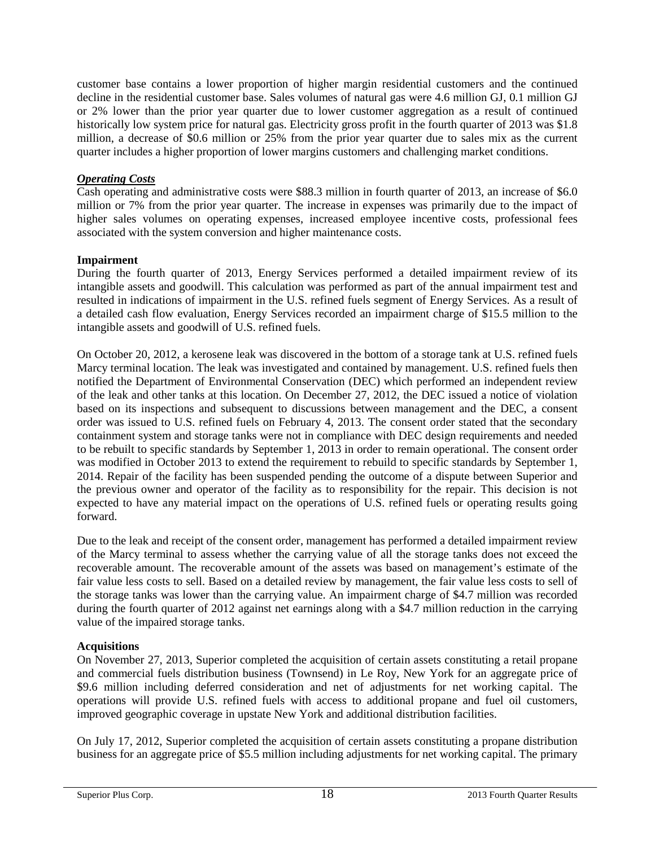customer base contains a lower proportion of higher margin residential customers and the continued decline in the residential customer base. Sales volumes of natural gas were 4.6 million GJ, 0.1 million GJ or 2% lower than the prior year quarter due to lower customer aggregation as a result of continued historically low system price for natural gas. Electricity gross profit in the fourth quarter of 2013 was \$1.8 million, a decrease of \$0.6 million or 25% from the prior year quarter due to sales mix as the current quarter includes a higher proportion of lower margins customers and challenging market conditions.

## *Operating Costs*

Cash operating and administrative costs were \$88.3 million in fourth quarter of 2013, an increase of \$6.0 million or 7% from the prior year quarter. The increase in expenses was primarily due to the impact of higher sales volumes on operating expenses, increased employee incentive costs, professional fees associated with the system conversion and higher maintenance costs.

## **Impairment**

During the fourth quarter of 2013, Energy Services performed a detailed impairment review of its intangible assets and goodwill. This calculation was performed as part of the annual impairment test and resulted in indications of impairment in the U.S. refined fuels segment of Energy Services. As a result of a detailed cash flow evaluation, Energy Services recorded an impairment charge of \$15.5 million to the intangible assets and goodwill of U.S. refined fuels.

On October 20, 2012, a kerosene leak was discovered in the bottom of a storage tank at U.S. refined fuels Marcy terminal location. The leak was investigated and contained by management. U.S. refined fuels then notified the Department of Environmental Conservation (DEC) which performed an independent review of the leak and other tanks at this location. On December 27, 2012, the DEC issued a notice of violation based on its inspections and subsequent to discussions between management and the DEC, a consent order was issued to U.S. refined fuels on February 4, 2013. The consent order stated that the secondary containment system and storage tanks were not in compliance with DEC design requirements and needed to be rebuilt to specific standards by September 1, 2013 in order to remain operational. The consent order was modified in October 2013 to extend the requirement to rebuild to specific standards by September 1, 2014. Repair of the facility has been suspended pending the outcome of a dispute between Superior and the previous owner and operator of the facility as to responsibility for the repair. This decision is not expected to have any material impact on the operations of U.S. refined fuels or operating results going forward.

Due to the leak and receipt of the consent order, management has performed a detailed impairment review of the Marcy terminal to assess whether the carrying value of all the storage tanks does not exceed the recoverable amount. The recoverable amount of the assets was based on management's estimate of the fair value less costs to sell. Based on a detailed review by management, the fair value less costs to sell of the storage tanks was lower than the carrying value. An impairment charge of \$4.7 million was recorded during the fourth quarter of 2012 against net earnings along with a \$4.7 million reduction in the carrying value of the impaired storage tanks.

## **Acquisitions**

On November 27, 2013, Superior completed the acquisition of certain assets constituting a retail propane and commercial fuels distribution business (Townsend) in Le Roy, New York for an aggregate price of \$9.6 million including deferred consideration and net of adjustments for net working capital. The operations will provide U.S. refined fuels with access to additional propane and fuel oil customers, improved geographic coverage in upstate New York and additional distribution facilities.

On July 17, 2012, Superior completed the acquisition of certain assets constituting a propane distribution business for an aggregate price of \$5.5 million including adjustments for net working capital. The primary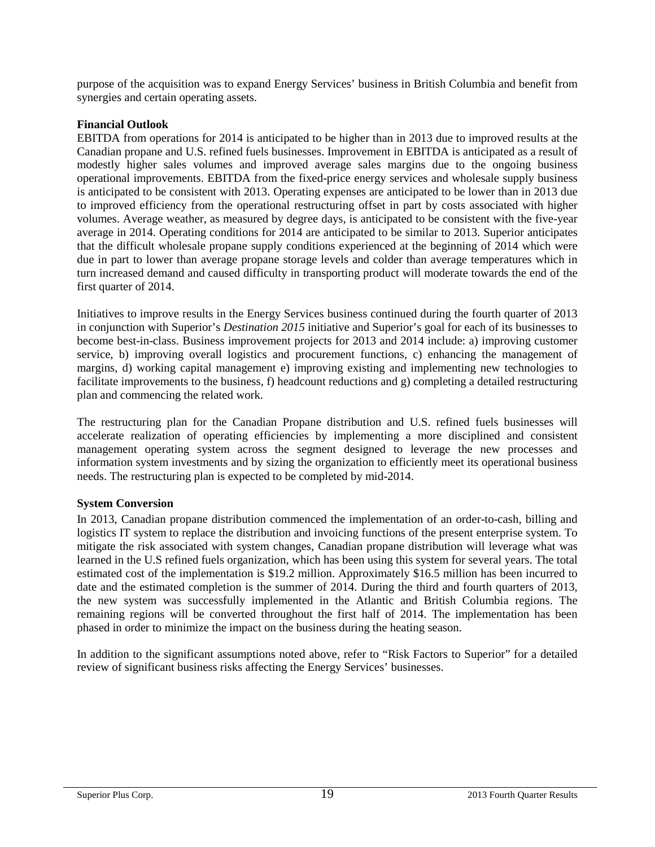purpose of the acquisition was to expand Energy Services' business in British Columbia and benefit from synergies and certain operating assets.

## **Financial Outlook**

EBITDA from operations for 2014 is anticipated to be higher than in 2013 due to improved results at the Canadian propane and U.S. refined fuels businesses. Improvement in EBITDA is anticipated as a result of modestly higher sales volumes and improved average sales margins due to the ongoing business operational improvements. EBITDA from the fixed-price energy services and wholesale supply business is anticipated to be consistent with 2013. Operating expenses are anticipated to be lower than in 2013 due to improved efficiency from the operational restructuring offset in part by costs associated with higher volumes. Average weather, as measured by degree days, is anticipated to be consistent with the five-year average in 2014. Operating conditions for 2014 are anticipated to be similar to 2013. Superior anticipates that the difficult wholesale propane supply conditions experienced at the beginning of 2014 which were due in part to lower than average propane storage levels and colder than average temperatures which in turn increased demand and caused difficulty in transporting product will moderate towards the end of the first quarter of 2014.

Initiatives to improve results in the Energy Services business continued during the fourth quarter of 2013 in conjunction with Superior's *Destination 2015* initiative and Superior's goal for each of its businesses to become best-in-class. Business improvement projects for 2013 and 2014 include: a) improving customer service, b) improving overall logistics and procurement functions, c) enhancing the management of margins, d) working capital management e) improving existing and implementing new technologies to facilitate improvements to the business, f) headcount reductions and g) completing a detailed restructuring plan and commencing the related work.

The restructuring plan for the Canadian Propane distribution and U.S. refined fuels businesses will accelerate realization of operating efficiencies by implementing a more disciplined and consistent management operating system across the segment designed to leverage the new processes and information system investments and by sizing the organization to efficiently meet its operational business needs. The restructuring plan is expected to be completed by mid-2014.

# **System Conversion**

In 2013, Canadian propane distribution commenced the implementation of an order-to-cash, billing and logistics IT system to replace the distribution and invoicing functions of the present enterprise system. To mitigate the risk associated with system changes, Canadian propane distribution will leverage what was learned in the U.S refined fuels organization, which has been using this system for several years. The total estimated cost of the implementation is \$19.2 million. Approximately \$16.5 million has been incurred to date and the estimated completion is the summer of 2014. During the third and fourth quarters of 2013, the new system was successfully implemented in the Atlantic and British Columbia regions. The remaining regions will be converted throughout the first half of 2014. The implementation has been phased in order to minimize the impact on the business during the heating season.

In addition to the significant assumptions noted above, refer to "Risk Factors to Superior" for a detailed review of significant business risks affecting the Energy Services' businesses.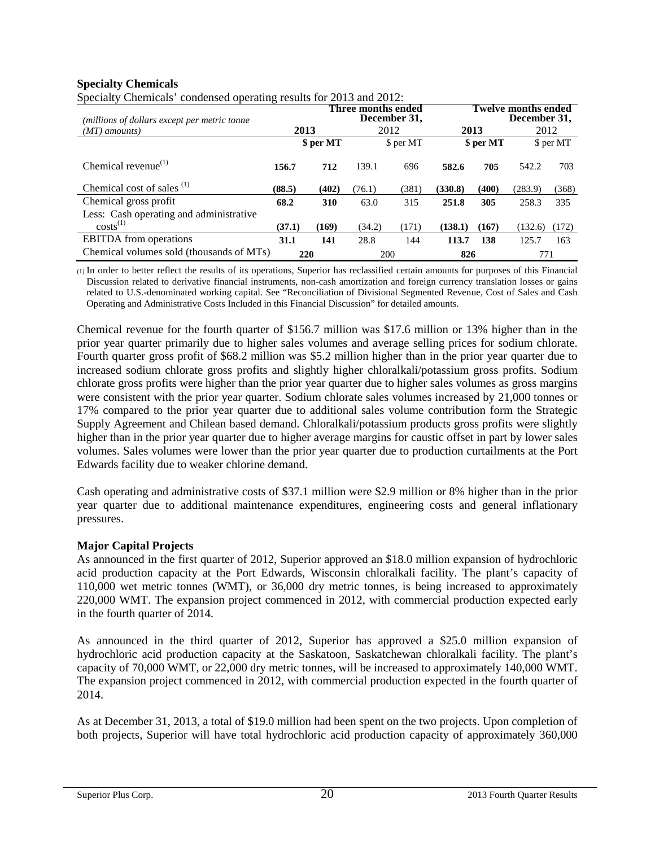## **Specialty Chemicals**

| $\beta$ pectatry energy condensed operating results for $2013$ and $2012$ .<br>(millions of dollars except per metric tonne |        |           | Three months ended | December 31, |         |           | <b>Twelve months ended</b><br>December 31, |           |
|-----------------------------------------------------------------------------------------------------------------------------|--------|-----------|--------------------|--------------|---------|-----------|--------------------------------------------|-----------|
| $(MT)$ amounts)                                                                                                             | 2013   |           |                    | 2012         | 2013    |           | 2012                                       |           |
|                                                                                                                             |        | \$ per MT |                    | \$ per MT    |         | \$ per MT |                                            | \$ per MT |
| Chemical revenue $(1)$                                                                                                      | 156.7  | 712       | 139.1              | 696          | 582.6   | 705       | 542.2                                      | 703       |
| Chemical cost of sales <sup>(1)</sup>                                                                                       | (88.5) | (402)     | (76.1)             | (381)        | (330.8) | (400)     | (283.9)                                    | (368)     |
| Chemical gross profit                                                                                                       | 68.2   | 310       | 63.0               | 315          | 251.8   | 305       | 258.3                                      | 335       |
| Less: Cash operating and administrative                                                                                     |        |           |                    |              |         |           |                                            |           |
| $costs^{(1)}$                                                                                                               | (37.1) | (169)     | (34.2)             | (171)        | (138.1) | (167)     | (132.6)                                    | (172)     |
| <b>EBITDA</b> from operations                                                                                               | 31.1   | 141       | 28.8               | 144          | 113.7   | 138       | 125.7                                      | 163       |
| Chemical volumes sold (thousands of MTs)                                                                                    | 220    |           |                    | 200          | 826     |           | 771                                        |           |

Specialty Chemicals' condensed operating results for 2013 and 2012:

(1) In order to better reflect the results of its operations, Superior has reclassified certain amounts for purposes of this Financial Discussion related to derivative financial instruments, non-cash amortization and foreign currency translation losses or gains related to U.S.-denominated working capital. See "Reconciliation of Divisional Segmented Revenue, Cost of Sales and Cash Operating and Administrative Costs Included in this Financial Discussion" for detailed amounts.

Chemical revenue for the fourth quarter of \$156.7 million was \$17.6 million or 13% higher than in the prior year quarter primarily due to higher sales volumes and average selling prices for sodium chlorate. Fourth quarter gross profit of \$68.2 million was \$5.2 million higher than in the prior year quarter due to increased sodium chlorate gross profits and slightly higher chloralkali/potassium gross profits. Sodium chlorate gross profits were higher than the prior year quarter due to higher sales volumes as gross margins were consistent with the prior year quarter. Sodium chlorate sales volumes increased by 21,000 tonnes or 17% compared to the prior year quarter due to additional sales volume contribution form the Strategic Supply Agreement and Chilean based demand. Chloralkali/potassium products gross profits were slightly higher than in the prior year quarter due to higher average margins for caustic offset in part by lower sales volumes. Sales volumes were lower than the prior year quarter due to production curtailments at the Port Edwards facility due to weaker chlorine demand.

Cash operating and administrative costs of \$37.1 million were \$2.9 million or 8% higher than in the prior year quarter due to additional maintenance expenditures, engineering costs and general inflationary pressures.

## **Major Capital Projects**

As announced in the first quarter of 2012, Superior approved an \$18.0 million expansion of hydrochloric acid production capacity at the Port Edwards, Wisconsin chloralkali facility. The plant's capacity of 110,000 wet metric tonnes (WMT), or 36,000 dry metric tonnes, is being increased to approximately 220,000 WMT. The expansion project commenced in 2012, with commercial production expected early in the fourth quarter of 2014.

As announced in the third quarter of 2012, Superior has approved a \$25.0 million expansion of hydrochloric acid production capacity at the Saskatoon, Saskatchewan chloralkali facility. The plant's capacity of 70,000 WMT, or 22,000 dry metric tonnes, will be increased to approximately 140,000 WMT. The expansion project commenced in 2012, with commercial production expected in the fourth quarter of 2014.

As at December 31, 2013, a total of \$19.0 million had been spent on the two projects. Upon completion of both projects, Superior will have total hydrochloric acid production capacity of approximately 360,000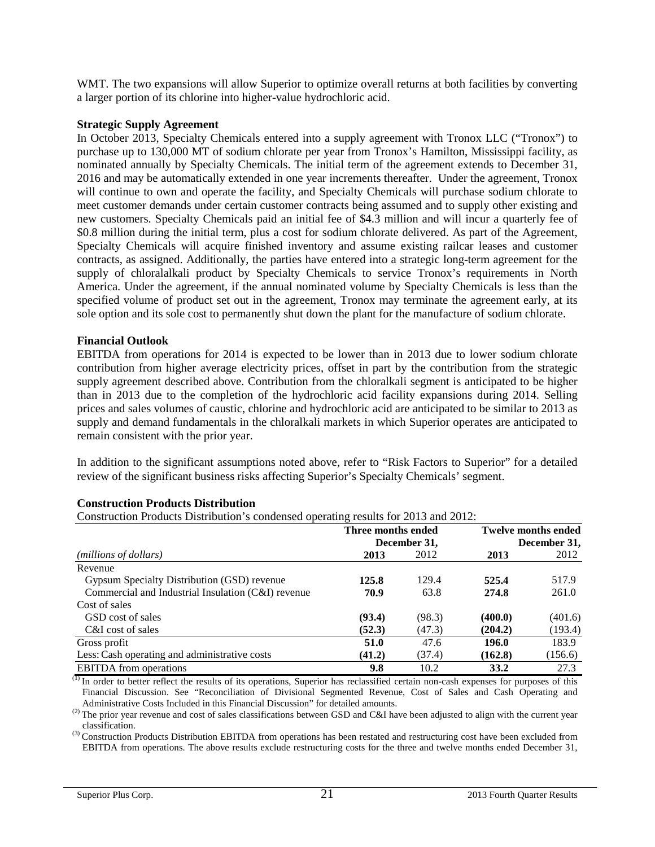WMT. The two expansions will allow Superior to optimize overall returns at both facilities by converting a larger portion of its chlorine into higher-value hydrochloric acid.

#### **Strategic Supply Agreement**

In October 2013, Specialty Chemicals entered into a supply agreement with Tronox LLC ("Tronox") to purchase up to 130,000 MT of sodium chlorate per year from Tronox's Hamilton, Mississippi facility, as nominated annually by Specialty Chemicals. The initial term of the agreement extends to December 31, 2016 and may be automatically extended in one year increments thereafter. Under the agreement, Tronox will continue to own and operate the facility, and Specialty Chemicals will purchase sodium chlorate to meet customer demands under certain customer contracts being assumed and to supply other existing and new customers. Specialty Chemicals paid an initial fee of \$4.3 million and will incur a quarterly fee of \$0.8 million during the initial term, plus a cost for sodium chlorate delivered. As part of the Agreement, Specialty Chemicals will acquire finished inventory and assume existing railcar leases and customer contracts, as assigned. Additionally, the parties have entered into a strategic long-term agreement for the supply of chloralalkali product by Specialty Chemicals to service Tronox's requirements in North America. Under the agreement, if the annual nominated volume by Specialty Chemicals is less than the specified volume of product set out in the agreement, Tronox may terminate the agreement early, at its sole option and its sole cost to permanently shut down the plant for the manufacture of sodium chlorate.

### **Financial Outlook**

EBITDA from operations for 2014 is expected to be lower than in 2013 due to lower sodium chlorate contribution from higher average electricity prices, offset in part by the contribution from the strategic supply agreement described above. Contribution from the chloralkali segment is anticipated to be higher than in 2013 due to the completion of the hydrochloric acid facility expansions during 2014. Selling prices and sales volumes of caustic, chlorine and hydrochloric acid are anticipated to be similar to 2013 as supply and demand fundamentals in the chloralkali markets in which Superior operates are anticipated to remain consistent with the prior year.

In addition to the significant assumptions noted above, refer to "Risk Factors to Superior" for a detailed review of the significant business risks affecting Superior's Specialty Chemicals' segment.

#### **Construction Products Distribution**

Construction Products Distribution's condensed operating results for 2013 and 2012:

|                                                    | Three months ended |              |         | <b>Twelve months ended</b> |  |  |
|----------------------------------------------------|--------------------|--------------|---------|----------------------------|--|--|
|                                                    |                    | December 31, |         | December 31,               |  |  |
| (millions of dollars)                              | 2013               | 2012         | 2013    | 2012                       |  |  |
| Revenue                                            |                    |              |         |                            |  |  |
| Gypsum Specialty Distribution (GSD) revenue        | 125.8              | 129.4        | 525.4   | 517.9                      |  |  |
| Commercial and Industrial Insulation (C&I) revenue | 70.9               | 63.8         | 274.8   | 261.0                      |  |  |
| Cost of sales                                      |                    |              |         |                            |  |  |
| GSD cost of sales                                  | (93.4)             | (98.3)       | (400.0) | (401.6)                    |  |  |
| C&I cost of sales                                  | (52.3)             | (47.3)       | (204.2) | (193.4)                    |  |  |
| Gross profit                                       | 51.0               | 47.6         | 196.0   | 183.9                      |  |  |
| Less: Cash operating and administrative costs      | (41.2)             | (37.4)       | (162.8) | (156.6)                    |  |  |
| <b>EBITDA</b> from operations                      | 9.8                | 10.2         | 33.2    | 27.3                       |  |  |

 $^{(1)}$  In order to better reflect the results of its operations, Superior has reclassified certain non-cash expenses for purposes of this Financial Discussion. See "Reconciliation of Divisional Segmented Revenue, Cost of Sales and Cash Operating and Administrative Costs Included in this Financial Discussion" for detailed amounts.

 $^{(2)}$  The prior year revenue and cost of sales classifications between GSD and C&I have been adjusted to align with the current year classification.

(3) Construction Products Distribution EBITDA from operations has been restated and restructuring cost have been excluded from EBITDA from operations. The above results exclude restructuring costs for the three and twelve months ended December 31,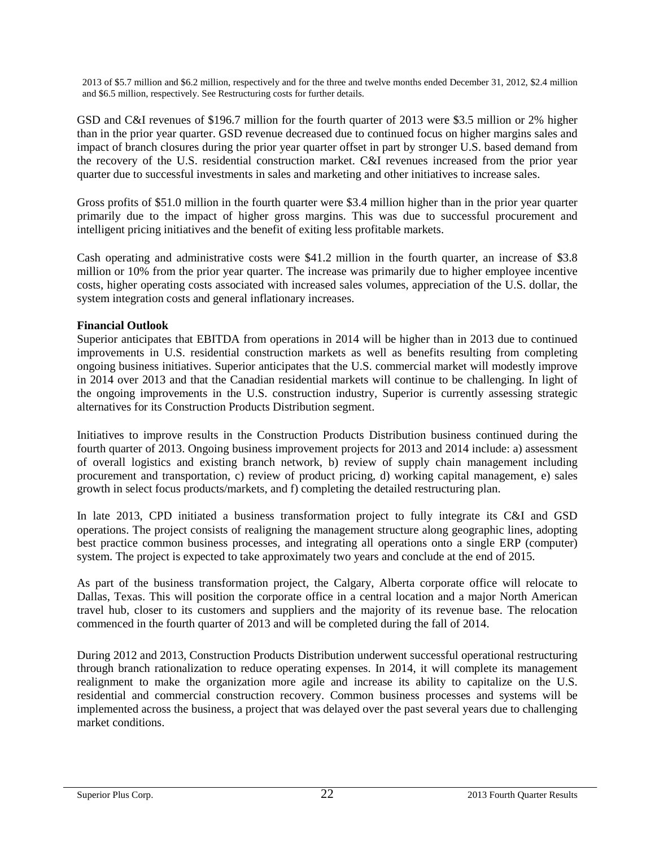2013 of \$5.7 million and \$6.2 million, respectively and for the three and twelve months ended December 31, 2012, \$2.4 million and \$6.5 million, respectively. See Restructuring costs for further details.

GSD and C&I revenues of \$196.7 million for the fourth quarter of 2013 were \$3.5 million or 2% higher than in the prior year quarter. GSD revenue decreased due to continued focus on higher margins sales and impact of branch closures during the prior year quarter offset in part by stronger U.S. based demand from the recovery of the U.S. residential construction market. C&I revenues increased from the prior year quarter due to successful investments in sales and marketing and other initiatives to increase sales.

Gross profits of \$51.0 million in the fourth quarter were \$3.4 million higher than in the prior year quarter primarily due to the impact of higher gross margins. This was due to successful procurement and intelligent pricing initiatives and the benefit of exiting less profitable markets.

Cash operating and administrative costs were \$41.2 million in the fourth quarter, an increase of \$3.8 million or 10% from the prior year quarter. The increase was primarily due to higher employee incentive costs, higher operating costs associated with increased sales volumes, appreciation of the U.S. dollar, the system integration costs and general inflationary increases.

## **Financial Outlook**

Superior anticipates that EBITDA from operations in 2014 will be higher than in 2013 due to continued improvements in U.S. residential construction markets as well as benefits resulting from completing ongoing business initiatives. Superior anticipates that the U.S. commercial market will modestly improve in 2014 over 2013 and that the Canadian residential markets will continue to be challenging. In light of the ongoing improvements in the U.S. construction industry, Superior is currently assessing strategic alternatives for its Construction Products Distribution segment.

Initiatives to improve results in the Construction Products Distribution business continued during the fourth quarter of 2013. Ongoing business improvement projects for 2013 and 2014 include: a) assessment of overall logistics and existing branch network, b) review of supply chain management including procurement and transportation, c) review of product pricing, d) working capital management, e) sales growth in select focus products/markets, and f) completing the detailed restructuring plan.

In late 2013, CPD initiated a business transformation project to fully integrate its C&I and GSD operations. The project consists of realigning the management structure along geographic lines, adopting best practice common business processes, and integrating all operations onto a single ERP (computer) system. The project is expected to take approximately two years and conclude at the end of 2015.

As part of the business transformation project, the Calgary, Alberta corporate office will relocate to Dallas, Texas. This will position the corporate office in a central location and a major North American travel hub, closer to its customers and suppliers and the majority of its revenue base. The relocation commenced in the fourth quarter of 2013 and will be completed during the fall of 2014.

During 2012 and 2013, Construction Products Distribution underwent successful operational restructuring through branch rationalization to reduce operating expenses. In 2014, it will complete its management realignment to make the organization more agile and increase its ability to capitalize on the U.S. residential and commercial construction recovery. Common business processes and systems will be implemented across the business, a project that was delayed over the past several years due to challenging market conditions.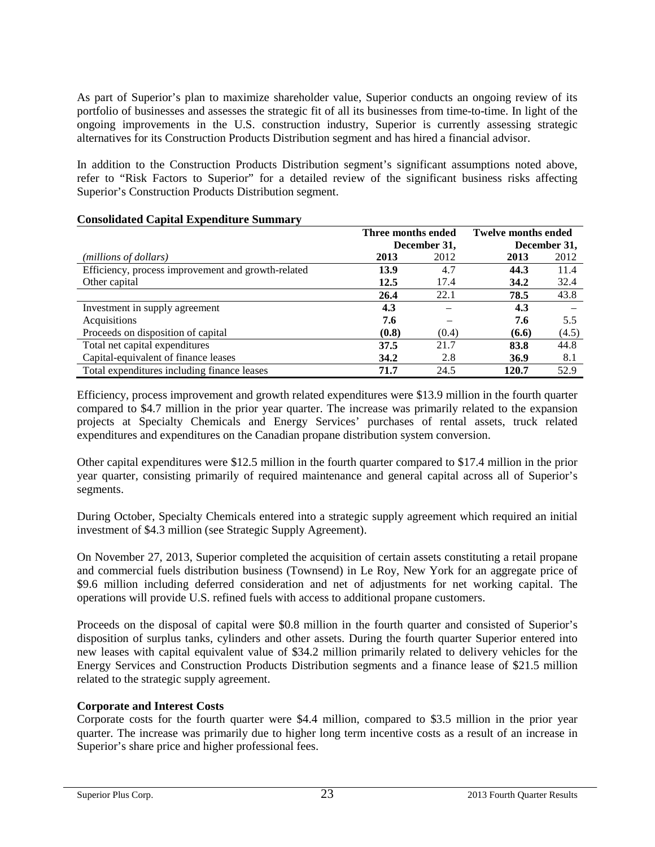As part of Superior's plan to maximize shareholder value, Superior conducts an ongoing review of its portfolio of businesses and assesses the strategic fit of all its businesses from time-to-time. In light of the ongoing improvements in the U.S. construction industry, Superior is currently assessing strategic alternatives for its Construction Products Distribution segment and has hired a financial advisor.

In addition to the Construction Products Distribution segment's significant assumptions noted above, refer to "Risk Factors to Superior" for a detailed review of the significant business risks affecting Superior's Construction Products Distribution segment.

|                                                    | Three months ended |              | <b>Twelve months ended</b> |       |
|----------------------------------------------------|--------------------|--------------|----------------------------|-------|
|                                                    |                    | December 31, | December 31,               |       |
| (millions of dollars)                              | 2013               | 2012         | 2013                       | 2012  |
| Efficiency, process improvement and growth-related | 13.9               | 4.7          | 44.3                       | 11.4  |
| Other capital                                      | 12.5               | 17.4         | 34.2                       | 32.4  |
|                                                    | 26.4               | 22.1         | 78.5                       | 43.8  |
| Investment in supply agreement                     | 4.3                |              | 4.3                        |       |
| Acquisitions                                       | 7.6                |              | 7.6                        | 5.5   |
| Proceeds on disposition of capital                 | (0.8)              | (0.4)        | (6.6)                      | (4.5) |
| Total net capital expenditures                     | 37.5               | 21.7         | 83.8                       | 44.8  |
| Capital-equivalent of finance leases               | 34.2               | 2.8          | 36.9                       | 8.1   |
| Total expenditures including finance leases        | 71.7               | 24.5         | 120.7                      | 52.9  |

#### **Consolidated Capital Expenditure Summary**

Efficiency, process improvement and growth related expenditures were \$13.9 million in the fourth quarter compared to \$4.7 million in the prior year quarter. The increase was primarily related to the expansion projects at Specialty Chemicals and Energy Services' purchases of rental assets, truck related expenditures and expenditures on the Canadian propane distribution system conversion.

Other capital expenditures were \$12.5 million in the fourth quarter compared to \$17.4 million in the prior year quarter, consisting primarily of required maintenance and general capital across all of Superior's segments.

During October, Specialty Chemicals entered into a strategic supply agreement which required an initial investment of \$4.3 million (see Strategic Supply Agreement).

On November 27, 2013, Superior completed the acquisition of certain assets constituting a retail propane and commercial fuels distribution business (Townsend) in Le Roy, New York for an aggregate price of \$9.6 million including deferred consideration and net of adjustments for net working capital. The operations will provide U.S. refined fuels with access to additional propane customers.

Proceeds on the disposal of capital were \$0.8 million in the fourth quarter and consisted of Superior's disposition of surplus tanks, cylinders and other assets. During the fourth quarter Superior entered into new leases with capital equivalent value of \$34.2 million primarily related to delivery vehicles for the Energy Services and Construction Products Distribution segments and a finance lease of \$21.5 million related to the strategic supply agreement.

## **Corporate and Interest Costs**

Corporate costs for the fourth quarter were \$4.4 million, compared to \$3.5 million in the prior year quarter. The increase was primarily due to higher long term incentive costs as a result of an increase in Superior's share price and higher professional fees.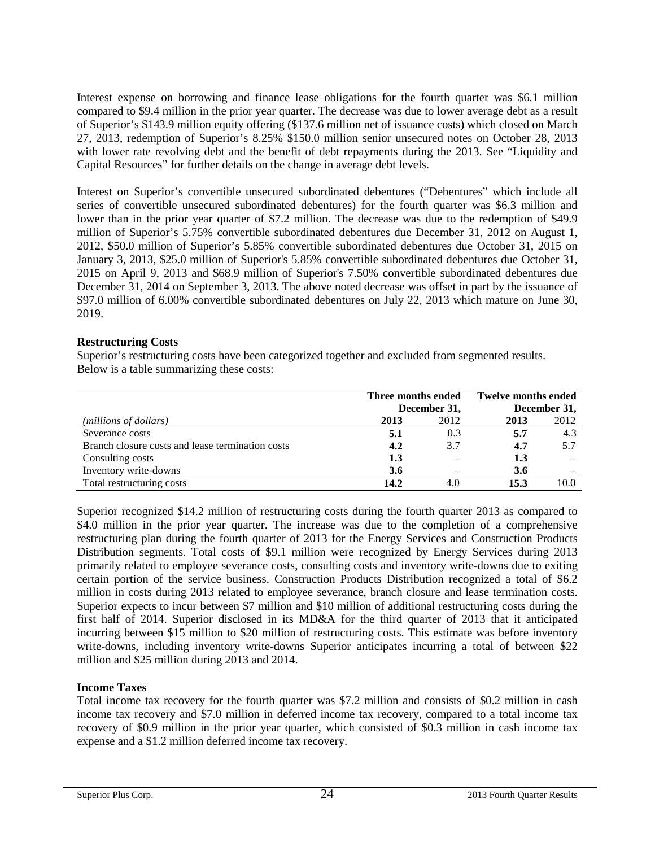Interest expense on borrowing and finance lease obligations for the fourth quarter was \$6.1 million compared to \$9.4 million in the prior year quarter. The decrease was due to lower average debt as a result of Superior's \$143.9 million equity offering (\$137.6 million net of issuance costs) which closed on March 27, 2013, redemption of Superior's 8.25% \$150.0 million senior unsecured notes on October 28, 2013 with lower rate revolving debt and the benefit of debt repayments during the 2013. See "Liquidity and Capital Resources" for further details on the change in average debt levels.

Interest on Superior's convertible unsecured subordinated debentures ("Debentures" which include all series of convertible unsecured subordinated debentures) for the fourth quarter was \$6.3 million and lower than in the prior year quarter of \$7.2 million. The decrease was due to the redemption of \$49.9 million of Superior's 5.75% convertible subordinated debentures due December 31, 2012 on August 1, 2012, \$50.0 million of Superior's 5.85% convertible subordinated debentures due October 31, 2015 on January 3, 2013, \$25.0 million of Superior's 5.85% convertible subordinated debentures due October 31, 2015 on April 9, 2013 and \$68.9 million of Superior's 7.50% convertible subordinated debentures due December 31, 2014 on September 3, 2013. The above noted decrease was offset in part by the issuance of \$97.0 million of 6.00% convertible subordinated debentures on July 22, 2013 which mature on June 30, 2019.

## **Restructuring Costs**

Superior's restructuring costs have been categorized together and excluded from segmented results. Below is a table summarizing these costs:

|                                                  | Three months ended<br>December 31, |      | <b>Twelve months ended</b><br>December 31, |      |
|--------------------------------------------------|------------------------------------|------|--------------------------------------------|------|
| (millions of dollars)                            | 2013                               | 2012 | 2013                                       | 2012 |
| Severance costs                                  | 5.1                                | 0.3  | 5.7                                        | 4.3  |
| Branch closure costs and lease termination costs | 4.2                                | 3.7  | 4.7                                        | 5.7  |
| Consulting costs                                 | 1.3                                |      | 1.3                                        |      |
| Inventory write-downs                            | 3.6                                |      | 3.6                                        |      |
| Total restructuring costs                        | 14.2                               | 4.0  | 15.3                                       | 10.0 |

Superior recognized \$14.2 million of restructuring costs during the fourth quarter 2013 as compared to \$4.0 million in the prior year quarter. The increase was due to the completion of a comprehensive restructuring plan during the fourth quarter of 2013 for the Energy Services and Construction Products Distribution segments. Total costs of \$9.1 million were recognized by Energy Services during 2013 primarily related to employee severance costs, consulting costs and inventory write-downs due to exiting certain portion of the service business. Construction Products Distribution recognized a total of \$6.2 million in costs during 2013 related to employee severance, branch closure and lease termination costs. Superior expects to incur between \$7 million and \$10 million of additional restructuring costs during the first half of 2014. Superior disclosed in its MD&A for the third quarter of 2013 that it anticipated incurring between \$15 million to \$20 million of restructuring costs. This estimate was before inventory write-downs, including inventory write-downs Superior anticipates incurring a total of between \$22 million and \$25 million during 2013 and 2014.

# **Income Taxes**

Total income tax recovery for the fourth quarter was \$7.2 million and consists of \$0.2 million in cash income tax recovery and \$7.0 million in deferred income tax recovery, compared to a total income tax recovery of \$0.9 million in the prior year quarter, which consisted of \$0.3 million in cash income tax expense and a \$1.2 million deferred income tax recovery.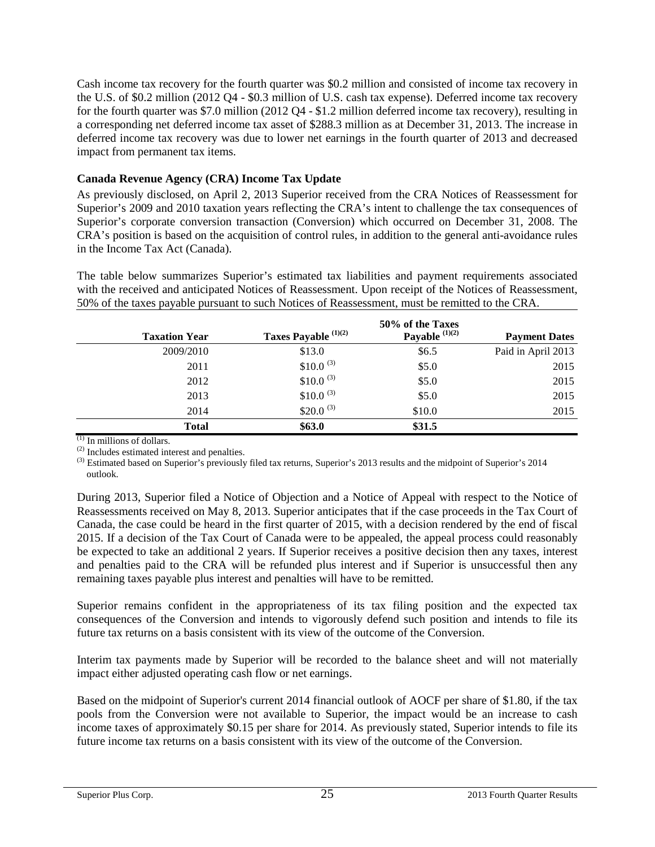Cash income tax recovery for the fourth quarter was \$0.2 million and consisted of income tax recovery in the U.S. of \$0.2 million (2012 Q4 - \$0.3 million of U.S. cash tax expense). Deferred income tax recovery for the fourth quarter was \$7.0 million (2012 Q4 - \$1.2 million deferred income tax recovery), resulting in a corresponding net deferred income tax asset of \$288.3 million as at December 31, 2013. The increase in deferred income tax recovery was due to lower net earnings in the fourth quarter of 2013 and decreased impact from permanent tax items.

# **Canada Revenue Agency (CRA) Income Tax Update**

As previously disclosed, on April 2, 2013 Superior received from the CRA Notices of Reassessment for Superior's 2009 and 2010 taxation years reflecting the CRA's intent to challenge the tax consequences of Superior's corporate conversion transaction (Conversion) which occurred on December 31, 2008. The CRA's position is based on the acquisition of control rules, in addition to the general anti-avoidance rules in the Income Tax Act (Canada).

The table below summarizes Superior's estimated tax liabilities and payment requirements associated with the received and anticipated Notices of Reassessment. Upon receipt of the Notices of Reassessment, 50% of the taxes payable pursuant to such Notices of Reassessment, must be remitted to the CRA.

| <b>Taxation Year</b> | Taxes Payable (1)(2)  | 50% of the Taxes<br>Payable $(1)(2)$ | <b>Payment Dates</b> |
|----------------------|-----------------------|--------------------------------------|----------------------|
| 2009/2010            | \$13.0                | \$6.5                                | Paid in April 2013   |
| 2011                 | \$10.0 <sup>(3)</sup> | \$5.0                                | 2015                 |
| 2012                 | \$10.0 <sup>(3)</sup> | \$5.0                                | 2015                 |
| 2013                 | \$10.0 <sup>(3)</sup> | \$5.0                                | 2015                 |
| 2014                 | \$20.0 $(3)$          | \$10.0                               | 2015                 |
| <b>Total</b>         | \$63.0                | \$31.5                               |                      |

 $(1)$  In millions of dollars.

<sup>(2)</sup> Includes estimated interest and penalties.

<sup>(3)</sup> Estimated based on Superior's previously filed tax returns, Superior's 2013 results and the midpoint of Superior's 2014 outlook.

During 2013, Superior filed a Notice of Objection and a Notice of Appeal with respect to the Notice of Reassessments received on May 8, 2013. Superior anticipates that if the case proceeds in the Tax Court of Canada, the case could be heard in the first quarter of 2015, with a decision rendered by the end of fiscal 2015. If a decision of the Tax Court of Canada were to be appealed, the appeal process could reasonably be expected to take an additional 2 years. If Superior receives a positive decision then any taxes, interest and penalties paid to the CRA will be refunded plus interest and if Superior is unsuccessful then any remaining taxes payable plus interest and penalties will have to be remitted.

Superior remains confident in the appropriateness of its tax filing position and the expected tax consequences of the Conversion and intends to vigorously defend such position and intends to file its future tax returns on a basis consistent with its view of the outcome of the Conversion.

Interim tax payments made by Superior will be recorded to the balance sheet and will not materially impact either adjusted operating cash flow or net earnings.

Based on the midpoint of Superior's current 2014 financial outlook of AOCF per share of \$1.80, if the tax pools from the Conversion were not available to Superior, the impact would be an increase to cash income taxes of approximately \$0.15 per share for 2014. As previously stated, Superior intends to file its future income tax returns on a basis consistent with its view of the outcome of the Conversion.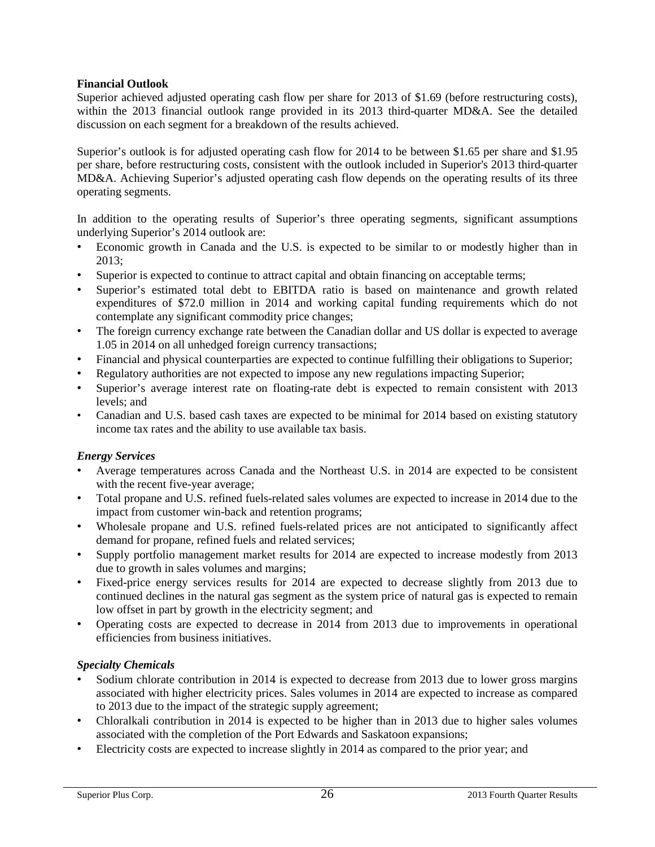## **Financial Outlook**

Superior achieved adjusted operating cash flow per share for 2013 of \$1.69 (before restructuring costs), within the 2013 financial outlook range provided in its 2013 third-quarter MD&A. See the detailed discussion on each segment for a breakdown of the results achieved.

Superior's outlook is for adjusted operating cash flow for 2014 to be between \$1.65 per share and \$1.95 per share, before restructuring costs, consistent with the outlook included in Superior's 2013 third-quarter MD&A. Achieving Superior's adjusted operating cash flow depends on the operating results of its three operating segments.

In addition to the operating results of Superior's three operating segments, significant assumptions underlying Superior's 2014 outlook are:

- Economic growth in Canada and the U.S. is expected to be similar to or modestly higher than in 2013;
- Superior is expected to continue to attract capital and obtain financing on acceptable terms;
- Superior's estimated total debt to EBITDA ratio is based on maintenance and growth related expenditures of \$72.0 million in 2014 and working capital funding requirements which do not contemplate any significant commodity price changes;
- The foreign currency exchange rate between the Canadian dollar and US dollar is expected to average 1.05 in 2014 on all unhedged foreign currency transactions;
- Financial and physical counterparties are expected to continue fulfilling their obligations to Superior;
- Regulatory authorities are not expected to impose any new regulations impacting Superior;
- Superior's average interest rate on floating-rate debt is expected to remain consistent with 2013 levels; and
- Canadian and U.S. based cash taxes are expected to be minimal for 2014 based on existing statutory income tax rates and the ability to use available tax basis.

# *Energy Services*

- Average temperatures across Canada and the Northeast U.S. in 2014 are expected to be consistent with the recent five-year average;
- Total propane and U.S. refined fuels-related sales volumes are expected to increase in 2014 due to the impact from customer win-back and retention programs;
- Wholesale propane and U.S. refined fuels-related prices are not anticipated to significantly affect demand for propane, refined fuels and related services;
- Supply portfolio management market results for 2014 are expected to increase modestly from 2013 due to growth in sales volumes and margins;
- Fixed-price energy services results for 2014 are expected to decrease slightly from 2013 due to continued declines in the natural gas segment as the system price of natural gas is expected to remain low offset in part by growth in the electricity segment; and
- Operating costs are expected to decrease in 2014 from 2013 due to improvements in operational efficiencies from business initiatives.

# *Specialty Chemicals*

- Sodium chlorate contribution in 2014 is expected to decrease from 2013 due to lower gross margins associated with higher electricity prices. Sales volumes in 2014 are expected to increase as compared to 2013 due to the impact of the strategic supply agreement;
- Chloralkali contribution in 2014 is expected to be higher than in 2013 due to higher sales volumes associated with the completion of the Port Edwards and Saskatoon expansions;
- Electricity costs are expected to increase slightly in 2014 as compared to the prior year; and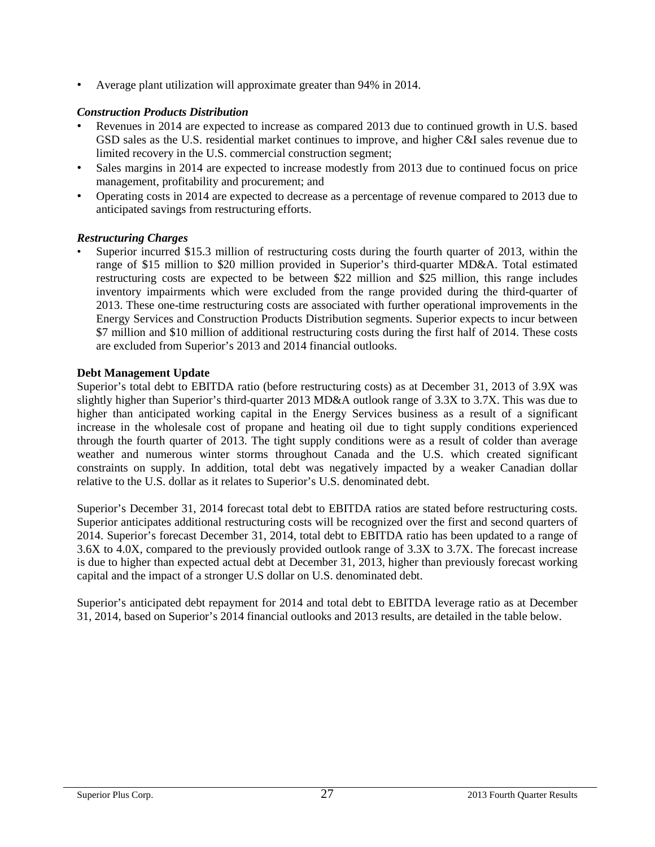• Average plant utilization will approximate greater than 94% in 2014.

## *Construction Products Distribution*

- Revenues in 2014 are expected to increase as compared 2013 due to continued growth in U.S. based GSD sales as the U.S. residential market continues to improve, and higher C&I sales revenue due to limited recovery in the U.S. commercial construction segment;
- Sales margins in 2014 are expected to increase modestly from 2013 due to continued focus on price management, profitability and procurement; and
- Operating costs in 2014 are expected to decrease as a percentage of revenue compared to 2013 due to anticipated savings from restructuring efforts.

## *Restructuring Charges*

• Superior incurred \$15.3 million of restructuring costs during the fourth quarter of 2013, within the range of \$15 million to \$20 million provided in Superior's third-quarter MD&A. Total estimated restructuring costs are expected to be between \$22 million and \$25 million, this range includes inventory impairments which were excluded from the range provided during the third-quarter of 2013. These one-time restructuring costs are associated with further operational improvements in the Energy Services and Construction Products Distribution segments. Superior expects to incur between \$7 million and \$10 million of additional restructuring costs during the first half of 2014. These costs are excluded from Superior's 2013 and 2014 financial outlooks.

## **Debt Management Update**

Superior's total debt to EBITDA ratio (before restructuring costs) as at December 31, 2013 of 3.9X was slightly higher than Superior's third-quarter 2013 MD&A outlook range of 3.3X to 3.7X. This was due to higher than anticipated working capital in the Energy Services business as a result of a significant increase in the wholesale cost of propane and heating oil due to tight supply conditions experienced through the fourth quarter of 2013. The tight supply conditions were as a result of colder than average weather and numerous winter storms throughout Canada and the U.S. which created significant constraints on supply. In addition, total debt was negatively impacted by a weaker Canadian dollar relative to the U.S. dollar as it relates to Superior's U.S. denominated debt.

Superior's December 31, 2014 forecast total debt to EBITDA ratios are stated before restructuring costs. Superior anticipates additional restructuring costs will be recognized over the first and second quarters of 2014. Superior's forecast December 31, 2014, total debt to EBITDA ratio has been updated to a range of 3.6X to 4.0X, compared to the previously provided outlook range of 3.3X to 3.7X. The forecast increase is due to higher than expected actual debt at December 31, 2013, higher than previously forecast working capital and the impact of a stronger U.S dollar on U.S. denominated debt.

Superior's anticipated debt repayment for 2014 and total debt to EBITDA leverage ratio as at December 31, 2014, based on Superior's 2014 financial outlooks and 2013 results, are detailed in the table below.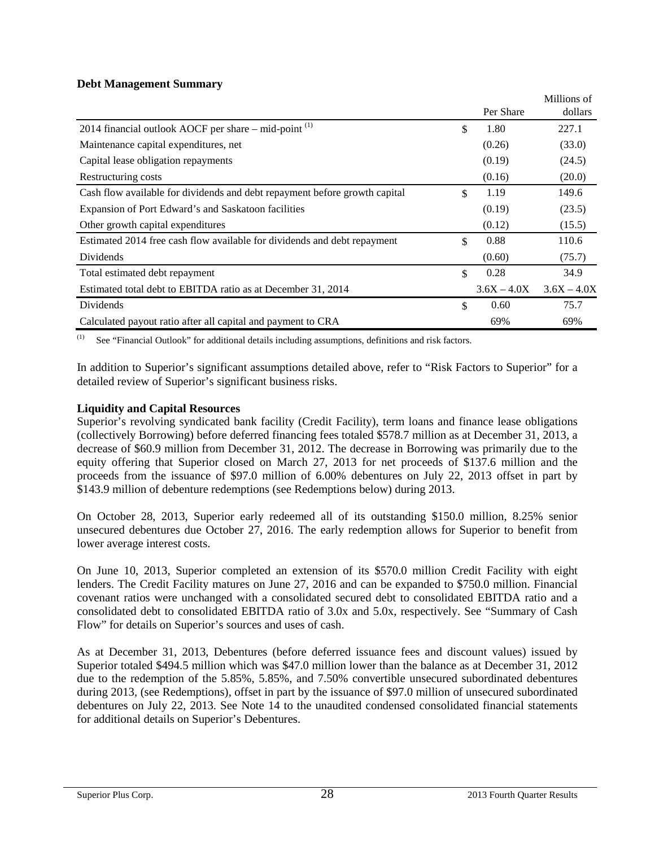### **Debt Management Summary**

|                                                                            |               | Millions of   |
|----------------------------------------------------------------------------|---------------|---------------|
|                                                                            | Per Share     | dollars       |
| 2014 financial outlook AOCF per share – mid-point $(1)$                    | \$<br>1.80    | 227.1         |
| Maintenance capital expenditures, net                                      | (0.26)        | (33.0)        |
| Capital lease obligation repayments                                        | (0.19)        | (24.5)        |
| Restructuring costs                                                        | (0.16)        | (20.0)        |
| Cash flow available for dividends and debt repayment before growth capital | \$<br>1.19    | 149.6         |
| Expansion of Port Edward's and Saskatoon facilities                        | (0.19)        | (23.5)        |
| Other growth capital expenditures                                          | (0.12)        | (15.5)        |
| Estimated 2014 free cash flow available for dividends and debt repayment   | \$<br>0.88    | 110.6         |
| <b>Dividends</b>                                                           | (0.60)        | (75.7)        |
| Total estimated debt repayment                                             | \$<br>0.28    | 34.9          |
| Estimated total debt to EBITDA ratio as at December 31, 2014               | $3.6X - 4.0X$ | $3.6X - 4.0X$ |
| Dividends                                                                  | \$<br>0.60    | 75.7          |
| Calculated payout ratio after all capital and payment to CRA               | 69%           | 69%           |

(1) See "Financial Outlook" for additional details including assumptions, definitions and risk factors.

In addition to Superior's significant assumptions detailed above, refer to "Risk Factors to Superior" for a detailed review of Superior's significant business risks.

## **Liquidity and Capital Resources**

Superior's revolving syndicated bank facility (Credit Facility), term loans and finance lease obligations (collectively Borrowing) before deferred financing fees totaled \$578.7 million as at December 31, 2013, a decrease of \$60.9 million from December 31, 2012. The decrease in Borrowing was primarily due to the equity offering that Superior closed on March 27, 2013 for net proceeds of \$137.6 million and the proceeds from the issuance of \$97.0 million of 6.00% debentures on July 22, 2013 offset in part by \$143.9 million of debenture redemptions (see Redemptions below) during 2013.

On October 28, 2013, Superior early redeemed all of its outstanding \$150.0 million, 8.25% senior unsecured debentures due October 27, 2016. The early redemption allows for Superior to benefit from lower average interest costs.

On June 10, 2013, Superior completed an extension of its \$570.0 million Credit Facility with eight lenders. The Credit Facility matures on June 27, 2016 and can be expanded to \$750.0 million. Financial covenant ratios were unchanged with a consolidated secured debt to consolidated EBITDA ratio and a consolidated debt to consolidated EBITDA ratio of 3.0x and 5.0x, respectively. See "Summary of Cash Flow" for details on Superior's sources and uses of cash.

As at December 31, 2013, Debentures (before deferred issuance fees and discount values) issued by Superior totaled \$494.5 million which was \$47.0 million lower than the balance as at December 31, 2012 due to the redemption of the 5.85%, 5.85%, and 7.50% convertible unsecured subordinated debentures during 2013, (see Redemptions), offset in part by the issuance of \$97.0 million of unsecured subordinated debentures on July 22, 2013. See Note 14 to the unaudited condensed consolidated financial statements for additional details on Superior's Debentures.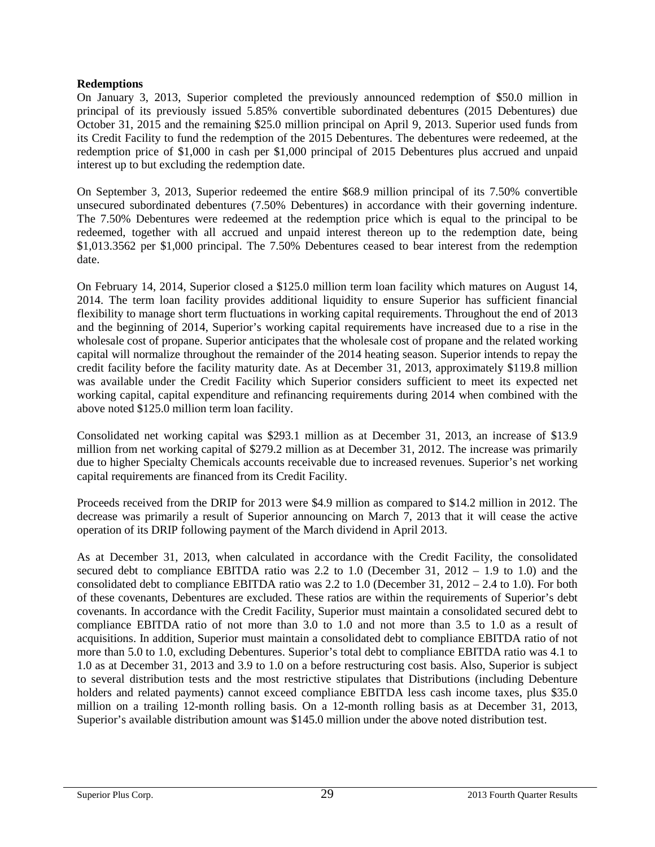### **Redemptions**

On January 3, 2013, Superior completed the previously announced redemption of \$50.0 million in principal of its previously issued 5.85% convertible subordinated debentures (2015 Debentures) due October 31, 2015 and the remaining \$25.0 million principal on April 9, 2013. Superior used funds from its Credit Facility to fund the redemption of the 2015 Debentures. The debentures were redeemed, at the redemption price of \$1,000 in cash per \$1,000 principal of 2015 Debentures plus accrued and unpaid interest up to but excluding the redemption date.

On September 3, 2013, Superior redeemed the entire \$68.9 million principal of its 7.50% convertible unsecured subordinated debentures (7.50% Debentures) in accordance with their governing indenture. The 7.50% Debentures were redeemed at the redemption price which is equal to the principal to be redeemed, together with all accrued and unpaid interest thereon up to the redemption date, being \$1,013.3562 per \$1,000 principal. The 7.50% Debentures ceased to bear interest from the redemption date.

On February 14, 2014, Superior closed a \$125.0 million term loan facility which matures on August 14, 2014. The term loan facility provides additional liquidity to ensure Superior has sufficient financial flexibility to manage short term fluctuations in working capital requirements. Throughout the end of 2013 and the beginning of 2014, Superior's working capital requirements have increased due to a rise in the wholesale cost of propane. Superior anticipates that the wholesale cost of propane and the related working capital will normalize throughout the remainder of the 2014 heating season. Superior intends to repay the credit facility before the facility maturity date. As at December 31, 2013, approximately \$119.8 million was available under the Credit Facility which Superior considers sufficient to meet its expected net working capital, capital expenditure and refinancing requirements during 2014 when combined with the above noted \$125.0 million term loan facility.

Consolidated net working capital was \$293.1 million as at December 31, 2013, an increase of \$13.9 million from net working capital of \$279.2 million as at December 31, 2012. The increase was primarily due to higher Specialty Chemicals accounts receivable due to increased revenues. Superior's net working capital requirements are financed from its Credit Facility.

Proceeds received from the DRIP for 2013 were \$4.9 million as compared to \$14.2 million in 2012. The decrease was primarily a result of Superior announcing on March 7, 2013 that it will cease the active operation of its DRIP following payment of the March dividend in April 2013.

As at December 31, 2013, when calculated in accordance with the Credit Facility, the consolidated secured debt to compliance EBITDA ratio was 2.2 to 1.0 (December 31,  $2012 - 1.9$  to 1.0) and the consolidated debt to compliance EBITDA ratio was 2.2 to 1.0 (December 31, 2012 – 2.4 to 1.0). For both of these covenants, Debentures are excluded. These ratios are within the requirements of Superior's debt covenants. In accordance with the Credit Facility, Superior must maintain a consolidated secured debt to compliance EBITDA ratio of not more than 3.0 to 1.0 and not more than 3.5 to 1.0 as a result of acquisitions. In addition, Superior must maintain a consolidated debt to compliance EBITDA ratio of not more than 5.0 to 1.0, excluding Debentures. Superior's total debt to compliance EBITDA ratio was 4.1 to 1.0 as at December 31, 2013 and 3.9 to 1.0 on a before restructuring cost basis. Also, Superior is subject to several distribution tests and the most restrictive stipulates that Distributions (including Debenture holders and related payments) cannot exceed compliance EBITDA less cash income taxes, plus \$35.0 million on a trailing 12-month rolling basis. On a 12-month rolling basis as at December 31, 2013, Superior's available distribution amount was \$145.0 million under the above noted distribution test.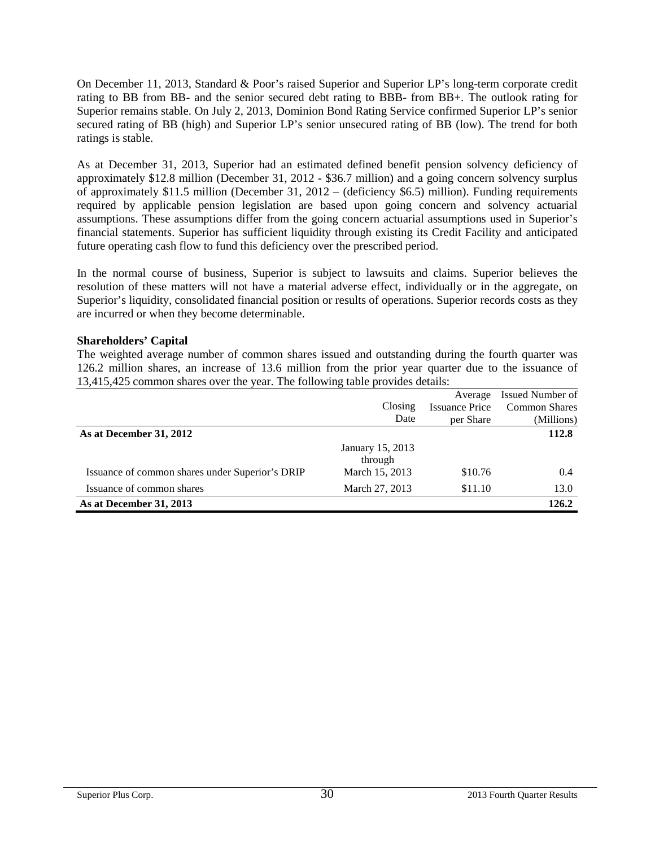On December 11, 2013, Standard & Poor's raised Superior and Superior LP's long-term corporate credit rating to BB from BB- and the senior secured debt rating to BBB- from BB+. The outlook rating for Superior remains stable. On July 2, 2013, Dominion Bond Rating Service confirmed Superior LP's senior secured rating of BB (high) and Superior LP's senior unsecured rating of BB (low). The trend for both ratings is stable.

As at December 31, 2013, Superior had an estimated defined benefit pension solvency deficiency of approximately \$12.8 million (December 31, 2012 - \$36.7 million) and a going concern solvency surplus of approximately \$11.5 million (December 31, 2012 – (deficiency \$6.5) million). Funding requirements required by applicable pension legislation are based upon going concern and solvency actuarial assumptions. These assumptions differ from the going concern actuarial assumptions used in Superior's financial statements. Superior has sufficient liquidity through existing its Credit Facility and anticipated future operating cash flow to fund this deficiency over the prescribed period.

In the normal course of business, Superior is subject to lawsuits and claims. Superior believes the resolution of these matters will not have a material adverse effect, individually or in the aggregate, on Superior's liquidity, consolidated financial position or results of operations. Superior records costs as they are incurred or when they become determinable.

## **Shareholders' Capital**

The weighted average number of common shares issued and outstanding during the fourth quarter was 126.2 million shares, an increase of 13.6 million from the prior year quarter due to the issuance of 13,415,425 common shares over the year. The following table provides details:

|                                                 |                             | Average               | Issued Number of     |
|-------------------------------------------------|-----------------------------|-----------------------|----------------------|
|                                                 | Closing                     | <b>Issuance Price</b> | <b>Common Shares</b> |
|                                                 | Date                        | per Share             | (Millions)           |
| As at December 31, 2012                         |                             |                       | 112.8                |
|                                                 | January 15, 2013<br>through |                       |                      |
| Issuance of common shares under Superior's DRIP | March 15, 2013              | \$10.76               | 0.4                  |
| Issuance of common shares                       | March 27, 2013              | \$11.10               | 13.0                 |
| As at December 31, 2013                         |                             |                       | 126.2                |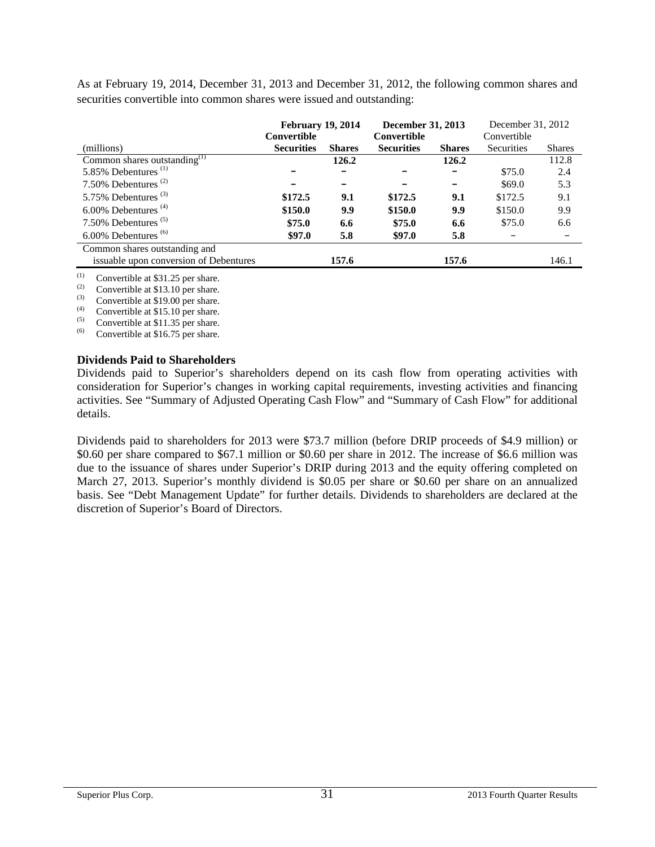As at February 19, 2014, December 31, 2013 and December 31, 2012, the following common shares and securities convertible into common shares were issued and outstanding:

|                                                 | <b>February 19, 2014</b><br>Convertible |               | <b>December 31, 2013</b><br>Convertible |               | December 31, 2012<br>Convertible |               |
|-------------------------------------------------|-----------------------------------------|---------------|-----------------------------------------|---------------|----------------------------------|---------------|
| (millions)                                      | <b>Securities</b>                       | <b>Shares</b> | <b>Securities</b>                       | <b>Shares</b> | Securities                       | <b>Shares</b> |
| Common shares outstanding $^{(1)}$              |                                         | 126.2         |                                         | 126.2         |                                  | 112.8         |
| 5.85% Debentures <sup><math>(1)</math></sup>    |                                         | -             |                                         |               | \$75.0                           | 2.4           |
| 7.50% Debentures <sup>(2)</sup>                 |                                         |               |                                         |               | \$69.0                           | 5.3           |
| 5.75% Debentures $^{(3)}$                       | \$172.5                                 | 9.1           | \$172.5                                 | 9.1           | \$172.5                          | 9.1           |
| $6.00\%$ Debentures <sup>(4)</sup>              | \$150.0                                 | 9.9           | \$150.0                                 | 9.9           | \$150.0                          | 9.9           |
| 7.50% Debentures <sup><math>(5)</math></sup>    | \$75.0                                  | 6.6           | \$75.0                                  | 6.6           | \$75.0                           | 6.6           |
| $6.00\%$ Debentures <sup><math>(6)</math></sup> | \$97.0                                  | 5.8           | \$97.0                                  | 5.8           |                                  |               |
| Common shares outstanding and                   |                                         |               |                                         |               |                                  |               |
| issuable upon conversion of Debentures          |                                         | 157.6         |                                         | 157.6         |                                  | 146.1         |

(1) Convertible at \$31.25 per share.<br>(2) Convertible at \$12.10 per share.

(2) Convertible at \$13.10 per share.<br>(3) Convertible at \$10.00 per share.

(3) Convertible at \$19.00 per share.

(4) Convertible at \$15.10 per share.

<sup>(5)</sup> Convertible at \$11.35 per share.<br><sup>(6)</sup> Convertible at \$16.75 per share.

Convertible at \$16.75 per share.

#### **Dividends Paid to Shareholders**

Dividends paid to Superior's shareholders depend on its cash flow from operating activities with consideration for Superior's changes in working capital requirements, investing activities and financing activities. See "Summary of Adjusted Operating Cash Flow" and "Summary of Cash Flow" for additional details.

Dividends paid to shareholders for 2013 were \$73.7 million (before DRIP proceeds of \$4.9 million) or \$0.60 per share compared to \$67.1 million or \$0.60 per share in 2012. The increase of \$6.6 million was due to the issuance of shares under Superior's DRIP during 2013 and the equity offering completed on March 27, 2013. Superior's monthly dividend is \$0.05 per share or \$0.60 per share on an annualized basis. See "Debt Management Update" for further details. Dividends to shareholders are declared at the discretion of Superior's Board of Directors.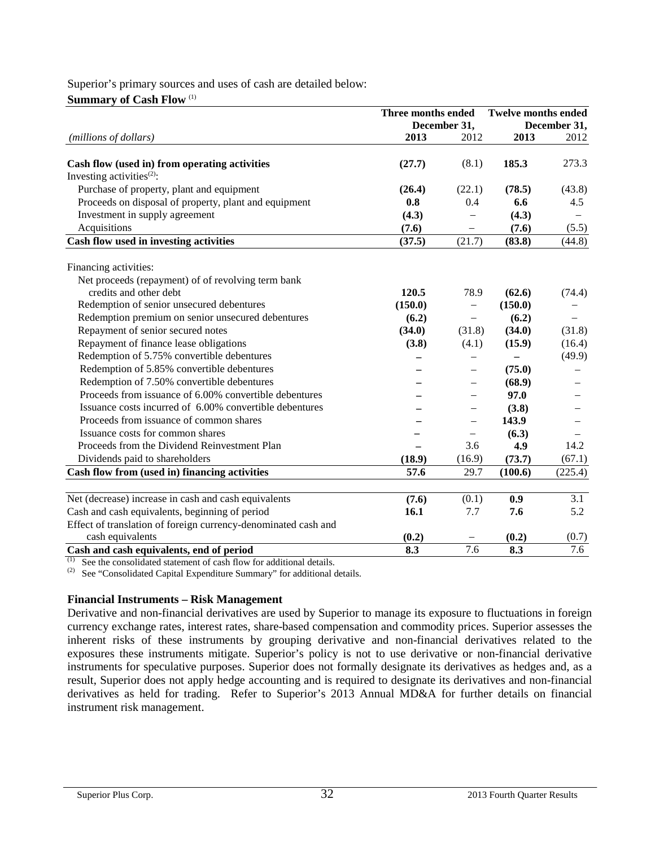#### Superior's primary sources and uses of cash are detailed below:

#### **Summary of Cash Flow** (1)

|                                                                | Three months ended |                          | <b>Twelve months ended</b> |                  |  |
|----------------------------------------------------------------|--------------------|--------------------------|----------------------------|------------------|--|
|                                                                |                    | December 31,             |                            | December 31,     |  |
| (millions of dollars)                                          | 2013               | 2012                     | 2013                       | 2012             |  |
|                                                                |                    |                          |                            |                  |  |
| Cash flow (used in) from operating activities                  | (27.7)             | (8.1)                    | 185.3                      | 273.3            |  |
| Investing activities <sup>(2)</sup> :                          |                    |                          |                            |                  |  |
| Purchase of property, plant and equipment                      | (26.4)             | (22.1)                   | (78.5)                     | (43.8)           |  |
| Proceeds on disposal of property, plant and equipment          | 0.8                | 0.4                      | 6.6                        | 4.5              |  |
| Investment in supply agreement                                 | (4.3)              |                          | (4.3)                      |                  |  |
| Acquisitions                                                   | (7.6)              | $\qquad \qquad -$        | (7.6)                      | (5.5)            |  |
| Cash flow used in investing activities                         | (37.5)             | (21.7)                   | (83.8)                     | (44.8)           |  |
| Financing activities:                                          |                    |                          |                            |                  |  |
| Net proceeds (repayment) of of revolving term bank             |                    |                          |                            |                  |  |
| credits and other debt                                         | 120.5              | 78.9                     | (62.6)                     | (74.4)           |  |
| Redemption of senior unsecured debentures                      | (150.0)            | $\qquad \qquad -$        | (150.0)                    |                  |  |
| Redemption premium on senior unsecured debentures              | (6.2)              | $\qquad \qquad -$        | (6.2)                      |                  |  |
| Repayment of senior secured notes                              | (34.0)             | (31.8)                   | (34.0)                     | (31.8)           |  |
| Repayment of finance lease obligations                         | (3.8)              | (4.1)                    | (15.9)                     | (16.4)           |  |
| Redemption of 5.75% convertible debentures                     |                    |                          | $\overline{\phantom{m}}$   | (49.9)           |  |
| Redemption of 5.85% convertible debentures                     |                    | -                        | (75.0)                     |                  |  |
| Redemption of 7.50% convertible debentures                     |                    | $\overline{\phantom{0}}$ | (68.9)                     |                  |  |
| Proceeds from issuance of 6.00% convertible debentures         |                    | -                        | 97.0                       |                  |  |
| Issuance costs incurred of 6.00% convertible debentures        |                    | $\qquad \qquad -$        | (3.8)                      |                  |  |
| Proceeds from issuance of common shares                        |                    | $\qquad \qquad -$        | 143.9                      |                  |  |
| Issuance costs for common shares                               |                    | $\qquad \qquad -$        | (6.3)                      |                  |  |
| Proceeds from the Dividend Reinvestment Plan                   |                    | 3.6                      | 4.9                        | 14.2             |  |
| Dividends paid to shareholders                                 | (18.9)             | (16.9)                   | (73.7)                     | (67.1)           |  |
| Cash flow from (used in) financing activities                  | 57.6               | 29.7                     | (100.6)                    | (225.4)          |  |
|                                                                |                    |                          |                            |                  |  |
| Net (decrease) increase in cash and cash equivalents           | (7.6)              | (0.1)                    | 0.9                        | 3.1              |  |
| Cash and cash equivalents, beginning of period                 | 16.1               | 7.7                      | 7.6                        | 5.2              |  |
| Effect of translation of foreign currency-denominated cash and |                    |                          |                            |                  |  |
| cash equivalents                                               | (0.2)              |                          | (0.2)                      | (0.7)            |  |
| Cash and cash equivalents, end of period                       | 8.3                | $\overline{7.6}$         | 8.3                        | $\overline{7.6}$ |  |

 $(1)$  See the consolidated statement of cash flow for additional details.

<sup>(2)</sup> See "Consolidated Capital Expenditure Summary" for additional details.

#### **Financial Instruments – Risk Management**

Derivative and non-financial derivatives are used by Superior to manage its exposure to fluctuations in foreign currency exchange rates, interest rates, share-based compensation and commodity prices. Superior assesses the inherent risks of these instruments by grouping derivative and non-financial derivatives related to the exposures these instruments mitigate. Superior's policy is not to use derivative or non-financial derivative instruments for speculative purposes. Superior does not formally designate its derivatives as hedges and, as a result, Superior does not apply hedge accounting and is required to designate its derivatives and non-financial derivatives as held for trading. Refer to Superior's 2013 Annual MD&A for further details on financial instrument risk management.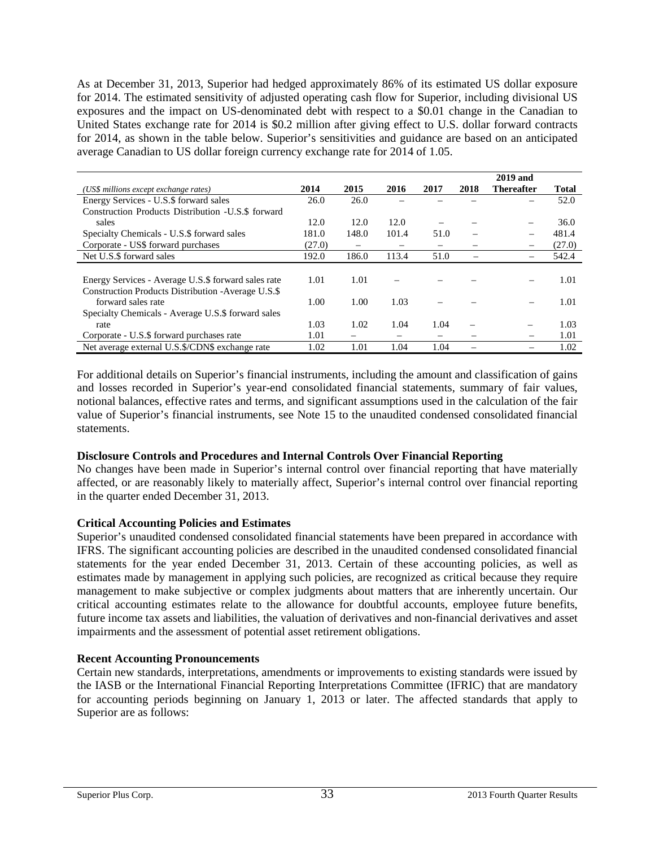As at December 31, 2013, Superior had hedged approximately 86% of its estimated US dollar exposure for 2014. The estimated sensitivity of adjusted operating cash flow for Superior, including divisional US exposures and the impact on US-denominated debt with respect to a \$0.01 change in the Canadian to United States exchange rate for 2014 is \$0.2 million after giving effect to U.S. dollar forward contracts for 2014, as shown in the table below. Superior's sensitivities and guidance are based on an anticipated average Canadian to US dollar foreign currency exchange rate for 2014 of 1.05.

|                                                      |        |                          |       |      |      | 2019 and          |              |
|------------------------------------------------------|--------|--------------------------|-------|------|------|-------------------|--------------|
| (US\$ millions except exchange rates)                | 2014   | 2015                     | 2016  | 2017 | 2018 | <b>Thereafter</b> | <b>Total</b> |
| Energy Services - U.S.\$ forward sales               | 26.0   | 26.0                     |       |      |      |                   | 52.0         |
| Construction Products Distribution -U.S.\$ forward   |        |                          |       |      |      |                   |              |
| sales                                                | 12.0   | 12.0                     | 12.0  |      |      |                   | 36.0         |
| Specialty Chemicals - U.S.\$ forward sales           | 181.0  | 148.0                    | 101.4 | 51.0 |      |                   | 481.4        |
| Corporate - US\$ forward purchases                   | (27.0) | $\overline{\phantom{0}}$ |       |      |      |                   | (27.0)       |
| Net U.S.\$ forward sales                             | 192.0  | 186.0                    | 113.4 | 51.0 |      |                   | 542.4        |
|                                                      |        |                          |       |      |      |                   |              |
| Energy Services - Average U.S. \$ forward sales rate | 1.01   | 1.01                     |       |      |      |                   | 1.01         |
| Construction Products Distribution - Average U.S.\$  |        |                          |       |      |      |                   |              |
| forward sales rate                                   | 1.00   | 1.00                     | 1.03  |      |      |                   | 1.01         |
| Specialty Chemicals - Average U.S.\$ forward sales   |        |                          |       |      |      |                   |              |
| rate                                                 | 1.03   | 1.02                     | 1.04  | 1.04 |      |                   | 1.03         |
| Corporate - U.S.\$ forward purchases rate            | 1.01   | —                        | —     | -    | —    | -                 | 1.01         |
| Net average external U.S.\$/CDN\$ exchange rate      | 1.02   | 1.01                     | 1.04  | 1.04 |      |                   | 1.02         |

For additional details on Superior's financial instruments, including the amount and classification of gains and losses recorded in Superior's year-end consolidated financial statements, summary of fair values, notional balances, effective rates and terms, and significant assumptions used in the calculation of the fair value of Superior's financial instruments, see Note 15 to the unaudited condensed consolidated financial statements.

# **Disclosure Controls and Procedures and Internal Controls Over Financial Reporting**

No changes have been made in Superior's internal control over financial reporting that have materially affected, or are reasonably likely to materially affect, Superior's internal control over financial reporting in the quarter ended December 31, 2013.

## **Critical Accounting Policies and Estimates**

Superior's unaudited condensed consolidated financial statements have been prepared in accordance with IFRS. The significant accounting policies are described in the unaudited condensed consolidated financial statements for the year ended December 31, 2013. Certain of these accounting policies, as well as estimates made by management in applying such policies, are recognized as critical because they require management to make subjective or complex judgments about matters that are inherently uncertain. Our critical accounting estimates relate to the allowance for doubtful accounts, employee future benefits, future income tax assets and liabilities, the valuation of derivatives and non-financial derivatives and asset impairments and the assessment of potential asset retirement obligations.

# **Recent Accounting Pronouncements**

Certain new standards, interpretations, amendments or improvements to existing standards were issued by the IASB or the International Financial Reporting Interpretations Committee (IFRIC) that are mandatory for accounting periods beginning on January 1, 2013 or later. The affected standards that apply to Superior are as follows: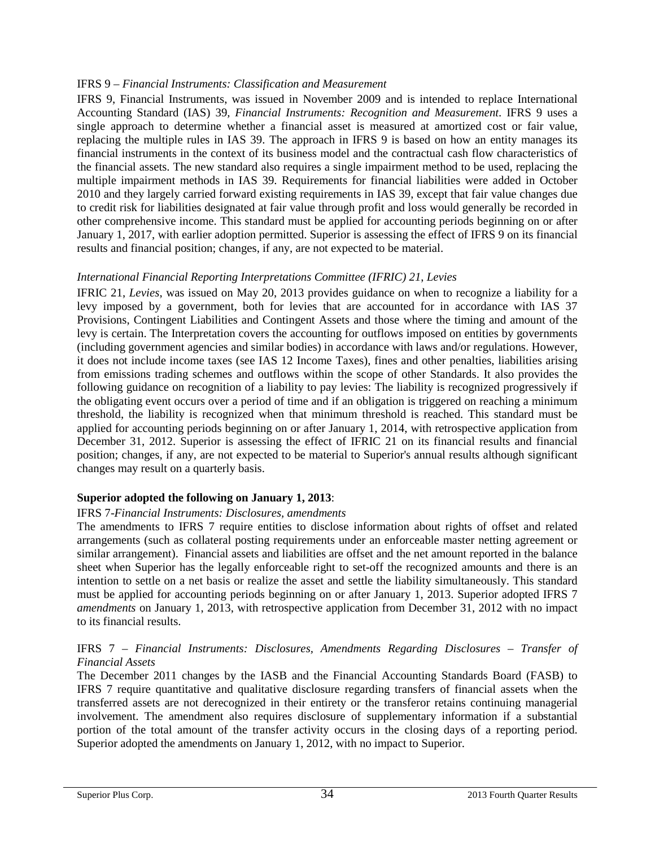## IFRS 9 – *Financial Instruments: Classification and Measurement*

IFRS 9, Financial Instruments, was issued in November 2009 and is intended to replace International Accounting Standard (IAS) 39*, Financial Instruments: Recognition and Measurement*. IFRS 9 uses a single approach to determine whether a financial asset is measured at amortized cost or fair value, replacing the multiple rules in IAS 39. The approach in IFRS 9 is based on how an entity manages its financial instruments in the context of its business model and the contractual cash flow characteristics of the financial assets. The new standard also requires a single impairment method to be used, replacing the multiple impairment methods in IAS 39. Requirements for financial liabilities were added in October 2010 and they largely carried forward existing requirements in IAS 39, except that fair value changes due to credit risk for liabilities designated at fair value through profit and loss would generally be recorded in other comprehensive income. This standard must be applied for accounting periods beginning on or after January 1, 2017, with earlier adoption permitted. Superior is assessing the effect of IFRS 9 on its financial results and financial position; changes, if any, are not expected to be material.

## *International Financial Reporting Interpretations Committee (IFRIC) 21*, *Levies*

IFRIC 21, *Levies*, was issued on May 20, 2013 provides guidance on when to recognize a liability for a levy imposed by a government, both for levies that are accounted for in accordance with IAS 37 Provisions, Contingent Liabilities and Contingent Assets and those where the timing and amount of the levy is certain. The Interpretation covers the accounting for outflows imposed on entities by governments (including government agencies and similar bodies) in accordance with laws and/or regulations. However, it does not include income taxes (see IAS 12 Income Taxes), fines and other penalties, liabilities arising from emissions trading schemes and outflows within the scope of other Standards. It also provides the following guidance on recognition of a liability to pay levies: The liability is recognized progressively if the obligating event occurs over a period of time and if an obligation is triggered on reaching a minimum threshold, the liability is recognized when that minimum threshold is reached. This standard must be applied for accounting periods beginning on or after January 1, 2014, with retrospective application from December 31, 2012. Superior is assessing the effect of IFRIC 21 on its financial results and financial position; changes, if any, are not expected to be material to Superior's annual results although significant changes may result on a quarterly basis.

# **Superior adopted the following on January 1, 2013**:

## IFRS 7-*Financial Instruments: Disclosures, amendments*

The amendments to IFRS 7 require entities to disclose information about rights of offset and related arrangements (such as collateral posting requirements under an enforceable master netting agreement or similar arrangement). Financial assets and liabilities are offset and the net amount reported in the balance sheet when Superior has the legally enforceable right to set-off the recognized amounts and there is an intention to settle on a net basis or realize the asset and settle the liability simultaneously. This standard must be applied for accounting periods beginning on or after January 1, 2013. Superior adopted IFRS 7 *amendments* on January 1, 2013, with retrospective application from December 31, 2012 with no impact to its financial results.

## IFRS 7 – *Financial Instruments: Disclosures, Amendments Regarding Disclosures – Transfer of Financial Assets*

The December 2011 changes by the IASB and the Financial Accounting Standards Board (FASB) to IFRS 7 require quantitative and qualitative disclosure regarding transfers of financial assets when the transferred assets are not derecognized in their entirety or the transferor retains continuing managerial involvement. The amendment also requires disclosure of supplementary information if a substantial portion of the total amount of the transfer activity occurs in the closing days of a reporting period. Superior adopted the amendments on January 1, 2012, with no impact to Superior.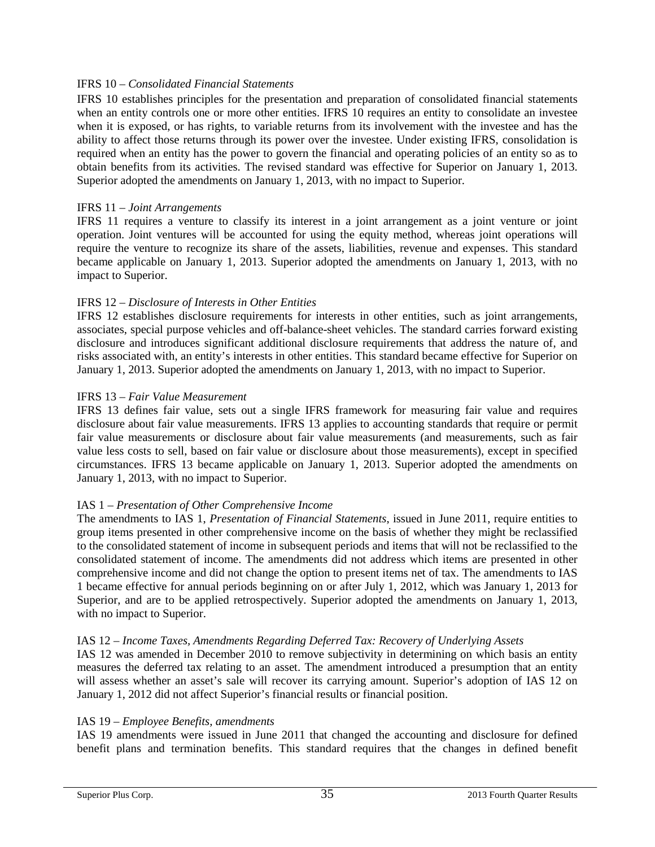### IFRS 10 – *Consolidated Financial Statements*

IFRS 10 establishes principles for the presentation and preparation of consolidated financial statements when an entity controls one or more other entities. IFRS 10 requires an entity to consolidate an investee when it is exposed, or has rights, to variable returns from its involvement with the investee and has the ability to affect those returns through its power over the investee. Under existing IFRS, consolidation is required when an entity has the power to govern the financial and operating policies of an entity so as to obtain benefits from its activities. The revised standard was effective for Superior on January 1, 2013. Superior adopted the amendments on January 1, 2013, with no impact to Superior.

### IFRS 11 – *Joint Arrangements*

IFRS 11 requires a venture to classify its interest in a joint arrangement as a joint venture or joint operation. Joint ventures will be accounted for using the equity method, whereas joint operations will require the venture to recognize its share of the assets, liabilities, revenue and expenses. This standard became applicable on January 1, 2013. Superior adopted the amendments on January 1, 2013, with no impact to Superior.

### IFRS 12 – *Disclosure of Interests in Other Entities*

IFRS 12 establishes disclosure requirements for interests in other entities, such as joint arrangements, associates, special purpose vehicles and off-balance-sheet vehicles. The standard carries forward existing disclosure and introduces significant additional disclosure requirements that address the nature of, and risks associated with, an entity's interests in other entities. This standard became effective for Superior on January 1, 2013. Superior adopted the amendments on January 1, 2013, with no impact to Superior.

### IFRS 13 *– Fair Value Measurement*

IFRS 13 defines fair value, sets out a single IFRS framework for measuring fair value and requires disclosure about fair value measurements. IFRS 13 applies to accounting standards that require or permit fair value measurements or disclosure about fair value measurements (and measurements, such as fair value less costs to sell, based on fair value or disclosure about those measurements), except in specified circumstances. IFRS 13 became applicable on January 1, 2013. Superior adopted the amendments on January 1, 2013, with no impact to Superior.

## IAS 1 – *Presentation of Other Comprehensive Income*

The amendments to IAS 1, *Presentation of Financial Statements*, issued in June 2011, require entities to group items presented in other comprehensive income on the basis of whether they might be reclassified to the consolidated statement of income in subsequent periods and items that will not be reclassified to the consolidated statement of income. The amendments did not address which items are presented in other comprehensive income and did not change the option to present items net of tax. The amendments to IAS 1 became effective for annual periods beginning on or after July 1, 2012, which was January 1, 2013 for Superior, and are to be applied retrospectively. Superior adopted the amendments on January 1, 2013, with no impact to Superior.

## IAS 12 – *Income Taxes, Amendments Regarding Deferred Tax: Recovery of Underlying Assets*

IAS 12 was amended in December 2010 to remove subjectivity in determining on which basis an entity measures the deferred tax relating to an asset. The amendment introduced a presumption that an entity will assess whether an asset's sale will recover its carrying amount. Superior's adoption of IAS 12 on January 1, 2012 did not affect Superior's financial results or financial position.

#### IAS 19 – *Employee Benefits, amendments*

IAS 19 amendments were issued in June 2011 that changed the accounting and disclosure for defined benefit plans and termination benefits. This standard requires that the changes in defined benefit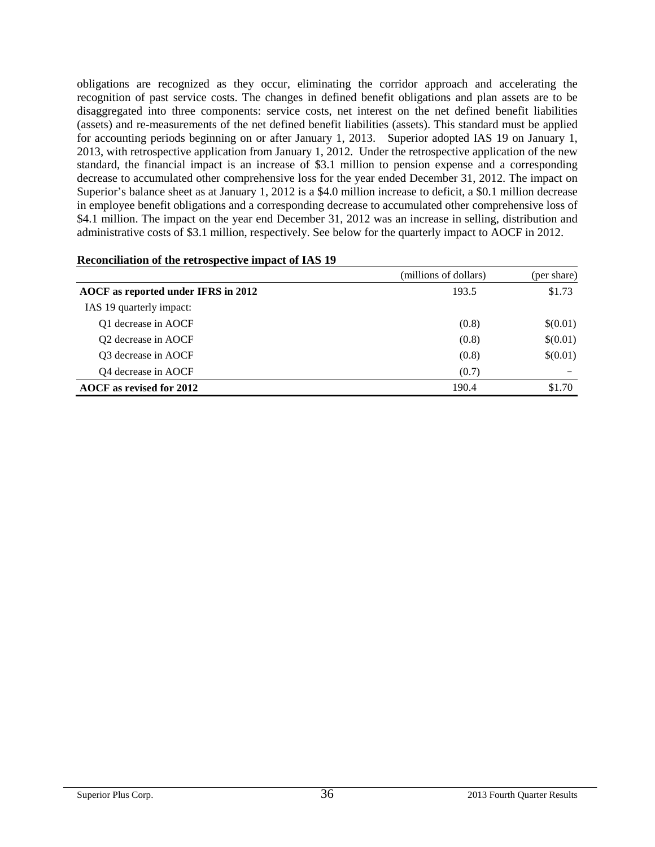obligations are recognized as they occur, eliminating the corridor approach and accelerating the recognition of past service costs. The changes in defined benefit obligations and plan assets are to be disaggregated into three components: service costs, net interest on the net defined benefit liabilities (assets) and re-measurements of the net defined benefit liabilities (assets). This standard must be applied for accounting periods beginning on or after January 1, 2013. Superior adopted IAS 19 on January 1, 2013, with retrospective application from January 1, 2012. Under the retrospective application of the new standard, the financial impact is an increase of \$3.1 million to pension expense and a corresponding decrease to accumulated other comprehensive loss for the year ended December 31, 2012. The impact on Superior's balance sheet as at January 1, 2012 is a \$4.0 million increase to deficit, a \$0.1 million decrease in employee benefit obligations and a corresponding decrease to accumulated other comprehensive loss of \$4.1 million. The impact on the year end December 31, 2012 was an increase in selling, distribution and administrative costs of \$3.1 million, respectively. See below for the quarterly impact to AOCF in 2012.

|                                     | (millions of dollars) | (per share) |
|-------------------------------------|-----------------------|-------------|
| AOCF as reported under IFRS in 2012 | 193.5                 | \$1.73      |
| IAS 19 quarterly impact:            |                       |             |
| Q1 decrease in AOCF                 | (0.8)                 | \$(0.01)    |
| Q2 decrease in AOCF                 | (0.8)                 | \$(0.01)    |
| Q3 decrease in AOCF                 | (0.8)                 | \$(0.01)    |
| Q4 decrease in AOCF                 | (0.7)                 |             |
| AOCF as revised for 2012            | 190.4                 | \$1.70      |

#### **Reconciliation of the retrospective impact of IAS 19**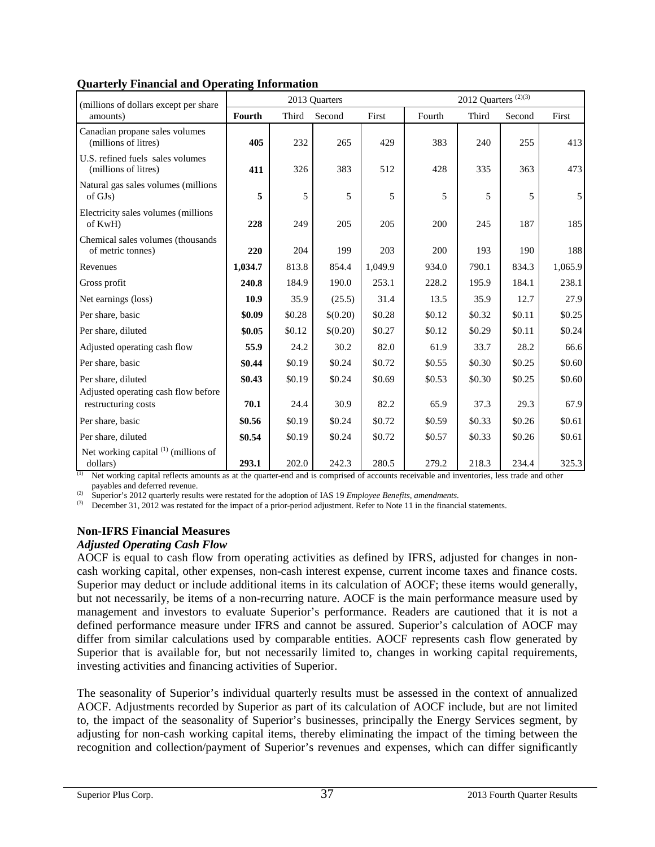| үчагісту типанстаганы Орстанид типогитация<br>(millions of dollars except per share | 2013 Ouarters |        |          | 2012 Quarters $(2)(3)$ |        |        |        |         |
|-------------------------------------------------------------------------------------|---------------|--------|----------|------------------------|--------|--------|--------|---------|
| amounts)                                                                            | Fourth        | Third  | Second   | First                  | Fourth | Third  | Second | First   |
| Canadian propane sales volumes<br>(millions of litres)                              | 405           | 232    | 265      | 429                    | 383    | 240    | 255    | 413     |
| U.S. refined fuels sales volumes<br>(millions of litres)                            | 411           | 326    | 383      | 512                    | 428    | 335    | 363    | 473     |
| Natural gas sales volumes (millions<br>of GJs)                                      | 5             | 5      | 5        | 5                      | 5      | 5      | 5      |         |
| Electricity sales volumes (millions<br>of KwH)                                      | 228           | 249    | 205      | 205                    | 200    | 245    | 187    | 185     |
| Chemical sales volumes (thousands<br>of metric tonnes)                              | 220           | 204    | 199      | 203                    | 200    | 193    | 190    | 188     |
| Revenues                                                                            | 1,034.7       | 813.8  | 854.4    | 1,049.9                | 934.0  | 790.1  | 834.3  | 1,065.9 |
| Gross profit                                                                        | 240.8         | 184.9  | 190.0    | 253.1                  | 228.2  | 195.9  | 184.1  | 238.1   |
| Net earnings (loss)                                                                 | 10.9          | 35.9   | (25.5)   | 31.4                   | 13.5   | 35.9   | 12.7   | 27.9    |
| Per share, basic                                                                    | \$0.09        | \$0.28 | \$(0.20) | \$0.28                 | \$0.12 | \$0.32 | \$0.11 | \$0.25  |
| Per share, diluted                                                                  | \$0.05        | \$0.12 | \$(0.20) | \$0.27                 | \$0.12 | \$0.29 | \$0.11 | \$0.24  |
| Adjusted operating cash flow                                                        | 55.9          | 24.2   | 30.2     | 82.0                   | 61.9   | 33.7   | 28.2   | 66.6    |
| Per share, basic                                                                    | \$0.44        | \$0.19 | \$0.24   | \$0.72                 | \$0.55 | \$0.30 | \$0.25 | \$0.60  |
| Per share, diluted                                                                  | \$0.43        | \$0.19 | \$0.24   | \$0.69                 | \$0.53 | \$0.30 | \$0.25 | \$0.60  |
| Adjusted operating cash flow before<br>restructuring costs                          | 70.1          | 24.4   | 30.9     | 82.2                   | 65.9   | 37.3   | 29.3   | 67.9    |
| Per share, basic                                                                    | \$0.56        | \$0.19 | \$0.24   | \$0.72                 | \$0.59 | \$0.33 | \$0.26 | \$0.61  |
| Per share, diluted                                                                  | \$0.54        | \$0.19 | \$0.24   | \$0.72                 | \$0.57 | \$0.33 | \$0.26 | \$0.61  |
| Net working capital <sup>(1)</sup> (millions of<br>dollars)                         | 293.1         | 202.0  | 242.3    | 280.5                  | 279.2  | 218.3  | 234.4  | 325.3   |

**Quarterly Financial and Operating Information** 

Net working capital reflects amounts as at the quarter-end and is comprised of accounts receivable and inventories, less trade and other payables and deferred revenue.

<sup>(2)</sup> Superior's 2012 quarterly results were restated for the adoption of IAS 19 *Employee Benefits, amendments.*<br><sup>(3)</sup> December 21, 2012 was restated for the impact of a grien poriod edivativent. Befor to Note 11 in the f

December 31, 2012 was restated for the impact of a prior-period adjustment. Refer to Note 11 in the financial statements.

# **Non-IFRS Financial Measures**

### *Adjusted Operating Cash Flow*

AOCF is equal to cash flow from operating activities as defined by IFRS, adjusted for changes in noncash working capital, other expenses, non-cash interest expense, current income taxes and finance costs. Superior may deduct or include additional items in its calculation of AOCF; these items would generally, but not necessarily, be items of a non-recurring nature. AOCF is the main performance measure used by management and investors to evaluate Superior's performance. Readers are cautioned that it is not a defined performance measure under IFRS and cannot be assured. Superior's calculation of AOCF may differ from similar calculations used by comparable entities. AOCF represents cash flow generated by Superior that is available for, but not necessarily limited to, changes in working capital requirements, investing activities and financing activities of Superior.

The seasonality of Superior's individual quarterly results must be assessed in the context of annualized AOCF. Adjustments recorded by Superior as part of its calculation of AOCF include, but are not limited to, the impact of the seasonality of Superior's businesses, principally the Energy Services segment, by adjusting for non-cash working capital items, thereby eliminating the impact of the timing between the recognition and collection/payment of Superior's revenues and expenses, which can differ significantly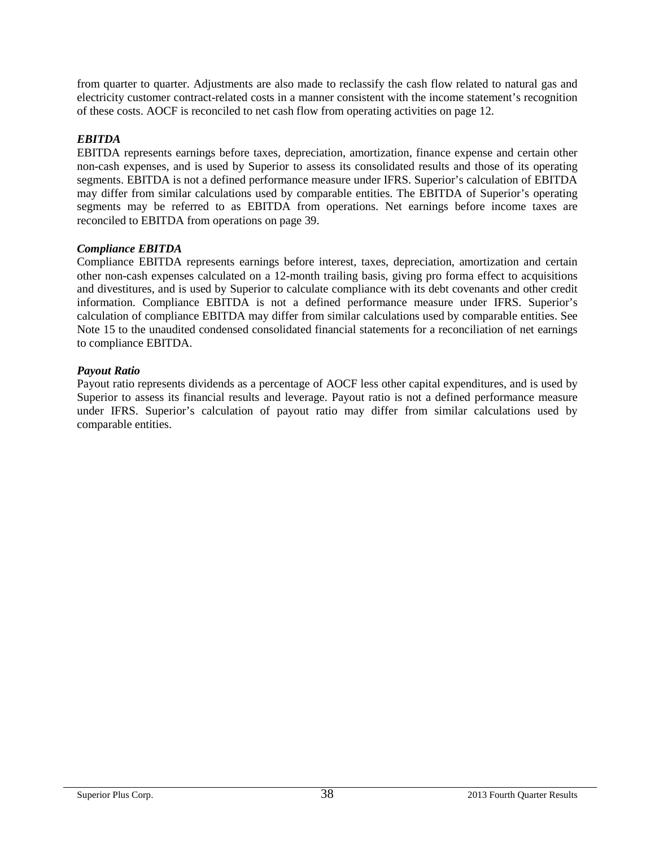from quarter to quarter. Adjustments are also made to reclassify the cash flow related to natural gas and electricity customer contract-related costs in a manner consistent with the income statement's recognition of these costs. AOCF is reconciled to net cash flow from operating activities on page 12.

# *EBITDA*

EBITDA represents earnings before taxes, depreciation, amortization, finance expense and certain other non-cash expenses, and is used by Superior to assess its consolidated results and those of its operating segments. EBITDA is not a defined performance measure under IFRS. Superior's calculation of EBITDA may differ from similar calculations used by comparable entities. The EBITDA of Superior's operating segments may be referred to as EBITDA from operations. Net earnings before income taxes are reconciled to EBITDA from operations on page 39.

### *Compliance EBITDA*

Compliance EBITDA represents earnings before interest, taxes, depreciation, amortization and certain other non-cash expenses calculated on a 12-month trailing basis, giving pro forma effect to acquisitions and divestitures, and is used by Superior to calculate compliance with its debt covenants and other credit information. Compliance EBITDA is not a defined performance measure under IFRS. Superior's calculation of compliance EBITDA may differ from similar calculations used by comparable entities. See Note 15 to the unaudited condensed consolidated financial statements for a reconciliation of net earnings to compliance EBITDA.

### *Payout Ratio*

Payout ratio represents dividends as a percentage of AOCF less other capital expenditures, and is used by Superior to assess its financial results and leverage. Payout ratio is not a defined performance measure under IFRS. Superior's calculation of payout ratio may differ from similar calculations used by comparable entities.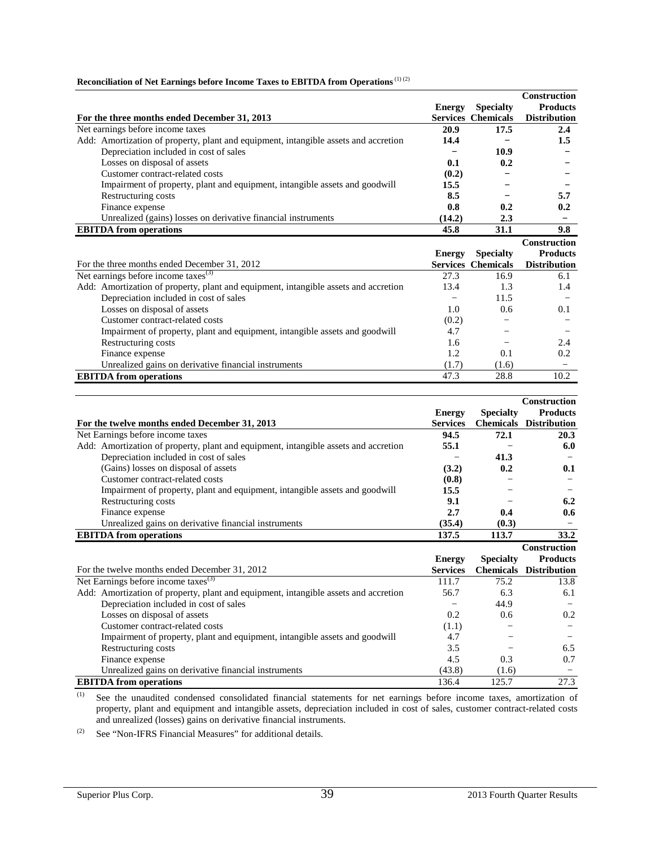| Reconciliation of Net Earnings before Income Taxes to EBITDA from Operations <sup>(1)(2)</sup> |
|------------------------------------------------------------------------------------------------|
|------------------------------------------------------------------------------------------------|

|                                                                                     |                 |                  | <b>Construction</b>      |
|-------------------------------------------------------------------------------------|-----------------|------------------|--------------------------|
|                                                                                     | <b>Energy</b>   | <b>Specialty</b> | <b>Products</b>          |
| For the three months ended December 31, 2013                                        | <b>Services</b> | <b>Chemicals</b> | <b>Distribution</b>      |
| Net earnings before income taxes                                                    | 20.9            | 17.5             | 2.4                      |
| Add: Amortization of property, plant and equipment, intangible assets and accretion | 14.4            |                  | 1.5                      |
| Depreciation included in cost of sales                                              |                 | 10.9             |                          |
| Losses on disposal of assets                                                        | 0.1             | 0.2              |                          |
| Customer contract-related costs                                                     | (0.2)           |                  |                          |
| Impairment of property, plant and equipment, intangible assets and goodwill         | 15.5            |                  |                          |
| Restructuring costs                                                                 | 8.5             |                  | 5.7                      |
| Finance expense                                                                     | 0.8             | 0.2              | 0.2                      |
| Unrealized (gains) losses on derivative financial instruments                       | (14.2)          | 2.3              | -                        |
| <b>EBITDA</b> from operations                                                       | 45.8            | 31.1             | 9.8                      |
|                                                                                     |                 |                  |                          |
|                                                                                     |                 |                  | Construction             |
|                                                                                     | <b>Energy</b>   | <b>Specialty</b> | <b>Products</b>          |
| For the three months ended December 31, 2012                                        | <b>Services</b> | <b>Chemicals</b> | <b>Distribution</b>      |
| Net earnings before income taxes $^{(3)}$                                           | 27.3            | 16.9             | 6.1                      |
| Add: Amortization of property, plant and equipment, intangible assets and accretion | 13.4            | 1.3              | 1.4                      |
| Depreciation included in cost of sales                                              |                 | 11.5             |                          |
| Losses on disposal of assets                                                        | 1.0             | 0.6              | 0.1                      |
| Customer contract-related costs                                                     | (0.2)           |                  |                          |
| Impairment of property, plant and equipment, intangible assets and goodwill         | 4.7             |                  |                          |
| Restructuring costs                                                                 | 1.6             |                  | 2.4                      |
| Finance expense                                                                     | 1.2             | 0.1              | 0.2                      |
| Unrealized gains on derivative financial instruments                                | (1.7)           | (1.6)            | $\overline{\phantom{0}}$ |

|                                                                                     |                 |                  | <b>Construction</b>           |
|-------------------------------------------------------------------------------------|-----------------|------------------|-------------------------------|
|                                                                                     | <b>Energy</b>   | <b>Specialty</b> | <b>Products</b>               |
| For the twelve months ended December 31, 2013                                       | <b>Services</b> |                  | <b>Chemicals Distribution</b> |
| Net Earnings before income taxes                                                    | 94.5            | 72.1             | 20.3                          |
| Add: Amortization of property, plant and equipment, intangible assets and accretion | 55.1            |                  | 6.0                           |
| Depreciation included in cost of sales                                              |                 | 41.3             |                               |
| (Gains) losses on disposal of assets                                                | (3.2)           | 0.2              | 0.1                           |
| Customer contract-related costs                                                     | (0.8)           |                  |                               |
| Impairment of property, plant and equipment, intangible assets and goodwill         | 15.5            |                  |                               |
| Restructuring costs                                                                 | 9.1             |                  | 6.2                           |
| Finance expense                                                                     | 2.7             | 0.4              | 0.6                           |
| Unrealized gains on derivative financial instruments                                | (35.4)          | (0.3)            |                               |
| <b>EBITDA</b> from operations                                                       | 137.5           | 113.7            | 33.2                          |
|                                                                                     |                 |                  |                               |
|                                                                                     |                 |                  | Construction                  |
|                                                                                     | <b>Energy</b>   | <b>Specialty</b> | <b>Products</b>               |
| For the twelve months ended December 31, 2012                                       | <b>Services</b> | <b>Chemicals</b> | <b>Distribution</b>           |
| Net Earnings before income taxes $^{(3)}$                                           | 111.7           | 75.2             | 13.8                          |
| Add: Amortization of property, plant and equipment, intangible assets and accretion | 56.7            | 6.3              | 6.1                           |
| Depreciation included in cost of sales                                              |                 | 44.9             |                               |
| Losses on disposal of assets                                                        | 0.2             | 0.6              | 0.2                           |
| Customer contract-related costs                                                     | (1.1)           |                  |                               |
| Impairment of property, plant and equipment, intangible assets and goodwill         | 4.7             |                  |                               |
| Restructuring costs                                                                 | 3.5             |                  | 6.5                           |
| Finance expense                                                                     | 4.5             | 0.3              | 0.7                           |
| Unrealized gains on derivative financial instruments                                | (43.8)          | (1.6)            |                               |

(1) See the unaudited condensed consolidated financial statements for net earnings before income taxes, amortization of property, plant and equipment and intangible assets, depreciation included in cost of sales, customer contract-related costs and unrealized (losses) gains on derivative financial instruments.

(2) See "Non-IFRS Financial Measures" for additional details.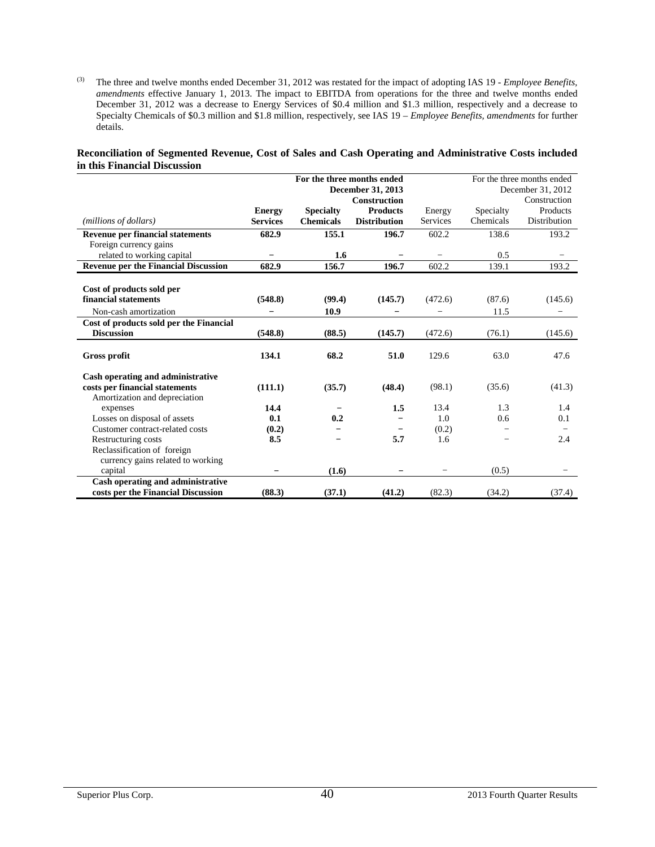(3) The three and twelve months ended December 31, 2012 was restated for the impact of adopting IAS 19 - *Employee Benefits, amendments* effective January 1, 2013. The impact to EBITDA from operations for the three and twelve months ended December 31, 2012 was a decrease to Energy Services of \$0.4 million and \$1.3 million, respectively and a decrease to Specialty Chemicals of \$0.3 million and \$1.8 million, respectively, see IAS 19 *– Employee Benefits, amendments* for further details.

#### **Reconciliation of Segmented Revenue, Cost of Sales and Cash Operating and Administrative Costs included in this Financial Discussion**

|                                                              | For the three months ended |                  |                                          |          |           | For the three months ended        |
|--------------------------------------------------------------|----------------------------|------------------|------------------------------------------|----------|-----------|-----------------------------------|
|                                                              |                            |                  | December 31, 2013<br><b>Construction</b> |          |           | December 31, 2012<br>Construction |
|                                                              | <b>Energy</b>              | <b>Specialty</b> | <b>Products</b>                          | Energy   | Specialty | Products                          |
| (millions of dollars)                                        | <b>Services</b>            | <b>Chemicals</b> | <b>Distribution</b>                      | Services | Chemicals | Distribution                      |
| Revenue per financial statements                             | 682.9                      | 155.1            | 196.7                                    | 602.2    | 138.6     | 193.2                             |
| Foreign currency gains                                       |                            |                  |                                          |          |           |                                   |
| related to working capital                                   |                            | 1.6              |                                          |          | 0.5       |                                   |
| <b>Revenue per the Financial Discussion</b>                  | 682.9                      | 156.7            | 196.7                                    | 602.2    | 139.1     | 193.2                             |
|                                                              |                            |                  |                                          |          |           |                                   |
| Cost of products sold per<br>financial statements            | (548.8)                    | (99.4)           | (145.7)                                  | (472.6)  | (87.6)    | (145.6)                           |
| Non-cash amortization                                        |                            | 10.9             |                                          |          | 11.5      |                                   |
|                                                              |                            |                  |                                          |          |           |                                   |
| Cost of products sold per the Financial<br><b>Discussion</b> | (548.8)                    | (88.5)           | (145.7)                                  | (472.6)  | (76.1)    | (145.6)                           |
|                                                              |                            |                  |                                          |          |           |                                   |
| <b>Gross profit</b>                                          | 134.1                      | 68.2             | 51.0                                     | 129.6    | 63.0      | 47.6                              |
| Cash operating and administrative                            |                            |                  |                                          |          |           |                                   |
| costs per financial statements                               | (111.1)                    | (35.7)           | (48.4)                                   | (98.1)   | (35.6)    | (41.3)                            |
| Amortization and depreciation                                |                            |                  |                                          |          |           |                                   |
| expenses                                                     | 14.4                       |                  | 1.5                                      | 13.4     | 1.3       | 1.4                               |
| Losses on disposal of assets                                 | 0.1                        | 0.2              |                                          | 1.0      | 0.6       | 0.1                               |
| Customer contract-related costs                              | (0.2)                      |                  |                                          | (0.2)    |           |                                   |
| Restructuring costs                                          | 8.5                        |                  | 5.7                                      | 1.6      |           | 2.4                               |
| Reclassification of foreign                                  |                            |                  |                                          |          |           |                                   |
| currency gains related to working                            |                            |                  |                                          |          |           |                                   |
| capital                                                      |                            | (1.6)            |                                          |          | (0.5)     |                                   |
| Cash operating and administrative                            |                            |                  |                                          |          |           |                                   |
| costs per the Financial Discussion                           | (88.3)                     | (37.1)           | (41.2)                                   | (82.3)   | (34.2)    | (37.4)                            |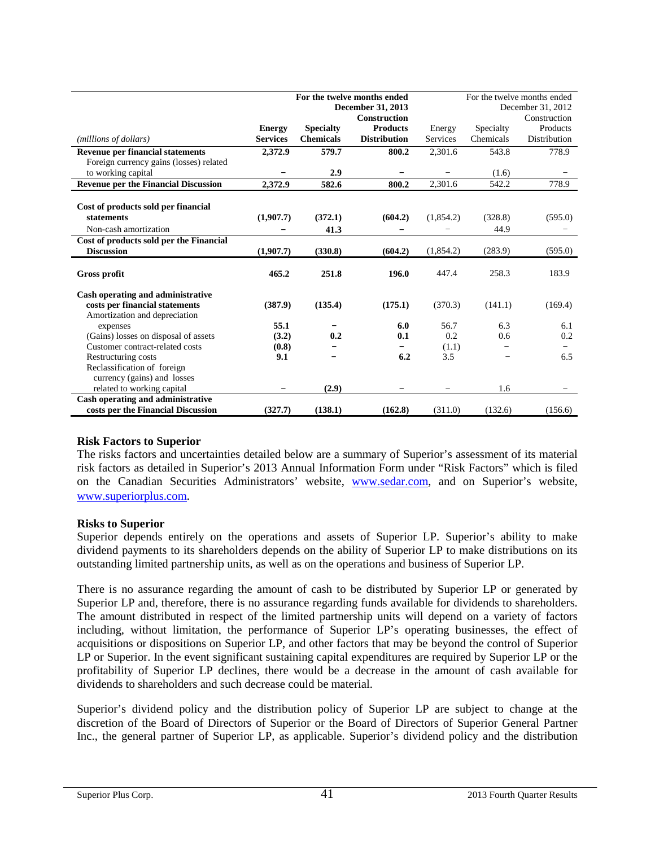|                                             |                 |                  | For the twelve months ended              |                 |           | For the twelve months ended       |
|---------------------------------------------|-----------------|------------------|------------------------------------------|-----------------|-----------|-----------------------------------|
|                                             |                 |                  | December 31, 2013<br><b>Construction</b> |                 |           | December 31, 2012<br>Construction |
|                                             | <b>Energy</b>   | <b>Specialty</b> | <b>Products</b>                          | Energy          | Specialty | Products                          |
| (millions of dollars)                       | <b>Services</b> | <b>Chemicals</b> | <b>Distribution</b>                      | <b>Services</b> | Chemicals | Distribution                      |
| <b>Revenue per financial statements</b>     | 2,372.9         | 579.7            | 800.2                                    | 2,301.6         | 543.8     | 778.9                             |
| Foreign currency gains (losses) related     |                 |                  |                                          |                 |           |                                   |
| to working capital                          |                 | 2.9              |                                          |                 | (1.6)     |                                   |
| <b>Revenue per the Financial Discussion</b> | 2,372.9         | 582.6            | 800.2                                    | 2,301.6         | 542.2     | 778.9                             |
|                                             |                 |                  |                                          |                 |           |                                   |
| Cost of products sold per financial         |                 |                  |                                          |                 |           |                                   |
| <b>statements</b>                           | (1,907.7)       | (372.1)          | (604.2)                                  | (1,854.2)       | (328.8)   | (595.0)                           |
| Non-cash amortization                       |                 | 41.3             |                                          |                 | 44.9      |                                   |
| Cost of products sold per the Financial     |                 |                  |                                          |                 |           |                                   |
| <b>Discussion</b>                           | (1,907.7)       | (330.8)          | (604.2)                                  | (1,854.2)       | (283.9)   | (595.0)                           |
| Gross profit                                | 465.2           | 251.8            | 196.0                                    | 447.4           | 258.3     | 183.9                             |
| Cash operating and administrative           |                 |                  |                                          |                 |           |                                   |
| costs per financial statements              | (387.9)         | (135.4)          | (175.1)                                  | (370.3)         | (141.1)   | (169.4)                           |
| Amortization and depreciation               |                 |                  |                                          |                 |           |                                   |
| expenses                                    | 55.1            |                  | 6.0                                      | 56.7            | 6.3       | 6.1                               |
| (Gains) losses on disposal of assets        | (3.2)           | 0.2              | 0.1                                      | 0.2             | 0.6       | 0.2                               |
| Customer contract-related costs             | (0.8)           |                  |                                          | (1.1)           |           |                                   |
| Restructuring costs                         | 9.1             |                  | 6.2                                      | 3.5             |           | 6.5                               |
| Reclassification of foreign                 |                 |                  |                                          |                 |           |                                   |
| currency (gains) and losses                 |                 |                  |                                          |                 |           |                                   |
| related to working capital                  |                 | (2.9)            |                                          |                 | 1.6       |                                   |
| Cash operating and administrative           |                 |                  |                                          |                 |           |                                   |
| costs per the Financial Discussion          | (327.7)         | (138.1)          | (162.8)                                  | (311.0)         | (132.6)   | (156.6)                           |

#### **Risk Factors to Superior**

The risks factors and uncertainties detailed below are a summary of Superior's assessment of its material risk factors as detailed in Superior's 2013 Annual Information Form under "Risk Factors" which is filed on the Canadian Securities Administrators' website, www.sedar.com, and on Superior's website, www.superiorplus.com.

#### **Risks to Superior**

Superior depends entirely on the operations and assets of Superior LP. Superior's ability to make dividend payments to its shareholders depends on the ability of Superior LP to make distributions on its outstanding limited partnership units, as well as on the operations and business of Superior LP.

There is no assurance regarding the amount of cash to be distributed by Superior LP or generated by Superior LP and, therefore, there is no assurance regarding funds available for dividends to shareholders. The amount distributed in respect of the limited partnership units will depend on a variety of factors including, without limitation, the performance of Superior LP's operating businesses, the effect of acquisitions or dispositions on Superior LP, and other factors that may be beyond the control of Superior LP or Superior. In the event significant sustaining capital expenditures are required by Superior LP or the profitability of Superior LP declines, there would be a decrease in the amount of cash available for dividends to shareholders and such decrease could be material.

Superior's dividend policy and the distribution policy of Superior LP are subject to change at the discretion of the Board of Directors of Superior or the Board of Directors of Superior General Partner Inc., the general partner of Superior LP, as applicable. Superior's dividend policy and the distribution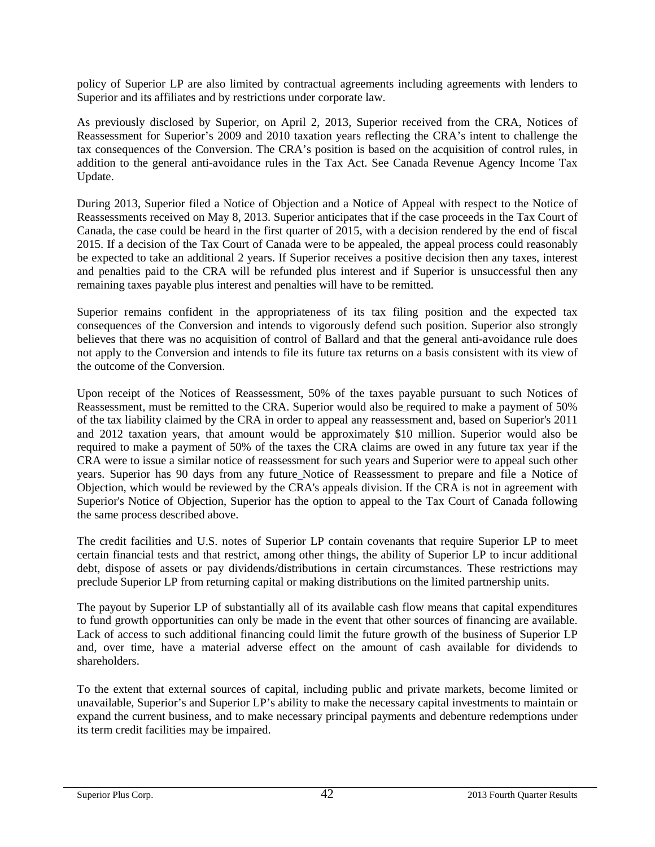policy of Superior LP are also limited by contractual agreements including agreements with lenders to Superior and its affiliates and by restrictions under corporate law.

As previously disclosed by Superior, on April 2, 2013, Superior received from the CRA, Notices of Reassessment for Superior's 2009 and 2010 taxation years reflecting the CRA's intent to challenge the tax consequences of the Conversion. The CRA's position is based on the acquisition of control rules, in addition to the general anti-avoidance rules in the Tax Act. See Canada Revenue Agency Income Tax Update.

During 2013, Superior filed a Notice of Objection and a Notice of Appeal with respect to the Notice of Reassessments received on May 8, 2013. Superior anticipates that if the case proceeds in the Tax Court of Canada, the case could be heard in the first quarter of 2015, with a decision rendered by the end of fiscal 2015. If a decision of the Tax Court of Canada were to be appealed, the appeal process could reasonably be expected to take an additional 2 years. If Superior receives a positive decision then any taxes, interest and penalties paid to the CRA will be refunded plus interest and if Superior is unsuccessful then any remaining taxes payable plus interest and penalties will have to be remitted.

Superior remains confident in the appropriateness of its tax filing position and the expected tax consequences of the Conversion and intends to vigorously defend such position. Superior also strongly believes that there was no acquisition of control of Ballard and that the general anti-avoidance rule does not apply to the Conversion and intends to file its future tax returns on a basis consistent with its view of the outcome of the Conversion.

Upon receipt of the Notices of Reassessment, 50% of the taxes payable pursuant to such Notices of Reassessment, must be remitted to the CRA. Superior would also be required to make a payment of 50% of the tax liability claimed by the CRA in order to appeal any reassessment and, based on Superior's 2011 and 2012 taxation years, that amount would be approximately \$10 million. Superior would also be required to make a payment of 50% of the taxes the CRA claims are owed in any future tax year if the CRA were to issue a similar notice of reassessment for such years and Superior were to appeal such other years. Superior has 90 days from any future Notice of Reassessment to prepare and file a Notice of Objection, which would be reviewed by the CRA's appeals division. If the CRA is not in agreement with Superior's Notice of Objection, Superior has the option to appeal to the Tax Court of Canada following the same process described above.

The credit facilities and U.S. notes of Superior LP contain covenants that require Superior LP to meet certain financial tests and that restrict, among other things, the ability of Superior LP to incur additional debt, dispose of assets or pay dividends/distributions in certain circumstances. These restrictions may preclude Superior LP from returning capital or making distributions on the limited partnership units.

The payout by Superior LP of substantially all of its available cash flow means that capital expenditures to fund growth opportunities can only be made in the event that other sources of financing are available. Lack of access to such additional financing could limit the future growth of the business of Superior LP and, over time, have a material adverse effect on the amount of cash available for dividends to shareholders.

To the extent that external sources of capital, including public and private markets, become limited or unavailable, Superior's and Superior LP's ability to make the necessary capital investments to maintain or expand the current business, and to make necessary principal payments and debenture redemptions under its term credit facilities may be impaired.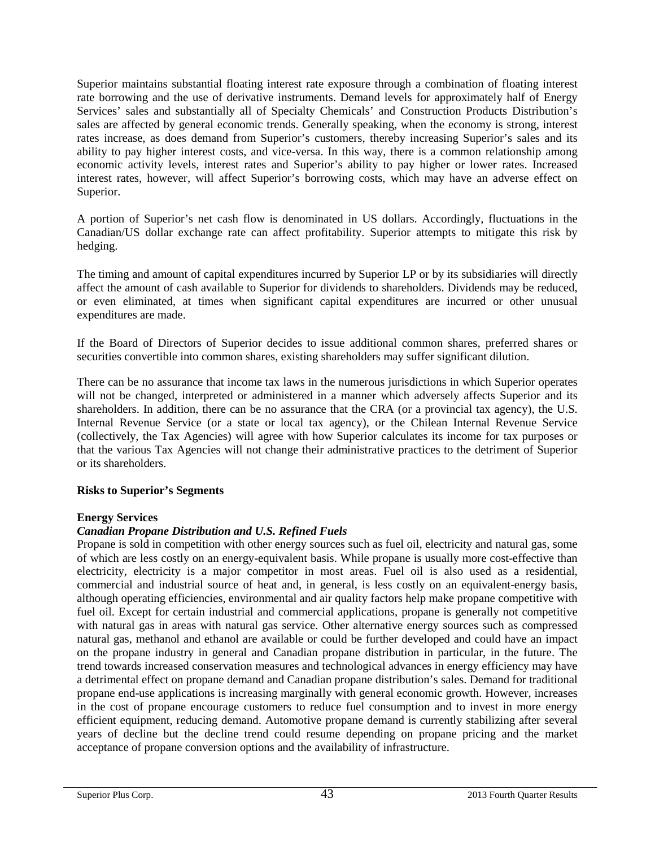Superior maintains substantial floating interest rate exposure through a combination of floating interest rate borrowing and the use of derivative instruments. Demand levels for approximately half of Energy Services' sales and substantially all of Specialty Chemicals' and Construction Products Distribution's sales are affected by general economic trends. Generally speaking, when the economy is strong, interest rates increase, as does demand from Superior's customers, thereby increasing Superior's sales and its ability to pay higher interest costs, and vice-versa. In this way, there is a common relationship among economic activity levels, interest rates and Superior's ability to pay higher or lower rates. Increased interest rates, however, will affect Superior's borrowing costs, which may have an adverse effect on Superior.

A portion of Superior's net cash flow is denominated in US dollars. Accordingly, fluctuations in the Canadian/US dollar exchange rate can affect profitability. Superior attempts to mitigate this risk by hedging.

The timing and amount of capital expenditures incurred by Superior LP or by its subsidiaries will directly affect the amount of cash available to Superior for dividends to shareholders. Dividends may be reduced, or even eliminated, at times when significant capital expenditures are incurred or other unusual expenditures are made.

If the Board of Directors of Superior decides to issue additional common shares, preferred shares or securities convertible into common shares, existing shareholders may suffer significant dilution.

There can be no assurance that income tax laws in the numerous jurisdictions in which Superior operates will not be changed, interpreted or administered in a manner which adversely affects Superior and its shareholders. In addition, there can be no assurance that the CRA (or a provincial tax agency), the U.S. Internal Revenue Service (or a state or local tax agency), or the Chilean Internal Revenue Service (collectively, the Tax Agencies) will agree with how Superior calculates its income for tax purposes or that the various Tax Agencies will not change their administrative practices to the detriment of Superior or its shareholders.

### **Risks to Superior's Segments**

#### **Energy Services**

### *Canadian Propane Distribution and U.S. Refined Fuels*

Propane is sold in competition with other energy sources such as fuel oil, electricity and natural gas, some of which are less costly on an energy-equivalent basis. While propane is usually more cost-effective than electricity, electricity is a major competitor in most areas. Fuel oil is also used as a residential, commercial and industrial source of heat and, in general, is less costly on an equivalent-energy basis, although operating efficiencies, environmental and air quality factors help make propane competitive with fuel oil. Except for certain industrial and commercial applications, propane is generally not competitive with natural gas in areas with natural gas service. Other alternative energy sources such as compressed natural gas, methanol and ethanol are available or could be further developed and could have an impact on the propane industry in general and Canadian propane distribution in particular, in the future. The trend towards increased conservation measures and technological advances in energy efficiency may have a detrimental effect on propane demand and Canadian propane distribution's sales. Demand for traditional propane end-use applications is increasing marginally with general economic growth. However, increases in the cost of propane encourage customers to reduce fuel consumption and to invest in more energy efficient equipment, reducing demand. Automotive propane demand is currently stabilizing after several years of decline but the decline trend could resume depending on propane pricing and the market acceptance of propane conversion options and the availability of infrastructure.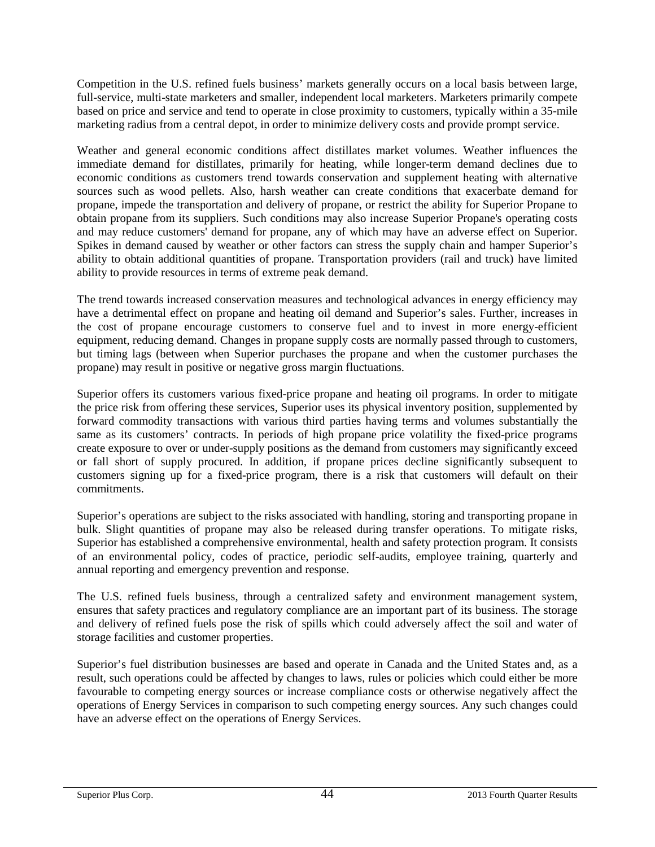Competition in the U.S. refined fuels business' markets generally occurs on a local basis between large, full-service, multi-state marketers and smaller, independent local marketers. Marketers primarily compete based on price and service and tend to operate in close proximity to customers, typically within a 35-mile marketing radius from a central depot, in order to minimize delivery costs and provide prompt service.

Weather and general economic conditions affect distillates market volumes. Weather influences the immediate demand for distillates, primarily for heating, while longer-term demand declines due to economic conditions as customers trend towards conservation and supplement heating with alternative sources such as wood pellets. Also, harsh weather can create conditions that exacerbate demand for propane, impede the transportation and delivery of propane, or restrict the ability for Superior Propane to obtain propane from its suppliers. Such conditions may also increase Superior Propane's operating costs and may reduce customers' demand for propane, any of which may have an adverse effect on Superior. Spikes in demand caused by weather or other factors can stress the supply chain and hamper Superior's ability to obtain additional quantities of propane. Transportation providers (rail and truck) have limited ability to provide resources in terms of extreme peak demand.

The trend towards increased conservation measures and technological advances in energy efficiency may have a detrimental effect on propane and heating oil demand and Superior's sales. Further, increases in the cost of propane encourage customers to conserve fuel and to invest in more energy-efficient equipment, reducing demand. Changes in propane supply costs are normally passed through to customers, but timing lags (between when Superior purchases the propane and when the customer purchases the propane) may result in positive or negative gross margin fluctuations.

Superior offers its customers various fixed-price propane and heating oil programs. In order to mitigate the price risk from offering these services, Superior uses its physical inventory position, supplemented by forward commodity transactions with various third parties having terms and volumes substantially the same as its customers' contracts. In periods of high propane price volatility the fixed-price programs create exposure to over or under-supply positions as the demand from customers may significantly exceed or fall short of supply procured. In addition, if propane prices decline significantly subsequent to customers signing up for a fixed-price program, there is a risk that customers will default on their commitments.

Superior's operations are subject to the risks associated with handling, storing and transporting propane in bulk. Slight quantities of propane may also be released during transfer operations. To mitigate risks, Superior has established a comprehensive environmental, health and safety protection program. It consists of an environmental policy, codes of practice, periodic self-audits, employee training, quarterly and annual reporting and emergency prevention and response.

The U.S. refined fuels business, through a centralized safety and environment management system, ensures that safety practices and regulatory compliance are an important part of its business. The storage and delivery of refined fuels pose the risk of spills which could adversely affect the soil and water of storage facilities and customer properties.

Superior's fuel distribution businesses are based and operate in Canada and the United States and, as a result, such operations could be affected by changes to laws, rules or policies which could either be more favourable to competing energy sources or increase compliance costs or otherwise negatively affect the operations of Energy Services in comparison to such competing energy sources. Any such changes could have an adverse effect on the operations of Energy Services.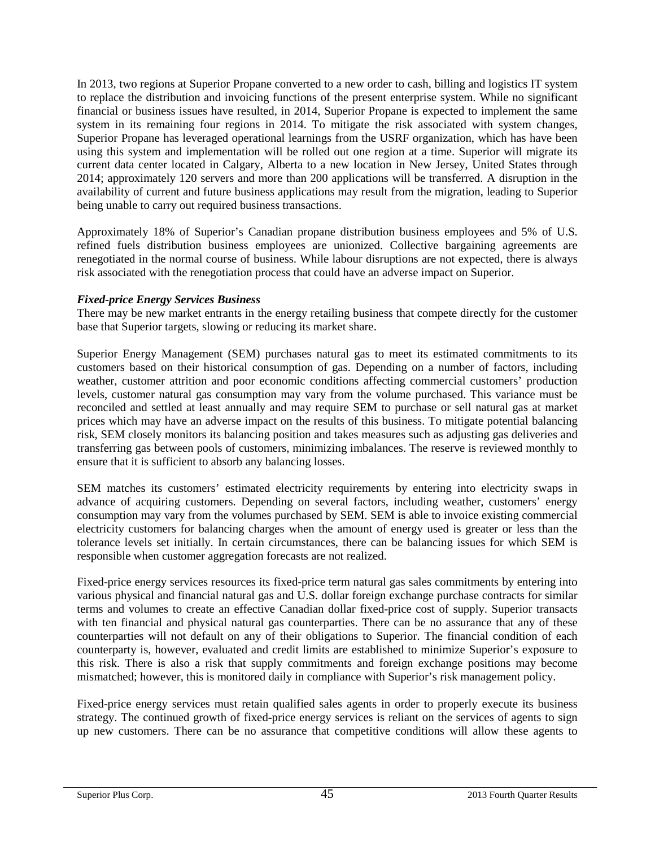In 2013, two regions at Superior Propane converted to a new order to cash, billing and logistics IT system to replace the distribution and invoicing functions of the present enterprise system. While no significant financial or business issues have resulted, in 2014, Superior Propane is expected to implement the same system in its remaining four regions in 2014. To mitigate the risk associated with system changes, Superior Propane has leveraged operational learnings from the USRF organization, which has have been using this system and implementation will be rolled out one region at a time. Superior will migrate its current data center located in Calgary, Alberta to a new location in New Jersey, United States through 2014; approximately 120 servers and more than 200 applications will be transferred. A disruption in the availability of current and future business applications may result from the migration, leading to Superior being unable to carry out required business transactions.

Approximately 18% of Superior's Canadian propane distribution business employees and 5% of U.S. refined fuels distribution business employees are unionized. Collective bargaining agreements are renegotiated in the normal course of business. While labour disruptions are not expected, there is always risk associated with the renegotiation process that could have an adverse impact on Superior.

### *Fixed-price Energy Services Business*

There may be new market entrants in the energy retailing business that compete directly for the customer base that Superior targets, slowing or reducing its market share.

Superior Energy Management (SEM) purchases natural gas to meet its estimated commitments to its customers based on their historical consumption of gas. Depending on a number of factors, including weather, customer attrition and poor economic conditions affecting commercial customers' production levels, customer natural gas consumption may vary from the volume purchased. This variance must be reconciled and settled at least annually and may require SEM to purchase or sell natural gas at market prices which may have an adverse impact on the results of this business. To mitigate potential balancing risk, SEM closely monitors its balancing position and takes measures such as adjusting gas deliveries and transferring gas between pools of customers, minimizing imbalances. The reserve is reviewed monthly to ensure that it is sufficient to absorb any balancing losses.

SEM matches its customers' estimated electricity requirements by entering into electricity swaps in advance of acquiring customers. Depending on several factors, including weather, customers' energy consumption may vary from the volumes purchased by SEM. SEM is able to invoice existing commercial electricity customers for balancing charges when the amount of energy used is greater or less than the tolerance levels set initially. In certain circumstances, there can be balancing issues for which SEM is responsible when customer aggregation forecasts are not realized.

Fixed-price energy services resources its fixed-price term natural gas sales commitments by entering into various physical and financial natural gas and U.S. dollar foreign exchange purchase contracts for similar terms and volumes to create an effective Canadian dollar fixed-price cost of supply. Superior transacts with ten financial and physical natural gas counterparties. There can be no assurance that any of these counterparties will not default on any of their obligations to Superior. The financial condition of each counterparty is, however, evaluated and credit limits are established to minimize Superior's exposure to this risk. There is also a risk that supply commitments and foreign exchange positions may become mismatched; however, this is monitored daily in compliance with Superior's risk management policy.

Fixed-price energy services must retain qualified sales agents in order to properly execute its business strategy. The continued growth of fixed-price energy services is reliant on the services of agents to sign up new customers. There can be no assurance that competitive conditions will allow these agents to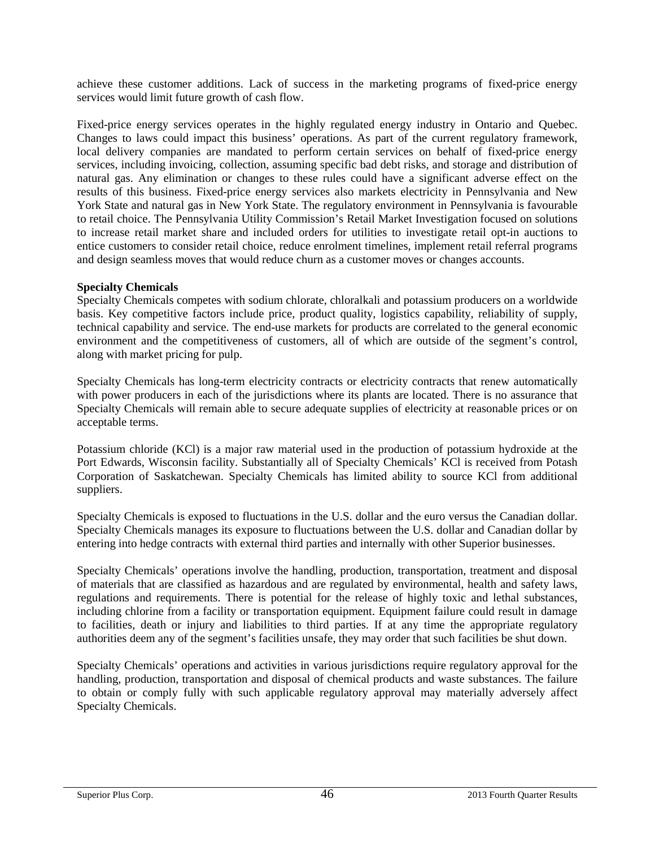achieve these customer additions. Lack of success in the marketing programs of fixed-price energy services would limit future growth of cash flow.

Fixed-price energy services operates in the highly regulated energy industry in Ontario and Quebec. Changes to laws could impact this business' operations. As part of the current regulatory framework, local delivery companies are mandated to perform certain services on behalf of fixed-price energy services, including invoicing, collection, assuming specific bad debt risks, and storage and distribution of natural gas. Any elimination or changes to these rules could have a significant adverse effect on the results of this business. Fixed-price energy services also markets electricity in Pennsylvania and New York State and natural gas in New York State. The regulatory environment in Pennsylvania is favourable to retail choice. The Pennsylvania Utility Commission's Retail Market Investigation focused on solutions to increase retail market share and included orders for utilities to investigate retail opt-in auctions to entice customers to consider retail choice, reduce enrolment timelines, implement retail referral programs and design seamless moves that would reduce churn as a customer moves or changes accounts.

### **Specialty Chemicals**

Specialty Chemicals competes with sodium chlorate, chloralkali and potassium producers on a worldwide basis. Key competitive factors include price, product quality, logistics capability, reliability of supply, technical capability and service. The end-use markets for products are correlated to the general economic environment and the competitiveness of customers, all of which are outside of the segment's control, along with market pricing for pulp.

Specialty Chemicals has long-term electricity contracts or electricity contracts that renew automatically with power producers in each of the jurisdictions where its plants are located. There is no assurance that Specialty Chemicals will remain able to secure adequate supplies of electricity at reasonable prices or on acceptable terms.

Potassium chloride (KCl) is a major raw material used in the production of potassium hydroxide at the Port Edwards, Wisconsin facility. Substantially all of Specialty Chemicals' KCl is received from Potash Corporation of Saskatchewan. Specialty Chemicals has limited ability to source KCl from additional suppliers.

Specialty Chemicals is exposed to fluctuations in the U.S. dollar and the euro versus the Canadian dollar. Specialty Chemicals manages its exposure to fluctuations between the U.S. dollar and Canadian dollar by entering into hedge contracts with external third parties and internally with other Superior businesses.

Specialty Chemicals' operations involve the handling, production, transportation, treatment and disposal of materials that are classified as hazardous and are regulated by environmental, health and safety laws, regulations and requirements. There is potential for the release of highly toxic and lethal substances, including chlorine from a facility or transportation equipment. Equipment failure could result in damage to facilities, death or injury and liabilities to third parties. If at any time the appropriate regulatory authorities deem any of the segment's facilities unsafe, they may order that such facilities be shut down.

Specialty Chemicals' operations and activities in various jurisdictions require regulatory approval for the handling, production, transportation and disposal of chemical products and waste substances. The failure to obtain or comply fully with such applicable regulatory approval may materially adversely affect Specialty Chemicals.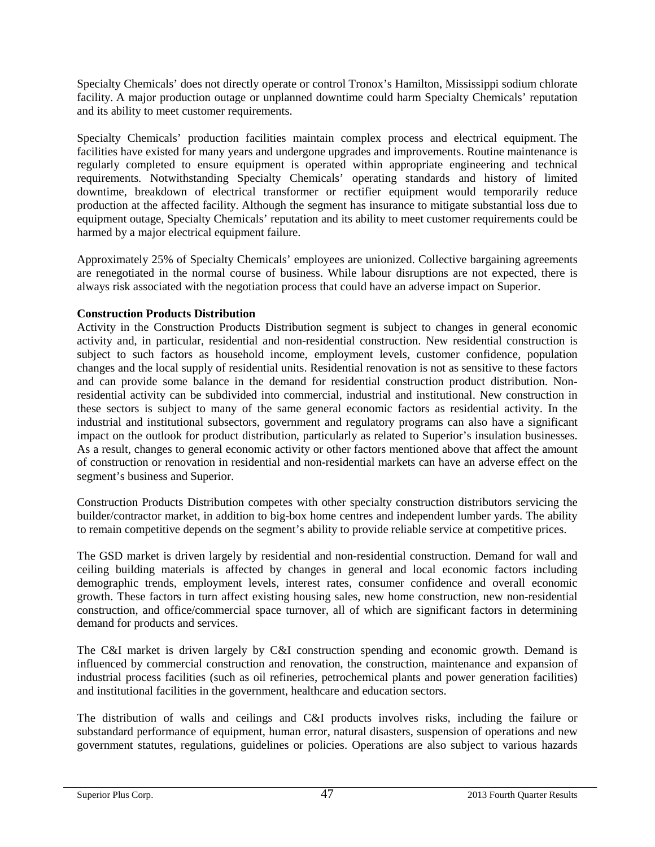Specialty Chemicals' does not directly operate or control Tronox's Hamilton, Mississippi sodium chlorate facility. A major production outage or unplanned downtime could harm Specialty Chemicals' reputation and its ability to meet customer requirements.

Specialty Chemicals' production facilities maintain complex process and electrical equipment. The facilities have existed for many years and undergone upgrades and improvements. Routine maintenance is regularly completed to ensure equipment is operated within appropriate engineering and technical requirements. Notwithstanding Specialty Chemicals' operating standards and history of limited downtime, breakdown of electrical transformer or rectifier equipment would temporarily reduce production at the affected facility. Although the segment has insurance to mitigate substantial loss due to equipment outage, Specialty Chemicals' reputation and its ability to meet customer requirements could be harmed by a major electrical equipment failure.

Approximately 25% of Specialty Chemicals' employees are unionized. Collective bargaining agreements are renegotiated in the normal course of business. While labour disruptions are not expected, there is always risk associated with the negotiation process that could have an adverse impact on Superior.

# **Construction Products Distribution**

Activity in the Construction Products Distribution segment is subject to changes in general economic activity and, in particular, residential and non-residential construction. New residential construction is subject to such factors as household income, employment levels, customer confidence, population changes and the local supply of residential units. Residential renovation is not as sensitive to these factors and can provide some balance in the demand for residential construction product distribution. Nonresidential activity can be subdivided into commercial, industrial and institutional. New construction in these sectors is subject to many of the same general economic factors as residential activity. In the industrial and institutional subsectors, government and regulatory programs can also have a significant impact on the outlook for product distribution, particularly as related to Superior's insulation businesses. As a result, changes to general economic activity or other factors mentioned above that affect the amount of construction or renovation in residential and non-residential markets can have an adverse effect on the segment's business and Superior.

Construction Products Distribution competes with other specialty construction distributors servicing the builder/contractor market, in addition to big-box home centres and independent lumber yards. The ability to remain competitive depends on the segment's ability to provide reliable service at competitive prices.

The GSD market is driven largely by residential and non-residential construction. Demand for wall and ceiling building materials is affected by changes in general and local economic factors including demographic trends, employment levels, interest rates, consumer confidence and overall economic growth. These factors in turn affect existing housing sales, new home construction, new non-residential construction, and office/commercial space turnover, all of which are significant factors in determining demand for products and services.

The C&I market is driven largely by C&I construction spending and economic growth. Demand is influenced by commercial construction and renovation, the construction, maintenance and expansion of industrial process facilities (such as oil refineries, petrochemical plants and power generation facilities) and institutional facilities in the government, healthcare and education sectors.

The distribution of walls and ceilings and C&I products involves risks, including the failure or substandard performance of equipment, human error, natural disasters, suspension of operations and new government statutes, regulations, guidelines or policies. Operations are also subject to various hazards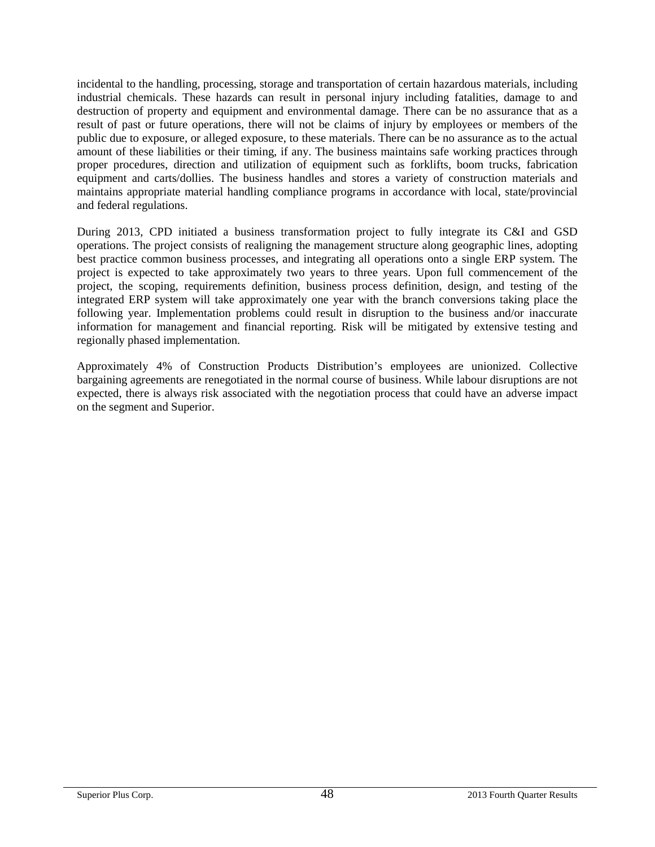incidental to the handling, processing, storage and transportation of certain hazardous materials, including industrial chemicals. These hazards can result in personal injury including fatalities, damage to and destruction of property and equipment and environmental damage. There can be no assurance that as a result of past or future operations, there will not be claims of injury by employees or members of the public due to exposure, or alleged exposure, to these materials. There can be no assurance as to the actual amount of these liabilities or their timing, if any. The business maintains safe working practices through proper procedures, direction and utilization of equipment such as forklifts, boom trucks, fabrication equipment and carts/dollies. The business handles and stores a variety of construction materials and maintains appropriate material handling compliance programs in accordance with local, state/provincial and federal regulations.

During 2013, CPD initiated a business transformation project to fully integrate its C&I and GSD operations. The project consists of realigning the management structure along geographic lines, adopting best practice common business processes, and integrating all operations onto a single ERP system. The project is expected to take approximately two years to three years. Upon full commencement of the project, the scoping, requirements definition, business process definition, design, and testing of the integrated ERP system will take approximately one year with the branch conversions taking place the following year. Implementation problems could result in disruption to the business and/or inaccurate information for management and financial reporting. Risk will be mitigated by extensive testing and regionally phased implementation.

Approximately 4% of Construction Products Distribution's employees are unionized. Collective bargaining agreements are renegotiated in the normal course of business. While labour disruptions are not expected, there is always risk associated with the negotiation process that could have an adverse impact on the segment and Superior.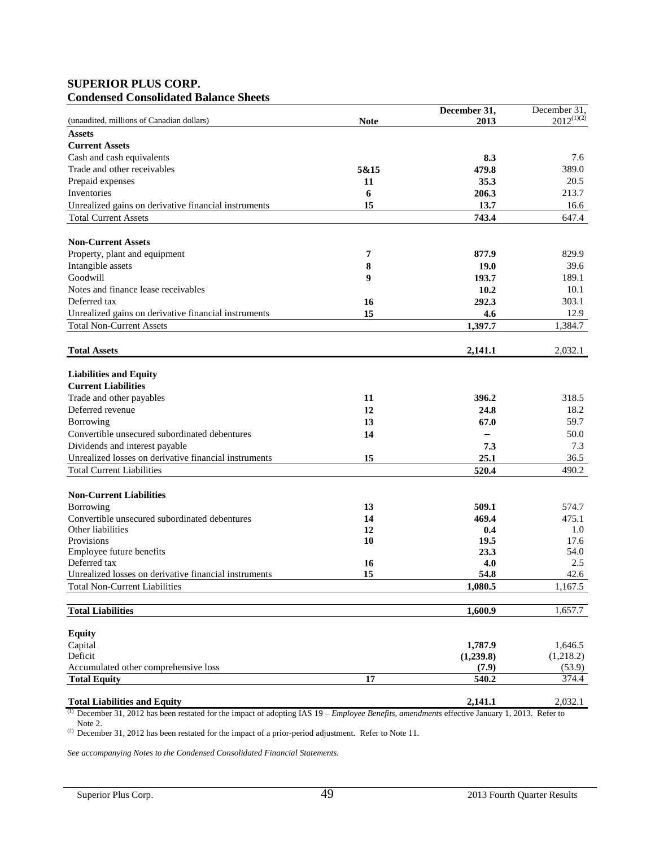#### **SUPERIOR PLUS CORP. Condensed Consolidated Balance Sheets**

|                                                       |             | December 31,             | December 31,    |
|-------------------------------------------------------|-------------|--------------------------|-----------------|
| (unaudited, millions of Canadian dollars)             | <b>Note</b> | 2013                     | $2012^{(1)(2)}$ |
| <b>Assets</b>                                         |             |                          |                 |
| <b>Current Assets</b>                                 |             |                          |                 |
| Cash and cash equivalents                             |             | 8.3                      | 7.6             |
| Trade and other receivables                           | 5&15        | 479.8                    | 389.0           |
| Prepaid expenses                                      | 11          | 35.3                     | 20.5            |
| Inventories                                           | 6           | 206.3                    | 213.7           |
| Unrealized gains on derivative financial instruments  | 15          | 13.7                     | 16.6            |
| <b>Total Current Assets</b>                           |             | 743.4                    | 647.4           |
|                                                       |             |                          |                 |
| <b>Non-Current Assets</b>                             |             |                          |                 |
| Property, plant and equipment                         | 7           | 877.9                    | 829.9           |
| Intangible assets                                     | 8           | <b>19.0</b>              | 39.6            |
| Goodwill                                              | 9           | 193.7                    | 189.1           |
| Notes and finance lease receivables                   |             | 10.2                     | 10.1            |
| Deferred tax                                          | 16          | 292.3                    | 303.1           |
| Unrealized gains on derivative financial instruments  | 15          | 4.6                      | 12.9            |
| <b>Total Non-Current Assets</b>                       |             | 1,397.7                  | 1,384.7         |
| <b>Total Assets</b>                                   |             | 2,141.1                  | 2,032.1         |
|                                                       |             |                          |                 |
| <b>Liabilities and Equity</b>                         |             |                          |                 |
| <b>Current Liabilities</b>                            |             |                          |                 |
| Trade and other payables                              | 11          | 396.2                    | 318.5           |
| Deferred revenue                                      | 12          | 24.8                     | 18.2            |
| Borrowing                                             | 13          | 67.0                     | 59.7            |
| Convertible unsecured subordinated debentures         | 14          | $\overline{\phantom{0}}$ | 50.0            |
| Dividends and interest payable                        |             | 7.3                      | 7.3             |
| Unrealized losses on derivative financial instruments | 15          | 25.1                     | 36.5            |
| <b>Total Current Liabilities</b>                      |             | 520.4                    | 490.2           |
|                                                       |             |                          |                 |
| <b>Non-Current Liabilities</b>                        |             |                          |                 |
| Borrowing                                             | 13          | 509.1                    | 574.7           |
| Convertible unsecured subordinated debentures         | 14          | 469.4                    | 475.1           |
| Other liabilities                                     | 12          | 0.4                      | 1.0             |
| Provisions                                            | 10          | 19.5                     | 17.6            |
| Employee future benefits<br>Deferred tax              |             | 23.3                     | 54.0            |
| Unrealized losses on derivative financial instruments | 16<br>15    | 4.0<br>54.8              | 2.5<br>42.6     |
| <b>Total Non-Current Liabilities</b>                  |             | 1,080.5                  | 1,167.5         |
|                                                       |             |                          |                 |
| <b>Total Liabilities</b>                              |             | 1,600.9                  | 1,657.7         |
| <b>Equity</b>                                         |             |                          |                 |
| Capital                                               |             | 1,787.9                  | 1,646.5         |
| Deficit                                               |             | (1,239.8)                | (1,218.2)       |
| Accumulated other comprehensive loss                  |             | (7.9)                    | (53.9)          |
| <b>Total Equity</b>                                   | 17          | 540.2                    | 374.4           |
|                                                       |             |                          |                 |
| <b>Total Liabilities and Equity</b>                   |             | 2,141.1                  | 2,032.1         |

(1) December 31, 2012 has been restated for the impact of adopting IAS 19 – *Employee Benefits, amendments* effective January 1, 2013. Refer to Note 2.

(2) December 31, 2012 has been restated for the impact of a prior-period adjustment. Refer to Note 11.

*See accompanying Notes to the Condensed Consolidated Financial Statements.*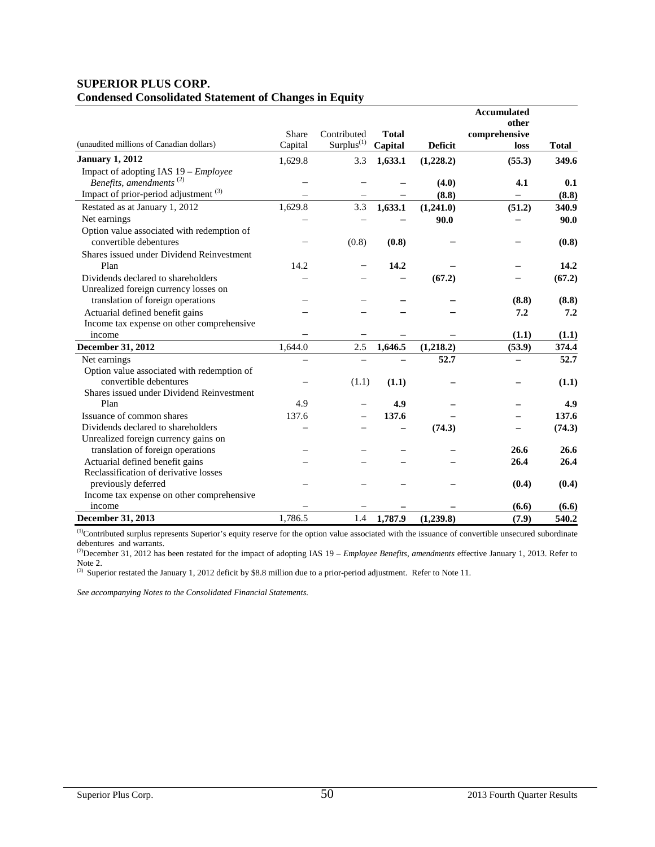### **SUPERIOR PLUS CORP. Condensed Consolidated Statement of Changes in Equity**

|                                                  |         |                        |              |                | <b>Accumulated</b><br>other |              |
|--------------------------------------------------|---------|------------------------|--------------|----------------|-----------------------------|--------------|
|                                                  | Share   | Contributed            | <b>Total</b> |                | comprehensive               |              |
| (unaudited millions of Canadian dollars)         | Capital | Surplus <sup>(1)</sup> | Capital      | <b>Deficit</b> | loss                        | <b>Total</b> |
| <b>January 1, 2012</b>                           | 1,629.8 | 3.3                    | 1,633.1      | (1,228.2)      | (55.3)                      | 349.6        |
| Impact of adopting IAS 19 - Employee             |         |                        |              |                |                             |              |
| Benefits, amendments <sup>(2)</sup>              |         |                        |              | (4.0)          | 4.1                         | 0.1          |
| Impact of prior-period adjustment <sup>(3)</sup> |         |                        |              | (8.8)          | -                           | (8.8)        |
| Restated as at January 1, 2012                   | 1,629.8 | 3.3                    | 1,633.1      | (1,241.0)      | (51.2)                      | 340.9        |
| Net earnings                                     |         |                        |              | 90.0           |                             | 90.0         |
| Option value associated with redemption of       |         |                        |              |                |                             |              |
| convertible debentures                           |         | (0.8)                  | (0.8)        |                |                             | (0.8)        |
| Shares issued under Dividend Reinvestment        |         |                        |              |                |                             |              |
| Plan                                             | 14.2    |                        | 14.2         |                |                             | 14.2         |
| Dividends declared to shareholders               |         |                        |              | (67.2)         |                             | (67.2)       |
| Unrealized foreign currency losses on            |         |                        |              |                |                             |              |
| translation of foreign operations                |         |                        |              |                | (8.8)                       | (8.8)        |
| Actuarial defined benefit gains                  |         |                        |              |                | 7.2                         | 7.2          |
| Income tax expense on other comprehensive        |         |                        |              |                |                             |              |
| income                                           |         |                        |              |                | (1.1)                       | (1.1)        |
| <b>December 31, 2012</b>                         | 1,644.0 | 2.5                    | 1,646.5      | (1,218.2)      | (53.9)                      | 374.4        |
| Net earnings                                     |         |                        |              | 52.7           | -                           | 52.7         |
| Option value associated with redemption of       |         |                        |              |                |                             |              |
| convertible debentures                           |         | (1.1)                  | (1.1)        |                |                             | (1.1)        |
| Shares issued under Dividend Reinvestment        |         |                        |              |                |                             |              |
| Plan                                             | 4.9     |                        | 4.9          |                |                             | 4.9          |
| Issuance of common shares                        | 137.6   |                        | 137.6        |                |                             | 137.6        |
| Dividends declared to shareholders               |         |                        |              | (74.3)         |                             | (74.3)       |
| Unrealized foreign currency gains on             |         |                        |              |                |                             |              |
| translation of foreign operations                |         |                        |              |                | 26.6                        | 26.6         |
| Actuarial defined benefit gains                  |         |                        |              |                | 26.4                        | 26.4         |
| Reclassification of derivative losses            |         |                        |              |                |                             |              |
| previously deferred                              |         |                        |              |                | (0.4)                       | (0.4)        |
| Income tax expense on other comprehensive        |         |                        |              |                |                             |              |
| income                                           |         |                        |              |                | (6.6)                       | (6.6)        |
| December 31, 2013                                | 1,786.5 | 1.4                    | 1,787.9      | (1,239.8)      | (7.9)                       | 540.2        |

(1)Contributed surplus represents Superior's equity reserve for the option value associated with the issuance of convertible unsecured subordinate debentures and warrants.

(2)December 31, 2012 has been restated for the impact of adopting IAS 19 – *Employee Benefits, amendments* effective January 1, 2013. Refer to

Note 2.<br><sup>(3)</sup> Superior restated the January 1, 2012 deficit by \$8.8 million due to a prior-period adjustment. Refer to Note 11.

*See accompanying Notes to the Consolidated Financial Statements.*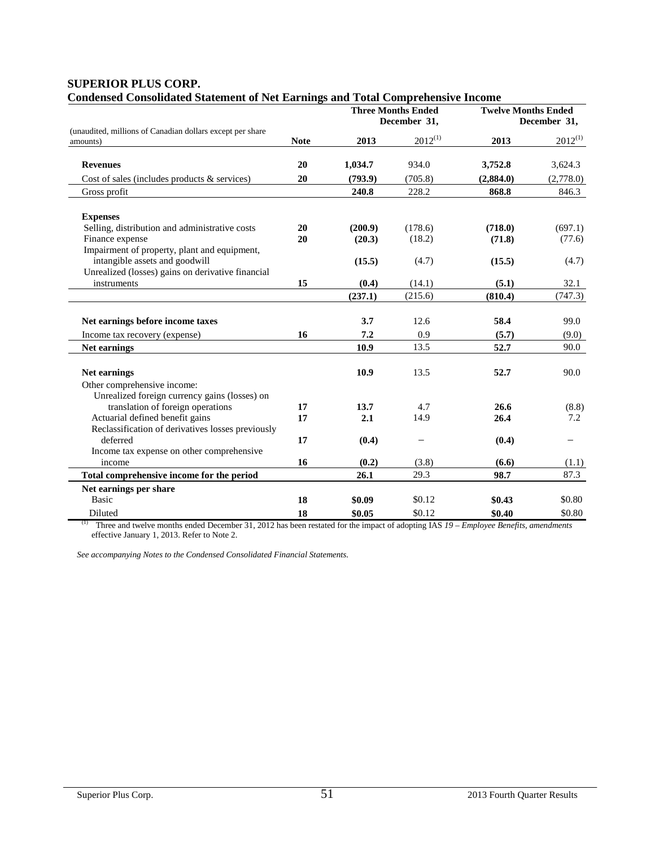# **SUPERIOR PLUS CORP.**

| <b>Condensed Consolidated Statement of Net Earnings and Total Comprehensive Income</b> |             |                           |              |                            |              |  |  |
|----------------------------------------------------------------------------------------|-------------|---------------------------|--------------|----------------------------|--------------|--|--|
|                                                                                        |             | <b>Three Months Ended</b> |              | <b>Twelve Months Ended</b> |              |  |  |
|                                                                                        |             |                           | December 31, |                            | December 31, |  |  |
| (unaudited, millions of Canadian dollars except per share<br>amounts)                  | <b>Note</b> | 2013                      | $2012^{(1)}$ | 2013                       | $2012^{(1)}$ |  |  |
|                                                                                        |             |                           |              |                            |              |  |  |
| <b>Revenues</b>                                                                        | 20          | 1,034.7                   | 934.0        | 3,752.8                    | 3,624.3      |  |  |
| Cost of sales (includes products $&$ services)                                         | 20          | (793.9)                   | (705.8)      | (2,884.0)                  | (2,778.0)    |  |  |
| Gross profit                                                                           |             | 240.8                     | 228.2        | 868.8                      | 846.3        |  |  |
| <b>Expenses</b>                                                                        |             |                           |              |                            |              |  |  |
| Selling, distribution and administrative costs                                         | 20          | (200.9)                   | (178.6)      | (718.0)                    | (697.1)      |  |  |
| Finance expense                                                                        | 20          | (20.3)                    | (18.2)       | (71.8)                     | (77.6)       |  |  |
| Impairment of property, plant and equipment,<br>intangible assets and goodwill         |             | (15.5)                    | (4.7)        | (15.5)                     | (4.7)        |  |  |
| Unrealized (losses) gains on derivative financial                                      |             |                           |              |                            |              |  |  |
| instruments                                                                            | 15          | (0.4)                     | (14.1)       | (5.1)                      | 32.1         |  |  |
|                                                                                        |             | (237.1)                   | (215.6)      | (810.4)                    | (747.3)      |  |  |
| Net earnings before income taxes                                                       |             | 3.7                       | 12.6         | 58.4                       | 99.0         |  |  |
| Income tax recovery (expense)                                                          | 16          | 7.2                       | 0.9          | (5.7)                      | (9.0)        |  |  |
| Net earnings                                                                           |             | 10.9                      | 13.5         | 52.7                       | 90.0         |  |  |
| Net earnings                                                                           |             | 10.9                      | 13.5         | 52.7                       | 90.0         |  |  |
| Other comprehensive income:                                                            |             |                           |              |                            |              |  |  |
| Unrealized foreign currency gains (losses) on                                          |             |                           |              | 26.6                       |              |  |  |
| translation of foreign operations<br>Actuarial defined benefit gains                   | 17<br>17    | 13.7<br>2.1               | 4.7<br>14.9  | 26.4                       | (8.8)<br>7.2 |  |  |
| Reclassification of derivatives losses previously                                      |             |                           |              |                            |              |  |  |
| deferred                                                                               | 17          | (0.4)                     |              | (0.4)                      | —            |  |  |
| Income tax expense on other comprehensive                                              |             |                           |              |                            |              |  |  |
| income                                                                                 | 16          | (0.2)                     | (3.8)        | (6.6)                      | (1.1)        |  |  |
| Total comprehensive income for the period                                              |             | 26.1                      | 29.3         | 98.7                       | 87.3         |  |  |
| Net earnings per share                                                                 |             |                           |              |                            |              |  |  |
| Basic                                                                                  | 18          | \$0.09                    | \$0.12       | \$0.43                     | \$0.80       |  |  |
| Diluted                                                                                | 18          | \$0.05                    | \$0.12       | \$0.40                     | \$0.80       |  |  |

(1) Three and twelve months ended December 31, 2012 has been restated for the impact of adopting IAS *19 – Employee Benefits, amendments* effective January 1, 2013. Refer to Note 2.

*See accompanying Notes to the Condensed Consolidated Financial Statements.*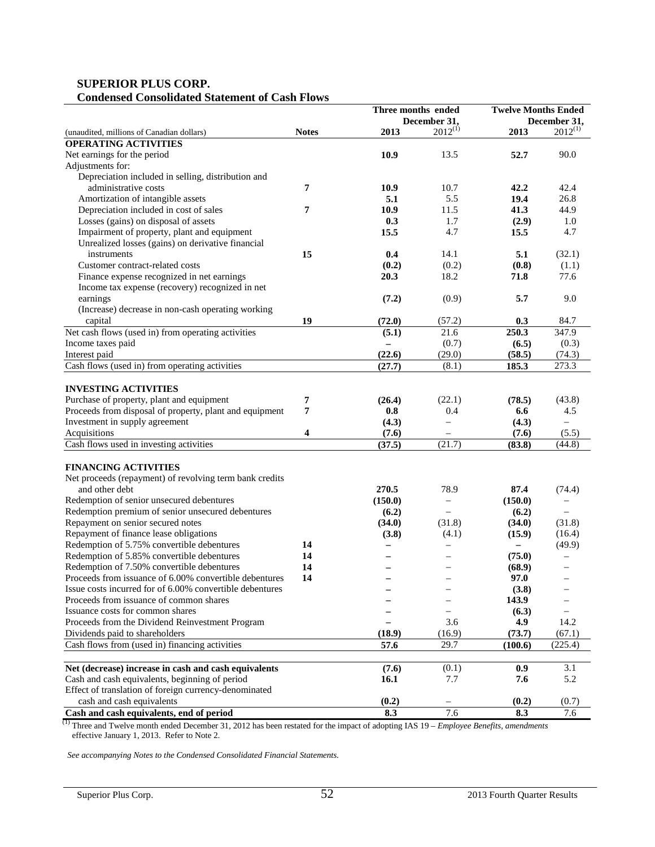#### **SUPERIOR PLUS CORP. Condensed Consolidated Statement of Cash Flows**

|                                                          |              |         | Three months ended                                   |                         | <b>Twelve Months Ended</b>                    |
|----------------------------------------------------------|--------------|---------|------------------------------------------------------|-------------------------|-----------------------------------------------|
|                                                          |              |         | December 31,                                         |                         | December 31,                                  |
| (unaudited, millions of Canadian dollars)                | <b>Notes</b> | 2013    | $2012^{(1)}$                                         | 2013                    | $2012^{(1)}$                                  |
| <b>OPERATING ACTIVITIES</b>                              |              |         |                                                      |                         |                                               |
| Net earnings for the period                              |              | 10.9    | 13.5                                                 | 52.7                    | 90.0                                          |
| Adjustments for:                                         |              |         |                                                      |                         |                                               |
| Depreciation included in selling, distribution and       |              |         |                                                      |                         |                                               |
| administrative costs                                     | 7            | 10.9    | 10.7                                                 | 42.2                    | 42.4                                          |
| Amortization of intangible assets                        |              | 5.1     | 5.5                                                  | 19.4                    | 26.8                                          |
| Depreciation included in cost of sales                   | 7            | 10.9    | 11.5                                                 | 41.3                    | 44.9                                          |
| Losses (gains) on disposal of assets                     |              | 0.3     | 1.7                                                  | (2.9)                   | 1.0                                           |
| Impairment of property, plant and equipment              |              | 15.5    | 4.7                                                  | 15.5                    | 4.7                                           |
| Unrealized losses (gains) on derivative financial        |              |         |                                                      |                         |                                               |
| instruments                                              | 15           | 0.4     | 14.1                                                 | 5.1                     | (32.1)                                        |
| Customer contract-related costs                          |              | (0.2)   | (0.2)                                                | (0.8)                   | (1.1)                                         |
| Finance expense recognized in net earnings               |              | 20.3    | 18.2                                                 | 71.8                    | 77.6                                          |
| Income tax expense (recovery) recognized in net          |              |         |                                                      |                         |                                               |
| earnings                                                 |              | (7.2)   | (0.9)                                                | 5.7                     | 9.0                                           |
| (Increase) decrease in non-cash operating working        |              |         |                                                      |                         |                                               |
| capital                                                  | 19           | (72.0)  | (57.2)                                               | 0.3                     | 84.7                                          |
| Net cash flows (used in) from operating activities       |              | (5.1)   | 21.6                                                 | 250.3                   | 347.9                                         |
| Income taxes paid                                        |              |         | (0.7)                                                | (6.5)                   | (0.3)                                         |
| Interest paid                                            |              | (22.6)  | (29.0)                                               | (58.5)                  | (74.3)                                        |
| Cash flows (used in) from operating activities           |              | (27.7)  | (8.1)                                                | 185.3                   | 273.3                                         |
|                                                          |              |         |                                                      |                         |                                               |
| <b>INVESTING ACTIVITIES</b>                              |              |         |                                                      |                         |                                               |
| Purchase of property, plant and equipment                | 7            | (26.4)  | (22.1)                                               | (78.5)                  | (43.8)                                        |
| Proceeds from disposal of property, plant and equipment  | 7            | 0.8     | 0.4                                                  | 6.6                     | 4.5                                           |
| Investment in supply agreement                           |              | (4.3)   | $\equiv$                                             | (4.3)                   | $\equiv$                                      |
| Acquisitions                                             | 4            | (7.6)   |                                                      | (7.6)                   | (5.5)                                         |
| Cash flows used in investing activities                  |              | (37.5)  | (21.7)                                               | (83.8)                  | (44.8)                                        |
|                                                          |              |         |                                                      |                         |                                               |
| <b>FINANCING ACTIVITIES</b>                              |              |         |                                                      |                         |                                               |
| Net proceeds (repayment) of revolving term bank credits  |              |         |                                                      |                         |                                               |
| and other debt                                           |              | 270.5   | 78.9                                                 | 87.4                    | (74.4)                                        |
| Redemption of senior unsecured debentures                |              | (150.0) |                                                      | (150.0)                 |                                               |
| Redemption premium of senior unsecured debentures        |              | (6.2)   | $\overline{\phantom{0}}$<br>$\overline{\phantom{m}}$ | (6.2)                   | $\qquad \qquad -$<br>$\overline{\phantom{m}}$ |
| Repayment on senior secured notes                        |              | (34.0)  | (31.8)                                               |                         | (31.8)                                        |
| Repayment of finance lease obligations                   |              | (3.8)   |                                                      | (34.0)<br>(15.9)        | (16.4)                                        |
| Redemption of 5.75% convertible debentures               | 14           |         | (4.1)<br>$\overline{\phantom{0}}$                    |                         | (49.9)                                        |
| Redemption of 5.85% convertible debentures               |              |         |                                                      | $\rightarrow$<br>(75.0) |                                               |
| Redemption of 7.50% convertible debentures               | 14           |         |                                                      |                         | $\qquad \qquad -$                             |
|                                                          | 14           |         |                                                      | (68.9)                  |                                               |
| Proceeds from issuance of 6.00% convertible debentures   | 14           |         |                                                      | 97.0                    | $\overline{\phantom{0}}$                      |
| Issue costs incurred for of 6.00% convertible debentures |              |         |                                                      | (3.8)                   | —                                             |
| Proceeds from issuance of common shares                  |              |         |                                                      | 143.9                   |                                               |
| Issuance costs for common shares                         |              |         |                                                      | (6.3)                   |                                               |
| Proceeds from the Dividend Reinvestment Program          |              |         | 3.6                                                  | 4.9                     | 14.2                                          |
| Dividends paid to shareholders                           |              | (18.9)  | (16.9)                                               | (73.7)                  | (67.1)                                        |
| Cash flows from (used in) financing activities           |              | 57.6    | 29.7                                                 | (100.6)                 | (225.4)                                       |
|                                                          |              |         |                                                      |                         |                                               |
| Net (decrease) increase in cash and cash equivalents     |              | (7.6)   | (0.1)                                                | 0.9                     | 3.1                                           |
| Cash and cash equivalents, beginning of period           |              | 16.1    | 7.7                                                  | 7.6                     | 5.2                                           |
| Effect of translation of foreign currency-denominated    |              |         |                                                      |                         |                                               |
| cash and cash equivalents                                |              | (0.2)   |                                                      | (0.2)                   | (0.7)                                         |
| Cash and cash equivalents, end of period                 |              | 8.3     | 7.6                                                  | 8.3                     | 7.6                                           |

(1) Three and Twelve month ended December 31, 2012 has been restated for the impact of adopting IAS 19 – *Employee Benefits, amendments* effective January 1, 2013. Refer to Note 2*.* 

*See accompanying Notes to the Condensed Consolidated Financial Statements.*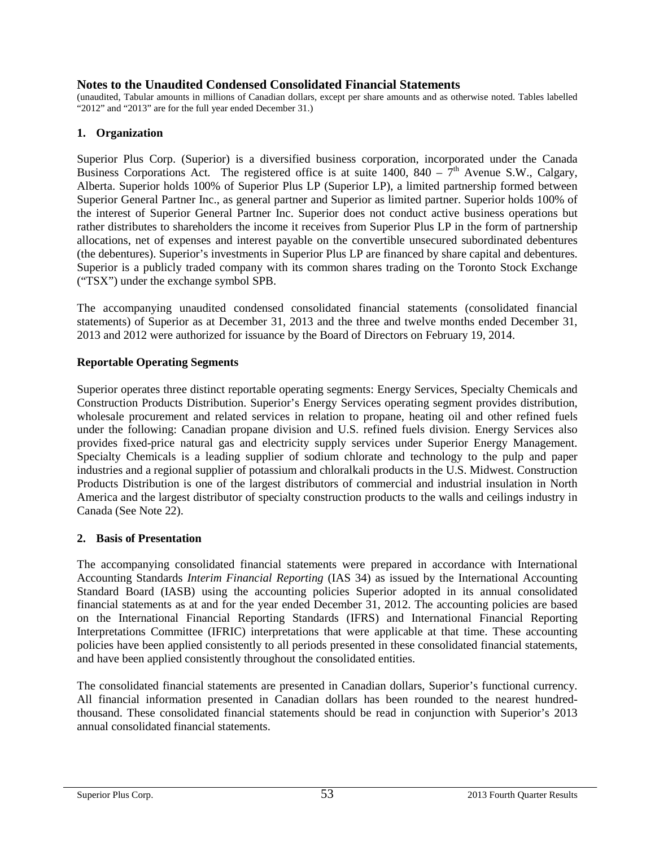### **Notes to the Unaudited Condensed Consolidated Financial Statements**

(unaudited, Tabular amounts in millions of Canadian dollars, except per share amounts and as otherwise noted. Tables labelled "2012" and "2013" are for the full year ended December 31.)

### **1. Organization**

Superior Plus Corp. (Superior) is a diversified business corporation, incorporated under the Canada Business Corporations Act. The registered office is at suite  $1400$ ,  $840 - 7$ <sup>th</sup> Avenue S.W., Calgary, Alberta. Superior holds 100% of Superior Plus LP (Superior LP), a limited partnership formed between Superior General Partner Inc., as general partner and Superior as limited partner. Superior holds 100% of the interest of Superior General Partner Inc. Superior does not conduct active business operations but rather distributes to shareholders the income it receives from Superior Plus LP in the form of partnership allocations, net of expenses and interest payable on the convertible unsecured subordinated debentures (the debentures). Superior's investments in Superior Plus LP are financed by share capital and debentures. Superior is a publicly traded company with its common shares trading on the Toronto Stock Exchange ("TSX") under the exchange symbol SPB.

The accompanying unaudited condensed consolidated financial statements (consolidated financial statements) of Superior as at December 31, 2013 and the three and twelve months ended December 31, 2013 and 2012 were authorized for issuance by the Board of Directors on February 19, 2014.

# **Reportable Operating Segments**

Superior operates three distinct reportable operating segments: Energy Services, Specialty Chemicals and Construction Products Distribution. Superior's Energy Services operating segment provides distribution, wholesale procurement and related services in relation to propane, heating oil and other refined fuels under the following: Canadian propane division and U.S. refined fuels division. Energy Services also provides fixed-price natural gas and electricity supply services under Superior Energy Management. Specialty Chemicals is a leading supplier of sodium chlorate and technology to the pulp and paper industries and a regional supplier of potassium and chloralkali products in the U.S. Midwest. Construction Products Distribution is one of the largest distributors of commercial and industrial insulation in North America and the largest distributor of specialty construction products to the walls and ceilings industry in Canada (See Note 22).

# **2. Basis of Presentation**

The accompanying consolidated financial statements were prepared in accordance with International Accounting Standards *Interim Financial Reporting* (IAS 34) as issued by the International Accounting Standard Board (IASB) using the accounting policies Superior adopted in its annual consolidated financial statements as at and for the year ended December 31, 2012. The accounting policies are based on the International Financial Reporting Standards (IFRS) and International Financial Reporting Interpretations Committee (IFRIC) interpretations that were applicable at that time. These accounting policies have been applied consistently to all periods presented in these consolidated financial statements, and have been applied consistently throughout the consolidated entities.

The consolidated financial statements are presented in Canadian dollars, Superior's functional currency. All financial information presented in Canadian dollars has been rounded to the nearest hundredthousand. These consolidated financial statements should be read in conjunction with Superior's 2013 annual consolidated financial statements.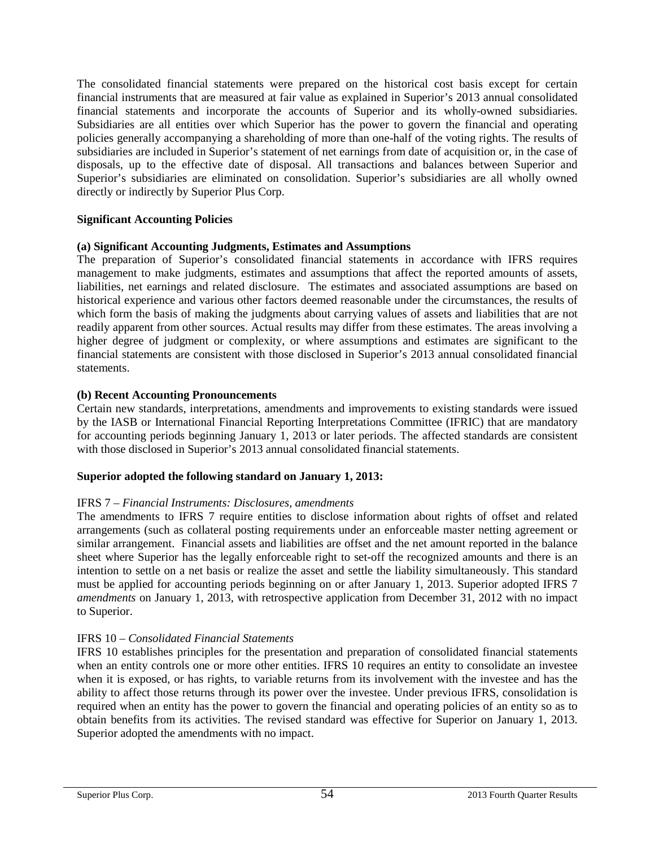The consolidated financial statements were prepared on the historical cost basis except for certain financial instruments that are measured at fair value as explained in Superior's 2013 annual consolidated financial statements and incorporate the accounts of Superior and its wholly-owned subsidiaries. Subsidiaries are all entities over which Superior has the power to govern the financial and operating policies generally accompanying a shareholding of more than one-half of the voting rights. The results of subsidiaries are included in Superior's statement of net earnings from date of acquisition or, in the case of disposals, up to the effective date of disposal. All transactions and balances between Superior and Superior's subsidiaries are eliminated on consolidation. Superior's subsidiaries are all wholly owned directly or indirectly by Superior Plus Corp.

### **Significant Accounting Policies**

### **(a) Significant Accounting Judgments, Estimates and Assumptions**

The preparation of Superior's consolidated financial statements in accordance with IFRS requires management to make judgments, estimates and assumptions that affect the reported amounts of assets, liabilities, net earnings and related disclosure. The estimates and associated assumptions are based on historical experience and various other factors deemed reasonable under the circumstances, the results of which form the basis of making the judgments about carrying values of assets and liabilities that are not readily apparent from other sources. Actual results may differ from these estimates. The areas involving a higher degree of judgment or complexity, or where assumptions and estimates are significant to the financial statements are consistent with those disclosed in Superior's 2013 annual consolidated financial statements.

### **(b) Recent Accounting Pronouncements**

Certain new standards, interpretations, amendments and improvements to existing standards were issued by the IASB or International Financial Reporting Interpretations Committee (IFRIC) that are mandatory for accounting periods beginning January 1, 2013 or later periods. The affected standards are consistent with those disclosed in Superior's 2013 annual consolidated financial statements.

### **Superior adopted the following standard on January 1, 2013:**

#### IFRS 7 – *Financial Instruments: Disclosures, amendments*

The amendments to IFRS 7 require entities to disclose information about rights of offset and related arrangements (such as collateral posting requirements under an enforceable master netting agreement or similar arrangement. Financial assets and liabilities are offset and the net amount reported in the balance sheet where Superior has the legally enforceable right to set-off the recognized amounts and there is an intention to settle on a net basis or realize the asset and settle the liability simultaneously. This standard must be applied for accounting periods beginning on or after January 1, 2013. Superior adopted IFRS 7 *amendments* on January 1, 2013, with retrospective application from December 31, 2012 with no impact to Superior.

### IFRS 10 – *Consolidated Financial Statements*

IFRS 10 establishes principles for the presentation and preparation of consolidated financial statements when an entity controls one or more other entities. IFRS 10 requires an entity to consolidate an investee when it is exposed, or has rights, to variable returns from its involvement with the investee and has the ability to affect those returns through its power over the investee. Under previous IFRS, consolidation is required when an entity has the power to govern the financial and operating policies of an entity so as to obtain benefits from its activities. The revised standard was effective for Superior on January 1, 2013. Superior adopted the amendments with no impact.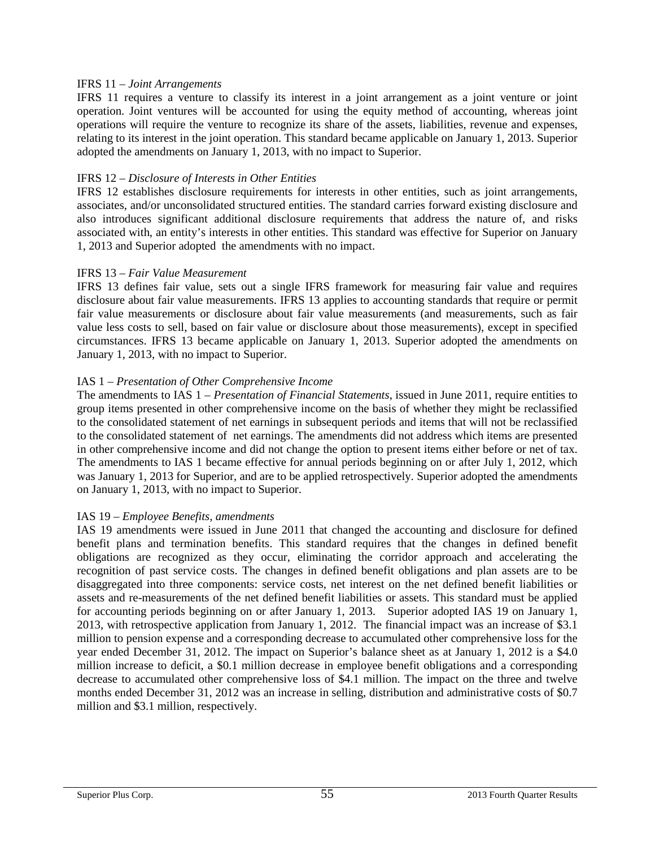### IFRS 11 – *Joint Arrangements*

IFRS 11 requires a venture to classify its interest in a joint arrangement as a joint venture or joint operation. Joint ventures will be accounted for using the equity method of accounting, whereas joint operations will require the venture to recognize its share of the assets, liabilities, revenue and expenses, relating to its interest in the joint operation. This standard became applicable on January 1, 2013. Superior adopted the amendments on January 1, 2013, with no impact to Superior.

### IFRS 12 – *Disclosure of Interests in Other Entities*

IFRS 12 establishes disclosure requirements for interests in other entities, such as joint arrangements, associates, and/or unconsolidated structured entities. The standard carries forward existing disclosure and also introduces significant additional disclosure requirements that address the nature of, and risks associated with, an entity's interests in other entities. This standard was effective for Superior on January 1, 2013 and Superior adopted the amendments with no impact.

### IFRS 13 *– Fair Value Measurement*

IFRS 13 defines fair value, sets out a single IFRS framework for measuring fair value and requires disclosure about fair value measurements. IFRS 13 applies to accounting standards that require or permit fair value measurements or disclosure about fair value measurements (and measurements, such as fair value less costs to sell, based on fair value or disclosure about those measurements), except in specified circumstances. IFRS 13 became applicable on January 1, 2013. Superior adopted the amendments on January 1, 2013, with no impact to Superior.

### IAS 1 – *Presentation of Other Comprehensive Income*

The amendments to IAS 1 – *Presentation of Financial Statements*, issued in June 2011, require entities to group items presented in other comprehensive income on the basis of whether they might be reclassified to the consolidated statement of net earnings in subsequent periods and items that will not be reclassified to the consolidated statement of net earnings. The amendments did not address which items are presented in other comprehensive income and did not change the option to present items either before or net of tax. The amendments to IAS 1 became effective for annual periods beginning on or after July 1, 2012, which was January 1, 2013 for Superior, and are to be applied retrospectively. Superior adopted the amendments on January 1, 2013, with no impact to Superior.

#### IAS 19 – *Employee Benefits, amendments*

IAS 19 amendments were issued in June 2011 that changed the accounting and disclosure for defined benefit plans and termination benefits. This standard requires that the changes in defined benefit obligations are recognized as they occur, eliminating the corridor approach and accelerating the recognition of past service costs. The changes in defined benefit obligations and plan assets are to be disaggregated into three components: service costs, net interest on the net defined benefit liabilities or assets and re-measurements of the net defined benefit liabilities or assets. This standard must be applied for accounting periods beginning on or after January 1, 2013. Superior adopted IAS 19 on January 1, 2013, with retrospective application from January 1, 2012. The financial impact was an increase of \$3.1 million to pension expense and a corresponding decrease to accumulated other comprehensive loss for the year ended December 31, 2012. The impact on Superior's balance sheet as at January 1, 2012 is a \$4.0 million increase to deficit, a \$0.1 million decrease in employee benefit obligations and a corresponding decrease to accumulated other comprehensive loss of \$4.1 million. The impact on the three and twelve months ended December 31, 2012 was an increase in selling, distribution and administrative costs of \$0.7 million and \$3.1 million, respectively.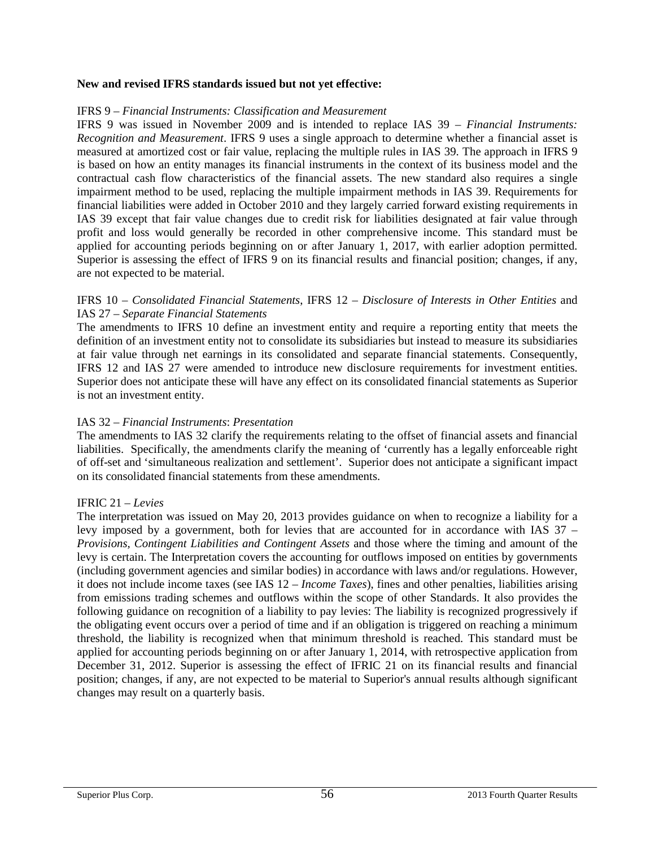#### **New and revised IFRS standards issued but not yet effective:**

### IFRS 9 – *Financial Instruments: Classification and Measurement*

IFRS 9 was issued in November 2009 and is intended to replace IAS 39 – *Financial Instruments: Recognition and Measurement*. IFRS 9 uses a single approach to determine whether a financial asset is measured at amortized cost or fair value, replacing the multiple rules in IAS 39. The approach in IFRS 9 is based on how an entity manages its financial instruments in the context of its business model and the contractual cash flow characteristics of the financial assets. The new standard also requires a single impairment method to be used, replacing the multiple impairment methods in IAS 39. Requirements for financial liabilities were added in October 2010 and they largely carried forward existing requirements in IAS 39 except that fair value changes due to credit risk for liabilities designated at fair value through profit and loss would generally be recorded in other comprehensive income. This standard must be applied for accounting periods beginning on or after January 1, 2017, with earlier adoption permitted. Superior is assessing the effect of IFRS 9 on its financial results and financial position; changes, if any, are not expected to be material.

### IFRS 10 – *Consolidated Financial Statements*, IFRS 12 – *Disclosure of Interests in Other Entities* and IAS 27 – *Separate Financial Statements*

The amendments to IFRS 10 define an investment entity and require a reporting entity that meets the definition of an investment entity not to consolidate its subsidiaries but instead to measure its subsidiaries at fair value through net earnings in its consolidated and separate financial statements. Consequently, IFRS 12 and IAS 27 were amended to introduce new disclosure requirements for investment entities. Superior does not anticipate these will have any effect on its consolidated financial statements as Superior is not an investment entity.

#### IAS 32 *– Financial Instruments*: *Presentation*

The amendments to IAS 32 clarify the requirements relating to the offset of financial assets and financial liabilities. Specifically, the amendments clarify the meaning of 'currently has a legally enforceable right of off-set and 'simultaneous realization and settlement'. Superior does not anticipate a significant impact on its consolidated financial statements from these amendments.

### IFRIC 21 *– Levies*

The interpretation was issued on May 20, 2013 provides guidance on when to recognize a liability for a levy imposed by a government, both for levies that are accounted for in accordance with IAS 37 – *Provisions, Contingent Liabilities and Contingent Assets* and those where the timing and amount of the levy is certain. The Interpretation covers the accounting for outflows imposed on entities by governments (including government agencies and similar bodies) in accordance with laws and/or regulations. However, it does not include income taxes (see IAS 12 – *Income Taxes*), fines and other penalties, liabilities arising from emissions trading schemes and outflows within the scope of other Standards. It also provides the following guidance on recognition of a liability to pay levies: The liability is recognized progressively if the obligating event occurs over a period of time and if an obligation is triggered on reaching a minimum threshold, the liability is recognized when that minimum threshold is reached. This standard must be applied for accounting periods beginning on or after January 1, 2014, with retrospective application from December 31, 2012. Superior is assessing the effect of IFRIC 21 on its financial results and financial position; changes, if any, are not expected to be material to Superior's annual results although significant changes may result on a quarterly basis.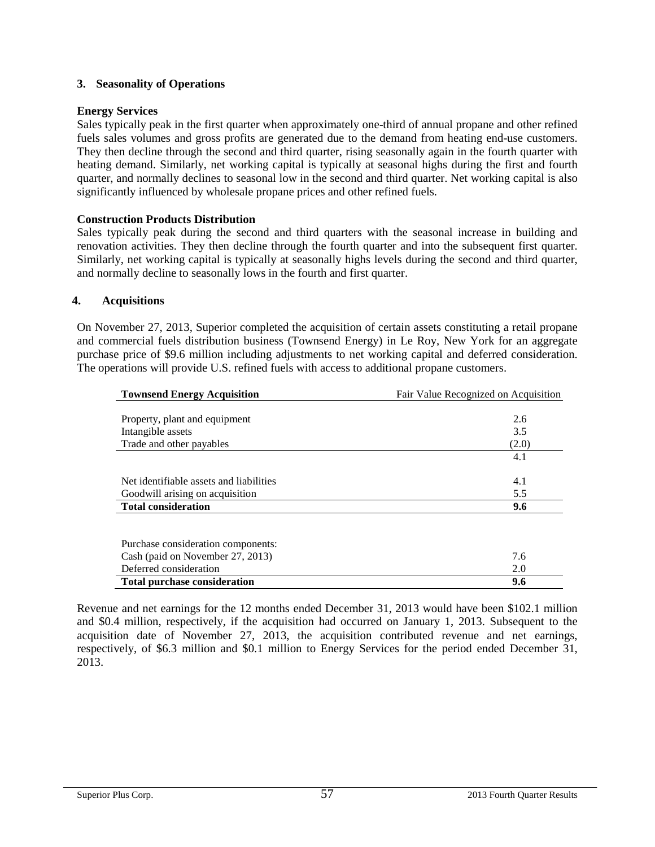### **3. Seasonality of Operations**

### **Energy Services**

Sales typically peak in the first quarter when approximately one-third of annual propane and other refined fuels sales volumes and gross profits are generated due to the demand from heating end-use customers. They then decline through the second and third quarter, rising seasonally again in the fourth quarter with heating demand. Similarly, net working capital is typically at seasonal highs during the first and fourth quarter, and normally declines to seasonal low in the second and third quarter. Net working capital is also significantly influenced by wholesale propane prices and other refined fuels.

### **Construction Products Distribution**

Sales typically peak during the second and third quarters with the seasonal increase in building and renovation activities. They then decline through the fourth quarter and into the subsequent first quarter. Similarly, net working capital is typically at seasonally highs levels during the second and third quarter, and normally decline to seasonally lows in the fourth and first quarter.

### **4. Acquisitions**

On November 27, 2013, Superior completed the acquisition of certain assets constituting a retail propane and commercial fuels distribution business (Townsend Energy) in Le Roy, New York for an aggregate purchase price of \$9.6 million including adjustments to net working capital and deferred consideration. The operations will provide U.S. refined fuels with access to additional propane customers.

| <b>Townsend Energy Acquisition</b>      | Fair Value Recognized on Acquisition |
|-----------------------------------------|--------------------------------------|
|                                         |                                      |
| Property, plant and equipment           | 2.6                                  |
| Intangible assets                       | 3.5                                  |
| Trade and other payables                | (2.0)                                |
|                                         | 4.1                                  |
|                                         |                                      |
| Net identifiable assets and liabilities | 4.1                                  |
| Goodwill arising on acquisition         | 5.5                                  |
| <b>Total consideration</b>              | 9.6                                  |
|                                         |                                      |
|                                         |                                      |
| Purchase consideration components:      |                                      |
| Cash (paid on November 27, 2013)        | 7.6                                  |
| Deferred consideration                  | 2.0                                  |
| <b>Total purchase consideration</b>     | 9.6                                  |

Revenue and net earnings for the 12 months ended December 31, 2013 would have been \$102.1 million and \$0.4 million, respectively, if the acquisition had occurred on January 1, 2013. Subsequent to the acquisition date of November 27, 2013, the acquisition contributed revenue and net earnings, respectively, of \$6.3 million and \$0.1 million to Energy Services for the period ended December 31, 2013.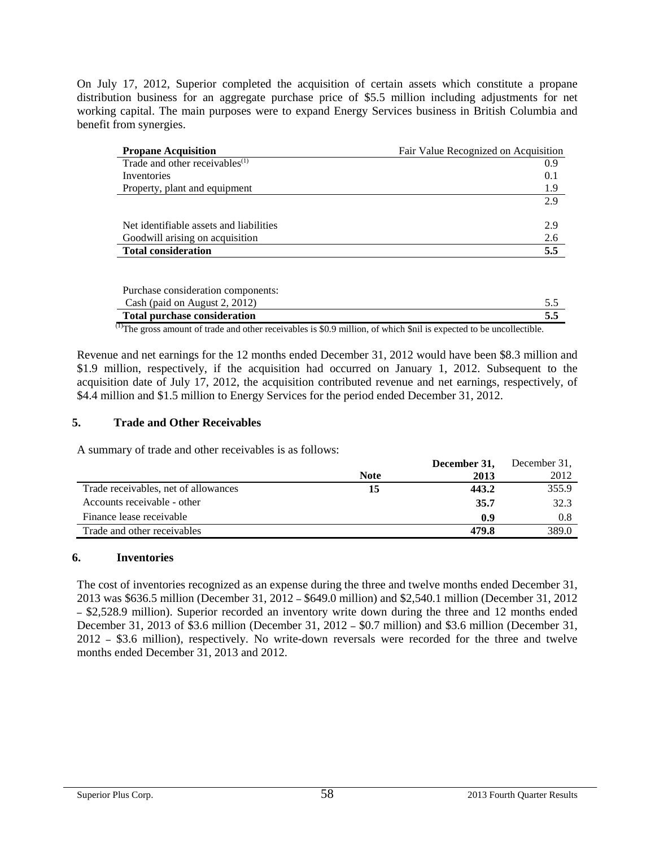On July 17, 2012, Superior completed the acquisition of certain assets which constitute a propane distribution business for an aggregate purchase price of \$5.5 million including adjustments for net working capital. The main purposes were to expand Energy Services business in British Columbia and benefit from synergies.

| <b>Propane Acquisition</b>                 | Fair Value Recognized on Acquisition |
|--------------------------------------------|--------------------------------------|
| Trade and other receivables <sup>(1)</sup> | 0.9                                  |
| Inventories                                | 0.1                                  |
| Property, plant and equipment              | 1.9                                  |
|                                            | 2.9                                  |
|                                            |                                      |
| Net identifiable assets and liabilities    | 2.9                                  |
| Goodwill arising on acquisition            | 2.6                                  |
| <b>Total consideration</b>                 | 5.5                                  |

| Purchase consideration components:  |  |
|-------------------------------------|--|
| Cash (paid on August 2, 2012)       |  |
| <b>Total purchase consideration</b> |  |

<sup>(1)</sup>The gross amount of trade and other receivables is \$0.9 million, of which \$nil is expected to be uncollectible.

Revenue and net earnings for the 12 months ended December 31, 2012 would have been \$8.3 million and \$1.9 million, respectively, if the acquisition had occurred on January 1, 2012. Subsequent to the acquisition date of July 17, 2012, the acquisition contributed revenue and net earnings, respectively, of \$4.4 million and \$1.5 million to Energy Services for the period ended December 31, 2012.

### **5. Trade and Other Receivables**

A summary of trade and other receivables is as follows:

|                                      |             | December 31, | December 31, |
|--------------------------------------|-------------|--------------|--------------|
|                                      | <b>Note</b> | 2013         | 2012         |
| Trade receivables, net of allowances | 15          | 443.2        | 355.9        |
| Accounts receivable - other          |             | 35.7         | 32.3         |
| Finance lease receivable             |             | 0.9          | 0.8          |
| Trade and other receivables          |             | 479.8        | 389.0        |

#### **6. Inventories**

The cost of inventories recognized as an expense during the three and twelve months ended December 31, 2013 was \$636.5 million (December 31, 2012 **–** \$649.0 million) and \$2,540.1 million (December 31, 2012 **–** \$2,528.9 million). Superior recorded an inventory write down during the three and 12 months ended December 31, 2013 of \$3.6 million (December 31, 2012 **–** \$0.7 million) and \$3.6 million (December 31, 2012 **–** \$3.6 million), respectively. No write-down reversals were recorded for the three and twelve months ended December 31, 2013 and 2012.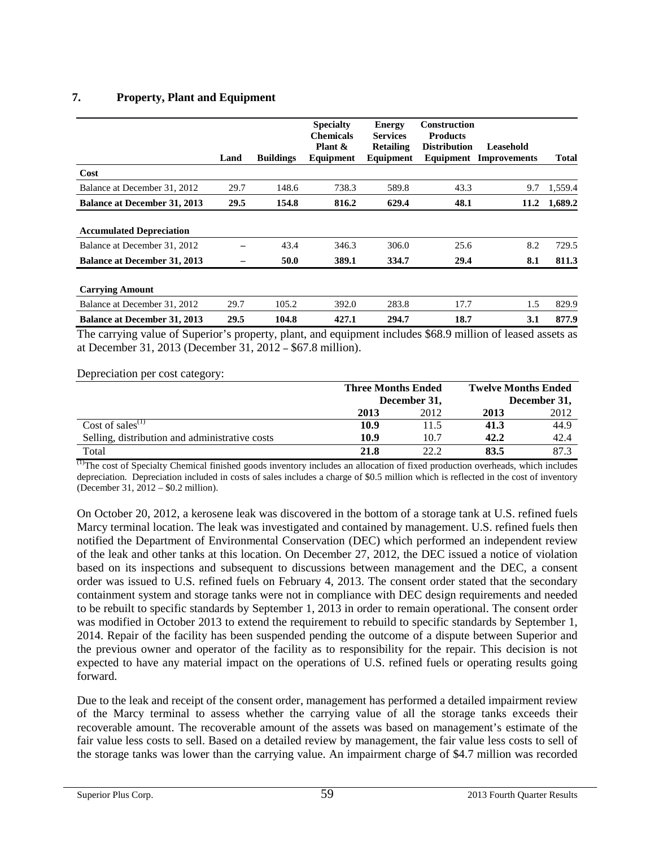# **7. Property, Plant and Equipment**

|                                     |      |                  | <b>Specialty</b><br><b>Chemicals</b><br>Plant & | Energy<br><b>Services</b><br><b>Retailing</b> | <b>Construction</b><br><b>Products</b><br><b>Distribution</b> | Leasehold                     |              |
|-------------------------------------|------|------------------|-------------------------------------------------|-----------------------------------------------|---------------------------------------------------------------|-------------------------------|--------------|
|                                     | Land | <b>Buildings</b> | Equipment                                       | Equipment                                     |                                                               | <b>Equipment</b> Improvements | <b>Total</b> |
| Cost                                |      |                  |                                                 |                                               |                                                               |                               |              |
| Balance at December 31, 2012        | 29.7 | 148.6            | 738.3                                           | 589.8                                         | 43.3                                                          | 9.7                           | 1,559.4      |
| <b>Balance at December 31, 2013</b> | 29.5 | 154.8            | 816.2                                           | 629.4                                         | 48.1                                                          | 11.2                          | 1,689.2      |
| <b>Accumulated Depreciation</b>     |      |                  |                                                 |                                               |                                                               |                               |              |
| Balance at December 31, 2012        |      | 43.4             | 346.3                                           | 306.0                                         | 25.6                                                          | 8.2                           | 729.5        |
| <b>Balance at December 31, 2013</b> |      | 50.0             | 389.1                                           | 334.7                                         | 29.4                                                          | 8.1                           | 811.3        |
| <b>Carrying Amount</b>              |      |                  |                                                 |                                               |                                                               |                               |              |
| Balance at December 31, 2012        | 29.7 | 105.2            | 392.0                                           | 283.8                                         | 17.7                                                          | 1.5                           | 829.9        |
| <b>Balance at December 31, 2013</b> | 29.5 | 104.8            | 427.1                                           | 294.7                                         | 18.7                                                          | 3.1                           | 877.9        |

The carrying value of Superior's property, plant, and equipment includes \$68.9 million of leased assets as at December 31, 2013 (December 31, 2012 **–** \$67.8 million).

Depreciation per cost category:

|                                                | <b>Three Months Ended</b> |      | <b>Twelve Months Ended</b> |      |  |              |
|------------------------------------------------|---------------------------|------|----------------------------|------|--|--------------|
|                                                | December 31,              |      |                            |      |  | December 31, |
|                                                | 2013                      | 2012 | 2013                       | 2012 |  |              |
| Cost of sales <sup><math>(1)</math></sup>      | 10.9                      | 11.5 | 41.3                       | 44.9 |  |              |
| Selling, distribution and administrative costs | 10.9                      | 10.7 | 42.2                       | 42.4 |  |              |
| Total                                          | 21.8                      | າາ າ | 83.5                       | 87.3 |  |              |

<sup>(1)</sup>The cost of Specialty Chemical finished goods inventory includes an allocation of fixed production overheads, which includes depreciation. Depreciation included in costs of sales includes a charge of \$0.5 million which is reflected in the cost of inventory (December 31, 2012 – \$0.2 million).

On October 20, 2012, a kerosene leak was discovered in the bottom of a storage tank at U.S. refined fuels Marcy terminal location. The leak was investigated and contained by management. U.S. refined fuels then notified the Department of Environmental Conservation (DEC) which performed an independent review of the leak and other tanks at this location. On December 27, 2012, the DEC issued a notice of violation based on its inspections and subsequent to discussions between management and the DEC, a consent order was issued to U.S. refined fuels on February 4, 2013. The consent order stated that the secondary containment system and storage tanks were not in compliance with DEC design requirements and needed to be rebuilt to specific standards by September 1, 2013 in order to remain operational. The consent order was modified in October 2013 to extend the requirement to rebuild to specific standards by September 1, 2014. Repair of the facility has been suspended pending the outcome of a dispute between Superior and the previous owner and operator of the facility as to responsibility for the repair. This decision is not expected to have any material impact on the operations of U.S. refined fuels or operating results going forward.

Due to the leak and receipt of the consent order, management has performed a detailed impairment review of the Marcy terminal to assess whether the carrying value of all the storage tanks exceeds their recoverable amount. The recoverable amount of the assets was based on management's estimate of the fair value less costs to sell. Based on a detailed review by management, the fair value less costs to sell of the storage tanks was lower than the carrying value. An impairment charge of \$4.7 million was recorded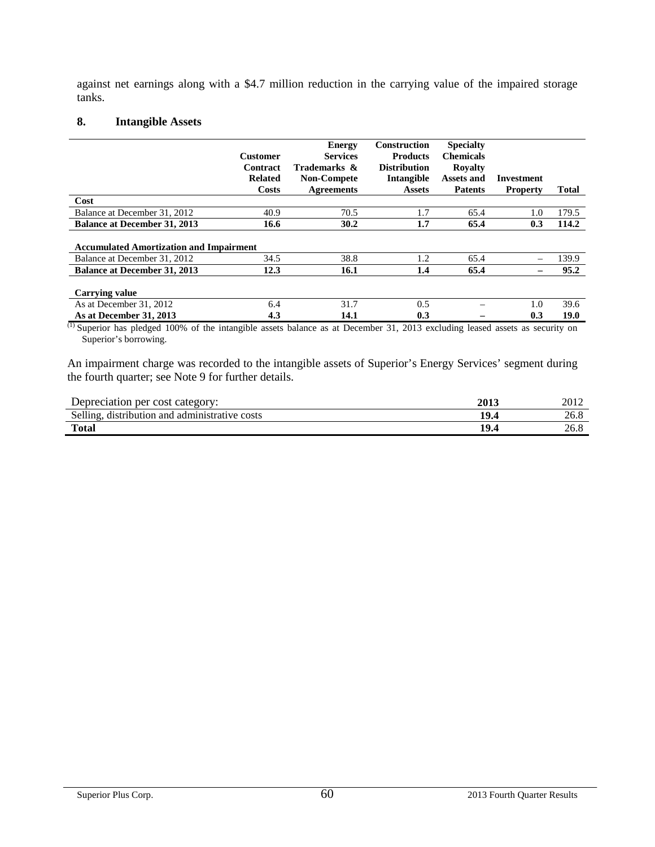against net earnings along with a \$4.7 million reduction in the carrying value of the impaired storage tanks.

#### **8. Intangible Assets**

|                                                | <b>Customer</b><br><b>Contract</b><br><b>Related</b><br>Costs | <b>Energy</b><br><b>Services</b><br>Trademarks &<br><b>Non-Compete</b><br><b>Agreements</b> | <b>Construction</b><br><b>Products</b><br><b>Distribution</b><br><b>Intangible</b><br><b>Assets</b> | <b>Specialty</b><br><b>Chemicals</b><br><b>Royalty</b><br>Assets and<br><b>Patents</b> | <b>Investment</b><br><b>Property</b> | <b>Total</b> |
|------------------------------------------------|---------------------------------------------------------------|---------------------------------------------------------------------------------------------|-----------------------------------------------------------------------------------------------------|----------------------------------------------------------------------------------------|--------------------------------------|--------------|
| Cost                                           |                                                               |                                                                                             |                                                                                                     |                                                                                        |                                      |              |
| Balance at December 31, 2012                   | 40.9                                                          | 70.5                                                                                        | 1.7                                                                                                 | 65.4                                                                                   | 1.0                                  | 179.5        |
| <b>Balance at December 31, 2013</b>            | 16.6                                                          | 30.2                                                                                        | 1.7                                                                                                 | 65.4                                                                                   | 0.3                                  | 114.2        |
| <b>Accumulated Amortization and Impairment</b> |                                                               |                                                                                             |                                                                                                     |                                                                                        |                                      |              |
| Balance at December 31, 2012                   | 34.5                                                          | 38.8                                                                                        | 1.2                                                                                                 | 65.4                                                                                   |                                      | 139.9        |
| <b>Balance at December 31, 2013</b>            | 12.3                                                          | 16.1                                                                                        | 1.4                                                                                                 | 65.4                                                                                   |                                      | 95.2         |
| <b>Carrying value</b>                          |                                                               |                                                                                             |                                                                                                     |                                                                                        |                                      |              |
| As at December 31, 2012                        | 6.4                                                           | 31.7                                                                                        | 0.5                                                                                                 |                                                                                        | 1.0                                  | 39.6         |
| As at December 31, 2013                        | 4.3                                                           | 14.1                                                                                        | 0.3                                                                                                 |                                                                                        | 0.3                                  | 19.0         |

 $\overline{11}$  Superior has pledged 100% of the intangible assets balance as at December 31, 2013 excluding leased assets as security on Superior's borrowing.

An impairment charge was recorded to the intangible assets of Superior's Energy Services' segment during the fourth quarter; see Note 9 for further details.

| Depreciation per cost category:                | 2013 | 2012 |
|------------------------------------------------|------|------|
| Selling, distribution and administrative costs | 19.4 | 26.8 |
| Total                                          | 19.4 | 26.8 |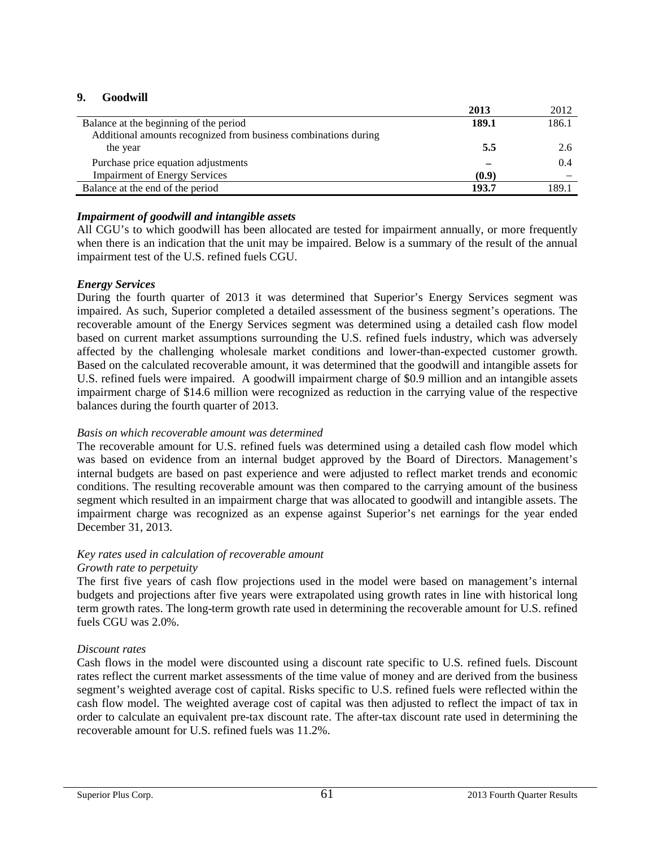### **9. Goodwill**

|                                                                 | 2013  | 2012  |
|-----------------------------------------------------------------|-------|-------|
| Balance at the beginning of the period                          | 189.1 | 186.1 |
| Additional amounts recognized from business combinations during |       |       |
| the year                                                        | 5.5   | 2.6   |
| Purchase price equation adjustments                             |       | 0.4   |
| <b>Impairment of Energy Services</b>                            | (0.9) |       |
| Balance at the end of the period                                | 193.7 | 189.1 |

### *Impairment of goodwill and intangible assets*

All CGU's to which goodwill has been allocated are tested for impairment annually, or more frequently when there is an indication that the unit may be impaired. Below is a summary of the result of the annual impairment test of the U.S. refined fuels CGU.

### *Energy Services*

During the fourth quarter of 2013 it was determined that Superior's Energy Services segment was impaired. As such, Superior completed a detailed assessment of the business segment's operations. The recoverable amount of the Energy Services segment was determined using a detailed cash flow model based on current market assumptions surrounding the U.S. refined fuels industry, which was adversely affected by the challenging wholesale market conditions and lower-than-expected customer growth. Based on the calculated recoverable amount, it was determined that the goodwill and intangible assets for U.S. refined fuels were impaired. A goodwill impairment charge of \$0.9 million and an intangible assets impairment charge of \$14.6 million were recognized as reduction in the carrying value of the respective balances during the fourth quarter of 2013.

### *Basis on which recoverable amount was determined*

The recoverable amount for U.S. refined fuels was determined using a detailed cash flow model which was based on evidence from an internal budget approved by the Board of Directors. Management's internal budgets are based on past experience and were adjusted to reflect market trends and economic conditions. The resulting recoverable amount was then compared to the carrying amount of the business segment which resulted in an impairment charge that was allocated to goodwill and intangible assets. The impairment charge was recognized as an expense against Superior's net earnings for the year ended December 31, 2013.

# *Key rates used in calculation of recoverable amount*

#### *Growth rate to perpetuity*

The first five years of cash flow projections used in the model were based on management's internal budgets and projections after five years were extrapolated using growth rates in line with historical long term growth rates. The long-term growth rate used in determining the recoverable amount for U.S. refined fuels CGU was 2.0%.

#### *Discount rates*

Cash flows in the model were discounted using a discount rate specific to U.S. refined fuels. Discount rates reflect the current market assessments of the time value of money and are derived from the business segment's weighted average cost of capital. Risks specific to U.S. refined fuels were reflected within the cash flow model. The weighted average cost of capital was then adjusted to reflect the impact of tax in order to calculate an equivalent pre-tax discount rate. The after-tax discount rate used in determining the recoverable amount for U.S. refined fuels was 11.2%.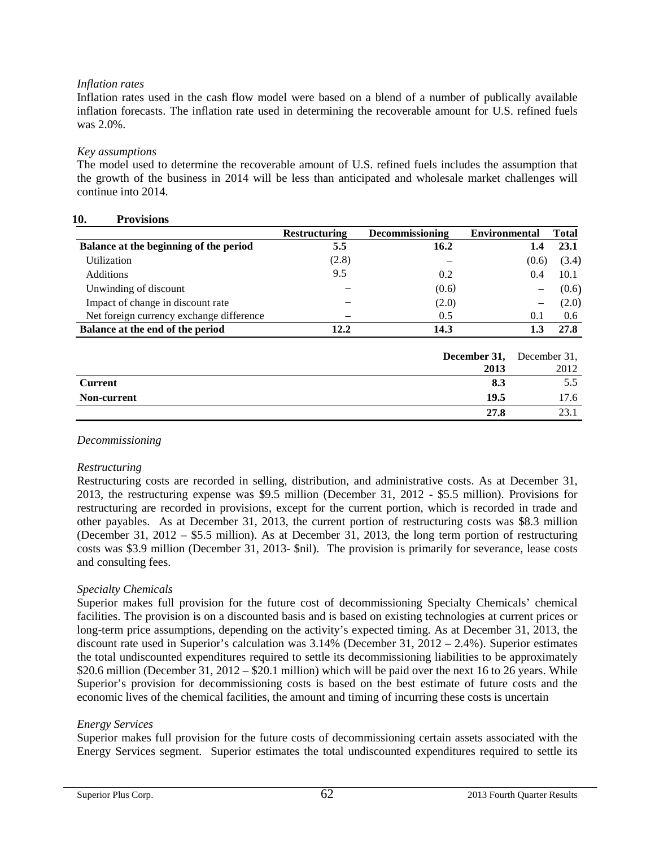### *Inflation rates*

Inflation rates used in the cash flow model were based on a blend of a number of publically available inflation forecasts. The inflation rate used in determining the recoverable amount for U.S. refined fuels was 2.0%.

#### *Key assumptions*

The model used to determine the recoverable amount of U.S. refined fuels includes the assumption that the growth of the business in 2014 will be less than anticipated and wholesale market challenges will continue into 2014.

|                                          | <b>Restructuring</b> | <b>Decommissioning</b> | <b>Environmental</b> | <b>Total</b> |
|------------------------------------------|----------------------|------------------------|----------------------|--------------|
| Balance at the beginning of the period   | 5.5                  | 16.2                   | 1.4                  | 23.1         |
| Utilization                              | (2.8)                |                        | (0.6)                | (3.4)        |
| Additions                                | 9.5                  | 0.2                    | 0.4                  | 10.1         |
| Unwinding of discount                    |                      | (0.6)                  |                      | (0.6)        |
| Impact of change in discount rate        |                      | (2.0)                  |                      | (2.0)        |
| Net foreign currency exchange difference |                      | 0.5                    | 0.1                  | 0.6          |
| Balance at the end of the period         | 12.2                 | 14.3                   | 1.3                  | 27.8         |
|                                          |                      |                        |                      |              |

#### **10. Provisions**

|                | December 31,<br>2013 | December 31,<br>2012 |
|----------------|----------------------|----------------------|
| <b>Current</b> | 8.3                  | 5.5                  |
| Non-current    | 19.5                 | 17.6                 |
|                | 27.8                 | 23.1                 |

### *Decommissioning*

### *Restructuring*

Restructuring costs are recorded in selling, distribution, and administrative costs. As at December 31, 2013, the restructuring expense was \$9.5 million (December 31, 2012 - \$5.5 million). Provisions for restructuring are recorded in provisions, except for the current portion, which is recorded in trade and other payables. As at December 31, 2013, the current portion of restructuring costs was \$8.3 million (December 31, 2012 – \$5.5 million). As at December 31, 2013, the long term portion of restructuring costs was \$3.9 million (December 31, 2013- \$nil). The provision is primarily for severance, lease costs and consulting fees.

### *Specialty Chemicals*

Superior makes full provision for the future cost of decommissioning Specialty Chemicals' chemical facilities. The provision is on a discounted basis and is based on existing technologies at current prices or long-term price assumptions, depending on the activity's expected timing. As at December 31, 2013, the discount rate used in Superior's calculation was 3.14% (December 31, 2012 – 2.4%). Superior estimates the total undiscounted expenditures required to settle its decommissioning liabilities to be approximately \$20.6 million (December 31, 2012 – \$20.1 million) which will be paid over the next 16 to 26 years. While Superior's provision for decommissioning costs is based on the best estimate of future costs and the economic lives of the chemical facilities, the amount and timing of incurring these costs is uncertain

### *Energy Services*

Superior makes full provision for the future costs of decommissioning certain assets associated with the Energy Services segment. Superior estimates the total undiscounted expenditures required to settle its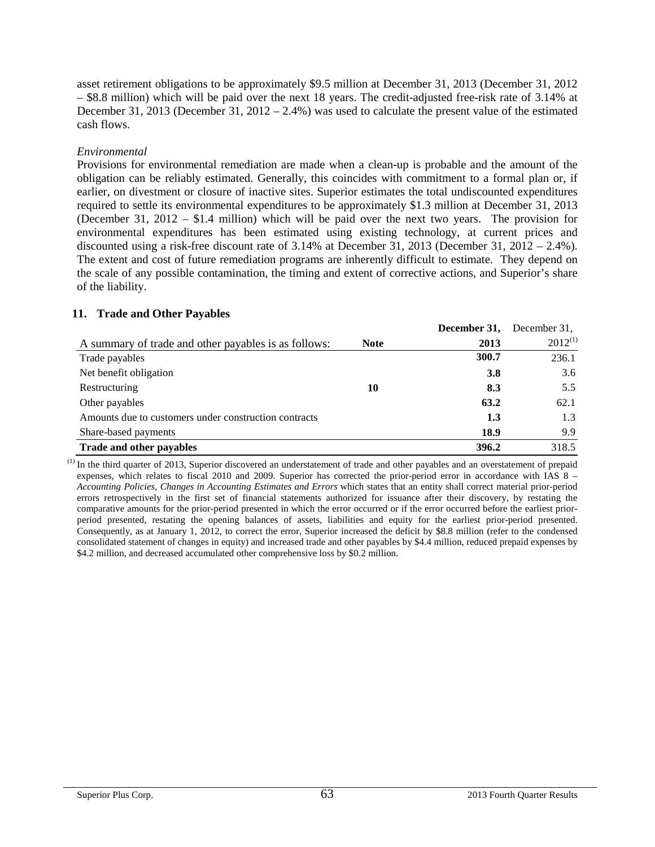asset retirement obligations to be approximately \$9.5 million at December 31, 2013 (December 31, 2012 – \$8.8 million) which will be paid over the next 18 years. The credit-adjusted free-risk rate of 3.14% at December 31, 2013 (December 31, 2012 – 2.4%) was used to calculate the present value of the estimated cash flows.

*Environmental* 

Provisions for environmental remediation are made when a clean-up is probable and the amount of the obligation can be reliably estimated. Generally, this coincides with commitment to a formal plan or, if earlier, on divestment or closure of inactive sites. Superior estimates the total undiscounted expenditures required to settle its environmental expenditures to be approximately \$1.3 million at December 31, 2013 (December 31, 2012 – \$1.4 million) which will be paid over the next two years. The provision for environmental expenditures has been estimated using existing technology, at current prices and discounted using a risk-free discount rate of 3.14% at December 31, 2013 (December 31, 2012 – 2.4%). The extent and cost of future remediation programs are inherently difficult to estimate. They depend on the scale of any possible contamination, the timing and extent of corrective actions, and Superior's share of the liability.

# **11. Trade and Other Payables**

|                                                       |             | December 31, | December 31, |
|-------------------------------------------------------|-------------|--------------|--------------|
| A summary of trade and other payables is as follows:  | <b>Note</b> | 2013         | $2012^{(1)}$ |
| Trade payables                                        |             | 300.7        | 236.1        |
| Net benefit obligation                                |             | 3.8          | 3.6          |
| Restructuring                                         | 10          | 8.3          | 5.5          |
| Other payables                                        |             | 63.2         | 62.1         |
| Amounts due to customers under construction contracts |             | 1.3          | 1.3          |
| Share-based payments                                  |             | 18.9         | 9.9          |
| Trade and other payables                              |             | 396.2        | 318.5        |

(1) In the third quarter of 2013, Superior discovered an understatement of trade and other payables and an overstatement of prepaid expenses, which relates to fiscal 2010 and 2009. Superior has corrected the prior-period error in accordance with IAS 8 – *Accounting Policies, Changes in Accounting Estimates and Errors* which states that an entity shall correct material prior-period errors retrospectively in the first set of financial statements authorized for issuance after their discovery, by restating the comparative amounts for the prior-period presented in which the error occurred or if the error occurred before the earliest priorperiod presented, restating the opening balances of assets, liabilities and equity for the earliest prior-period presented. Consequently, as at January 1, 2012, to correct the error, Superior increased the deficit by \$8.8 million (refer to the condensed consolidated statement of changes in equity) and increased trade and other payables by \$4.4 million, reduced prepaid expenses by \$4.2 million, and decreased accumulated other comprehensive loss by \$0.2 million.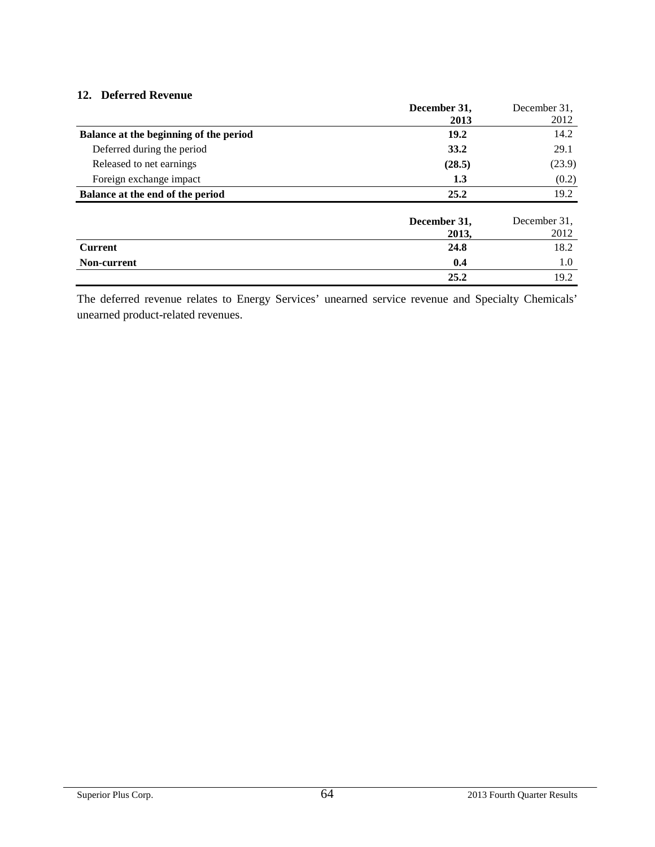### **12. Deferred Revenue**

|                                        | December 31,          | December 31.         |
|----------------------------------------|-----------------------|----------------------|
|                                        | 2013                  | 2012                 |
| Balance at the beginning of the period | 19.2                  | 14.2                 |
| Deferred during the period             | 33.2                  | 29.1                 |
| Released to net earnings               | (28.5)                | (23.9)               |
| Foreign exchange impact                | 1.3                   | (0.2)                |
| Balance at the end of the period       | 25.2                  | 19.2                 |
|                                        | December 31,<br>2013, | December 31.<br>2012 |
| <b>Current</b>                         | 24.8                  | 18.2                 |
| Non-current                            | 0.4                   | 1.0                  |
|                                        | 25.2                  | 19.2                 |

The deferred revenue relates to Energy Services' unearned service revenue and Specialty Chemicals' unearned product-related revenues.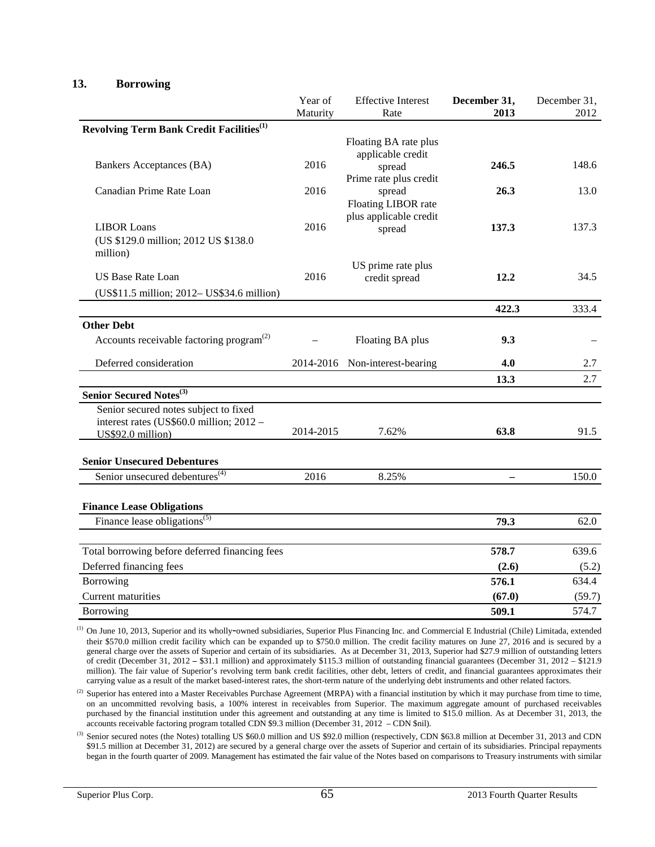#### **13. Borrowing**

|                                                                                                        | Year of<br>Maturity | <b>Effective Interest</b><br>Rate                                              | December 31,<br>2013 | December 31,<br>2012 |
|--------------------------------------------------------------------------------------------------------|---------------------|--------------------------------------------------------------------------------|----------------------|----------------------|
| Revolving Term Bank Credit Facilities <sup>(1)</sup>                                                   |                     |                                                                                |                      |                      |
| <b>Bankers Acceptances (BA)</b>                                                                        | 2016                | Floating BA rate plus<br>applicable credit<br>spread<br>Prime rate plus credit | 246.5                | 148.6                |
| Canadian Prime Rate Loan                                                                               | 2016                | spread                                                                         | 26.3                 | 13.0                 |
| <b>LIBOR</b> Loans<br>(US \$129.0 million; 2012 US \$138.0)<br>million)                                | 2016                | Floating LIBOR rate<br>plus applicable credit<br>spread                        | 137.3                | 137.3                |
|                                                                                                        |                     | US prime rate plus                                                             |                      |                      |
| <b>US Base Rate Loan</b>                                                                               | 2016                | credit spread                                                                  | 12.2                 | 34.5                 |
| (US\$11.5 million; 2012– US\$34.6 million)                                                             |                     |                                                                                |                      |                      |
|                                                                                                        |                     |                                                                                | 422.3                | 333.4                |
| <b>Other Debt</b>                                                                                      |                     |                                                                                |                      |                      |
| Accounts receivable factoring program <sup>(2)</sup>                                                   |                     | Floating BA plus                                                               | 9.3                  |                      |
| Deferred consideration                                                                                 |                     | 2014-2016 Non-interest-bearing                                                 | 4.0                  | 2.7                  |
|                                                                                                        |                     |                                                                                | 13.3                 | 2.7                  |
| Senior Secured Notes <sup>(3)</sup>                                                                    |                     |                                                                                |                      |                      |
| Senior secured notes subject to fixed<br>interest rates (US\$60.0 million; 2012 -<br>US\$92.0 million) | 2014-2015           | 7.62%                                                                          | 63.8                 | 91.5                 |
| <b>Senior Unsecured Debentures</b>                                                                     |                     |                                                                                |                      |                      |
| Senior unsecured debentures <sup>(4)</sup>                                                             | 2016                | 8.25%                                                                          | $\equiv$             | 150.0                |
| <b>Finance Lease Obligations</b>                                                                       |                     |                                                                                |                      |                      |
| Finance lease obligations <sup>(5)</sup>                                                               |                     |                                                                                | 79.3                 | 62.0                 |
| Total borrowing before deferred financing fees                                                         |                     |                                                                                | 578.7                | 639.6                |
| Deferred financing fees                                                                                |                     |                                                                                | (2.6)                | (5.2)                |
| Borrowing                                                                                              |                     |                                                                                | 576.1                | 634.4                |
| <b>Current maturities</b>                                                                              |                     |                                                                                | (67.0)               | (59.7)               |
| Borrowing                                                                                              |                     |                                                                                | 509.1                | 574.7                |

(1) On June 10, 2013, Superior and its wholly-owned subsidiaries, Superior Plus Financing Inc. and Commercial E Industrial (Chile) Limitada, extended their \$570.0 million credit facility which can be expanded up to \$750.0 million. The credit facility matures on June 27, 2016 and is secured by a general charge over the assets of Superior and certain of its subsidiaries. As at December 31, 2013, Superior had \$27.9 million of outstanding letters of credit (December 31, 2012 **–** \$31.1 million) and approximately \$115.3 million of outstanding financial guarantees (December 31, 2012 – \$121.9 million). The fair value of Superior's revolving term bank credit facilities, other debt, letters of credit, and financial guarantees approximates their carrying value as a result of the market based-interest rates, the short-term nature of the underlying debt instruments and other related factors.

<sup>(2)</sup> Superior has entered into a Master Receivables Purchase Agreement (MRPA) with a financial institution by which it may purchase from time to time, on an uncommitted revolving basis, a 100% interest in receivables from Superior. The maximum aggregate amount of purchased receivables purchased by the financial institution under this agreement and outstanding at any time is limited to \$15.0 million. As at December 31, 2013, the accounts receivable factoring program totalled CDN \$9.3 million (December 31, 2012 – CDN \$nil).

<sup>(3)</sup> Senior secured notes (the Notes) totalling US \$60.0 million and US \$92.0 million (respectively, CDN \$63.8 million at December 31, 2013 and CDN \$91.5 million at December 31, 2012) are secured by a general charge over the assets of Superior and certain of its subsidiaries. Principal repayments began in the fourth quarter of 2009. Management has estimated the fair value of the Notes based on comparisons to Treasury instruments with similar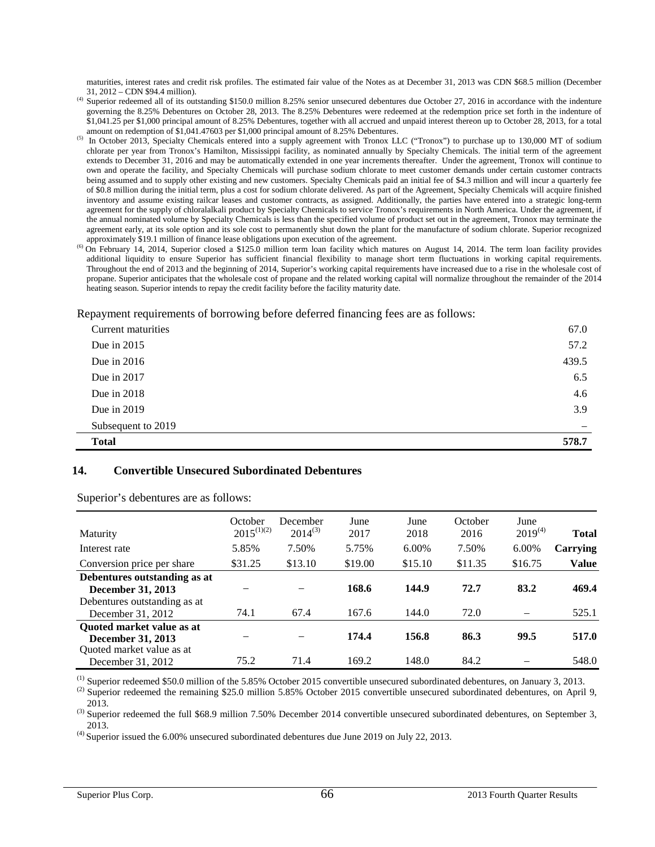maturities, interest rates and credit risk profiles. The estimated fair value of the Notes as at December 31, 2013 was CDN \$68.5 million (December 31, 2012 – CDN \$94.4 million).

(4) Superior redeemed all of its outstanding \$150.0 million 8.25% senior unsecured debentures due October 27, 2016 in accordance with the indenture governing the 8.25% Debentures on October 28, 2013. The 8.25% Debentures were redeemed at the redemption price set forth in the indenture of \$1,041.25 per \$1,000 principal amount of 8.25% Debentures, together with all accrued and unpaid interest thereon up to October 28, 2013, for a total amount on redemption of \$1,041.47603 per \$1,000 principal amount of 8.25% Debentures.

- <sup>(5)</sup> In October 2013, Specialty Chemicals entered into a supply agreement with Tronox LLC ("Tronox") to purchase up to 130,000 MT of sodium chlorate per year from Tronox's Hamilton, Mississippi facility, as nominated annually by Specialty Chemicals. The initial term of the agreement extends to December 31, 2016 and may be automatically extended in one year increments thereafter. Under the agreement, Tronox will continue to own and operate the facility, and Specialty Chemicals will purchase sodium chlorate to meet customer demands under certain customer contracts being assumed and to supply other existing and new customers. Specialty Chemicals paid an initial fee of \$4.3 million and will incur a quarterly fee of \$0.8 million during the initial term, plus a cost for sodium chlorate delivered. As part of the Agreement, Specialty Chemicals will acquire finished inventory and assume existing railcar leases and customer contracts, as assigned. Additionally, the parties have entered into a strategic long-term agreement for the supply of chloralalkali product by Specialty Chemicals to service Tronox's requirements in North America. Under the agreement, if the annual nominated volume by Specialty Chemicals is less than the specified volume of product set out in the agreement, Tronox may terminate the agreement early, at its sole option and its sole cost to permanently shut down the plant for the manufacture of sodium chlorate. Superior recognized approximately \$19.1 million of finance lease obligations upon execution of the agreement.
- (6) On February 14, 2014, Superior closed a \$125.0 million term loan facility which matures on August 14, 2014. The term loan facility provides additional liquidity to ensure Superior has sufficient financial flexibility to manage short term fluctuations in working capital requirements. Throughout the end of 2013 and the beginning of 2014, Superior's working capital requirements have increased due to a rise in the wholesale cost of propane. Superior anticipates that the wholesale cost of propane and the related working capital will normalize throughout the remainder of the 2014 heating season. Superior intends to repay the credit facility before the facility maturity date.

Repayment requirements of borrowing before deferred financing fees are as follows:

| <b>Total</b>       | 578.7 |
|--------------------|-------|
| Subsequent to 2019 |       |
| Due in 2019        | 3.9   |
| Due in 2018        | 4.6   |
| Due in 2017        | 6.5   |
| Due in $2016$      | 439.5 |
| Due in $2015$      | 57.2  |
| Current maturities | 67.0  |
|                    |       |

#### **14. Convertible Unsecured Subordinated Debentures**

Superior's debentures are as follows:

| Maturity                                                                                               | October<br>$2015^{(1)(2)}$ | December<br>$2014^{(3)}$ | June<br>2017   | June<br>2018   | October<br>2016 | June<br>$2019^{(4)}$ | <b>Total</b>   |
|--------------------------------------------------------------------------------------------------------|----------------------------|--------------------------|----------------|----------------|-----------------|----------------------|----------------|
| Interest rate                                                                                          | 5.85%                      | 7.50%                    | 5.75%          | 6.00%          | 7.50%           | 6.00%                | Carrying       |
| Conversion price per share                                                                             | \$31.25                    | \$13.10                  | \$19.00        | \$15.10        | \$11.35         | \$16.75              | <b>Value</b>   |
| Debentures outstanding as at<br>December 31, 2013<br>Debentures outstanding as at<br>December 31, 2012 | 74.1                       | 67.4                     | 168.6<br>167.6 | 144.9<br>144.0 | 72.7<br>72.0    | 83.2                 | 469.4<br>525.1 |
| Quoted market value as at<br>December 31, 2013<br>Quoted market value as at<br>December 31, 2012       | 75.2                       | 71.4                     | 174.4<br>169.2 | 156.8<br>148.0 | 86.3<br>84.2    | 99.5                 | 517.0<br>548.0 |

 $<sup>(1)</sup>$  Superior redeemed \$50.0 million of the 5.85% October 2015 convertible unsecured subordinated debentures, on January 3, 2013.</sup>

 $^{(2)}$  Superior redeemed the remaining \$25.0 million 5.85% October 2015 convertible unsecured subordinated debentures, on April 9, 2013.

<sup>(3)</sup> Superior redeemed the full \$68.9 million 7.50% December 2014 convertible unsecured subordinated debentures, on September 3, 2013.

 $^{(4)}$  Superior issued the 6.00% unsecured subordinated debentures due June 2019 on July 22, 2013.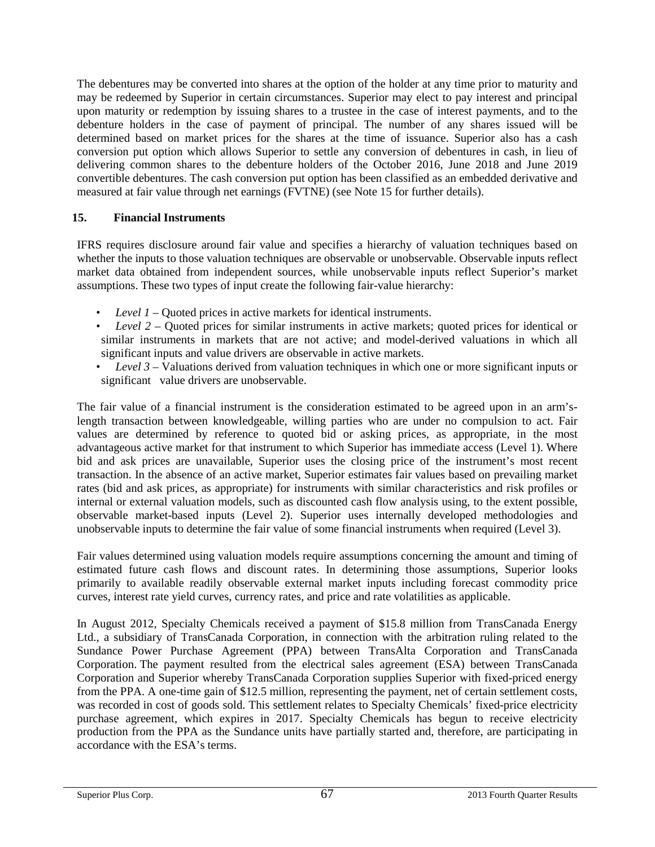The debentures may be converted into shares at the option of the holder at any time prior to maturity and may be redeemed by Superior in certain circumstances. Superior may elect to pay interest and principal upon maturity or redemption by issuing shares to a trustee in the case of interest payments, and to the debenture holders in the case of payment of principal. The number of any shares issued will be determined based on market prices for the shares at the time of issuance. Superior also has a cash conversion put option which allows Superior to settle any conversion of debentures in cash, in lieu of delivering common shares to the debenture holders of the October 2016, June 2018 and June 2019 convertible debentures. The cash conversion put option has been classified as an embedded derivative and measured at fair value through net earnings (FVTNE) (see Note 15 for further details).

# **15. Financial Instruments**

IFRS requires disclosure around fair value and specifies a hierarchy of valuation techniques based on whether the inputs to those valuation techniques are observable or unobservable. Observable inputs reflect market data obtained from independent sources, while unobservable inputs reflect Superior's market assumptions. These two types of input create the following fair-value hierarchy:

- *Level 1* Quoted prices in active markets for identical instruments.
- *Level 2* Quoted prices for similar instruments in active markets; quoted prices for identical or similar instruments in markets that are not active; and model-derived valuations in which all significant inputs and value drivers are observable in active markets.
- *Level 3* Valuations derived from valuation techniques in which one or more significant inputs or significant value drivers are unobservable.

The fair value of a financial instrument is the consideration estimated to be agreed upon in an arm'slength transaction between knowledgeable, willing parties who are under no compulsion to act. Fair values are determined by reference to quoted bid or asking prices, as appropriate, in the most advantageous active market for that instrument to which Superior has immediate access (Level 1). Where bid and ask prices are unavailable, Superior uses the closing price of the instrument's most recent transaction. In the absence of an active market, Superior estimates fair values based on prevailing market rates (bid and ask prices, as appropriate) for instruments with similar characteristics and risk profiles or internal or external valuation models, such as discounted cash flow analysis using, to the extent possible, observable market-based inputs (Level 2). Superior uses internally developed methodologies and unobservable inputs to determine the fair value of some financial instruments when required (Level 3).

Fair values determined using valuation models require assumptions concerning the amount and timing of estimated future cash flows and discount rates. In determining those assumptions, Superior looks primarily to available readily observable external market inputs including forecast commodity price curves, interest rate yield curves, currency rates, and price and rate volatilities as applicable.

In August 2012, Specialty Chemicals received a payment of \$15.8 million from TransCanada Energy Ltd., a subsidiary of TransCanada Corporation, in connection with the arbitration ruling related to the Sundance Power Purchase Agreement (PPA) between TransAlta Corporation and TransCanada Corporation. The payment resulted from the electrical sales agreement (ESA) between TransCanada Corporation and Superior whereby TransCanada Corporation supplies Superior with fixed-priced energy from the PPA. A one-time gain of \$12.5 million, representing the payment, net of certain settlement costs, was recorded in cost of goods sold. This settlement relates to Specialty Chemicals' fixed-price electricity purchase agreement, which expires in 2017. Specialty Chemicals has begun to receive electricity production from the PPA as the Sundance units have partially started and, therefore, are participating in accordance with the ESA's terms.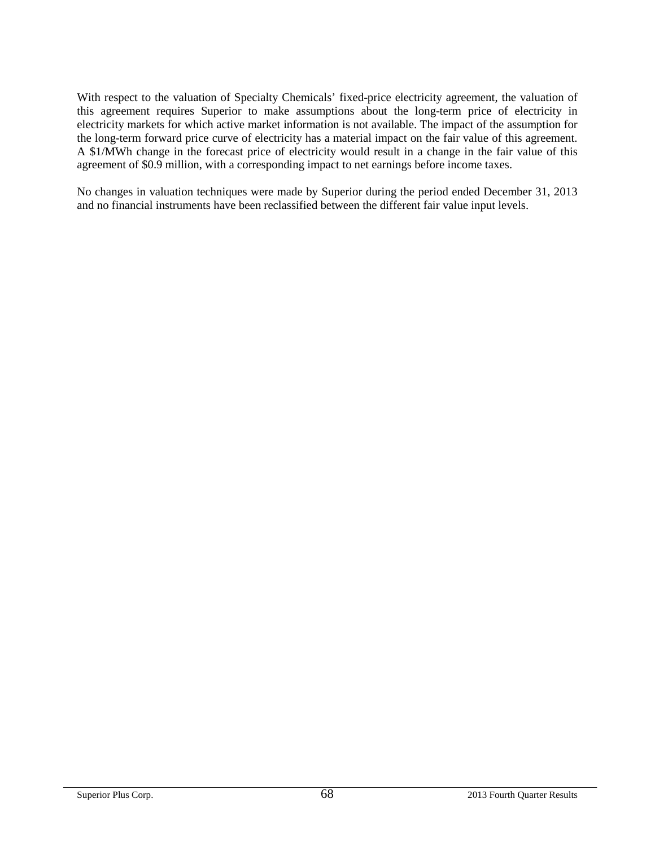With respect to the valuation of Specialty Chemicals' fixed-price electricity agreement, the valuation of this agreement requires Superior to make assumptions about the long-term price of electricity in electricity markets for which active market information is not available. The impact of the assumption for the long-term forward price curve of electricity has a material impact on the fair value of this agreement. A \$1/MWh change in the forecast price of electricity would result in a change in the fair value of this agreement of \$0.9 million, with a corresponding impact to net earnings before income taxes.

No changes in valuation techniques were made by Superior during the period ended December 31, 2013 and no financial instruments have been reclassified between the different fair value input levels.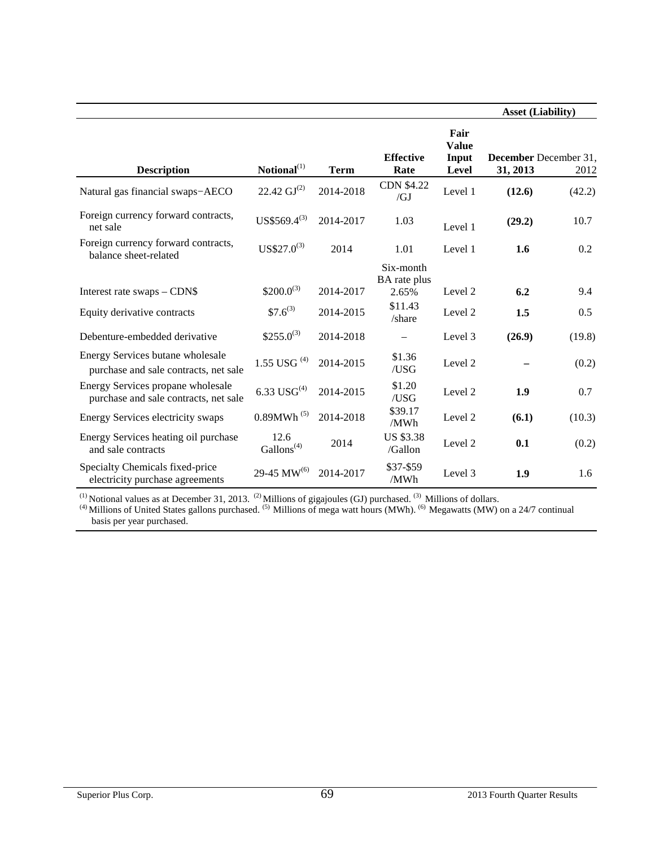|                                                                            |                                  |             |                             |                                        |          | <b>Asset (Liability)</b>      |
|----------------------------------------------------------------------------|----------------------------------|-------------|-----------------------------|----------------------------------------|----------|-------------------------------|
| <b>Description</b>                                                         | Notional <sup>(1)</sup>          | <b>Term</b> | <b>Effective</b><br>Rate    | Fair<br><b>Value</b><br>Input<br>Level | 31, 2013 | December December 31,<br>2012 |
| Natural gas financial swaps-AECO                                           | $22.42 \text{ GJ}^{(2)}$         | 2014-2018   | <b>CDN \$4.22</b><br>/GJ    | Level 1                                | (12.6)   | (42.2)                        |
| Foreign currency forward contracts,<br>net sale                            | $US$569.4^{(3)}$                 | 2014-2017   | 1.03                        | Level 1                                | (29.2)   | 10.7                          |
| Foreign currency forward contracts,<br>balance sheet-related               | $US$27.0^{(3)}$                  | 2014        | 1.01<br>Six-month           | Level 1                                | 1.6      | 0.2                           |
| Interest rate swaps - CDN\$                                                | $$200.0^{(3)}$                   | 2014-2017   | BA rate plus<br>2.65%       | Level 2                                | 6.2      | 9.4                           |
| Equity derivative contracts                                                | $$7.6^{(3)}$                     | 2014-2015   | \$11.43<br>/share           | Level 2                                | 1.5      | 0.5                           |
| Debenture-embedded derivative                                              | $$255.0^{(3)}$                   | 2014-2018   |                             | Level 3                                | (26.9)   | (19.8)                        |
| Energy Services butane wholesale<br>purchase and sale contracts, net sale  | 1.55 USG $^{(4)}$                | 2014-2015   | \$1.36<br>/USG              | Level 2                                |          | (0.2)                         |
| Energy Services propane wholesale<br>purchase and sale contracts, net sale | 6.33 $USG^{(4)}$                 | 2014-2015   | \$1.20<br>/USG              | Level 2                                | 1.9      | 0.7                           |
| <b>Energy Services electricity swaps</b>                                   | $0.89MWh$ <sup>(5)</sup>         | 2014-2018   | \$39.17<br>/MWh             | Level 2                                | (6.1)    | (10.3)                        |
| Energy Services heating oil purchase<br>and sale contracts                 | 12.6<br>$\mathrm{Gallons}^{(4)}$ | 2014        | <b>US \$3.38</b><br>/Gallon | Level 2                                | 0.1      | (0.2)                         |
| Specialty Chemicals fixed-price<br>electricity purchase agreements         | 29-45 $MW^{(6)}$                 | 2014-2017   | \$37-\$59<br>/MWh           | Level 3                                | 1.9      | 1.6                           |

<sup>(1)</sup> Notional values as at December 31, 2013. <sup>(2)</sup> Millions of gigajoules (GJ) purchased. <sup>(3)</sup> Millions of dollars.

<sup>(4)</sup> Millions of United States gallons purchased. <sup>(5)</sup> Millions of mega watt hours (MWh). <sup>(6)</sup> Megawatts (MW) on a 24/7 continual basis per year purchased.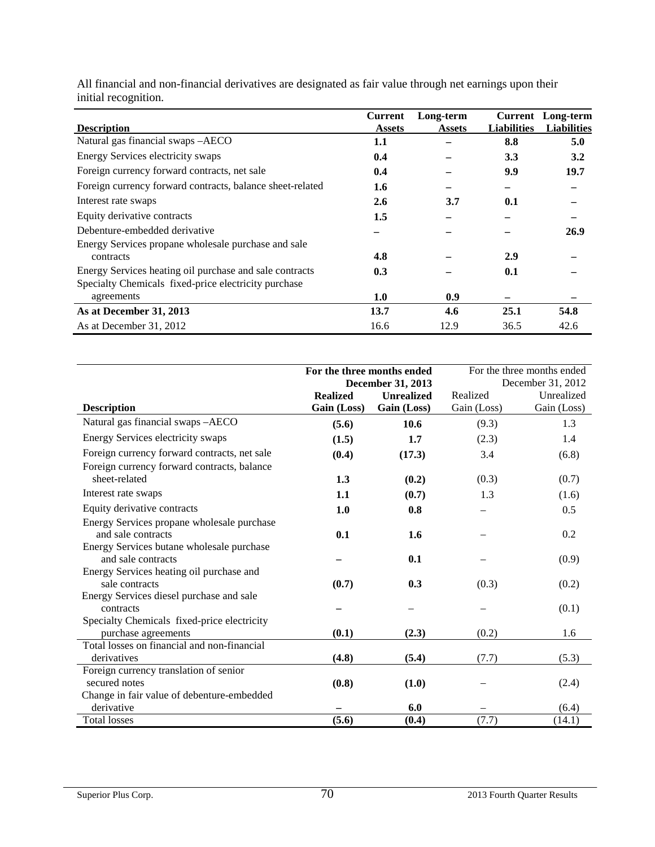| <b>Description</b>                                        | Current<br><b>Assets</b> | Long-term<br><b>Assets</b> | <b>Liabilities</b> | Current Long-term<br><b>Liabilities</b> |
|-----------------------------------------------------------|--------------------------|----------------------------|--------------------|-----------------------------------------|
| Natural gas financial swaps -AECO                         | 1.1                      |                            | 8.8                | 5.0                                     |
| Energy Services electricity swaps                         | 0.4                      |                            | 3.3                | 3.2                                     |
| Foreign currency forward contracts, net sale              | 0.4                      |                            | 9.9                | 19.7                                    |
| Foreign currency forward contracts, balance sheet-related | 1.6                      |                            |                    |                                         |
| Interest rate swaps                                       | 2.6                      | 3.7                        | 0.1                |                                         |
| Equity derivative contracts                               | 1.5                      |                            |                    |                                         |
| Debenture-embedded derivative                             |                          |                            |                    | 26.9                                    |
| Energy Services propane wholesale purchase and sale       |                          |                            |                    |                                         |
| contracts                                                 | 4.8                      |                            | 2.9                |                                         |
| Energy Services heating oil purchase and sale contracts   | 0.3                      |                            | 0.1                |                                         |
| Specialty Chemicals fixed-price electricity purchase      |                          |                            |                    |                                         |
| agreements                                                | 1.0                      | 0.9                        |                    |                                         |
| As at December 31, 2013                                   | 13.7                     | 4.6                        | 25.1               | 54.8                                    |
| As at December 31, 2012                                   | 16.6                     | 12.9                       | 36.5               | 42.6                                    |

All financial and non-financial derivatives are designated as fair value through net earnings upon their initial recognition.

|                                                                    | For the three months ended |                   | For the three months ended |                   |  |
|--------------------------------------------------------------------|----------------------------|-------------------|----------------------------|-------------------|--|
|                                                                    |                            | December 31, 2013 |                            | December 31, 2012 |  |
|                                                                    | <b>Realized</b>            | <b>Unrealized</b> | Realized                   | Unrealized        |  |
| <b>Description</b>                                                 | Gain (Loss)                | Gain (Loss)       | Gain (Loss)                | Gain (Loss)       |  |
| Natural gas financial swaps -AECO                                  | (5.6)                      | 10.6              | (9.3)                      | 1.3               |  |
| <b>Energy Services electricity swaps</b>                           | (1.5)                      | 1.7               | (2.3)                      | 1.4               |  |
| Foreign currency forward contracts, net sale                       | (0.4)                      | (17.3)            | 3.4                        | (6.8)             |  |
| Foreign currency forward contracts, balance                        |                            |                   |                            |                   |  |
| sheet-related                                                      | 1.3                        | (0.2)             | (0.3)                      | (0.7)             |  |
| Interest rate swaps                                                | 1.1                        | (0.7)             | 1.3                        | (1.6)             |  |
| Equity derivative contracts                                        | 1.0                        | 0.8               |                            | 0.5               |  |
| Energy Services propane wholesale purchase<br>and sale contracts   | 0.1                        | 1.6               |                            | 0.2               |  |
| Energy Services butane wholesale purchase<br>and sale contracts    |                            | 0.1               |                            | (0.9)             |  |
| Energy Services heating oil purchase and<br>sale contracts         | (0.7)                      | 0.3               | (0.3)                      | (0.2)             |  |
| Energy Services diesel purchase and sale<br>contracts              |                            |                   |                            | (0.1)             |  |
| Specialty Chemicals fixed-price electricity<br>purchase agreements | (0.1)                      | (2.3)             | (0.2)                      | 1.6               |  |
| Total losses on financial and non-financial                        |                            |                   |                            |                   |  |
| derivatives                                                        | (4.8)                      | (5.4)             | (7.7)                      | (5.3)             |  |
| Foreign currency translation of senior                             |                            |                   |                            |                   |  |
| secured notes                                                      | (0.8)                      | (1.0)             |                            | (2.4)             |  |
| Change in fair value of debenture-embedded<br>derivative           |                            | 6.0               |                            | (6.4)             |  |
| <b>Total losses</b>                                                | (5.6)                      | (0.4)             | (7.7)                      | (14.1)            |  |
|                                                                    |                            |                   |                            |                   |  |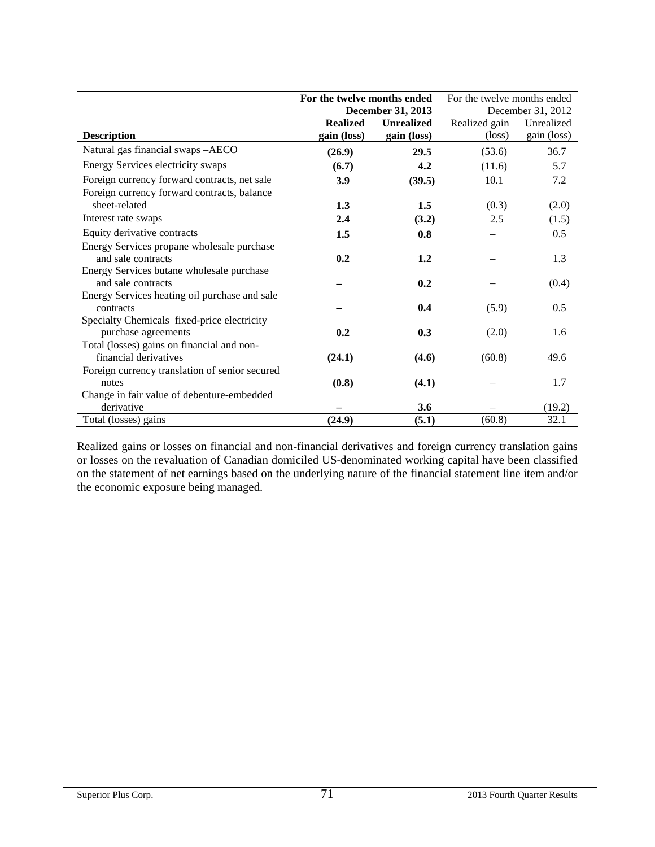|                                                | For the twelve months ended |                          | For the twelve months ended |             |  |  |
|------------------------------------------------|-----------------------------|--------------------------|-----------------------------|-------------|--|--|
|                                                |                             | <b>December 31, 2013</b> | December 31, 2012           |             |  |  |
|                                                | <b>Realized</b>             | <b>Unrealized</b>        | Realized gain               | Unrealized  |  |  |
| <b>Description</b>                             | gain (loss)                 | gain (loss)              | $(\text{loss})$             | gain (loss) |  |  |
| Natural gas financial swaps -AECO              | (26.9)                      | 29.5                     | (53.6)                      | 36.7        |  |  |
| Energy Services electricity swaps              | (6.7)                       | 4.2                      | (11.6)                      | 5.7         |  |  |
| Foreign currency forward contracts, net sale   | 3.9                         | (39.5)                   | 10.1                        | 7.2         |  |  |
| Foreign currency forward contracts, balance    |                             |                          |                             |             |  |  |
| sheet-related                                  | 1.3                         | 1.5                      | (0.3)                       | (2.0)       |  |  |
| Interest rate swaps                            | 2.4                         | (3.2)                    | 2.5                         | (1.5)       |  |  |
| Equity derivative contracts                    | 1.5                         | 0.8                      |                             | 0.5         |  |  |
| Energy Services propane wholesale purchase     |                             |                          |                             |             |  |  |
| and sale contracts                             | 0.2                         | 1.2                      |                             | 1.3         |  |  |
| Energy Services butane wholesale purchase      |                             |                          |                             |             |  |  |
| and sale contracts                             |                             | 0.2                      |                             | (0.4)       |  |  |
| Energy Services heating oil purchase and sale  |                             |                          |                             |             |  |  |
| contracts                                      |                             | 0.4                      | (5.9)                       | 0.5         |  |  |
| Specialty Chemicals fixed-price electricity    |                             |                          |                             |             |  |  |
| purchase agreements                            | 0.2                         | 0.3                      | (2.0)                       | 1.6         |  |  |
| Total (losses) gains on financial and non-     |                             |                          |                             |             |  |  |
| financial derivatives                          | (24.1)                      | (4.6)                    | (60.8)                      | 49.6        |  |  |
| Foreign currency translation of senior secured |                             |                          |                             |             |  |  |
| notes                                          | (0.8)                       | (4.1)                    |                             | 1.7         |  |  |
| Change in fair value of debenture-embedded     |                             |                          |                             |             |  |  |
| derivative                                     |                             | 3.6                      |                             | (19.2)      |  |  |
| Total (losses) gains                           | (24.9)                      | (5.1)                    | (60.8)                      | 32.1        |  |  |

Realized gains or losses on financial and non-financial derivatives and foreign currency translation gains or losses on the revaluation of Canadian domiciled US-denominated working capital have been classified on the statement of net earnings based on the underlying nature of the financial statement line item and/or the economic exposure being managed.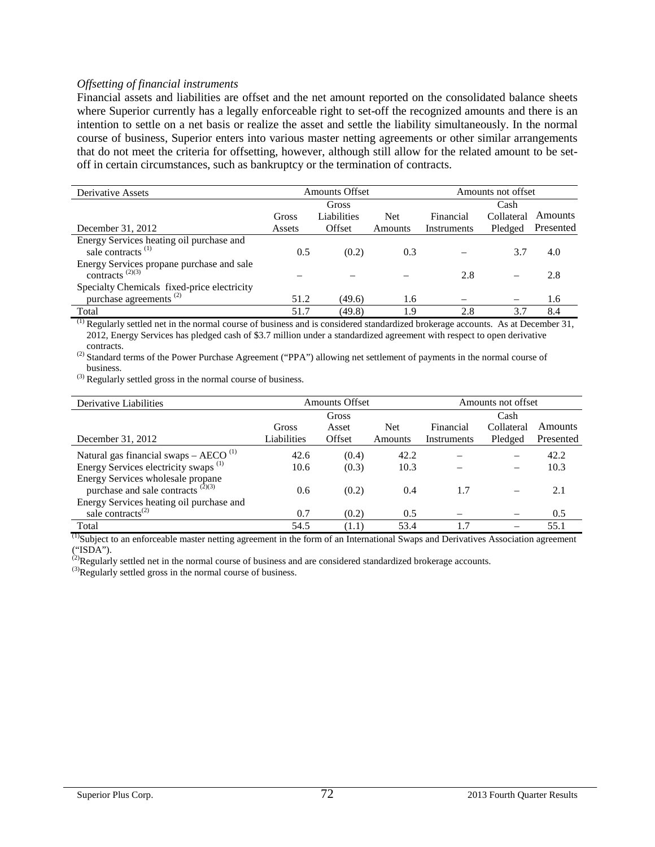#### *Offsetting of financial instruments*

Financial assets and liabilities are offset and the net amount reported on the consolidated balance sheets where Superior currently has a legally enforceable right to set-off the recognized amounts and there is an intention to settle on a net basis or realize the asset and settle the liability simultaneously. In the normal course of business, Superior enters into various master netting agreements or other similar arrangements that do not meet the criteria for offsetting, however, although still allow for the related amount to be setoff in certain circumstances, such as bankruptcy or the termination of contracts.

| Derivative Assets                           | <b>Amounts Offset</b> |             |            | Amounts not offset |            |           |
|---------------------------------------------|-----------------------|-------------|------------|--------------------|------------|-----------|
|                                             | Gross                 |             |            | Cash               |            |           |
|                                             | Gross                 | Liabilities | <b>Net</b> | Financial          | Collateral | Amounts   |
| December 31, 2012                           | Assets                | Offset      | Amounts    | Instruments        | Pledged    | Presented |
| Energy Services heating oil purchase and    |                       |             |            |                    |            |           |
| sale contracts <sup>(1)</sup>               | 0.5                   | (0.2)       | 0.3        |                    | 3.7        | 4.0       |
| Energy Services propane purchase and sale   |                       |             |            |                    |            |           |
| contracts <sup><math>(2)(3)</math></sup>    |                       |             |            | 2.8                |            | 2.8       |
| Specialty Chemicals fixed-price electricity |                       |             |            |                    |            |           |
| purchase agreements <sup>(2)</sup>          | 51.2                  | (49.6)      | 1.6        |                    |            | 1.6       |
| Total                                       | 51.7                  | (49.8)      | 1.9        | 2.8                | 3.7        | 8.4       |

 $^{(1)}$  Regularly settled net in the normal course of business and is considered standardized brokerage accounts. As at December 31, 2012, Energy Services has pledged cash of \$3.7 million under a standardized agreement with respect to open derivative contracts.

<sup>(2)</sup> Standard terms of the Power Purchase Agreement ("PPA") allowing net settlement of payments in the normal course of business.

(3) Regularly settled gross in the normal course of business.

| Derivative Liabilities                                           | <b>Amounts Offset</b> |        |            | Amounts not offset |            |           |
|------------------------------------------------------------------|-----------------------|--------|------------|--------------------|------------|-----------|
|                                                                  | Gross                 |        |            | Cash               |            |           |
|                                                                  | Gross                 | Asset  | <b>Net</b> | Financial          | Collateral | Amounts   |
| December 31, 2012                                                | Liabilities           | Offset | Amounts    | Instruments        | Pledged    | Presented |
| Natural gas financial swaps $-$ AECO <sup><math>(1)</math></sup> | 42.6                  | (0.4)  | 42.2       |                    |            | 42.2      |
| Energy Services electricity swaps <sup>(1)</sup>                 | 10.6                  | (0.3)  | 10.3       |                    |            | 10.3      |
| Energy Services wholesale propane                                |                       |        |            |                    |            |           |
| purchase and sale contracts $(2)(3)$                             | 0.6                   | (0.2)  | 0.4        | 1.7                |            | 2.1       |
| Energy Services heating oil purchase and                         |                       |        |            |                    |            |           |
| sale contracts <sup><math>(2)</math></sup>                       | 0.7                   | (0.2)  | 0.5        |                    |            | 0.5       |
| Total                                                            | 54.5                  | (1.1)  | 53.4       |                    |            | 55.1      |

(1)Subject to an enforceable master netting agreement in the form of an International Swaps and Derivatives Association agreement ("ISDA").

 $^{(2)}$ Regularly settled net in the normal course of business and are considered standardized brokerage accounts.

<sup>(3)</sup>Regularly settled gross in the normal course of business.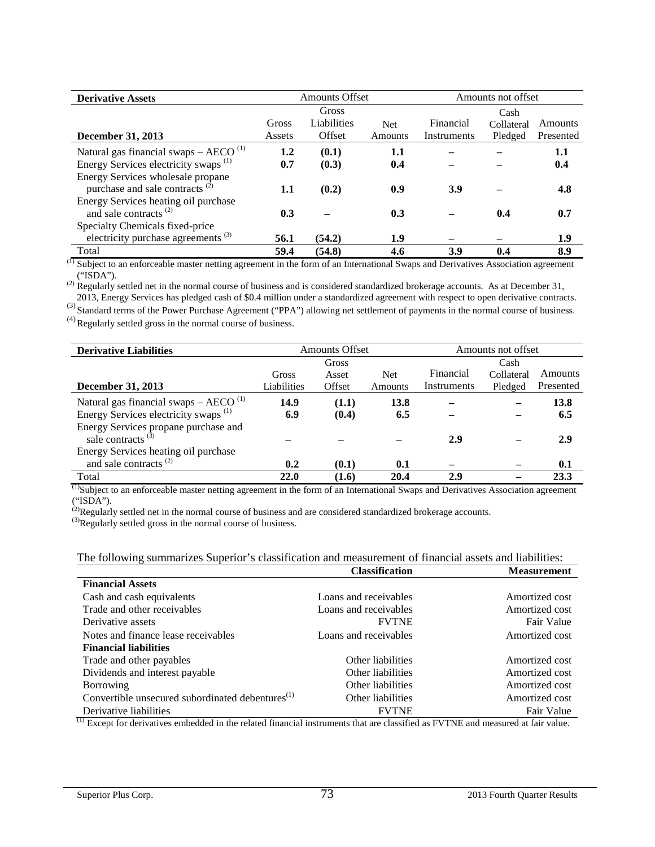| <b>Derivative Assets</b>                                         | Amounts Offset   |             |            |             | Amounts not offset |           |  |
|------------------------------------------------------------------|------------------|-------------|------------|-------------|--------------------|-----------|--|
|                                                                  | Gross            |             |            | Cash        |                    |           |  |
|                                                                  | Gross            | Liabilities | <b>Net</b> | Financial   | Collateral         | Amounts   |  |
| December 31, 2013                                                | Assets           | Offset      | Amounts    | Instruments | Pledged            | Presented |  |
| Natural gas financial swaps $-$ AECO <sup><math>(1)</math></sup> | $1.2\phantom{0}$ | (0.1)       | 1.1        |             |                    | 1.1       |  |
| Energy Services electricity swaps <sup>(1)</sup>                 | 0.7              | (0.3)       | 0.4        |             |                    | 0.4       |  |
| Energy Services wholesale propane                                |                  |             |            |             |                    |           |  |
| purchase and sale contracts <sup>(2)</sup>                       | 1.1              | (0.2)       | 0.9        | 3.9         |                    | 4.8       |  |
| Energy Services heating oil purchase                             |                  |             |            |             |                    |           |  |
| and sale contracts <sup>(2)</sup>                                | 0.3              |             | 0.3        |             | 0.4                | 0.7       |  |
| Specialty Chemicals fixed-price                                  |                  |             |            |             |                    |           |  |
| electricity purchase agreements <sup>(3)</sup>                   | 56.1             | (54.2)      | 1.9        |             |                    | 1.9       |  |
| Total                                                            | 59.4             | (54.8)      | 4.6        | 3.9         | 0.4                | 8.9       |  |

 $<sup>(1)</sup>$  Subject to an enforceable master netting agreement in the form of an International Swaps and Derivatives Association agreement</sup> ("ISDA").

(2) Regularly settled net in the normal course of business and is considered standardized brokerage accounts. As at December 31,

2013, Energy Services has pledged cash of \$0.4 million under a standardized agreement with respect to open derivative contracts.

<sup>(3)</sup> Standard terms of the Power Purchase Agreement ("PPA") allowing net settlement of payments in the normal course of business.

 $^{(4)}$ Regularly settled gross in the normal course of business.

| <b>Derivative Liabilities</b>                                    | <b>Amounts Offset</b> |        |            |             | Amounts not offset |           |  |
|------------------------------------------------------------------|-----------------------|--------|------------|-------------|--------------------|-----------|--|
|                                                                  |                       | Gross  |            |             | Cash               |           |  |
|                                                                  | Gross                 | Asset  | <b>Net</b> | Financial   | Collateral         | Amounts   |  |
| December 31, 2013                                                | Liabilities           | Offset | Amounts    | Instruments | Pledged            | Presented |  |
| Natural gas financial swaps $-$ AECO <sup><math>(1)</math></sup> | 14.9                  | (1.1)  | 13.8       |             |                    | 13.8      |  |
| Energy Services electricity swaps <sup>(1)</sup>                 | 6.9                   | (0.4)  | 6.5        |             |                    | 6.5       |  |
| Energy Services propane purchase and<br>sale contracts $(3)$     |                       |        |            | 2.9         |                    | 2.9       |  |
| Energy Services heating oil purchase                             |                       |        |            |             |                    |           |  |
| and sale contracts <sup>(2)</sup>                                | 0.2                   | (0.1)  | 0.1        |             |                    | 0.1       |  |
| Total                                                            | 22.0                  | (1.6)  | 20.4       | 2.9         |                    | 23.3      |  |

<sup>(1)</sup>Subject to an enforceable master netting agreement in the form of an International Swaps and Derivatives Association agreement ("ISDA").

 $^{(2)}$ Regularly settled net in the normal course of business and are considered standardized brokerage accounts.

<sup>(3)</sup>Regularly settled gross in the normal course of business.

|  |  |  |  | The following summarizes Superior's classification and measurement of financial assets and liabilities: |
|--|--|--|--|---------------------------------------------------------------------------------------------------------|
|  |  |  |  |                                                                                                         |

|                                                              | <b>Classification</b> | <b>Measurement</b> |
|--------------------------------------------------------------|-----------------------|--------------------|
| <b>Financial Assets</b>                                      |                       |                    |
| Cash and cash equivalents                                    | Loans and receivables | Amortized cost     |
| Trade and other receivables                                  | Loans and receivables | Amortized cost     |
| Derivative assets                                            | <b>FVTNE</b>          | Fair Value         |
| Notes and finance lease receivables                          | Loans and receivables | Amortized cost     |
| <b>Financial liabilities</b>                                 |                       |                    |
| Trade and other payables                                     | Other liabilities     | Amortized cost     |
| Dividends and interest payable                               | Other liabilities     | Amortized cost     |
| <b>Borrowing</b>                                             | Other liabilities     | Amortized cost     |
| Convertible unsecured subordinated debentures <sup>(1)</sup> | Other liabilities     | Amortized cost     |
| Derivative liabilities<br>(1)                                | <b>FVTNE</b>          | Fair Value         |

 $<sup>(1)</sup>$  Except for derivatives embedded in the related financial instruments that are classified as FVTNE and measured at fair value.</sup>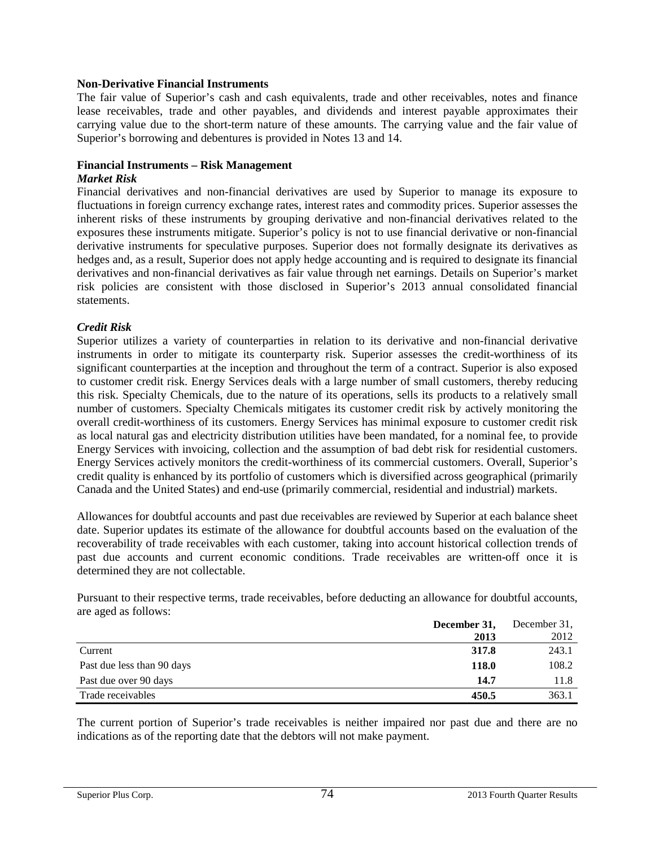### **Non-Derivative Financial Instruments**

The fair value of Superior's cash and cash equivalents, trade and other receivables, notes and finance lease receivables, trade and other payables, and dividends and interest payable approximates their carrying value due to the short-term nature of these amounts. The carrying value and the fair value of Superior's borrowing and debentures is provided in Notes 13 and 14.

# **Financial Instruments – Risk Management**

### *Market Risk*

Financial derivatives and non-financial derivatives are used by Superior to manage its exposure to fluctuations in foreign currency exchange rates, interest rates and commodity prices. Superior assesses the inherent risks of these instruments by grouping derivative and non-financial derivatives related to the exposures these instruments mitigate. Superior's policy is not to use financial derivative or non-financial derivative instruments for speculative purposes. Superior does not formally designate its derivatives as hedges and, as a result, Superior does not apply hedge accounting and is required to designate its financial derivatives and non-financial derivatives as fair value through net earnings. Details on Superior's market risk policies are consistent with those disclosed in Superior's 2013 annual consolidated financial statements.

## *Credit Risk*

Superior utilizes a variety of counterparties in relation to its derivative and non-financial derivative instruments in order to mitigate its counterparty risk. Superior assesses the credit-worthiness of its significant counterparties at the inception and throughout the term of a contract. Superior is also exposed to customer credit risk. Energy Services deals with a large number of small customers, thereby reducing this risk. Specialty Chemicals, due to the nature of its operations, sells its products to a relatively small number of customers. Specialty Chemicals mitigates its customer credit risk by actively monitoring the overall credit-worthiness of its customers. Energy Services has minimal exposure to customer credit risk as local natural gas and electricity distribution utilities have been mandated, for a nominal fee, to provide Energy Services with invoicing, collection and the assumption of bad debt risk for residential customers. Energy Services actively monitors the credit-worthiness of its commercial customers. Overall, Superior's credit quality is enhanced by its portfolio of customers which is diversified across geographical (primarily Canada and the United States) and end-use (primarily commercial, residential and industrial) markets.

Allowances for doubtful accounts and past due receivables are reviewed by Superior at each balance sheet date. Superior updates its estimate of the allowance for doubtful accounts based on the evaluation of the recoverability of trade receivables with each customer, taking into account historical collection trends of past due accounts and current economic conditions. Trade receivables are written-off once it is determined they are not collectable.

Pursuant to their respective terms, trade receivables, before deducting an allowance for doubtful accounts, are aged as follows:

|                            | December 31, | December 31. |
|----------------------------|--------------|--------------|
|                            | 2013         | 2012         |
| Current                    | 317.8        | 243.1        |
| Past due less than 90 days | 118.0        | 108.2        |
| Past due over 90 days      | 14.7         | 11.8         |
| Trade receivables          | 450.5        | 363.1        |

The current portion of Superior's trade receivables is neither impaired nor past due and there are no indications as of the reporting date that the debtors will not make payment.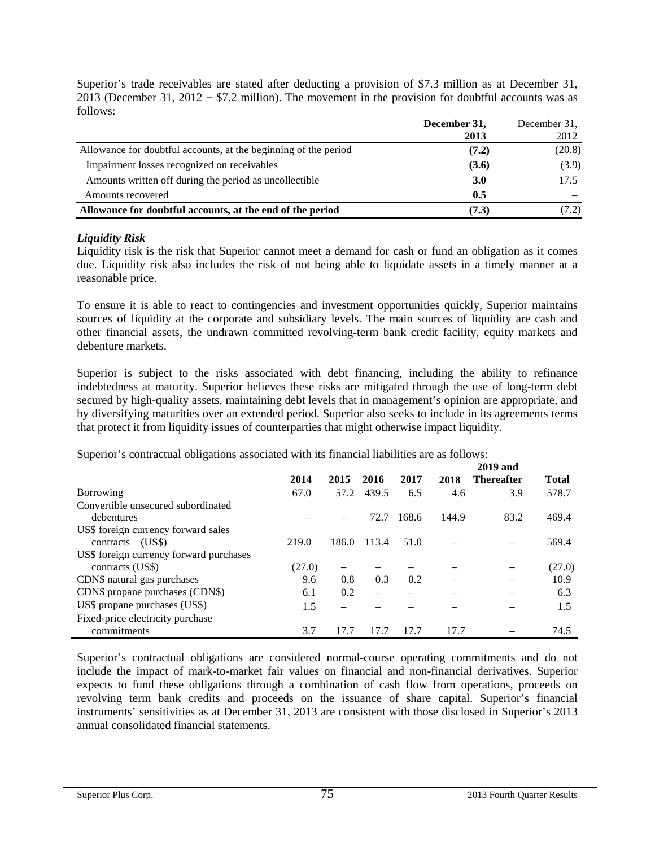Superior's trade receivables are stated after deducting a provision of \$7.3 million as at December 31, 2013 (December 31, 2012 − \$7.2 million). The movement in the provision for doubtful accounts was as follows:

|                                                                 | December 31, | December 31. |
|-----------------------------------------------------------------|--------------|--------------|
|                                                                 | 2013         | 2012         |
| Allowance for doubtful accounts, at the beginning of the period | (7.2)        | (20.8)       |
| Impairment losses recognized on receivables                     | (3.6)        | (3.9)        |
| Amounts written off during the period as uncollectible          | 3.0          | 17.5         |
| Amounts recovered                                               | 0.5          |              |
| Allowance for doubtful accounts, at the end of the period       | (7.3)        | (7.2)        |

## *Liquidity Risk*

Liquidity risk is the risk that Superior cannot meet a demand for cash or fund an obligation as it comes due. Liquidity risk also includes the risk of not being able to liquidate assets in a timely manner at a reasonable price.

To ensure it is able to react to contingencies and investment opportunities quickly, Superior maintains sources of liquidity at the corporate and subsidiary levels. The main sources of liquidity are cash and other financial assets, the undrawn committed revolving-term bank credit facility, equity markets and debenture markets.

Superior is subject to the risks associated with debt financing, including the ability to refinance indebtedness at maturity. Superior believes these risks are mitigated through the use of long-term debt secured by high-quality assets, maintaining debt levels that in management's opinion are appropriate, and by diversifying maturities over an extended period. Superior also seeks to include in its agreements terms that protect it from liquidity issues of counterparties that might otherwise impact liquidity.

|                                         |        |       |       |       |       | 2019 and          |              |
|-----------------------------------------|--------|-------|-------|-------|-------|-------------------|--------------|
|                                         | 2014   | 2015  | 2016  | 2017  | 2018  | <b>Thereafter</b> | <b>Total</b> |
| <b>Borrowing</b>                        | 67.0   | 57.2  | 439.5 | 6.5   | 4.6   | 3.9               | 578.7        |
| Convertible unsecured subordinated      |        |       |       |       |       |                   |              |
| debentures                              |        |       | 72.7  | 168.6 | 144.9 | 83.2              | 469.4        |
| US\$ foreign currency forward sales     |        |       |       |       |       |                   |              |
| (US\$)<br>contracts                     | 219.0  | 186.0 | 113.4 | 51.0  |       |                   | 569.4        |
| US\$ foreign currency forward purchases |        |       |       |       |       |                   |              |
| contracts (US\$)                        | (27.0) |       |       |       |       |                   | (27.0)       |
| CDN\$ natural gas purchases             | 9.6    | 0.8   | 0.3   | 0.2   |       |                   | 10.9         |
| CDN\$ propane purchases (CDN\$)         | 6.1    | 0.2   |       |       |       |                   | 6.3          |
| US\$ propane purchases (US\$)           | 1.5    |       |       |       |       |                   | 1.5          |
| Fixed-price electricity purchase        |        |       |       |       |       |                   |              |
| commitments                             | 3.7    | 17.7  |       | 17.7  | 17.7  |                   | 74.5         |

Superior's contractual obligations associated with its financial liabilities are as follows:

Superior's contractual obligations are considered normal-course operating commitments and do not include the impact of mark-to-market fair values on financial and non-financial derivatives. Superior expects to fund these obligations through a combination of cash flow from operations, proceeds on revolving term bank credits and proceeds on the issuance of share capital. Superior's financial instruments' sensitivities as at December 31, 2013 are consistent with those disclosed in Superior's 2013 annual consolidated financial statements.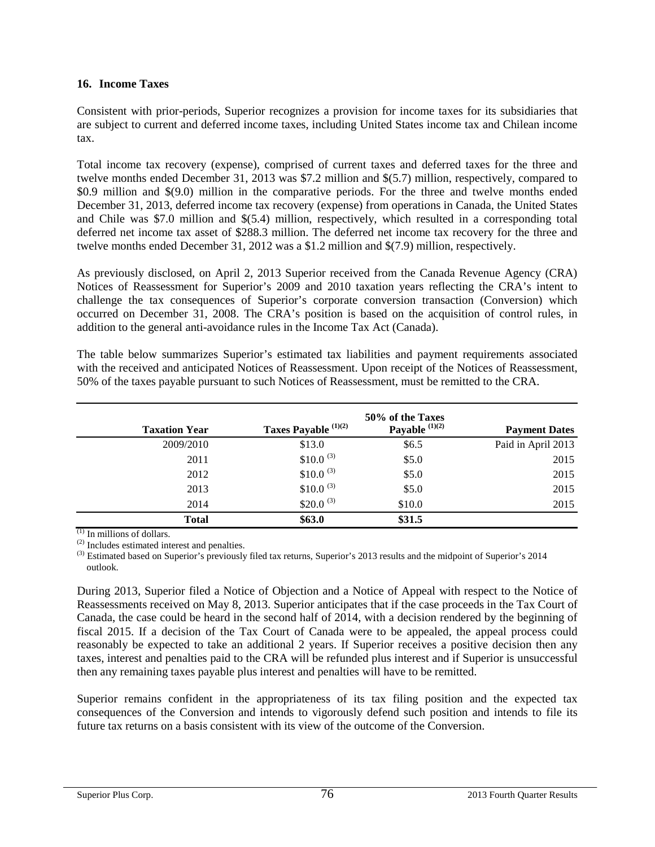# **16. Income Taxes**

Consistent with prior-periods, Superior recognizes a provision for income taxes for its subsidiaries that are subject to current and deferred income taxes, including United States income tax and Chilean income tax.

Total income tax recovery (expense), comprised of current taxes and deferred taxes for the three and twelve months ended December 31, 2013 was \$7.2 million and \$(5.7) million, respectively, compared to \$0.9 million and \$(9.0) million in the comparative periods. For the three and twelve months ended December 31, 2013, deferred income tax recovery (expense) from operations in Canada, the United States and Chile was \$7.0 million and \$(5.4) million, respectively, which resulted in a corresponding total deferred net income tax asset of \$288.3 million. The deferred net income tax recovery for the three and twelve months ended December 31, 2012 was a \$1.2 million and \$(7.9) million, respectively.

As previously disclosed, on April 2, 2013 Superior received from the Canada Revenue Agency (CRA) Notices of Reassessment for Superior's 2009 and 2010 taxation years reflecting the CRA's intent to challenge the tax consequences of Superior's corporate conversion transaction (Conversion) which occurred on December 31, 2008. The CRA's position is based on the acquisition of control rules, in addition to the general anti-avoidance rules in the Income Tax Act (Canada).

The table below summarizes Superior's estimated tax liabilities and payment requirements associated with the received and anticipated Notices of Reassessment. Upon receipt of the Notices of Reassessment, 50% of the taxes payable pursuant to such Notices of Reassessment, must be remitted to the CRA.

| <b>Taxation Year</b> | Taxes Payable (1)(2)   | 50% of the Taxes<br>Payable $(1)(2)$ | <b>Payment Dates</b> |
|----------------------|------------------------|--------------------------------------|----------------------|
| 2009/2010            | \$13.0                 | \$6.5                                | Paid in April 2013   |
|                      |                        |                                      |                      |
| 2011                 | \$10.0 <sup>(3)</sup>  | \$5.0                                | 2015                 |
| 2012                 | \$10.0 <sup>(3)</sup>  | \$5.0                                | 2015                 |
| 2013                 | \$10.0 <sup>(3)</sup>  | \$5.0                                | 2015                 |
| 2014                 | $$20.0$ <sup>(3)</sup> | \$10.0                               | 2015                 |
| Total                | \$63.0                 | \$31.5                               |                      |

(1) In millions of dollars.

(2) Includes estimated interest and penalties.

<sup>(3)</sup> Estimated based on Superior's previously filed tax returns, Superior's 2013 results and the midpoint of Superior's 2014 outlook.

During 2013, Superior filed a Notice of Objection and a Notice of Appeal with respect to the Notice of Reassessments received on May 8, 2013. Superior anticipates that if the case proceeds in the Tax Court of Canada, the case could be heard in the second half of 2014, with a decision rendered by the beginning of fiscal 2015. If a decision of the Tax Court of Canada were to be appealed, the appeal process could reasonably be expected to take an additional 2 years. If Superior receives a positive decision then any taxes, interest and penalties paid to the CRA will be refunded plus interest and if Superior is unsuccessful then any remaining taxes payable plus interest and penalties will have to be remitted.

Superior remains confident in the appropriateness of its tax filing position and the expected tax consequences of the Conversion and intends to vigorously defend such position and intends to file its future tax returns on a basis consistent with its view of the outcome of the Conversion.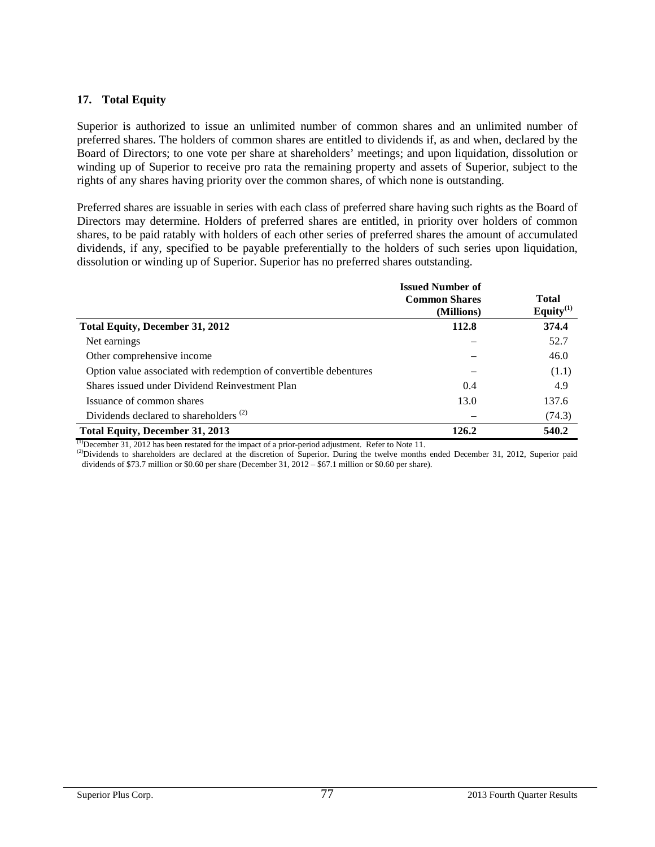# **17. Total Equity**

Superior is authorized to issue an unlimited number of common shares and an unlimited number of preferred shares. The holders of common shares are entitled to dividends if, as and when, declared by the Board of Directors; to one vote per share at shareholders' meetings; and upon liquidation, dissolution or winding up of Superior to receive pro rata the remaining property and assets of Superior, subject to the rights of any shares having priority over the common shares, of which none is outstanding.

Preferred shares are issuable in series with each class of preferred share having such rights as the Board of Directors may determine. Holders of preferred shares are entitled, in priority over holders of common shares, to be paid ratably with holders of each other series of preferred shares the amount of accumulated dividends, if any, specified to be payable preferentially to the holders of such series upon liquidation, dissolution or winding up of Superior. Superior has no preferred shares outstanding.

|                                                                   | <b>Issued Number of</b><br><b>Common Shares</b><br>(Millions) | <b>Total</b><br>Equity $^{(1)}$ |
|-------------------------------------------------------------------|---------------------------------------------------------------|---------------------------------|
| <b>Total Equity, December 31, 2012</b>                            | 112.8                                                         | 374.4                           |
| Net earnings                                                      |                                                               | 52.7                            |
| Other comprehensive income                                        |                                                               | 46.0                            |
| Option value associated with redemption of convertible debentures |                                                               | (1.1)                           |
| Shares issued under Dividend Reinvestment Plan                    | 0.4                                                           | 4.9                             |
| Issuance of common shares                                         | 13.0                                                          | 137.6                           |
| Dividends declared to shareholders <sup>(2)</sup>                 |                                                               | (74.3)                          |
| <b>Total Equity, December 31, 2013</b>                            | 126.2                                                         | 540.2                           |

(1)December 31, 2012 has been restated for the impact of a prior-period adjustment. Refer to Note 11.

(2) Dividends to shareholders are declared at the discretion of Superior. During the twelve months ended December 31, 2012, Superior paid dividends of \$73.7 million or \$0.60 per share (December 31,  $2012 - $67.1$  million or \$0.60 per share).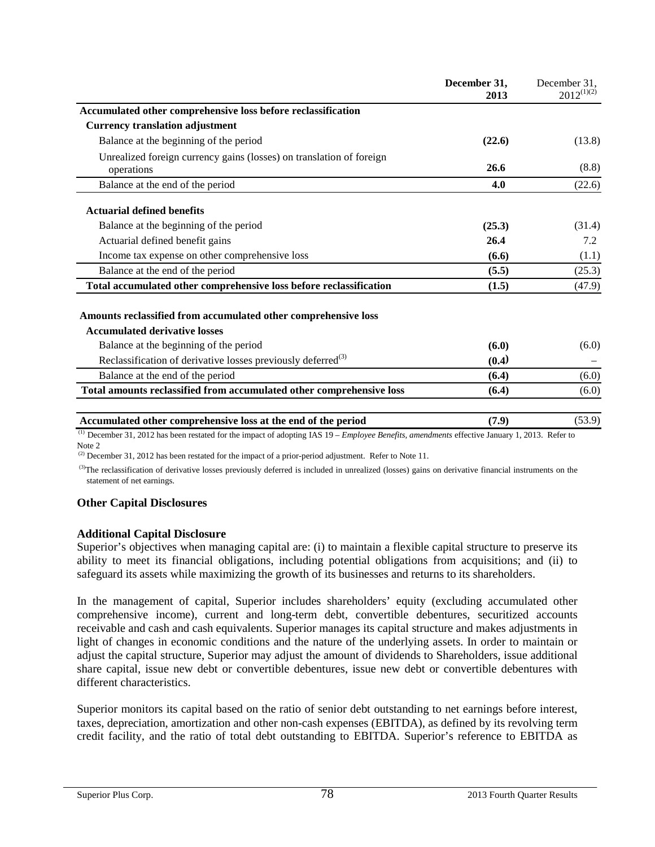| December 31,<br>2013 | December 31.<br>$2012^{(1)(2)}$                                                                                                                                 |
|----------------------|-----------------------------------------------------------------------------------------------------------------------------------------------------------------|
|                      |                                                                                                                                                                 |
|                      |                                                                                                                                                                 |
| (22.6)               | (13.8)                                                                                                                                                          |
| 26.6                 | (8.8)                                                                                                                                                           |
| 4.0                  | (22.6)                                                                                                                                                          |
|                      |                                                                                                                                                                 |
| (25.3)               | (31.4)                                                                                                                                                          |
| 26.4                 | 7.2                                                                                                                                                             |
| (6.6)                | (1.1)                                                                                                                                                           |
| (5.5)                | (25.3)                                                                                                                                                          |
| (1.5)                | (47.9)                                                                                                                                                          |
|                      |                                                                                                                                                                 |
|                      |                                                                                                                                                                 |
| (6.0)                | (6.0)                                                                                                                                                           |
| (0.4)                |                                                                                                                                                                 |
| (6.4)                | (6.0)                                                                                                                                                           |
| (6.4)                | (6.0)                                                                                                                                                           |
| (7.9)                | (53.9)                                                                                                                                                          |
|                      | <sup>(1)</sup> December 31, 2012 has been restated for the impact of adopting IAS 19 – <i>Employee Renefits, amendments</i> effective January 1, 2013. Refer to |

 (1) December 31, 2012 has been restated for the impact of adopting IAS 19 *– Employee Benefits, amendments* effective January 1, 2013. Refer to Note 2

 $^{(2)}$  December 31, 2012 has been restated for the impact of a prior-period adjustment. Refer to Note 11.

<sup>(3)</sup>The reclassification of derivative losses previously deferred is included in unrealized (losses) gains on derivative financial instruments on the statement of net earnings.

# **Other Capital Disclosures**

# **Additional Capital Disclosure**

Superior's objectives when managing capital are: (i) to maintain a flexible capital structure to preserve its ability to meet its financial obligations, including potential obligations from acquisitions; and (ii) to safeguard its assets while maximizing the growth of its businesses and returns to its shareholders.

In the management of capital, Superior includes shareholders' equity (excluding accumulated other comprehensive income), current and long-term debt, convertible debentures, securitized accounts receivable and cash and cash equivalents. Superior manages its capital structure and makes adjustments in light of changes in economic conditions and the nature of the underlying assets. In order to maintain or adjust the capital structure, Superior may adjust the amount of dividends to Shareholders, issue additional share capital, issue new debt or convertible debentures, issue new debt or convertible debentures with different characteristics.

Superior monitors its capital based on the ratio of senior debt outstanding to net earnings before interest, taxes, depreciation, amortization and other non-cash expenses (EBITDA), as defined by its revolving term credit facility, and the ratio of total debt outstanding to EBITDA. Superior's reference to EBITDA as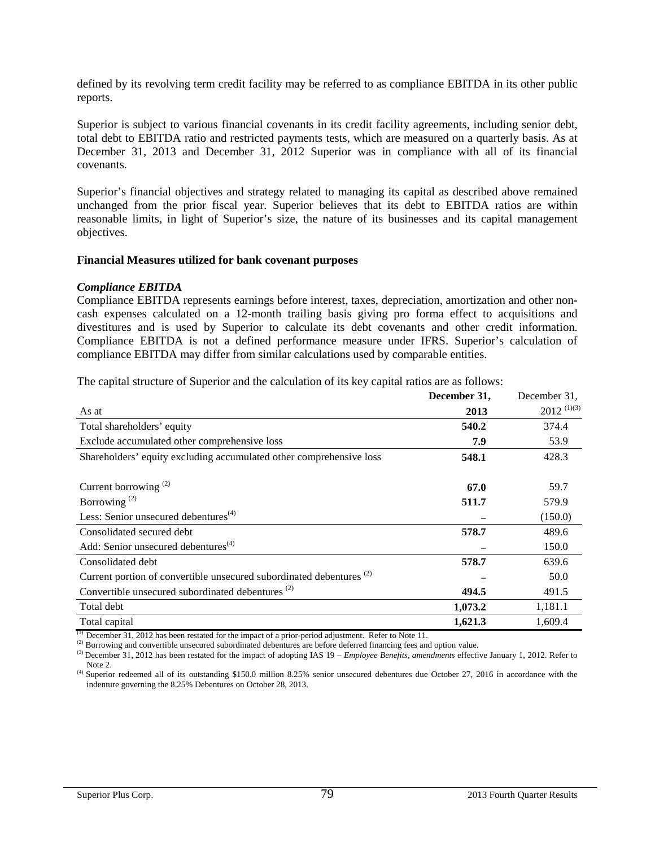defined by its revolving term credit facility may be referred to as compliance EBITDA in its other public reports.

Superior is subject to various financial covenants in its credit facility agreements, including senior debt, total debt to EBITDA ratio and restricted payments tests, which are measured on a quarterly basis. As at December 31, 2013 and December 31, 2012 Superior was in compliance with all of its financial covenants.

Superior's financial objectives and strategy related to managing its capital as described above remained unchanged from the prior fiscal year. Superior believes that its debt to EBITDA ratios are within reasonable limits, in light of Superior's size, the nature of its businesses and its capital management objectives.

#### **Financial Measures utilized for bank covenant purposes**

#### *Compliance EBITDA*

Compliance EBITDA represents earnings before interest, taxes, depreciation, amortization and other noncash expenses calculated on a 12-month trailing basis giving pro forma effect to acquisitions and divestitures and is used by Superior to calculate its debt covenants and other credit information. Compliance EBITDA is not a defined performance measure under IFRS. Superior's calculation of compliance EBITDA may differ from similar calculations used by comparable entities.

The capital structure of Superior and the calculation of its key capital ratios are as follows:

|                                                                                 | December 31, | December 31.    |
|---------------------------------------------------------------------------------|--------------|-----------------|
| As at                                                                           | 2013         | $2012^{(1)(3)}$ |
| Total shareholders' equity                                                      | 540.2        | 374.4           |
| Exclude accumulated other comprehensive loss                                    | 7.9          | 53.9            |
| Shareholders' equity excluding accumulated other comprehensive loss             | 548.1        | 428.3           |
| Current borrowing <sup>(2)</sup>                                                | 67.0         | 59.7            |
| Borrowing <sup>(2)</sup>                                                        | 511.7        | 579.9           |
| Less: Senior unsecured debentures <sup>(4)</sup>                                |              | (150.0)         |
| Consolidated secured debt                                                       | 578.7        | 489.6           |
| Add: Senior unsecured debentures <sup>(4)</sup>                                 |              | 150.0           |
| Consolidated debt                                                               | 578.7        | 639.6           |
| Current portion of convertible unsecured subordinated debentures <sup>(2)</sup> |              | 50.0            |
| Convertible unsecured subordinated debentures <sup>(2)</sup>                    | 494.5        | 491.5           |
| Total debt                                                                      | 1,073.2      | 1,181.1         |
| Total capital                                                                   | 1,621.3      | 1,609.4         |

(1) December 31, 2012 has been restated for the impact of a prior-period adjustment. Refer to Note 11.

<sup>(2)</sup> Borrowing and convertible unsecured subordinated debentures are before deferred financing fees and option value.

<sup>(3)</sup> December 31, 2012 has been restated for the impact of adopting IAS 19 – *Employee Benefits, amendments* effective January 1, 2012. Refer to Note 2.

(4) Superior redeemed all of its outstanding \$150.0 million 8.25% senior unsecured debentures due October 27, 2016 in accordance with the indenture governing the 8.25% Debentures on October 28, 2013.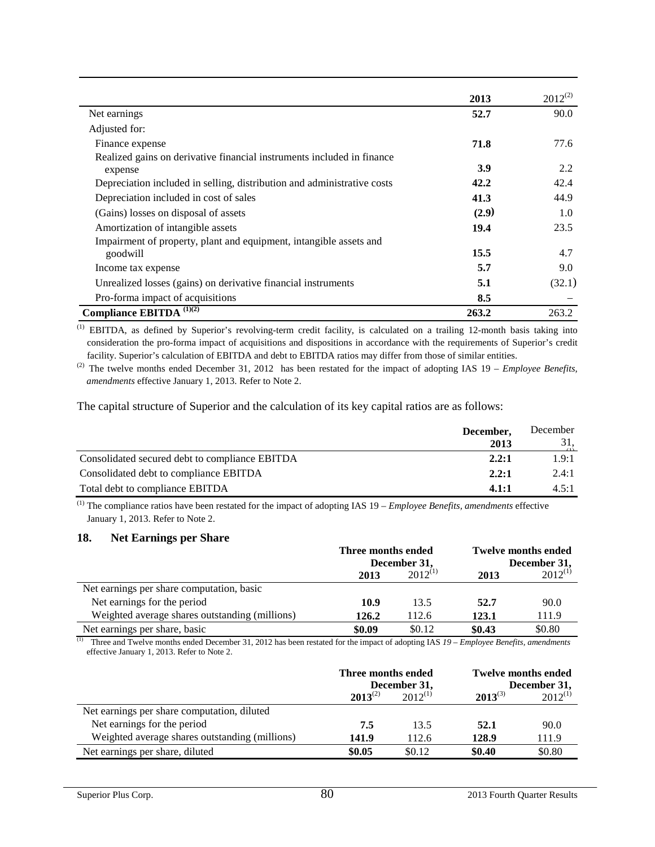|                                                                         | 2013  | $2012^{(2)}$ |
|-------------------------------------------------------------------------|-------|--------------|
| Net earnings                                                            | 52.7  | 90.0         |
| Adjusted for:                                                           |       |              |
| Finance expense                                                         | 71.8  | 77.6         |
| Realized gains on derivative financial instruments included in finance  |       |              |
| expense                                                                 | 3.9   | 2.2          |
| Depreciation included in selling, distribution and administrative costs | 42.2  | 42.4         |
| Depreciation included in cost of sales                                  | 41.3  | 44.9         |
| (Gains) losses on disposal of assets                                    | (2.9) | 1.0          |
| Amortization of intangible assets                                       | 19.4  | 23.5         |
| Impairment of property, plant and equipment, intangible assets and      |       |              |
| goodwill                                                                | 15.5  | 4.7          |
| Income tax expense                                                      | 5.7   | 9.0          |
| Unrealized losses (gains) on derivative financial instruments           | 5.1   | (32.1)       |
| Pro-forma impact of acquisitions                                        | 8.5   |              |
| Compliance EBITDA $\frac{(1)(2)}{2}$                                    | 263.2 | 263.2        |

(1) EBITDA, as defined by Superior's revolving-term credit facility, is calculated on a trailing 12-month basis taking into consideration the pro-forma impact of acquisitions and dispositions in accordance with the requirements of Superior's credit facility. Superior's calculation of EBITDA and debt to EBITDA ratios may differ from those of similar entities.

(2) The twelve months ended December 31, 2012 has been restated for the impact of adopting IAS 19 – *Employee Benefits, amendments* effective January 1, 2013. Refer to Note 2.

The capital structure of Superior and the calculation of its key capital ratios are as follows:

|                                                | December, | December |
|------------------------------------------------|-----------|----------|
|                                                | 2013      |          |
| Consolidated secured debt to compliance EBITDA | 2.2:1     | 1.9:1    |
| Consolidated debt to compliance EBITDA         | 2.2:1     | 2.4:1    |
| Total debt to compliance EBITDA                | 4.1:1     | 4.5:1    |

(1) The compliance ratios have been restated for the impact of adopting IAS 19 – *Employee Benefits, amendments* effective January 1, 2013. Refer to Note 2.

### **18. Net Earnings per Share**

|                                                | Three months ended<br>December 31, |              |        | <b>Twelve months ended</b><br>December 31, |  |  |
|------------------------------------------------|------------------------------------|--------------|--------|--------------------------------------------|--|--|
|                                                | 2013                               | $2012^{(1)}$ | 2013   | $2012^{(1)}$                               |  |  |
| Net earnings per share computation, basic      |                                    |              |        |                                            |  |  |
| Net earnings for the period                    | 10.9                               | 13.5         | 52.7   | 90.0                                       |  |  |
| Weighted average shares outstanding (millions) | 126.2                              | 112.6        | 123.1  | 111.9                                      |  |  |
| Net earnings per share, basic                  | \$0.09                             | \$0.12       | \$0.43 | \$0.80                                     |  |  |

(1) Three and Twelve months ended December 31, 2012 has been restated for the impact of adopting IAS *19 – Employee Benefits, amendments* effective January 1, 2013. Refer to Note 2.

|                                                | Three months ended<br>December 31, |              |              | <b>Twelve months ended</b><br>December 31, |  |  |
|------------------------------------------------|------------------------------------|--------------|--------------|--------------------------------------------|--|--|
|                                                | $2013^{(2)}$                       | $2012^{(1)}$ | $2013^{(3)}$ | $2012^{(1)}$                               |  |  |
| Net earnings per share computation, diluted    |                                    |              |              |                                            |  |  |
| Net earnings for the period                    | 7.5                                | 13.5         | 52.1         | 90.0                                       |  |  |
| Weighted average shares outstanding (millions) | 141.9                              | 112.6        | 128.9        | 111.9                                      |  |  |
| Net earnings per share, diluted                | \$0.05                             | \$0.12       | \$0.40       | \$0.80                                     |  |  |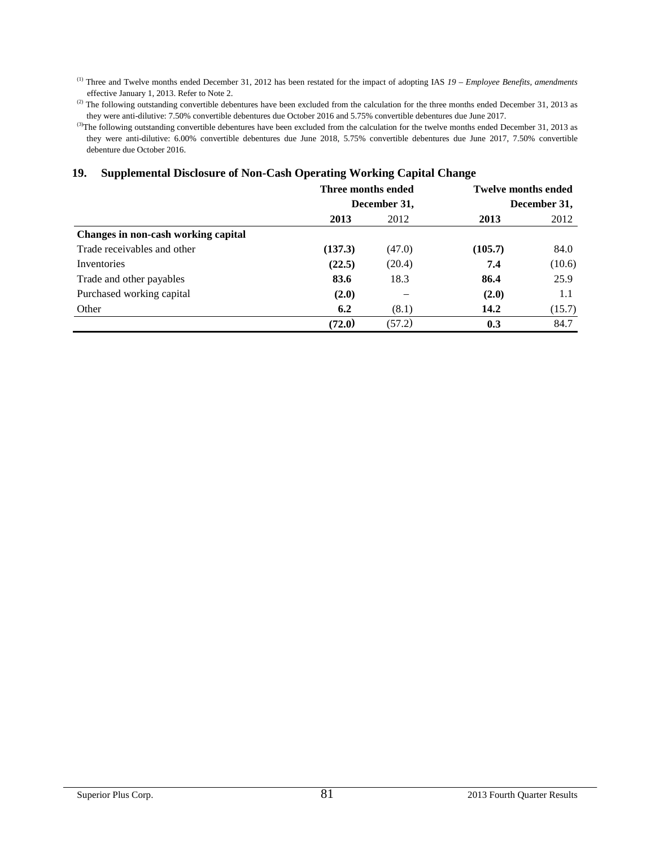- (1) Three and Twelve months ended December 31, 2012 has been restated for the impact of adopting IAS *19 Employee Benefits, amendments* effective January 1, 2013. Refer to Note 2.
- (2) The following outstanding convertible debentures have been excluded from the calculation for the three months ended December 31, 2013 as they were anti-dilutive: 7.50% convertible debentures due October 2016 and 5.75% convertible debentures due June 2017.
- <sup>(3)</sup>The following outstanding convertible debentures have been excluded from the calculation for the twelve months ended December 31, 2013 as they were anti-dilutive: 6.00% convertible debentures due June 2018, 5.75% convertible debentures due June 2017, 7.50% convertible debenture due October 2016.

## **19. Supplemental Disclosure of Non-Cash Operating Working Capital Change**

|                                     | Three months ended |              | <b>Twelve months ended</b> |        |  |
|-------------------------------------|--------------------|--------------|----------------------------|--------|--|
|                                     |                    | December 31, | December 31,               |        |  |
|                                     | 2013               | 2012         | 2013                       | 2012   |  |
| Changes in non-cash working capital |                    |              |                            |        |  |
| Trade receivables and other         | (137.3)            | (47.0)       | (105.7)                    | 84.0   |  |
| Inventories                         | (22.5)             | (20.4)       | 7.4                        | (10.6) |  |
| Trade and other payables            | 83.6               | 18.3         | 86.4                       | 25.9   |  |
| Purchased working capital           | (2.0)              |              | (2.0)                      | 1.1    |  |
| Other                               | 6.2                | (8.1)        | 14.2                       | (15.7) |  |
|                                     | (72.0)             | (57.2)       | 0.3                        | 84.7   |  |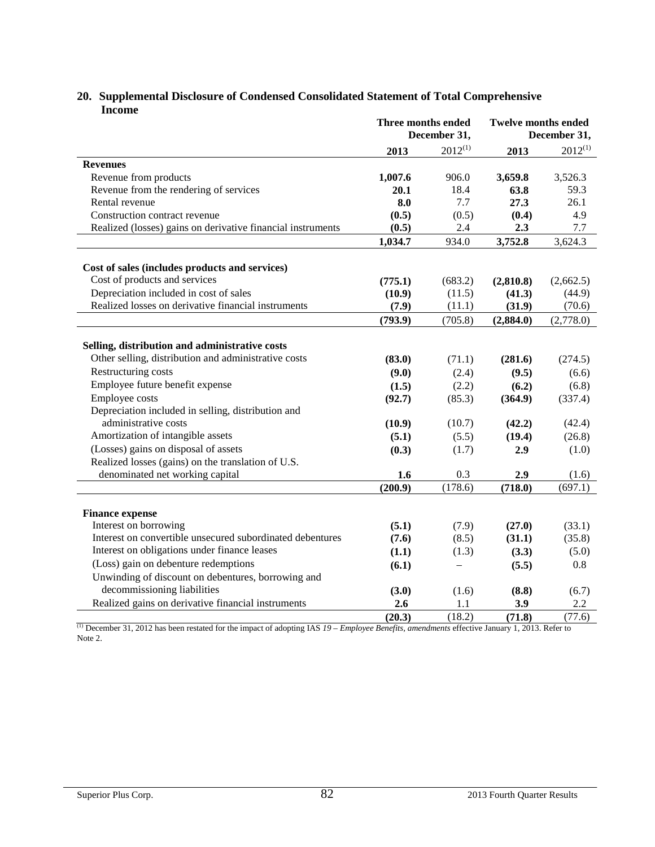|                                                                                 | Three months ended<br>December 31, |                          | <b>Twelve months ended</b> | December 31,        |
|---------------------------------------------------------------------------------|------------------------------------|--------------------------|----------------------------|---------------------|
|                                                                                 | 2013                               | $2012^{(1)}$             | 2013                       | $2012^{(1)}$        |
| <b>Revenues</b>                                                                 |                                    |                          |                            |                     |
| Revenue from products                                                           | 1,007.6                            | 906.0                    | 3,659.8                    | 3,526.3             |
| Revenue from the rendering of services                                          | 20.1                               | 18.4                     | 63.8                       | 59.3                |
| Rental revenue                                                                  | 8.0                                | 7.7                      | 27.3                       | 26.1                |
| Construction contract revenue                                                   | (0.5)                              | (0.5)                    | (0.4)                      | 4.9                 |
| Realized (losses) gains on derivative financial instruments                     | (0.5)                              | 2.4                      | 2.3                        | 7.7                 |
|                                                                                 | 1,034.7                            | 934.0                    | 3,752.8                    | 3,624.3             |
|                                                                                 |                                    |                          |                            |                     |
| Cost of sales (includes products and services)<br>Cost of products and services | (775.1)                            | (683.2)                  |                            |                     |
| Depreciation included in cost of sales                                          | (10.9)                             | (11.5)                   | (2,810.8)<br>(41.3)        | (2,662.5)<br>(44.9) |
| Realized losses on derivative financial instruments                             | (7.9)                              | (11.1)                   | (31.9)                     | (70.6)              |
|                                                                                 | (793.9)                            | (705.8)                  | (2,884.0)                  | (2,778.0)           |
|                                                                                 |                                    |                          |                            |                     |
| Selling, distribution and administrative costs                                  |                                    |                          |                            |                     |
| Other selling, distribution and administrative costs                            | (83.0)                             | (71.1)                   | (281.6)                    | (274.5)             |
| Restructuring costs                                                             | (9.0)                              | (2.4)                    | (9.5)                      | (6.6)               |
| Employee future benefit expense                                                 | (1.5)                              | (2.2)                    | (6.2)                      | (6.8)               |
| Employee costs                                                                  | (92.7)                             | (85.3)                   | (364.9)                    | (337.4)             |
| Depreciation included in selling, distribution and                              |                                    |                          |                            |                     |
| administrative costs                                                            | (10.9)                             | (10.7)                   | (42.2)                     | (42.4)              |
| Amortization of intangible assets                                               | (5.1)                              | (5.5)                    | (19.4)                     | (26.8)              |
| (Losses) gains on disposal of assets                                            | (0.3)                              | (1.7)                    | 2.9                        | (1.0)               |
| Realized losses (gains) on the translation of U.S.                              |                                    |                          |                            |                     |
| denominated net working capital                                                 | 1.6                                | 0.3                      | 2.9                        | (1.6)               |
|                                                                                 | (200.9)                            | (178.6)                  | (718.0)                    | (697.1)             |
|                                                                                 |                                    |                          |                            |                     |
| <b>Finance expense</b><br>Interest on borrowing                                 | (5.1)                              | (7.9)                    | (27.0)                     | (33.1)              |
| Interest on convertible unsecured subordinated debentures                       | (7.6)                              | (8.5)                    | (31.1)                     | (35.8)              |
| Interest on obligations under finance leases                                    | (1.1)                              | (1.3)                    | (3.3)                      | (5.0)               |
| (Loss) gain on debenture redemptions                                            |                                    |                          |                            |                     |
| Unwinding of discount on debentures, borrowing and                              | (6.1)                              | $\overline{\phantom{0}}$ | (5.5)                      | 0.8                 |
| decommissioning liabilities                                                     |                                    |                          |                            |                     |
| Realized gains on derivative financial instruments                              | (3.0)<br>2.6                       | (1.6)<br>1.1             | (8.8)<br>3.9               | (6.7)<br>2.2        |
|                                                                                 | (20.3)                             | (18.2)                   | (71.8)                     | (77.6)              |
|                                                                                 |                                    |                          |                            |                     |

# **20. Supplemental Disclosure of Condensed Consolidated Statement of Total Comprehensive Income**

(1) December 31, 2012 has been restated for the impact of adopting IAS *19 – Employee Benefits, amendments* effective January 1, 2013. Refer to Note 2.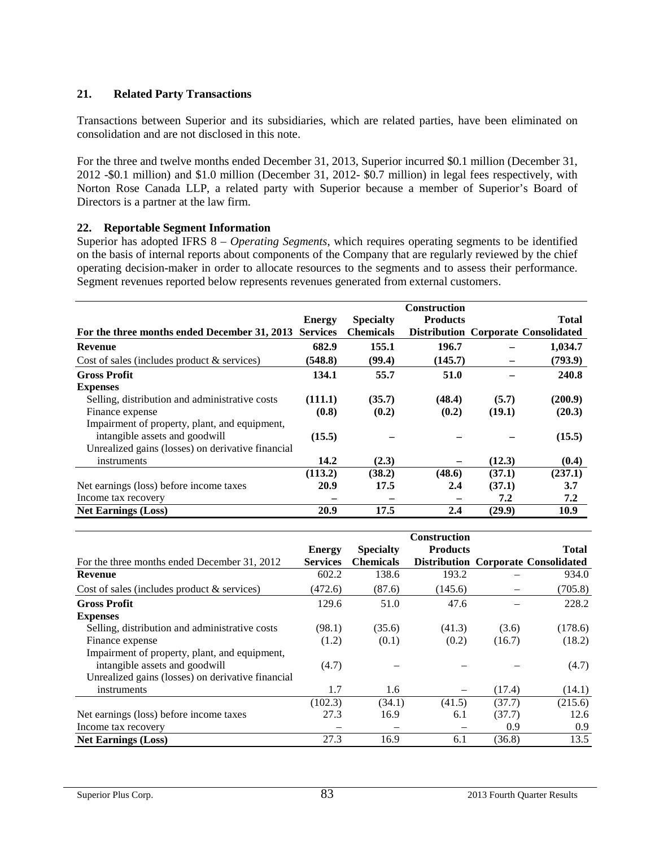# **21. Related Party Transactions**

Transactions between Superior and its subsidiaries, which are related parties, have been eliminated on consolidation and are not disclosed in this note.

For the three and twelve months ended December 31, 2013, Superior incurred \$0.1 million (December 31, 2012 -\$0.1 million) and \$1.0 million (December 31, 2012- \$0.7 million) in legal fees respectively, with Norton Rose Canada LLP, a related party with Superior because a member of Superior's Board of Directors is a partner at the law firm.

# **22. Reportable Segment Information**

Superior has adopted IFRS 8 – *Operating Segments*, which requires operating segments to be identified on the basis of internal reports about components of the Company that are regularly reviewed by the chief operating decision-maker in order to allocate resources to the segments and to assess their performance. Segment revenues reported below represents revenues generated from external customers.

|                                                   |                 |                  | <b>Construction</b> |        |                                            |
|---------------------------------------------------|-----------------|------------------|---------------------|--------|--------------------------------------------|
|                                                   | <b>Energy</b>   | <b>Specialty</b> | <b>Products</b>     |        | <b>Total</b>                               |
| For the three months ended December 31, 2013      | <b>Services</b> | <b>Chemicals</b> |                     |        | <b>Distribution Corporate Consolidated</b> |
| <b>Revenue</b>                                    | 682.9           | 155.1            | 196.7               |        | 1,034.7                                    |
| Cost of sales (includes product $&$ services)     | (548.8)         | (99.4)           | (145.7)             |        | (793.9)                                    |
| <b>Gross Profit</b>                               | 134.1           | 55.7             | 51.0                |        | 240.8                                      |
| <b>Expenses</b>                                   |                 |                  |                     |        |                                            |
| Selling, distribution and administrative costs    | (111.1)         | (35.7)           | (48.4)              | (5.7)  | (200.9)                                    |
| Finance expense                                   | (0.8)           | (0.2)            | (0.2)               | (19.1) | (20.3)                                     |
| Impairment of property, plant, and equipment,     |                 |                  |                     |        |                                            |
| intangible assets and goodwill                    | (15.5)          |                  |                     |        | (15.5)                                     |
| Unrealized gains (losses) on derivative financial |                 |                  |                     |        |                                            |
| instruments                                       | 14.2            | (2.3)            |                     | (12.3) | (0.4)                                      |
|                                                   | (113.2)         | (38.2)           | (48.6)              | (37.1) | (237.1)                                    |
| Net earnings (loss) before income taxes           | 20.9            | 17.5             | 2.4                 | (37.1) | 3.7                                        |
| Income tax recovery                               |                 |                  |                     | 7.2    | 7.2                                        |
| <b>Net Earnings (Loss)</b>                        | 20.9            | 17.5             | 2.4                 | (29.9) | 10.9                                       |

|                                                   |                 |                  | <b>Construction</b> |        |                                            |
|---------------------------------------------------|-----------------|------------------|---------------------|--------|--------------------------------------------|
|                                                   | <b>Energy</b>   | <b>Specialty</b> | <b>Products</b>     |        | Total                                      |
| For the three months ended December 31, 2012      | <b>Services</b> | <b>Chemicals</b> |                     |        | <b>Distribution Corporate Consolidated</b> |
| Revenue                                           | 602.2           | 138.6            | 193.2               |        | 934.0                                      |
| Cost of sales (includes product $&$ services)     | (472.6)         | (87.6)           | (145.6)             |        | (705.8)                                    |
| <b>Gross Profit</b>                               | 129.6           | 51.0             | 47.6                |        | 228.2                                      |
| <b>Expenses</b>                                   |                 |                  |                     |        |                                            |
| Selling, distribution and administrative costs    | (98.1)          | (35.6)           | (41.3)              | (3.6)  | (178.6)                                    |
| Finance expense                                   | (1.2)           | (0.1)            | (0.2)               | (16.7) | (18.2)                                     |
| Impairment of property, plant, and equipment,     |                 |                  |                     |        |                                            |
| intangible assets and goodwill                    | (4.7)           |                  |                     |        | (4.7)                                      |
| Unrealized gains (losses) on derivative financial |                 |                  |                     |        |                                            |
| instruments                                       | 1.7             | 1.6              |                     | (17.4) | (14.1)                                     |
|                                                   | (102.3)         | (34.1)           | (41.5)              | (37.7) | (215.6)                                    |
| Net earnings (loss) before income taxes           | 27.3            | 16.9             | 6.1                 | (37.7) | 12.6                                       |
| Income tax recovery                               |                 |                  |                     | 0.9    | 0.9                                        |
| <b>Net Earnings (Loss)</b>                        | 27.3            | 16.9             | 6.1                 | (36.8) | 13.5                                       |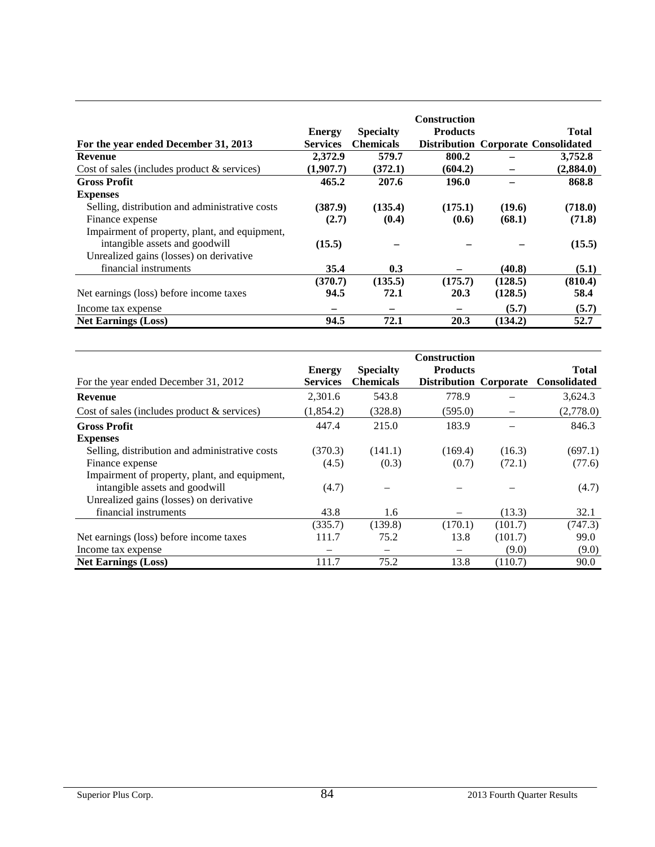|                                                        | <b>Energy</b>        | <b>Specialty</b>          | <b>Construction</b><br><b>Products</b> |         | Total                                      |
|--------------------------------------------------------|----------------------|---------------------------|----------------------------------------|---------|--------------------------------------------|
| For the year ended December 31, 2013<br><b>Revenue</b> | <b>Services</b>      | <b>Chemicals</b><br>579.7 | 800.2                                  |         | <b>Distribution Corporate Consolidated</b> |
| Cost of sales (includes product $\&$ services)         | 2,372.9<br>(1,907.7) | (372.1)                   | (604.2)                                |         | 3,752.8<br>(2,884.0)                       |
| <b>Gross Profit</b>                                    | 465.2                | 207.6                     | 196.0                                  |         | 868.8                                      |
| <b>Expenses</b>                                        |                      |                           |                                        |         |                                            |
| Selling, distribution and administrative costs         | (387.9)              | (135.4)                   | (175.1)                                | (19.6)  | (718.0)                                    |
| Finance expense                                        | (2.7)                | (0.4)                     | (0.6)                                  | (68.1)  | (71.8)                                     |
| Impairment of property, plant, and equipment,          |                      |                           |                                        |         |                                            |
| intangible assets and goodwill                         | (15.5)               |                           |                                        |         | (15.5)                                     |
| Unrealized gains (losses) on derivative                |                      |                           |                                        |         |                                            |
| financial instruments                                  | 35.4                 | 0.3                       |                                        | (40.8)  | (5.1)                                      |
|                                                        | (370.7)              | (135.5)                   | (175.7)                                | (128.5) | (810.4)                                    |
| Net earnings (loss) before income taxes                | 94.5                 | 72.1                      | 20.3                                   | (128.5) | 58.4                                       |
| Income tax expense                                     |                      |                           |                                        | (5.7)   | (5.7)                                      |
| <b>Net Earnings (Loss)</b>                             | 94.5                 | 72.1                      | 20.3                                   | (134.2) | 52.7                                       |

|                                                |                 |                  | <b>Construction</b>           |         |                     |
|------------------------------------------------|-----------------|------------------|-------------------------------|---------|---------------------|
|                                                | <b>Energy</b>   | <b>Specialty</b> | <b>Products</b>               |         | <b>Total</b>        |
| For the year ended December 31, 2012           | <b>Services</b> | <b>Chemicals</b> | <b>Distribution Corporate</b> |         | <b>Consolidated</b> |
| <b>Revenue</b>                                 | 2,301.6         | 543.8            | 778.9                         |         | 3,624.3             |
| Cost of sales (includes product $\&$ services) | (1,854.2)       | (328.8)          | (595.0)                       |         | (2,778.0)           |
| <b>Gross Profit</b>                            | 447.4           | 215.0            | 183.9                         |         | 846.3               |
| <b>Expenses</b>                                |                 |                  |                               |         |                     |
| Selling, distribution and administrative costs | (370.3)         | (141.1)          | (169.4)                       | (16.3)  | (697.1)             |
| Finance expense                                | (4.5)           | (0.3)            | (0.7)                         | (72.1)  | (77.6)              |
| Impairment of property, plant, and equipment,  |                 |                  |                               |         |                     |
| intangible assets and goodwill                 | (4.7)           |                  |                               |         | (4.7)               |
| Unrealized gains (losses) on derivative        |                 |                  |                               |         |                     |
| financial instruments                          | 43.8            | 1.6              |                               | (13.3)  | 32.1                |
|                                                | (335.7)         | (139.8)          | (170.1)                       | (101.7) | (747.3)             |
| Net earnings (loss) before income taxes        | 111.7           | 75.2             | 13.8                          | (101.7) | 99.0                |
| Income tax expense                             |                 | -                | $\qquad \qquad -$             | (9.0)   | (9.0)               |
| <b>Net Earnings (Loss)</b>                     | 111.7           | 75.2             | 13.8                          | (110.7) | 90.0                |